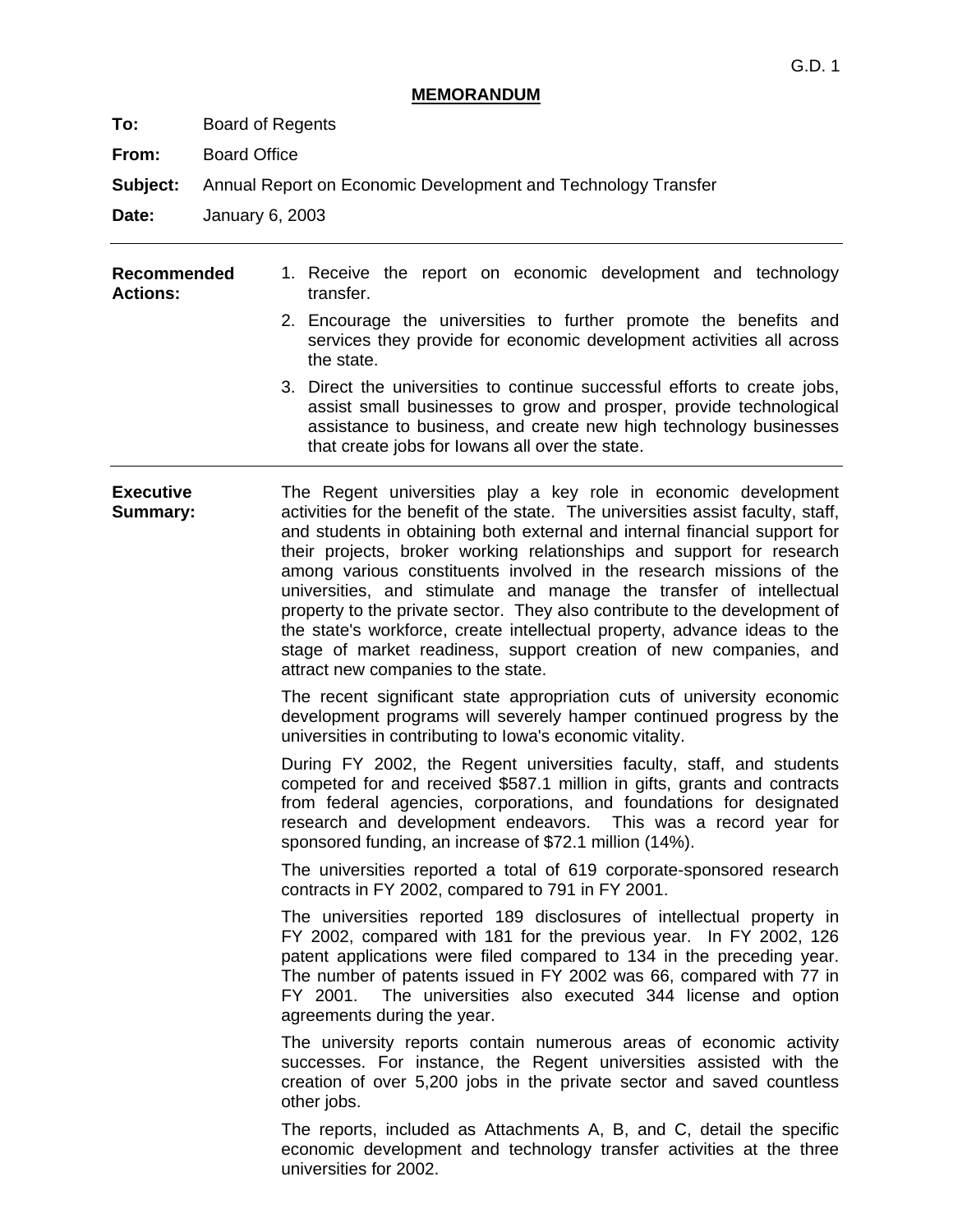#### **MEMORANDUM**

**To:** Board of Regents

**From:** Board Office

**Subject:** Annual Report on Economic Development and Technology Transfer

**Date:** January 6, 2003

| Recommended<br><b>Actions:</b> |  | 1. Receive the report on economic development and technology<br>transfer.                                                                                                                                                                                               |
|--------------------------------|--|-------------------------------------------------------------------------------------------------------------------------------------------------------------------------------------------------------------------------------------------------------------------------|
|                                |  | 2. Encourage the universities to further promote the benefits and<br>services they provide for economic development activities all across<br>the state.                                                                                                                 |
|                                |  | 3. Direct the universities to continue successful efforts to create jobs,<br>assist small businesses to grow and prosper, provide technological<br>assistance to business, and create new high technology businesses<br>that create jobs for lowans all over the state. |

**Executive Summary:**  The Regent universities play a key role in economic development activities for the benefit of the state. The universities assist faculty, staff, and students in obtaining both external and internal financial support for their projects, broker working relationships and support for research among various constituents involved in the research missions of the universities, and stimulate and manage the transfer of intellectual property to the private sector. They also contribute to the development of the state's workforce, create intellectual property, advance ideas to the stage of market readiness, support creation of new companies, and attract new companies to the state.

> The recent significant state appropriation cuts of university economic development programs will severely hamper continued progress by the universities in contributing to Iowa's economic vitality.

> During FY 2002, the Regent universities faculty, staff, and students competed for and received \$587.1 million in gifts, grants and contracts from federal agencies, corporations, and foundations for designated research and development endeavors. This was a record year for sponsored funding, an increase of \$72.1 million (14%).

> The universities reported a total of 619 corporate-sponsored research contracts in FY 2002, compared to 791 in FY 2001.

> The universities reported 189 disclosures of intellectual property in FY 2002, compared with 181 for the previous year. In FY 2002, 126 patent applications were filed compared to 134 in the preceding year. The number of patents issued in FY 2002 was 66, compared with 77 in FY 2001. The universities also executed 344 license and option agreements during the year.

> The university reports contain numerous areas of economic activity successes. For instance, the Regent universities assisted with the creation of over 5,200 jobs in the private sector and saved countless other jobs.

> The reports, included as Attachments A, B, and C, detail the specific economic development and technology transfer activities at the three universities for 2002.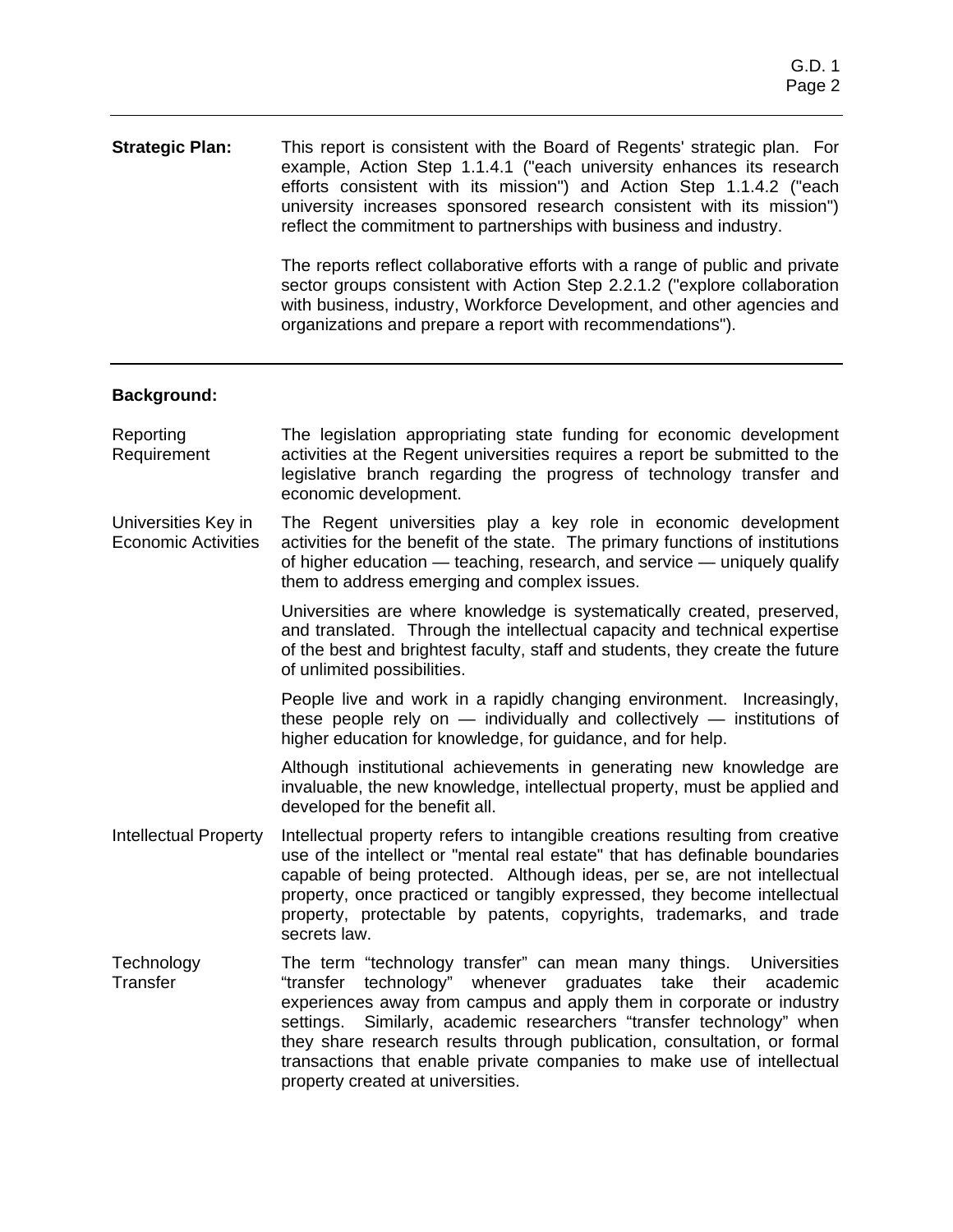#### **Strategic Plan:** This report is consistent with the Board of Regents' strategic plan. For example, Action Step 1.1.4.1 ("each university enhances its research efforts consistent with its mission") and Action Step 1.1.4.2 ("each university increases sponsored research consistent with its mission") reflect the commitment to partnerships with business and industry.

The reports reflect collaborative efforts with a range of public and private sector groups consistent with Action Step 2.2.1.2 ("explore collaboration with business, industry, Workforce Development, and other agencies and organizations and prepare a report with recommendations").

#### **Background:**

- Reporting Requirement The legislation appropriating state funding for economic development activities at the Regent universities requires a report be submitted to the legislative branch regarding the progress of technology transfer and economic development.
- Universities Key in Economic Activities The Regent universities play a key role in economic development activities for the benefit of the state. The primary functions of institutions of higher education — teaching, research, and service — uniquely qualify them to address emerging and complex issues.

Universities are where knowledge is systematically created, preserved, and translated. Through the intellectual capacity and technical expertise of the best and brightest faculty, staff and students, they create the future of unlimited possibilities.

People live and work in a rapidly changing environment. Increasingly, these people rely on  $-$  individually and collectively  $-$  institutions of higher education for knowledge, for guidance, and for help.

Although institutional achievements in generating new knowledge are invaluable, the new knowledge, intellectual property, must be applied and developed for the benefit all.

- Intellectual Property Intellectual property refers to intangible creations resulting from creative use of the intellect or "mental real estate" that has definable boundaries capable of being protected. Although ideas, per se, are not intellectual property, once practiced or tangibly expressed, they become intellectual property, protectable by patents, copyrights, trademarks, and trade secrets law.
- **Technology Transfer** The term "technology transfer" can mean many things. Universities "transfer technology" whenever graduates take their academic experiences away from campus and apply them in corporate or industry settings. Similarly, academic researchers "transfer technology" when they share research results through publication, consultation, or formal transactions that enable private companies to make use of intellectual property created at universities.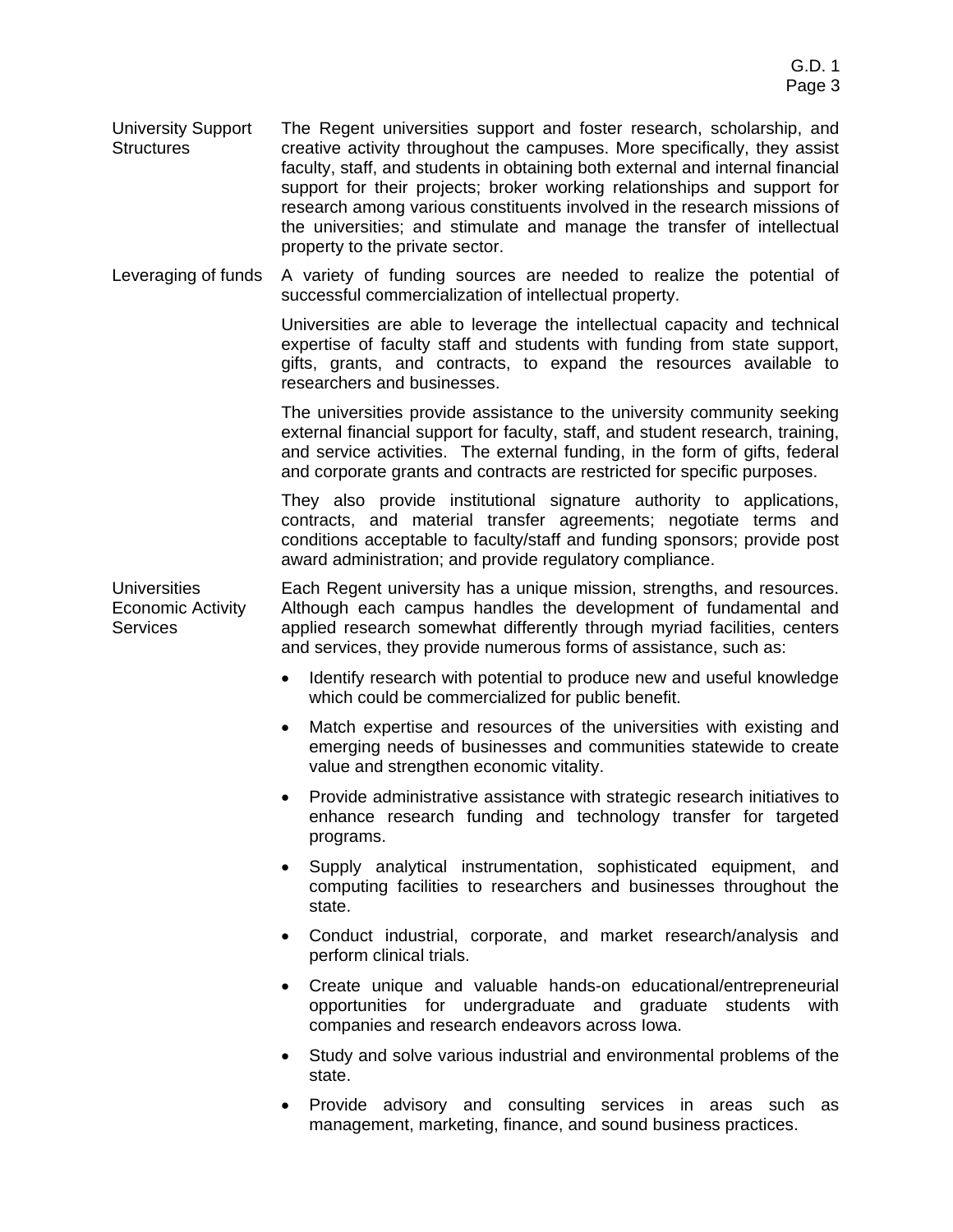- University Support **Structures** The Regent universities support and foster research, scholarship, and creative activity throughout the campuses. More specifically, they assist faculty, staff, and students in obtaining both external and internal financial support for their projects; broker working relationships and support for research among various constituents involved in the research missions of the universities; and stimulate and manage the transfer of intellectual property to the private sector.
- Leveraging of funds A variety of funding sources are needed to realize the potential of successful commercialization of intellectual property.

Universities are able to leverage the intellectual capacity and technical expertise of faculty staff and students with funding from state support, gifts, grants, and contracts, to expand the resources available to researchers and businesses.

The universities provide assistance to the university community seeking external financial support for faculty, staff, and student research, training, and service activities. The external funding, in the form of gifts, federal and corporate grants and contracts are restricted for specific purposes.

They also provide institutional signature authority to applications, contracts, and material transfer agreements; negotiate terms and conditions acceptable to faculty/staff and funding sponsors; provide post award administration; and provide regulatory compliance.

Universities Economic Activity **Services** Each Regent university has a unique mission, strengths, and resources. Although each campus handles the development of fundamental and applied research somewhat differently through myriad facilities, centers and services, they provide numerous forms of assistance, such as:

- Identify research with potential to produce new and useful knowledge which could be commercialized for public benefit.
- Match expertise and resources of the universities with existing and emerging needs of businesses and communities statewide to create value and strengthen economic vitality.
- Provide administrative assistance with strategic research initiatives to enhance research funding and technology transfer for targeted programs.
- Supply analytical instrumentation, sophisticated equipment, and computing facilities to researchers and businesses throughout the state.
- Conduct industrial, corporate, and market research/analysis and perform clinical trials.
- Create unique and valuable hands-on educational/entrepreneurial opportunities for undergraduate and graduate students with companies and research endeavors across Iowa.
- Study and solve various industrial and environmental problems of the state.
- Provide advisory and consulting services in areas such as management, marketing, finance, and sound business practices.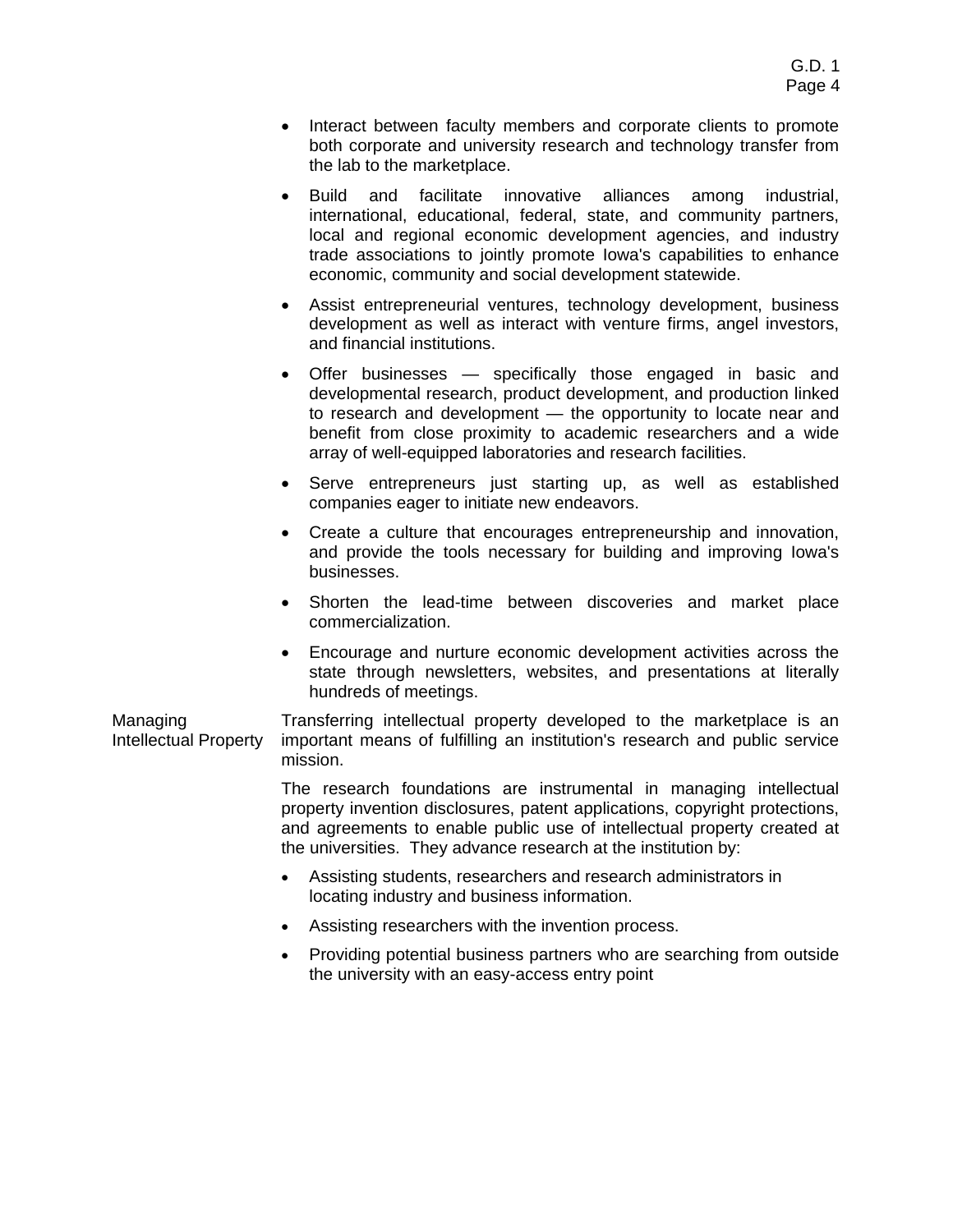- Interact between faculty members and corporate clients to promote both corporate and university research and technology transfer from the lab to the marketplace.
- Build and facilitate innovative alliances among industrial, international, educational, federal, state, and community partners, local and regional economic development agencies, and industry trade associations to jointly promote Iowa's capabilities to enhance economic, community and social development statewide.
- Assist entrepreneurial ventures, technology development, business development as well as interact with venture firms, angel investors, and financial institutions.
- Offer businesses specifically those engaged in basic and developmental research, product development, and production linked to research and development — the opportunity to locate near and benefit from close proximity to academic researchers and a wide array of well-equipped laboratories and research facilities.
- Serve entrepreneurs just starting up, as well as established companies eager to initiate new endeavors.
- Create a culture that encourages entrepreneurship and innovation, and provide the tools necessary for building and improving Iowa's businesses.
- Shorten the lead-time between discoveries and market place commercialization.
- Encourage and nurture economic development activities across the state through newsletters, websites, and presentations at literally hundreds of meetings.

Managing Intellectual Property Transferring intellectual property developed to the marketplace is an important means of fulfilling an institution's research and public service mission.

> The research foundations are instrumental in managing intellectual property invention disclosures, patent applications, copyright protections, and agreements to enable public use of intellectual property created at the universities. They advance research at the institution by:

- Assisting students, researchers and research administrators in locating industry and business information.
- Assisting researchers with the invention process.
- Providing potential business partners who are searching from outside the university with an easy-access entry point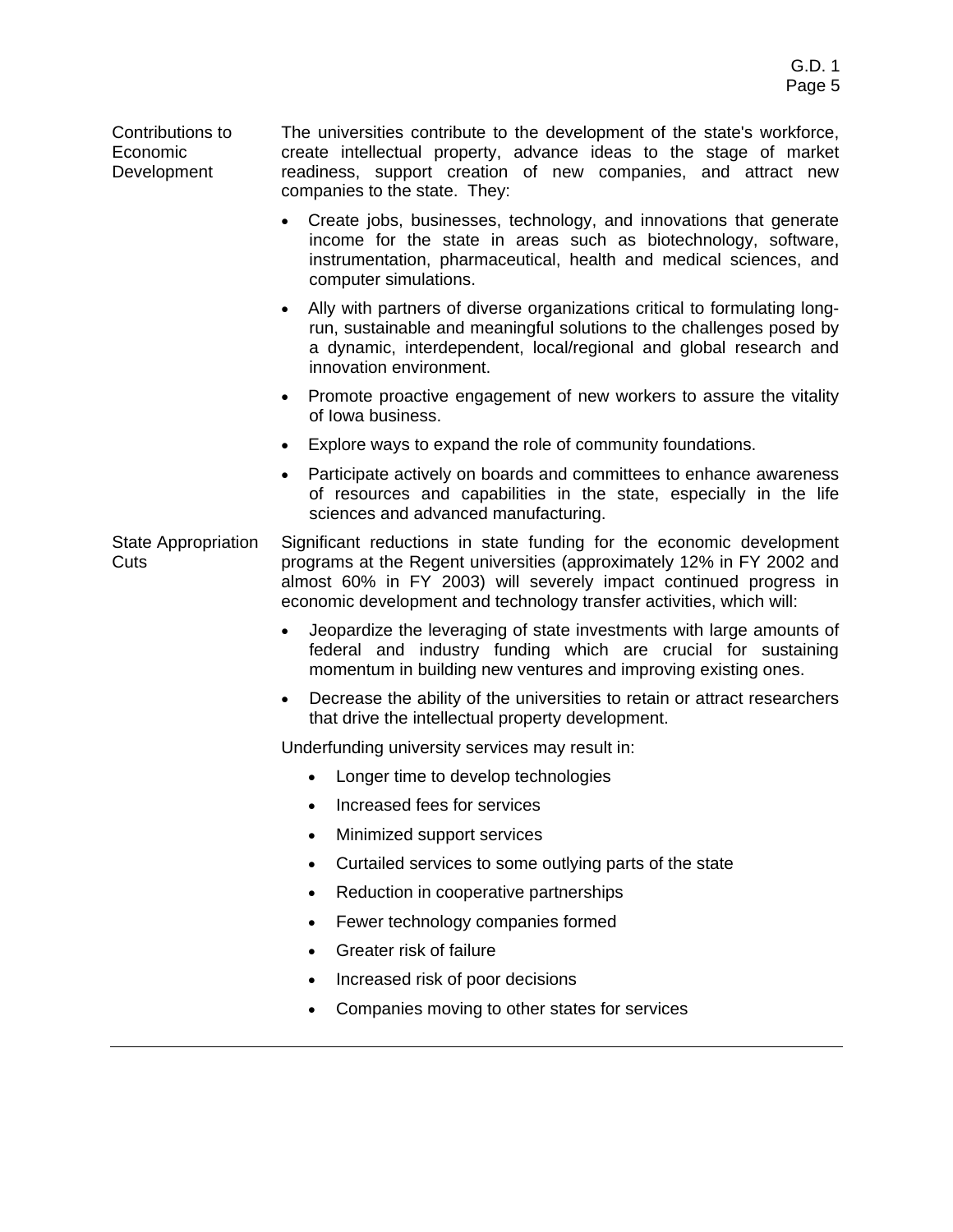Contributions to Economic Development The universities contribute to the development of the state's workforce, create intellectual property, advance ideas to the stage of market readiness, support creation of new companies, and attract new companies to the state. They:

- Create jobs, businesses, technology, and innovations that generate income for the state in areas such as biotechnology, software, instrumentation, pharmaceutical, health and medical sciences, and computer simulations.
- Ally with partners of diverse organizations critical to formulating longrun, sustainable and meaningful solutions to the challenges posed by a dynamic, interdependent, local/regional and global research and innovation environment.
- Promote proactive engagement of new workers to assure the vitality of Iowa business.
- Explore ways to expand the role of community foundations.
- Participate actively on boards and committees to enhance awareness of resources and capabilities in the state, especially in the life sciences and advanced manufacturing.

State Appropriation Cuts Significant reductions in state funding for the economic development programs at the Regent universities (approximately 12% in FY 2002 and almost 60% in FY 2003) will severely impact continued progress in economic development and technology transfer activities, which will:

- Jeopardize the leveraging of state investments with large amounts of federal and industry funding which are crucial for sustaining momentum in building new ventures and improving existing ones.
- Decrease the ability of the universities to retain or attract researchers that drive the intellectual property development.

Underfunding university services may result in:

- Longer time to develop technologies
- Increased fees for services
- Minimized support services
- Curtailed services to some outlying parts of the state
- Reduction in cooperative partnerships
- Fewer technology companies formed
- Greater risk of failure
- Increased risk of poor decisions
- Companies moving to other states for services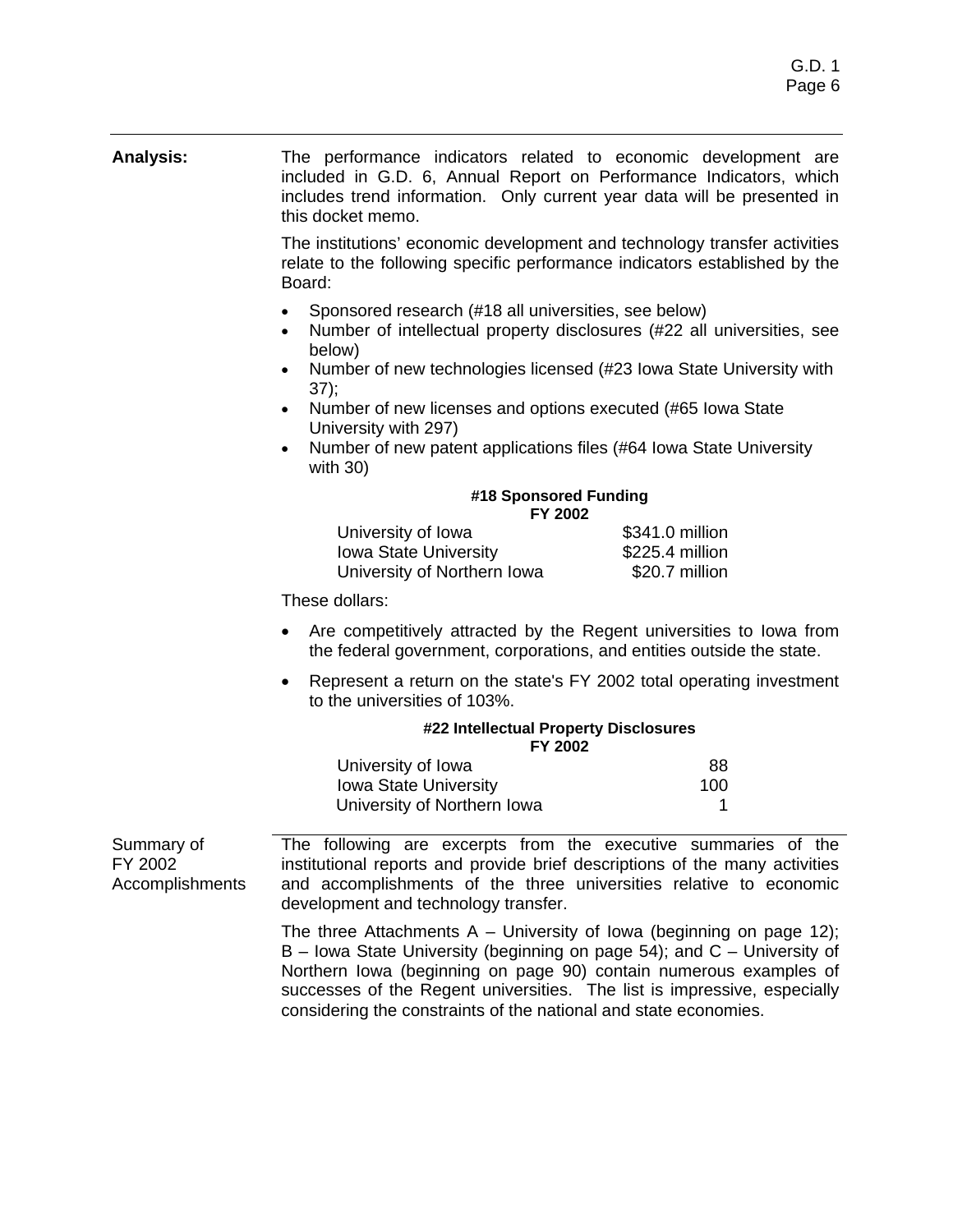#### **Analysis:** The performance indicators related to economic development are included in G.D. 6, Annual Report on Performance Indicators, which includes trend information. Only current year data will be presented in this docket memo.

The institutions' economic development and technology transfer activities relate to the following specific performance indicators established by the Board:

- Sponsored research (#18 all universities, see below)
- Number of intellectual property disclosures (#22 all universities, see below)
- Number of new technologies licensed (#23 Iowa State University with 37);
- Number of new licenses and options executed (#65 Iowa State University with 297)
- Number of new patent applications files (#64 Iowa State University with 30)

| #18 Sponsored Funding<br>FY 2002 |                  |  |
|----------------------------------|------------------|--|
| University of Iowa               | \$341.0 million  |  |
| $l$ owo $C$ toto Llanzarojty     | $0225 A$ million |  |

| UITVEISILY UI IUWA           | ווטוווווו ט. ו <del>וי</del> כט |
|------------------------------|---------------------------------|
| <b>Iowa State University</b> | \$225.4 million                 |
| University of Northern Iowa  | \$20.7 million                  |

These dollars:

- Are competitively attracted by the Regent universities to Iowa from the federal government, corporations, and entities outside the state.
- Represent a return on the state's FY 2002 total operating investment to the universities of 103%.

| #22 Intellectual Property Disclosures<br>FY 2002 |     |
|--------------------------------------------------|-----|
| University of Iowa                               | 88  |
| Iowa State University                            | 100 |

|                        | University of Northern Iowa                                                 |  |
|------------------------|-----------------------------------------------------------------------------|--|
| Summary of             | The following are excerpts from the executive summaries of the              |  |
| FY 2002                | institutional reports and provide brief descriptions of the many activities |  |
| <b>Accomplishments</b> | and accomplishments of the three universities relative to economic          |  |

development and technology transfer.

The three Attachments  $A -$  University of Iowa (beginning on page 12); B – Iowa State University (beginning on page 54); and C – University of Northern Iowa (beginning on page 90) contain numerous examples of successes of the Regent universities. The list is impressive, especially considering the constraints of the national and state economies.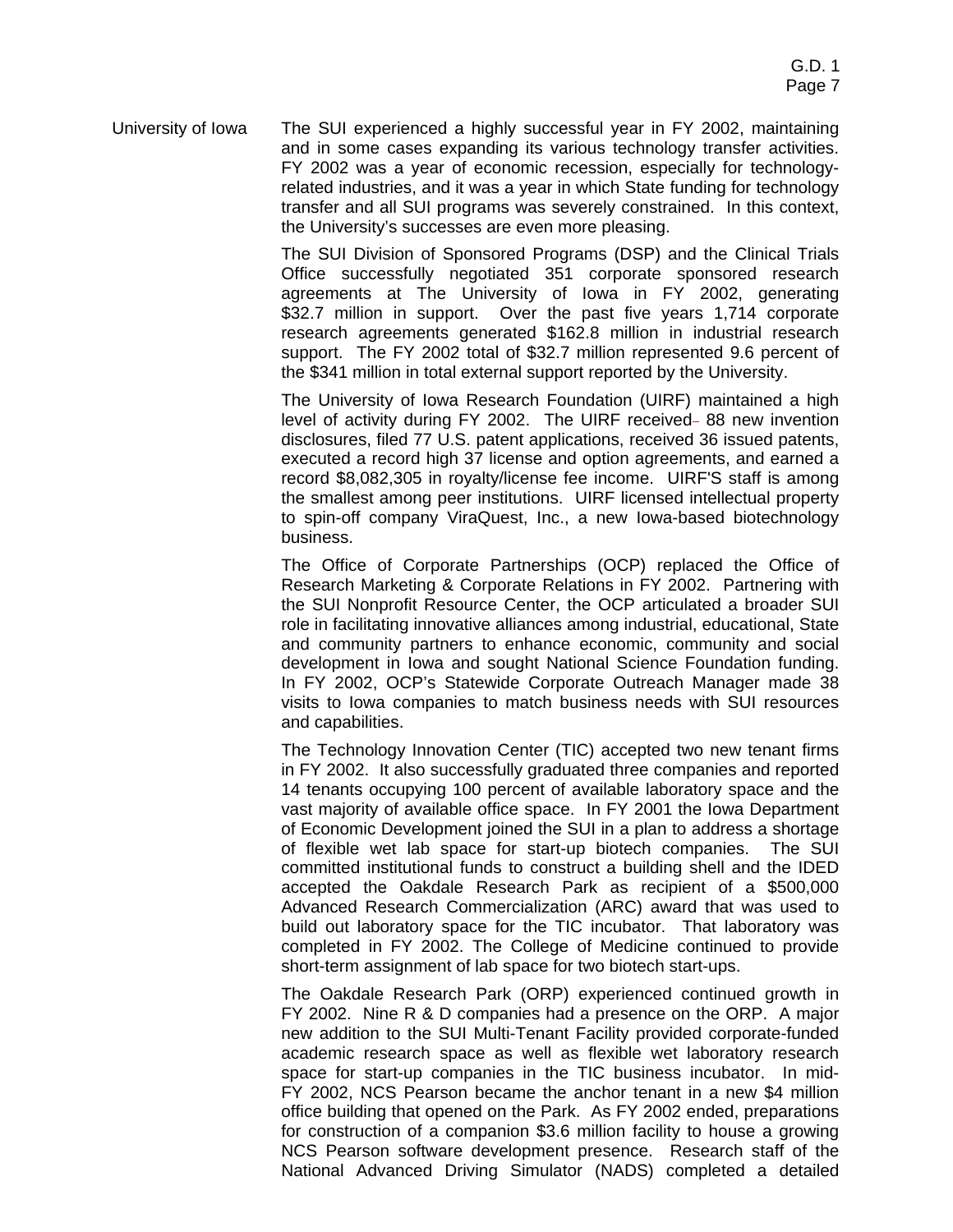University of Iowa The SUI experienced a highly successful year in FY 2002, maintaining and in some cases expanding its various technology transfer activities. FY 2002 was a year of economic recession, especially for technologyrelated industries, and it was a year in which State funding for technology transfer and all SUI programs was severely constrained. In this context, the University's successes are even more pleasing.

> The SUI Division of Sponsored Programs (DSP) and the Clinical Trials Office successfully negotiated 351 corporate sponsored research agreements at The University of Iowa in FY 2002, generating \$32.7 million in support. Over the past five years 1,714 corporate research agreements generated \$162.8 million in industrial research support. The FY 2002 total of \$32.7 million represented 9.6 percent of the \$341 million in total external support reported by the University.

> The University of Iowa Research Foundation (UIRF) maintained a high level of activity during FY 2002. The UIRF received-88 new invention disclosures, filed 77 U.S. patent applications, received 36 issued patents, executed a record high 37 license and option agreements, and earned a record \$8,082,305 in royalty/license fee income. UIRF'S staff is among the smallest among peer institutions. UIRF licensed intellectual property to spin-off company ViraQuest, Inc., a new Iowa-based biotechnology business.

> The Office of Corporate Partnerships (OCP) replaced the Office of Research Marketing & Corporate Relations in FY 2002. Partnering with the SUI Nonprofit Resource Center, the OCP articulated a broader SUI role in facilitating innovative alliances among industrial, educational, State and community partners to enhance economic, community and social development in Iowa and sought National Science Foundation funding. In FY 2002, OCP's Statewide Corporate Outreach Manager made 38 visits to Iowa companies to match business needs with SUI resources and capabilities.

> The Technology Innovation Center (TIC) accepted two new tenant firms in FY 2002. It also successfully graduated three companies and reported 14 tenants occupying 100 percent of available laboratory space and the vast majority of available office space. In FY 2001 the Iowa Department of Economic Development joined the SUI in a plan to address a shortage of flexible wet lab space for start-up biotech companies. The SUI committed institutional funds to construct a building shell and the IDED accepted the Oakdale Research Park as recipient of a \$500,000 Advanced Research Commercialization (ARC) award that was used to build out laboratory space for the TIC incubator. That laboratory was completed in FY 2002. The College of Medicine continued to provide short-term assignment of lab space for two biotech start-ups.

> The Oakdale Research Park (ORP) experienced continued growth in FY 2002. Nine R & D companies had a presence on the ORP. A major new addition to the SUI Multi-Tenant Facility provided corporate-funded academic research space as well as flexible wet laboratory research space for start-up companies in the TIC business incubator. In mid-FY 2002, NCS Pearson became the anchor tenant in a new \$4 million office building that opened on the Park. As FY 2002 ended, preparations for construction of a companion \$3.6 million facility to house a growing NCS Pearson software development presence. Research staff of the National Advanced Driving Simulator (NADS) completed a detailed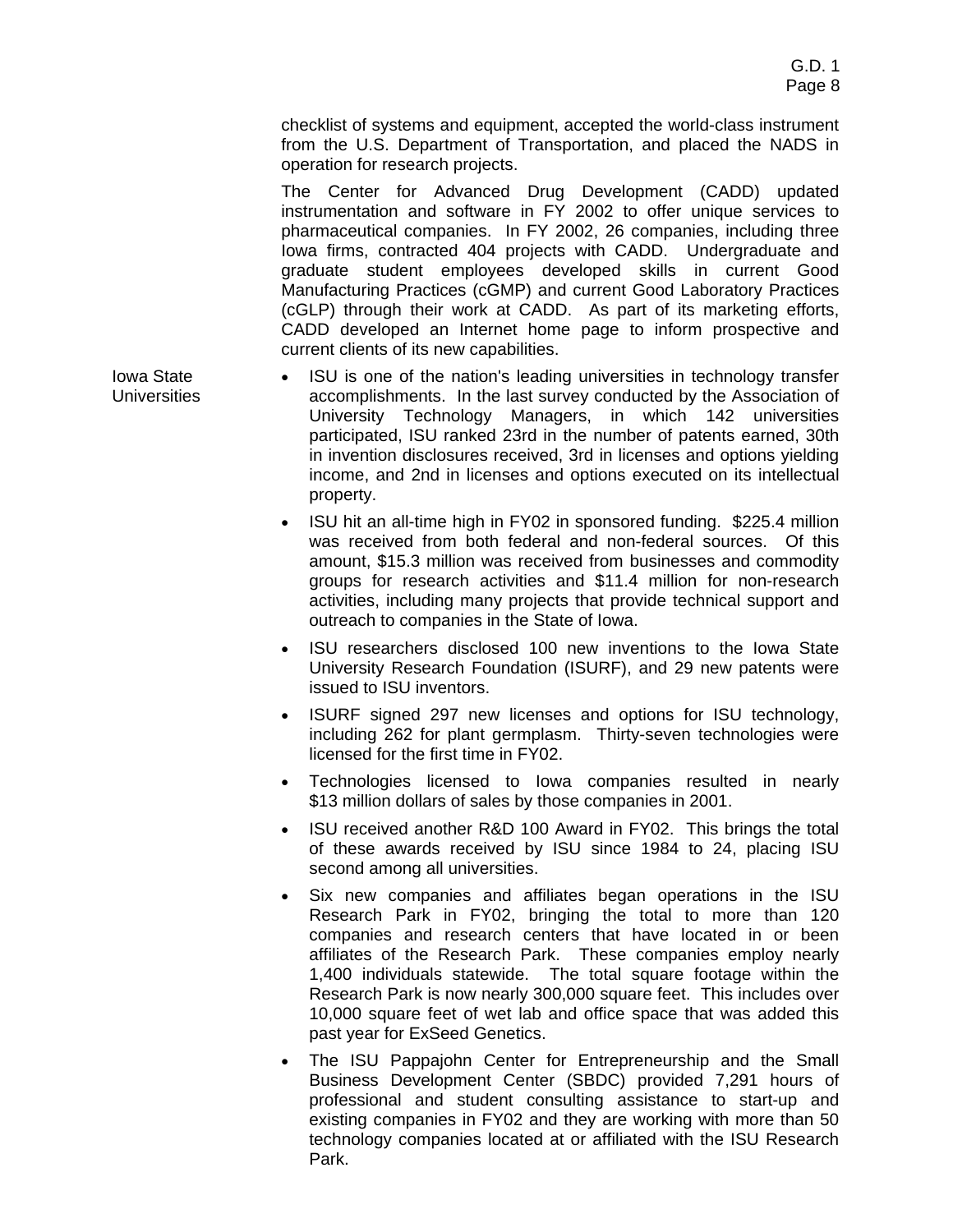checklist of systems and equipment, accepted the world-class instrument from the U.S. Department of Transportation, and placed the NADS in operation for research projects.

The Center for Advanced Drug Development (CADD) updated instrumentation and software in FY 2002 to offer unique services to pharmaceutical companies. In FY 2002, 26 companies, including three Iowa firms, contracted 404 projects with CADD. Undergraduate and graduate student employees developed skills in current Good Manufacturing Practices (cGMP) and current Good Laboratory Practices (cGLP) through their work at CADD. As part of its marketing efforts, CADD developed an Internet home page to inform prospective and current clients of its new capabilities.

- Iowa State ISU is one of the nation's leading universities in technology transfer accomplishments. In the last survey conducted by the Association of University Technology Managers, in which 142 universities participated, ISU ranked 23rd in the number of patents earned, 30th in invention disclosures received, 3rd in licenses and options yielding income, and 2nd in licenses and options executed on its intellectual property.
	- ISU hit an all-time high in FY02 in sponsored funding. \$225.4 million was received from both federal and non-federal sources. Of this amount, \$15.3 million was received from businesses and commodity groups for research activities and \$11.4 million for non-research activities, including many projects that provide technical support and outreach to companies in the State of Iowa.
	- ISU researchers disclosed 100 new inventions to the Iowa State University Research Foundation (ISURF), and 29 new patents were issued to ISU inventors.
	- ISURF signed 297 new licenses and options for ISU technology, including 262 for plant germplasm. Thirty-seven technologies were licensed for the first time in FY02.
	- Technologies licensed to Iowa companies resulted in nearly \$13 million dollars of sales by those companies in 2001.
	- ISU received another R&D 100 Award in FY02. This brings the total of these awards received by ISU since 1984 to 24, placing ISU second among all universities.
	- Six new companies and affiliates began operations in the ISU Research Park in FY02, bringing the total to more than 120 companies and research centers that have located in or been affiliates of the Research Park. These companies employ nearly 1,400 individuals statewide. The total square footage within the Research Park is now nearly 300,000 square feet. This includes over 10,000 square feet of wet lab and office space that was added this past year for ExSeed Genetics.
	- The ISU Pappajohn Center for Entrepreneurship and the Small Business Development Center (SBDC) provided 7,291 hours of professional and student consulting assistance to start-up and existing companies in FY02 and they are working with more than 50 technology companies located at or affiliated with the ISU Research Park.

**Universities**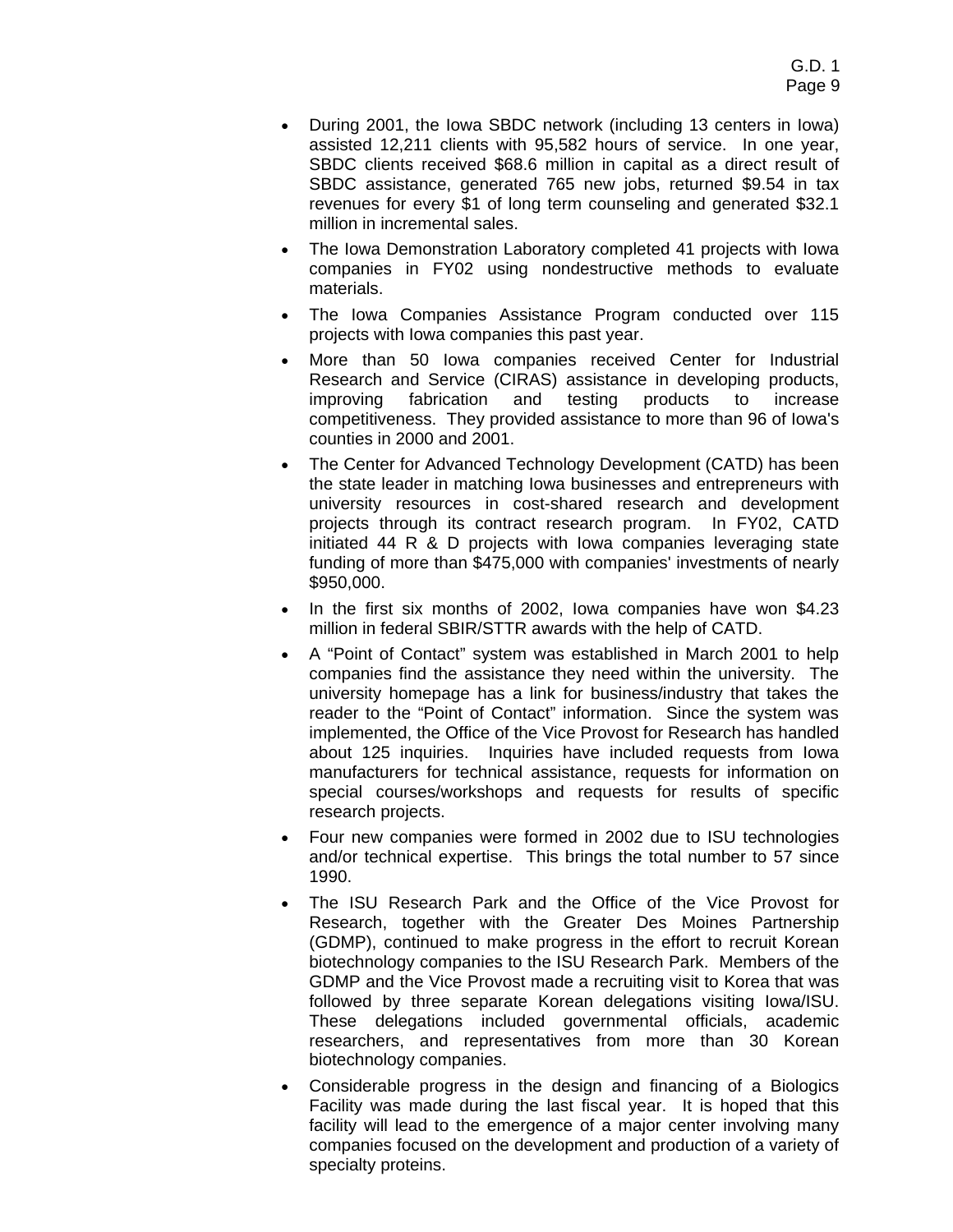- During 2001, the Iowa SBDC network (including 13 centers in Iowa) assisted 12,211 clients with 95,582 hours of service. In one year, SBDC clients received \$68.6 million in capital as a direct result of SBDC assistance, generated 765 new jobs, returned \$9.54 in tax revenues for every \$1 of long term counseling and generated \$32.1 million in incremental sales.
- The Iowa Demonstration Laboratory completed 41 projects with Iowa companies in FY02 using nondestructive methods to evaluate materials.
- The Iowa Companies Assistance Program conducted over 115 projects with Iowa companies this past year.
- More than 50 Iowa companies received Center for Industrial Research and Service (CIRAS) assistance in developing products, improving fabrication and testing products to increase competitiveness. They provided assistance to more than 96 of Iowa's counties in 2000 and 2001.
- The Center for Advanced Technology Development (CATD) has been the state leader in matching Iowa businesses and entrepreneurs with university resources in cost-shared research and development projects through its contract research program. In FY02, CATD initiated 44 R & D projects with Iowa companies leveraging state funding of more than \$475,000 with companies' investments of nearly \$950,000.
- In the first six months of 2002, Iowa companies have won \$4.23 million in federal SBIR/STTR awards with the help of CATD.
- A "Point of Contact" system was established in March 2001 to help companies find the assistance they need within the university. The university homepage has a link for business/industry that takes the reader to the "Point of Contact" information. Since the system was implemented, the Office of the Vice Provost for Research has handled about 125 inquiries. Inquiries have included requests from Iowa manufacturers for technical assistance, requests for information on special courses/workshops and requests for results of specific research projects.
- Four new companies were formed in 2002 due to ISU technologies and/or technical expertise. This brings the total number to 57 since 1990.
- The ISU Research Park and the Office of the Vice Provost for Research, together with the Greater Des Moines Partnership (GDMP), continued to make progress in the effort to recruit Korean biotechnology companies to the ISU Research Park. Members of the GDMP and the Vice Provost made a recruiting visit to Korea that was followed by three separate Korean delegations visiting Iowa/ISU. These delegations included governmental officials, academic researchers, and representatives from more than 30 Korean biotechnology companies.
- Considerable progress in the design and financing of a Biologics Facility was made during the last fiscal year. It is hoped that this facility will lead to the emergence of a major center involving many companies focused on the development and production of a variety of specialty proteins.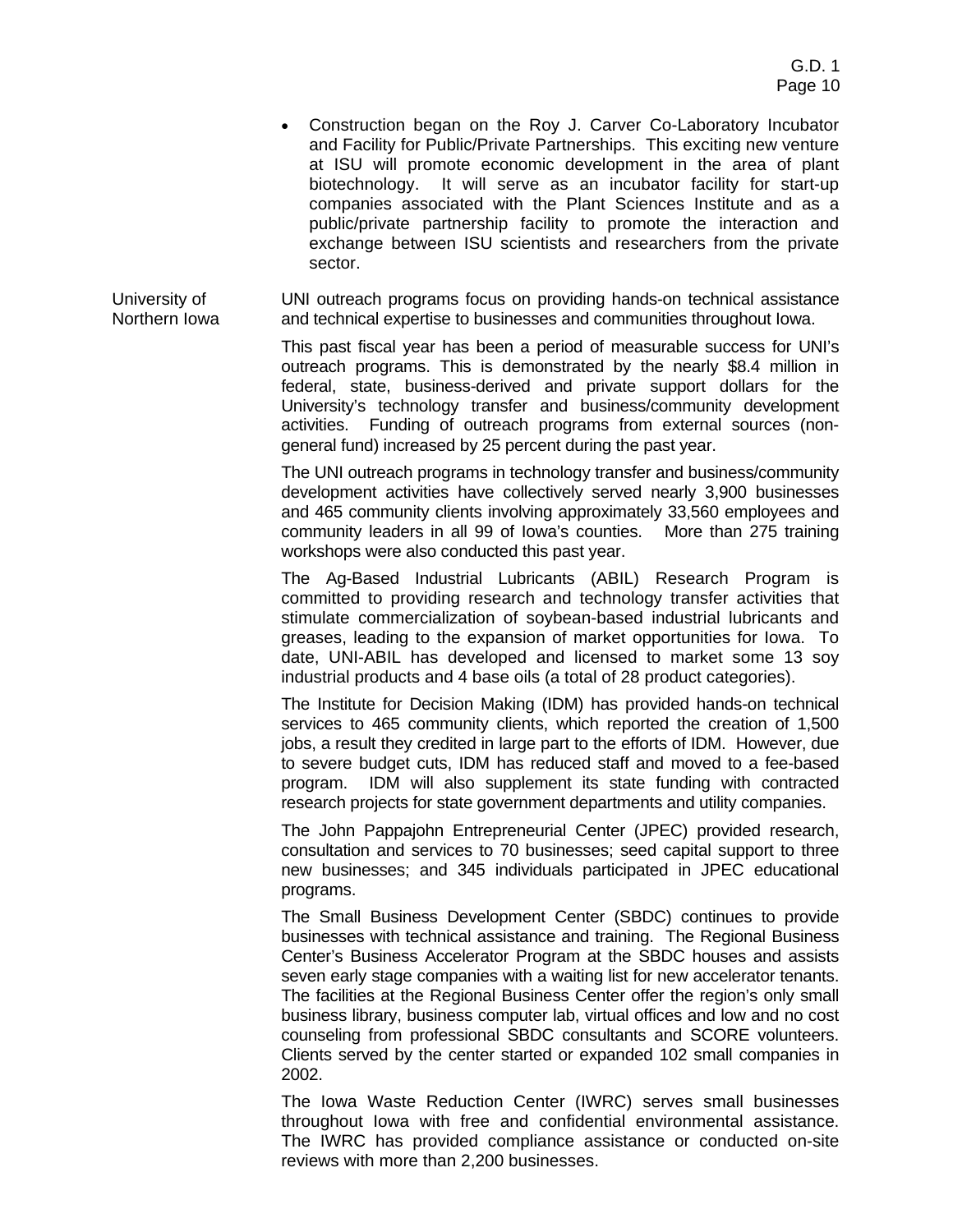• Construction began on the Roy J. Carver Co-Laboratory Incubator and Facility for Public/Private Partnerships. This exciting new venture at ISU will promote economic development in the area of plant biotechnology. It will serve as an incubator facility for start-up companies associated with the Plant Sciences Institute and as a public/private partnership facility to promote the interaction and exchange between ISU scientists and researchers from the private sector.

University of Northern Iowa UNI outreach programs focus on providing hands-on technical assistance and technical expertise to businesses and communities throughout Iowa.

> This past fiscal year has been a period of measurable success for UNI's outreach programs. This is demonstrated by the nearly \$8.4 million in federal, state, business-derived and private support dollars for the University's technology transfer and business/community development activities. Funding of outreach programs from external sources (nongeneral fund) increased by 25 percent during the past year.

> The UNI outreach programs in technology transfer and business/community development activities have collectively served nearly 3,900 businesses and 465 community clients involving approximately 33,560 employees and community leaders in all 99 of Iowa's counties. More than 275 training workshops were also conducted this past year.

> The Ag-Based Industrial Lubricants (ABIL) Research Program is committed to providing research and technology transfer activities that stimulate commercialization of soybean-based industrial lubricants and greases, leading to the expansion of market opportunities for Iowa. To date, UNI-ABIL has developed and licensed to market some 13 soy industrial products and 4 base oils (a total of 28 product categories).

> The Institute for Decision Making (IDM) has provided hands-on technical services to 465 community clients, which reported the creation of 1,500 jobs, a result they credited in large part to the efforts of IDM. However, due to severe budget cuts, IDM has reduced staff and moved to a fee-based program. IDM will also supplement its state funding with contracted research projects for state government departments and utility companies.

> The John Pappajohn Entrepreneurial Center (JPEC) provided research, consultation and services to 70 businesses; seed capital support to three new businesses; and 345 individuals participated in JPEC educational programs.

> The Small Business Development Center (SBDC) continues to provide businesses with technical assistance and training. The Regional Business Center's Business Accelerator Program at the SBDC houses and assists seven early stage companies with a waiting list for new accelerator tenants. The facilities at the Regional Business Center offer the region's only small business library, business computer lab, virtual offices and low and no cost counseling from professional SBDC consultants and SCORE volunteers. Clients served by the center started or expanded 102 small companies in 2002.

> The Iowa Waste Reduction Center (IWRC) serves small businesses throughout Iowa with free and confidential environmental assistance. The IWRC has provided compliance assistance or conducted on-site reviews with more than 2,200 businesses.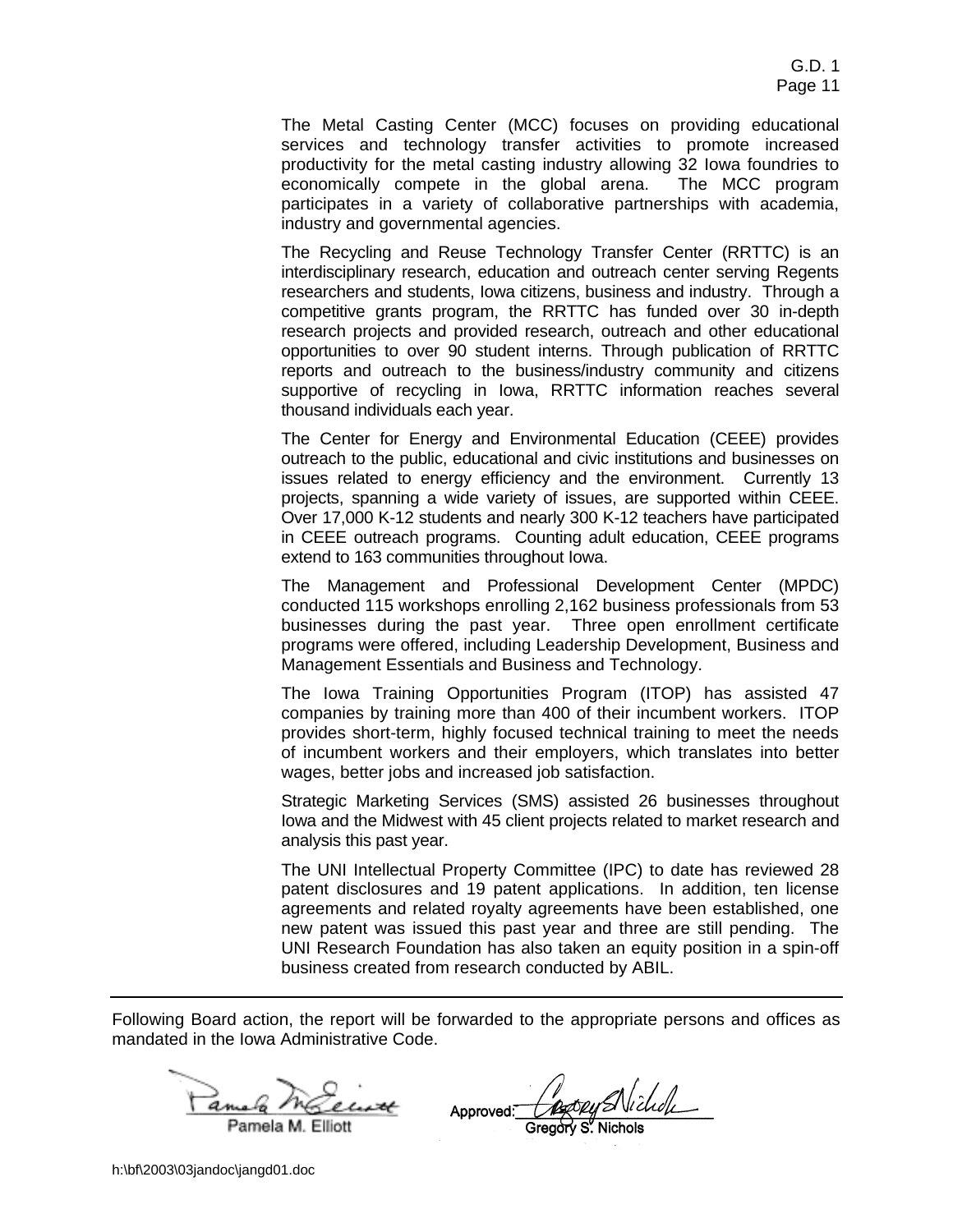The Metal Casting Center (MCC) focuses on providing educational services and technology transfer activities to promote increased productivity for the metal casting industry allowing 32 Iowa foundries to economically compete in the global arena. The MCC program participates in a variety of collaborative partnerships with academia, industry and governmental agencies.

The Recycling and Reuse Technology Transfer Center (RRTTC) is an interdisciplinary research, education and outreach center serving Regents researchers and students, Iowa citizens, business and industry. Through a competitive grants program, the RRTTC has funded over 30 in-depth research projects and provided research, outreach and other educational opportunities to over 90 student interns. Through publication of RRTTC reports and outreach to the business/industry community and citizens supportive of recycling in Iowa, RRTTC information reaches several thousand individuals each year.

The Center for Energy and Environmental Education (CEEE) provides outreach to the public, educational and civic institutions and businesses on issues related to energy efficiency and the environment. Currently 13 projects, spanning a wide variety of issues, are supported within CEEE. Over 17,000 K-12 students and nearly 300 K-12 teachers have participated in CEEE outreach programs. Counting adult education, CEEE programs extend to 163 communities throughout Iowa.

The Management and Professional Development Center (MPDC) conducted 115 workshops enrolling 2,162 business professionals from 53 businesses during the past year. Three open enrollment certificate programs were offered, including Leadership Development, Business and Management Essentials and Business and Technology.

The Iowa Training Opportunities Program (ITOP) has assisted 47 companies by training more than 400 of their incumbent workers. ITOP provides short-term, highly focused technical training to meet the needs of incumbent workers and their employers, which translates into better wages, better jobs and increased job satisfaction.

Strategic Marketing Services (SMS) assisted 26 businesses throughout Iowa and the Midwest with 45 client projects related to market research and analysis this past year.

The UNI Intellectual Property Committee (IPC) to date has reviewed 28 patent disclosures and 19 patent applications. In addition, ten license agreements and related royalty agreements have been established, one new patent was issued this past year and three are still pending. The UNI Research Foundation has also taken an equity position in a spin-off business created from research conducted by ABIL.

Following Board action, the report will be forwarded to the appropriate persons and offices as mandated in the Iowa Administrative Code.

Pamela M. Elliott

<u>La Infernant</u> Approved: Autory SNickel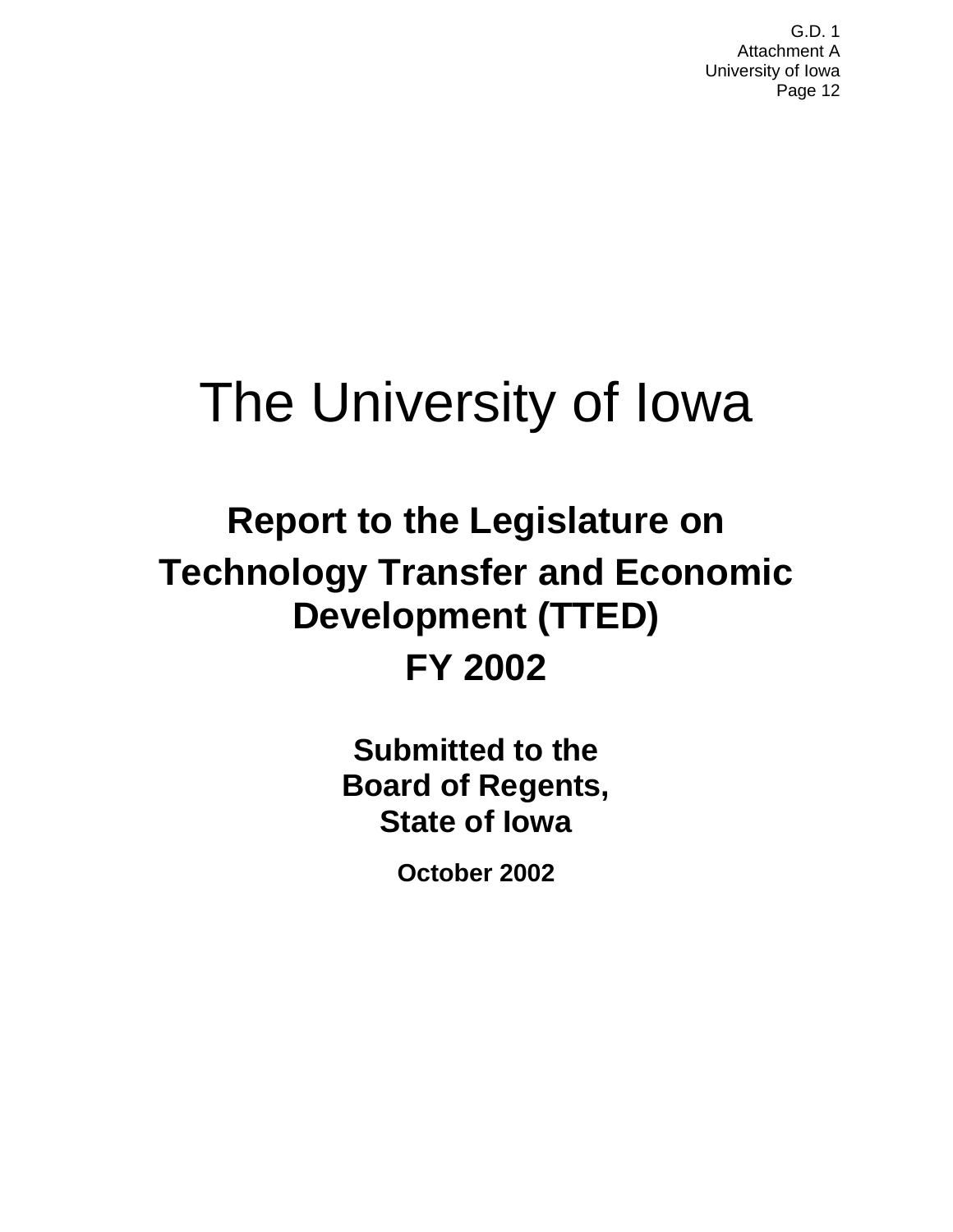# The University of Iowa

## **Report to the Legislature on Technology Transfer and Economic Development (TTED) FY 2002**

**Submitted to the Board of Regents, State of Iowa**

**October 2002**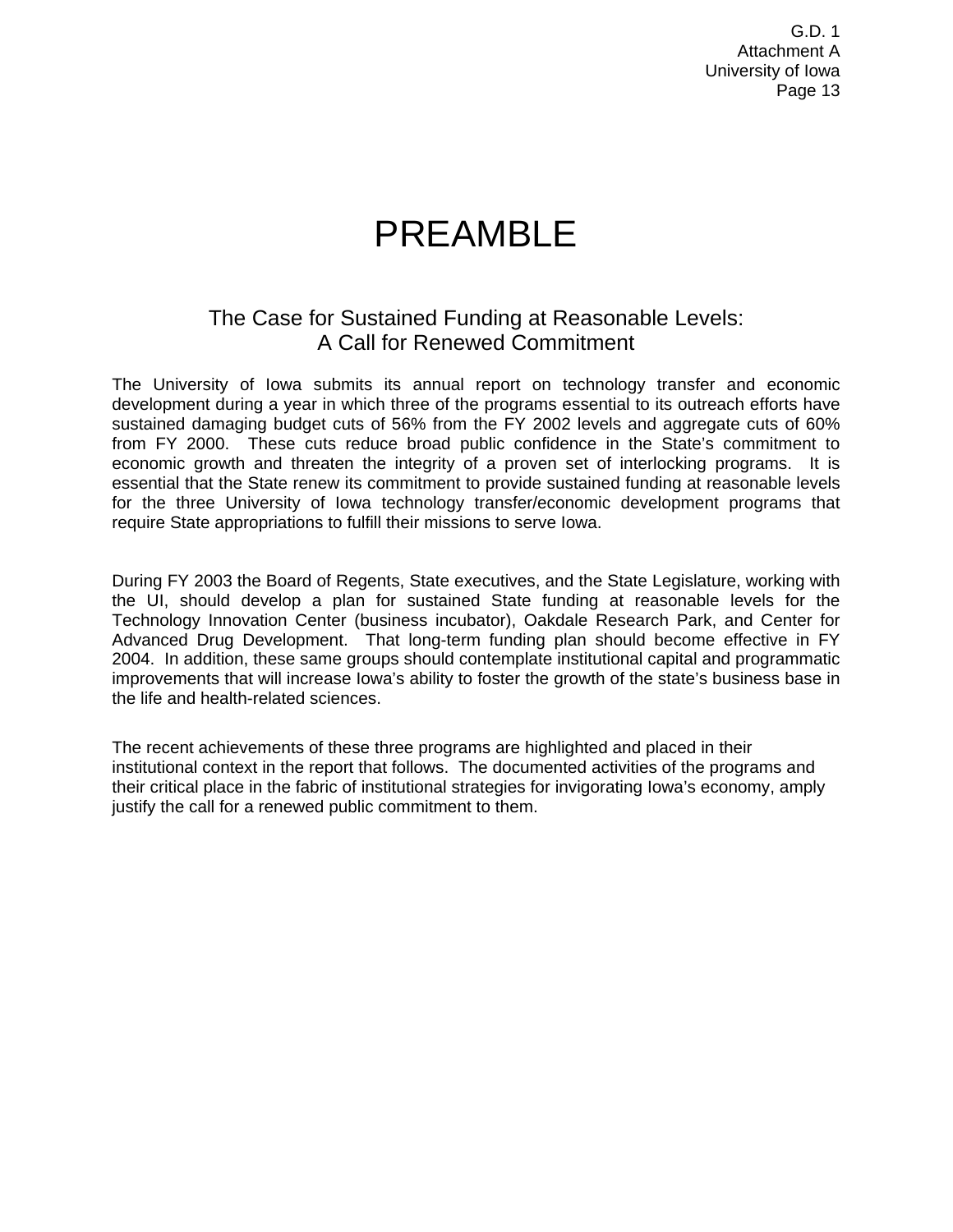## PREAMBLE

### The Case for Sustained Funding at Reasonable Levels: A Call for Renewed Commitment

The University of Iowa submits its annual report on technology transfer and economic development during a year in which three of the programs essential to its outreach efforts have sustained damaging budget cuts of 56% from the FY 2002 levels and aggregate cuts of 60% from FY 2000. These cuts reduce broad public confidence in the State's commitment to economic growth and threaten the integrity of a proven set of interlocking programs. It is essential that the State renew its commitment to provide sustained funding at reasonable levels for the three University of Iowa technology transfer/economic development programs that require State appropriations to fulfill their missions to serve Iowa.

During FY 2003 the Board of Regents, State executives, and the State Legislature, working with the UI, should develop a plan for sustained State funding at reasonable levels for the Technology Innovation Center (business incubator), Oakdale Research Park, and Center for Advanced Drug Development. That long-term funding plan should become effective in FY 2004. In addition, these same groups should contemplate institutional capital and programmatic improvements that will increase Iowa's ability to foster the growth of the state's business base in the life and health-related sciences.

The recent achievements of these three programs are highlighted and placed in their institutional context in the report that follows. The documented activities of the programs and their critical place in the fabric of institutional strategies for invigorating Iowa's economy, amply justify the call for a renewed public commitment to them.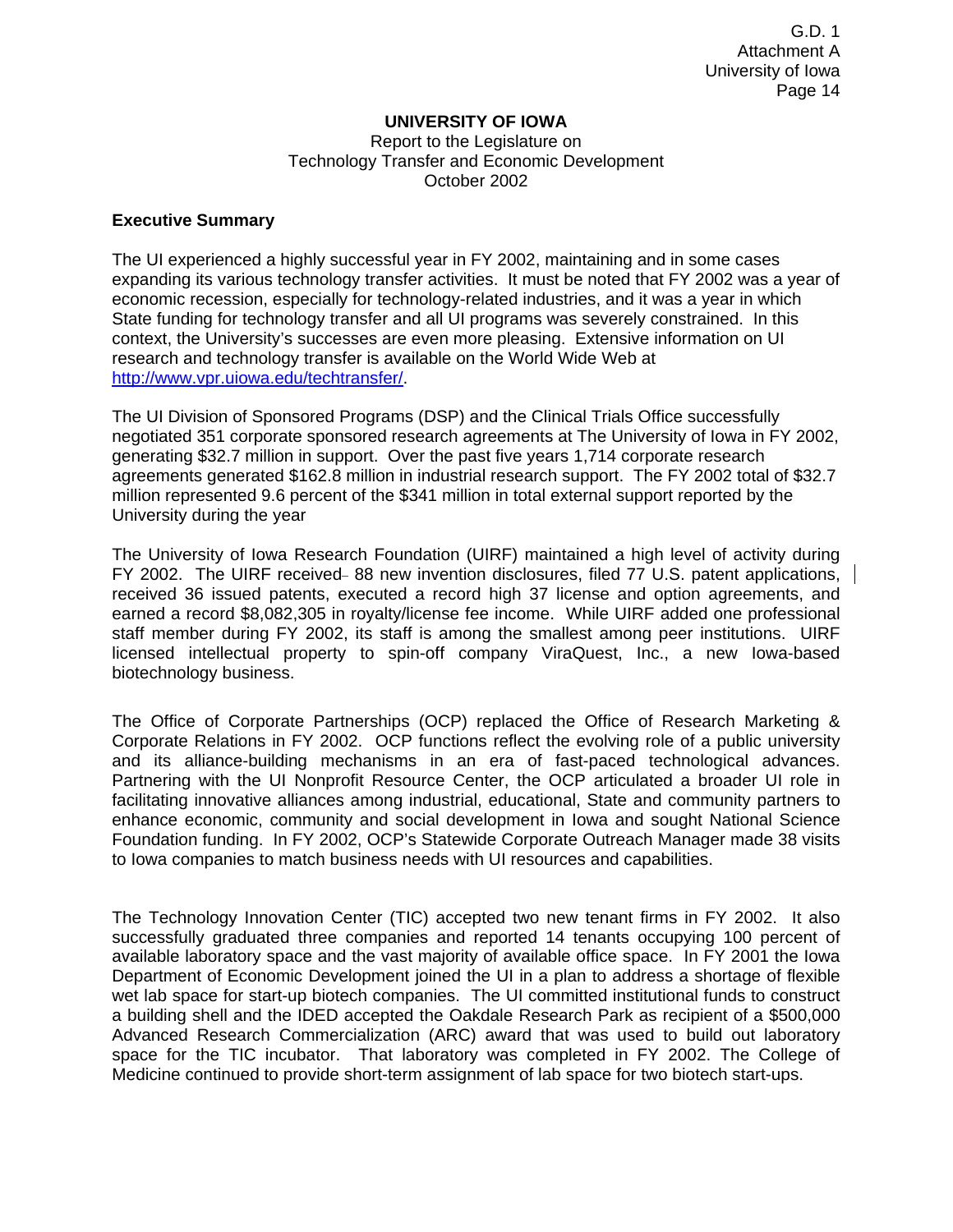#### **UNIVERSITY OF IOWA**

Report to the Legislature on Technology Transfer and Economic Development October 2002

#### **Executive Summary**

The UI experienced a highly successful year in FY 2002, maintaining and in some cases expanding its various technology transfer activities. It must be noted that FY 2002 was a year of economic recession, especially for technology-related industries, and it was a year in which State funding for technology transfer and all UI programs was severely constrained. In this context, the University's successes are even more pleasing. Extensive information on UI research and technology transfer is available on the World Wide Web at http://www.vpr.uiowa.edu/techtransfer/.

The UI Division of Sponsored Programs (DSP) and the Clinical Trials Office successfully negotiated 351 corporate sponsored research agreements at The University of Iowa in FY 2002, generating \$32.7 million in support. Over the past five years 1,714 corporate research agreements generated \$162.8 million in industrial research support. The FY 2002 total of \$32.7 million represented 9.6 percent of the \$341 million in total external support reported by the University during the year

The University of Iowa Research Foundation (UIRF) maintained a high level of activity during FY 2002. The UIRF received 88 new invention disclosures, filed 77 U.S. patent applications, received 36 issued patents, executed a record high 37 license and option agreements, and earned a record \$8,082,305 in royalty/license fee income. While UIRF added one professional staff member during FY 2002, its staff is among the smallest among peer institutions. UIRF licensed intellectual property to spin-off company ViraQuest, Inc., a new Iowa-based biotechnology business.

The Office of Corporate Partnerships (OCP) replaced the Office of Research Marketing & Corporate Relations in FY 2002. OCP functions reflect the evolving role of a public university and its alliance-building mechanisms in an era of fast-paced technological advances. Partnering with the UI Nonprofit Resource Center, the OCP articulated a broader UI role in facilitating innovative alliances among industrial, educational, State and community partners to enhance economic, community and social development in Iowa and sought National Science Foundation funding. In FY 2002, OCP's Statewide Corporate Outreach Manager made 38 visits to Iowa companies to match business needs with UI resources and capabilities.

The Technology Innovation Center (TIC) accepted two new tenant firms in FY 2002. It also successfully graduated three companies and reported 14 tenants occupying 100 percent of available laboratory space and the vast majority of available office space. In FY 2001 the Iowa Department of Economic Development joined the UI in a plan to address a shortage of flexible wet lab space for start-up biotech companies. The UI committed institutional funds to construct a building shell and the IDED accepted the Oakdale Research Park as recipient of a \$500,000 Advanced Research Commercialization (ARC) award that was used to build out laboratory space for the TIC incubator. That laboratory was completed in FY 2002. The College of Medicine continued to provide short-term assignment of lab space for two biotech start-ups.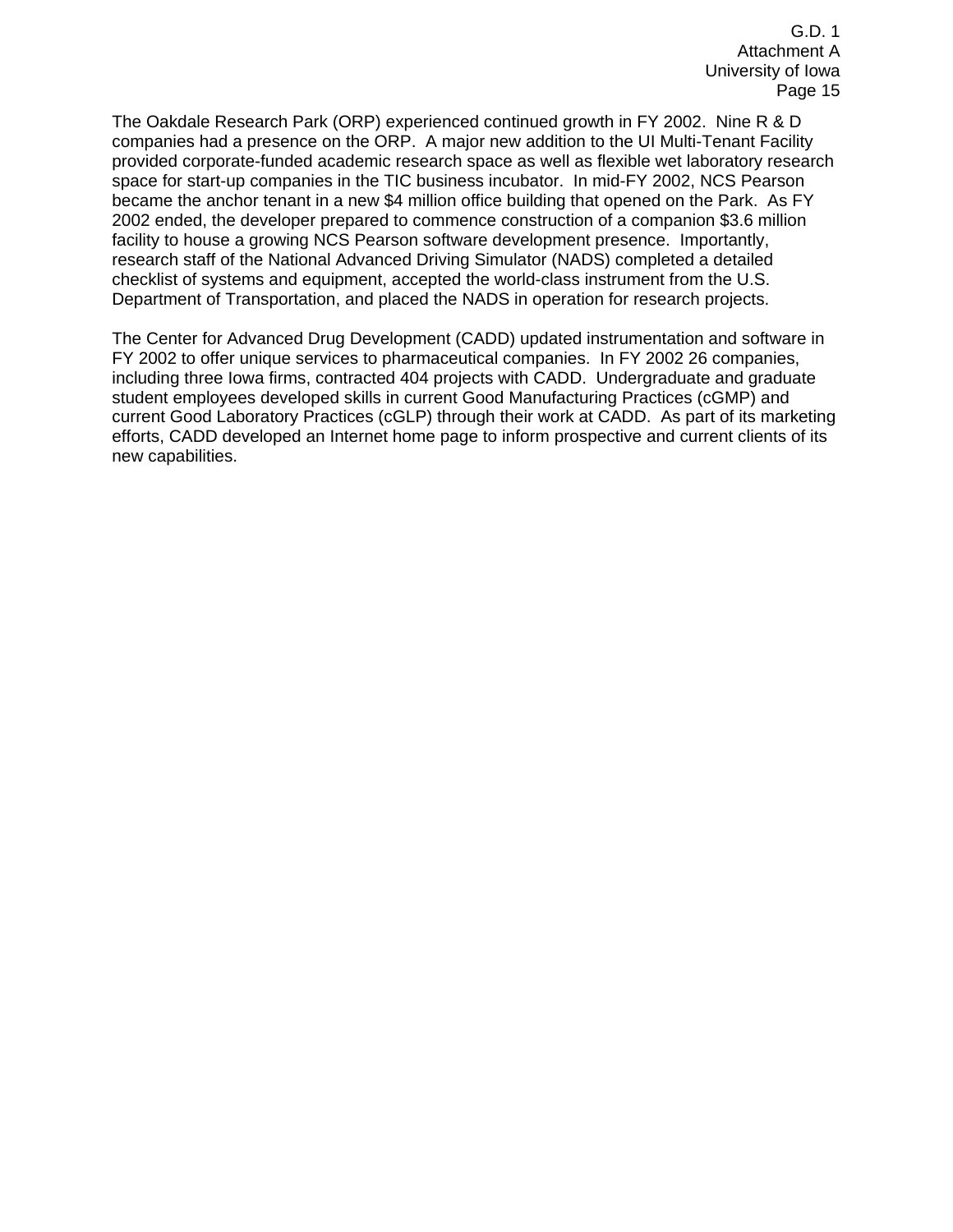The Oakdale Research Park (ORP) experienced continued growth in FY 2002. Nine R & D companies had a presence on the ORP. A major new addition to the UI Multi-Tenant Facility provided corporate-funded academic research space as well as flexible wet laboratory research space for start-up companies in the TIC business incubator. In mid-FY 2002, NCS Pearson became the anchor tenant in a new \$4 million office building that opened on the Park. As FY 2002 ended, the developer prepared to commence construction of a companion \$3.6 million facility to house a growing NCS Pearson software development presence. Importantly, research staff of the National Advanced Driving Simulator (NADS) completed a detailed checklist of systems and equipment, accepted the world-class instrument from the U.S. Department of Transportation, and placed the NADS in operation for research projects.

The Center for Advanced Drug Development (CADD) updated instrumentation and software in FY 2002 to offer unique services to pharmaceutical companies. In FY 2002 26 companies, including three Iowa firms, contracted 404 projects with CADD. Undergraduate and graduate student employees developed skills in current Good Manufacturing Practices (cGMP) and current Good Laboratory Practices (cGLP) through their work at CADD. As part of its marketing efforts, CADD developed an Internet home page to inform prospective and current clients of its new capabilities.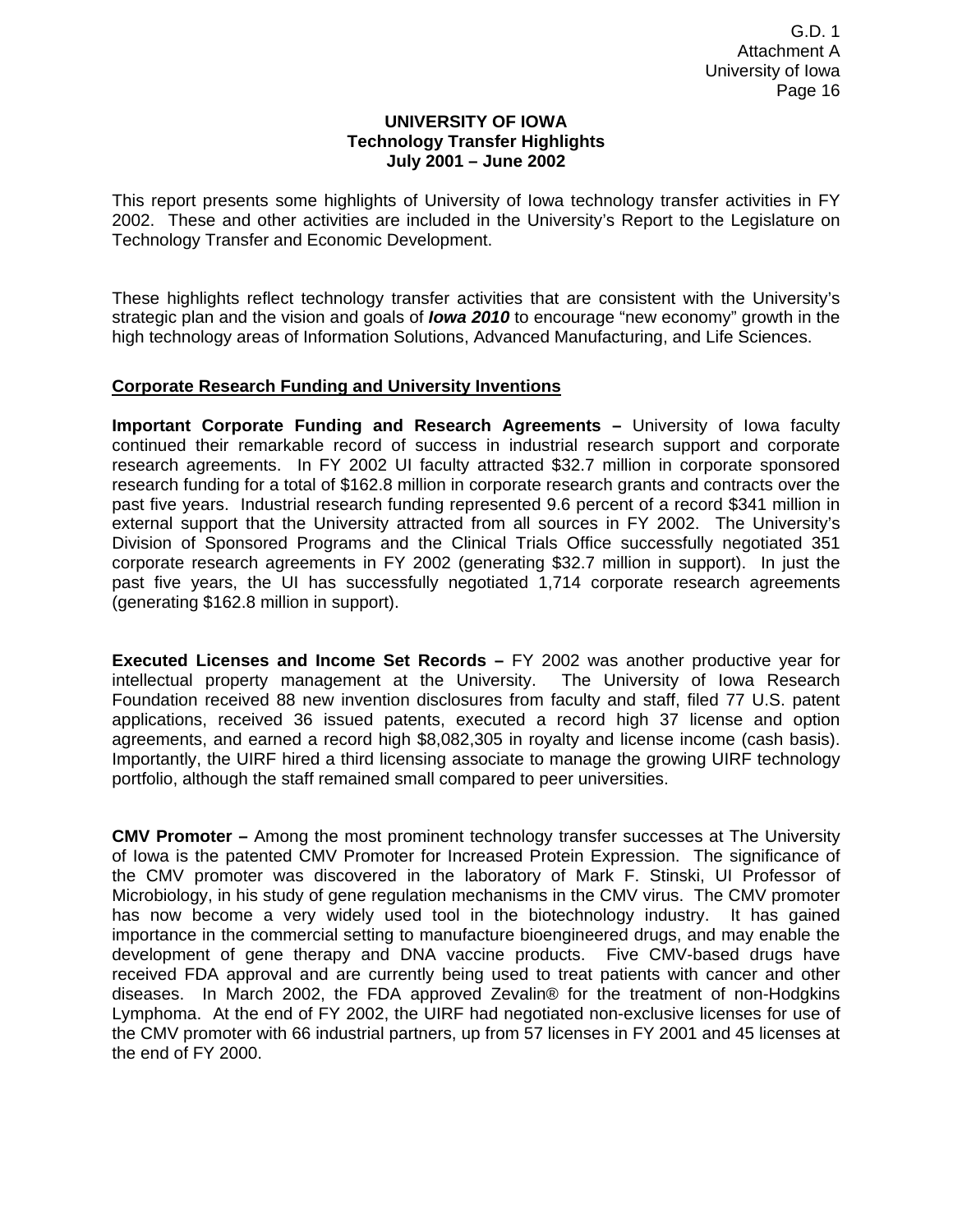#### **UNIVERSITY OF IOWA Technology Transfer Highlights July 2001 – June 2002**

This report presents some highlights of University of Iowa technology transfer activities in FY 2002. These and other activities are included in the University's Report to the Legislature on Technology Transfer and Economic Development.

These highlights reflect technology transfer activities that are consistent with the University's strategic plan and the vision and goals of *Iowa 2010* to encourage "new economy" growth in the high technology areas of Information Solutions, Advanced Manufacturing, and Life Sciences.

#### **Corporate Research Funding and University Inventions**

**Important Corporate Funding and Research Agreements –** University of Iowa faculty continued their remarkable record of success in industrial research support and corporate research agreements. In FY 2002 UI faculty attracted \$32.7 million in corporate sponsored research funding for a total of \$162.8 million in corporate research grants and contracts over the past five years. Industrial research funding represented 9.6 percent of a record \$341 million in external support that the University attracted from all sources in FY 2002. The University's Division of Sponsored Programs and the Clinical Trials Office successfully negotiated 351 corporate research agreements in FY 2002 (generating \$32.7 million in support). In just the past five years, the UI has successfully negotiated 1,714 corporate research agreements (generating \$162.8 million in support).

**Executed Licenses and Income Set Records –** FY 2002 was another productive year for intellectual property management at the University. The University of Iowa Research Foundation received 88 new invention disclosures from faculty and staff, filed 77 U.S. patent applications, received 36 issued patents, executed a record high 37 license and option agreements, and earned a record high \$8,082,305 in royalty and license income (cash basis). Importantly, the UIRF hired a third licensing associate to manage the growing UIRF technology portfolio, although the staff remained small compared to peer universities.

**CMV Promoter –** Among the most prominent technology transfer successes at The University of Iowa is the patented CMV Promoter for Increased Protein Expression. The significance of the CMV promoter was discovered in the laboratory of Mark F. Stinski, UI Professor of Microbiology, in his study of gene regulation mechanisms in the CMV virus. The CMV promoter has now become a very widely used tool in the biotechnology industry. It has gained importance in the commercial setting to manufacture bioengineered drugs, and may enable the development of gene therapy and DNA vaccine products. Five CMV-based drugs have received FDA approval and are currently being used to treat patients with cancer and other diseases. In March 2002, the FDA approved Zevalin® for the treatment of non-Hodgkins Lymphoma. At the end of FY 2002, the UIRF had negotiated non-exclusive licenses for use of the CMV promoter with 66 industrial partners, up from 57 licenses in FY 2001 and 45 licenses at the end of FY 2000.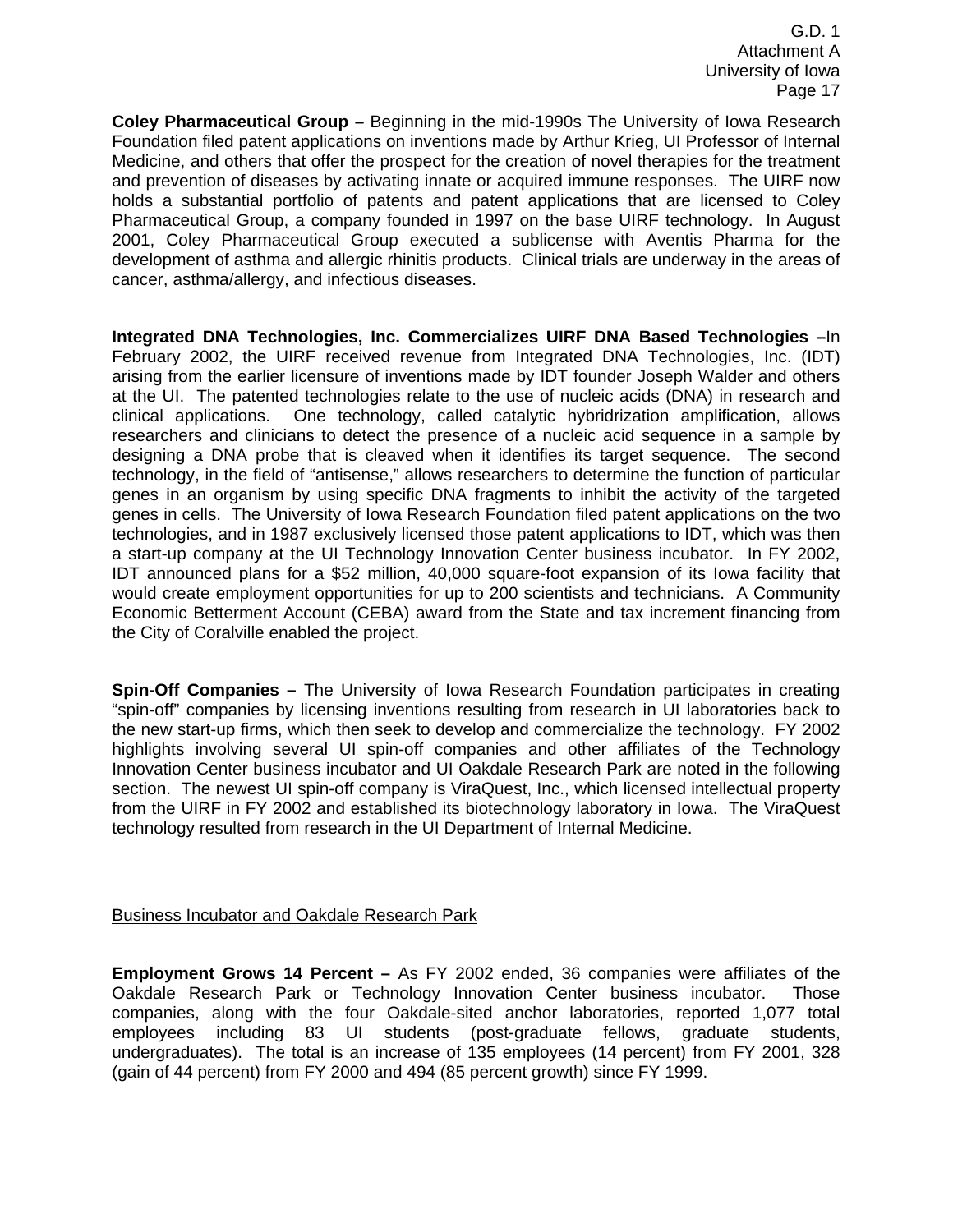**Coley Pharmaceutical Group –** Beginning in the mid-1990s The University of Iowa Research Foundation filed patent applications on inventions made by Arthur Krieg, UI Professor of Internal Medicine, and others that offer the prospect for the creation of novel therapies for the treatment and prevention of diseases by activating innate or acquired immune responses. The UIRF now holds a substantial portfolio of patents and patent applications that are licensed to Coley Pharmaceutical Group, a company founded in 1997 on the base UIRF technology. In August 2001, Coley Pharmaceutical Group executed a sublicense with Aventis Pharma for the development of asthma and allergic rhinitis products. Clinical trials are underway in the areas of cancer, asthma/allergy, and infectious diseases.

**Integrated DNA Technologies, Inc. Commercializes UIRF DNA Based Technologies –**In February 2002, the UIRF received revenue from Integrated DNA Technologies, Inc. (IDT) arising from the earlier licensure of inventions made by IDT founder Joseph Walder and others at the UI. The patented technologies relate to the use of nucleic acids (DNA) in research and clinical applications. One technology, called catalytic hybridrization amplification, allows researchers and clinicians to detect the presence of a nucleic acid sequence in a sample by designing a DNA probe that is cleaved when it identifies its target sequence. The second technology, in the field of "antisense," allows researchers to determine the function of particular genes in an organism by using specific DNA fragments to inhibit the activity of the targeted genes in cells. The University of Iowa Research Foundation filed patent applications on the two technologies, and in 1987 exclusively licensed those patent applications to IDT, which was then a start-up company at the UI Technology Innovation Center business incubator. In FY 2002, IDT announced plans for a \$52 million, 40,000 square-foot expansion of its Iowa facility that would create employment opportunities for up to 200 scientists and technicians. A Community Economic Betterment Account (CEBA) award from the State and tax increment financing from the City of Coralville enabled the project.

**Spin-Off Companies –** The University of Iowa Research Foundation participates in creating "spin-off" companies by licensing inventions resulting from research in UI laboratories back to the new start-up firms, which then seek to develop and commercialize the technology. FY 2002 highlights involving several UI spin-off companies and other affiliates of the Technology Innovation Center business incubator and UI Oakdale Research Park are noted in the following section. The newest UI spin-off company is ViraQuest, Inc., which licensed intellectual property from the UIRF in FY 2002 and established its biotechnology laboratory in Iowa. The ViraQuest technology resulted from research in the UI Department of Internal Medicine.

#### Business Incubator and Oakdale Research Park

**Employment Grows 14 Percent –** As FY 2002 ended, 36 companies were affiliates of the Oakdale Research Park or Technology Innovation Center business incubator. Those companies, along with the four Oakdale-sited anchor laboratories, reported 1,077 total employees including 83 UI students (post-graduate fellows, graduate students, undergraduates). The total is an increase of 135 employees (14 percent) from FY 2001, 328 (gain of 44 percent) from FY 2000 and 494 (85 percent growth) since FY 1999.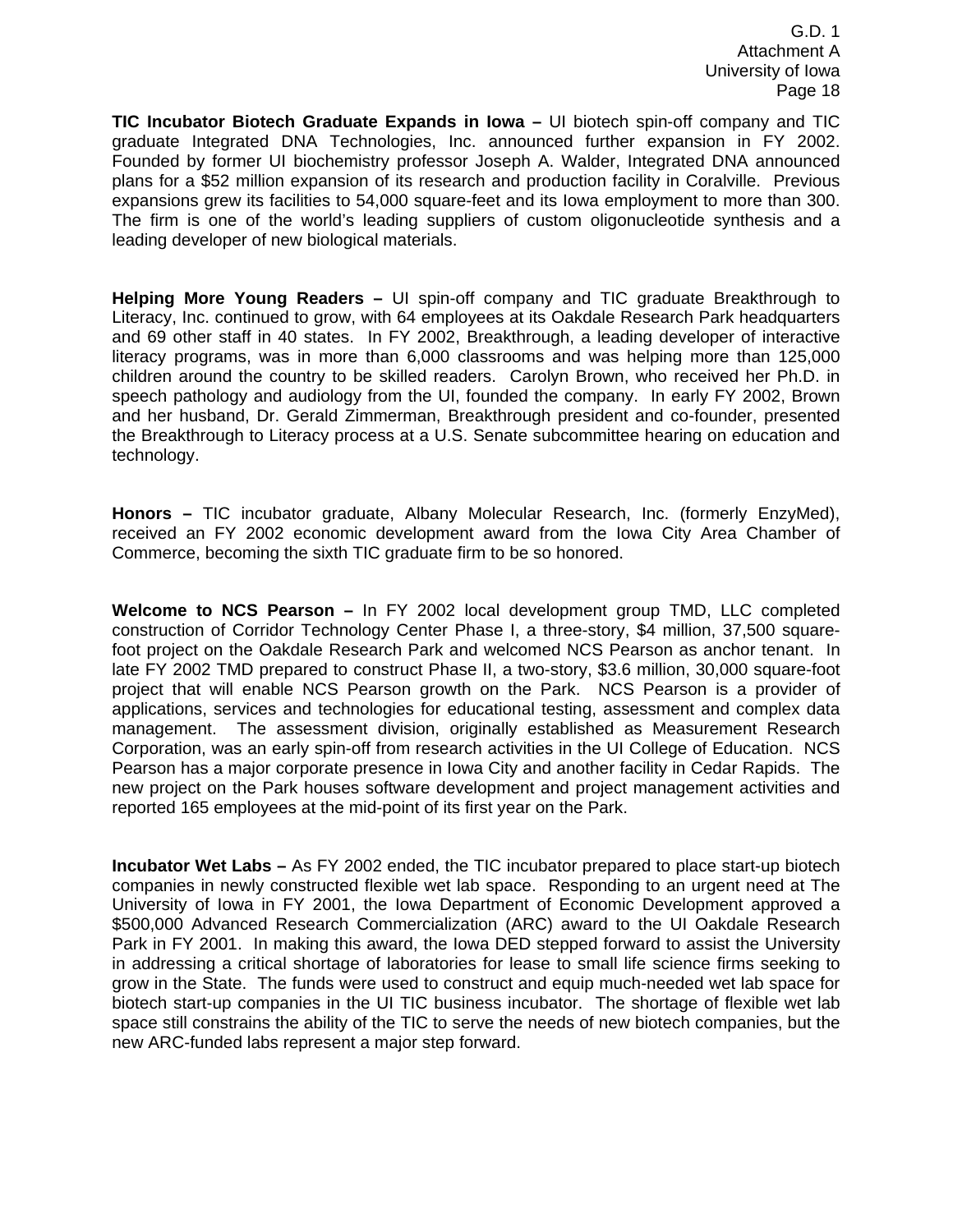**TIC Incubator Biotech Graduate Expands in Iowa –** UI biotech spin-off company and TIC graduate Integrated DNA Technologies, Inc. announced further expansion in FY 2002. Founded by former UI biochemistry professor Joseph A. Walder, Integrated DNA announced plans for a \$52 million expansion of its research and production facility in Coralville. Previous expansions grew its facilities to 54,000 square-feet and its Iowa employment to more than 300. The firm is one of the world's leading suppliers of custom oligonucleotide synthesis and a leading developer of new biological materials.

**Helping More Young Readers –** UI spin-off company and TIC graduate Breakthrough to Literacy, Inc. continued to grow, with 64 employees at its Oakdale Research Park headquarters and 69 other staff in 40 states. In FY 2002, Breakthrough, a leading developer of interactive literacy programs, was in more than 6,000 classrooms and was helping more than 125,000 children around the country to be skilled readers. Carolyn Brown, who received her Ph.D. in speech pathology and audiology from the UI, founded the company. In early FY 2002, Brown and her husband, Dr. Gerald Zimmerman, Breakthrough president and co-founder, presented the Breakthrough to Literacy process at a U.S. Senate subcommittee hearing on education and technology.

**Honors –** TIC incubator graduate, Albany Molecular Research, Inc. (formerly EnzyMed), received an FY 2002 economic development award from the Iowa City Area Chamber of Commerce, becoming the sixth TIC graduate firm to be so honored.

**Welcome to NCS Pearson –** In FY 2002 local development group TMD, LLC completed construction of Corridor Technology Center Phase I, a three-story, \$4 million, 37,500 squarefoot project on the Oakdale Research Park and welcomed NCS Pearson as anchor tenant. In late FY 2002 TMD prepared to construct Phase II, a two-story, \$3.6 million, 30,000 square-foot project that will enable NCS Pearson growth on the Park. NCS Pearson is a provider of applications, services and technologies for educational testing, assessment and complex data management. The assessment division, originally established as Measurement Research Corporation, was an early spin-off from research activities in the UI College of Education. NCS Pearson has a major corporate presence in Iowa City and another facility in Cedar Rapids. The new project on the Park houses software development and project management activities and reported 165 employees at the mid-point of its first year on the Park.

**Incubator Wet Labs –** As FY 2002 ended, the TIC incubator prepared to place start-up biotech companies in newly constructed flexible wet lab space. Responding to an urgent need at The University of Iowa in FY 2001, the Iowa Department of Economic Development approved a \$500,000 Advanced Research Commercialization (ARC) award to the UI Oakdale Research Park in FY 2001. In making this award, the Iowa DED stepped forward to assist the University in addressing a critical shortage of laboratories for lease to small life science firms seeking to grow in the State. The funds were used to construct and equip much-needed wet lab space for biotech start-up companies in the UI TIC business incubator. The shortage of flexible wet lab space still constrains the ability of the TIC to serve the needs of new biotech companies, but the new ARC-funded labs represent a major step forward.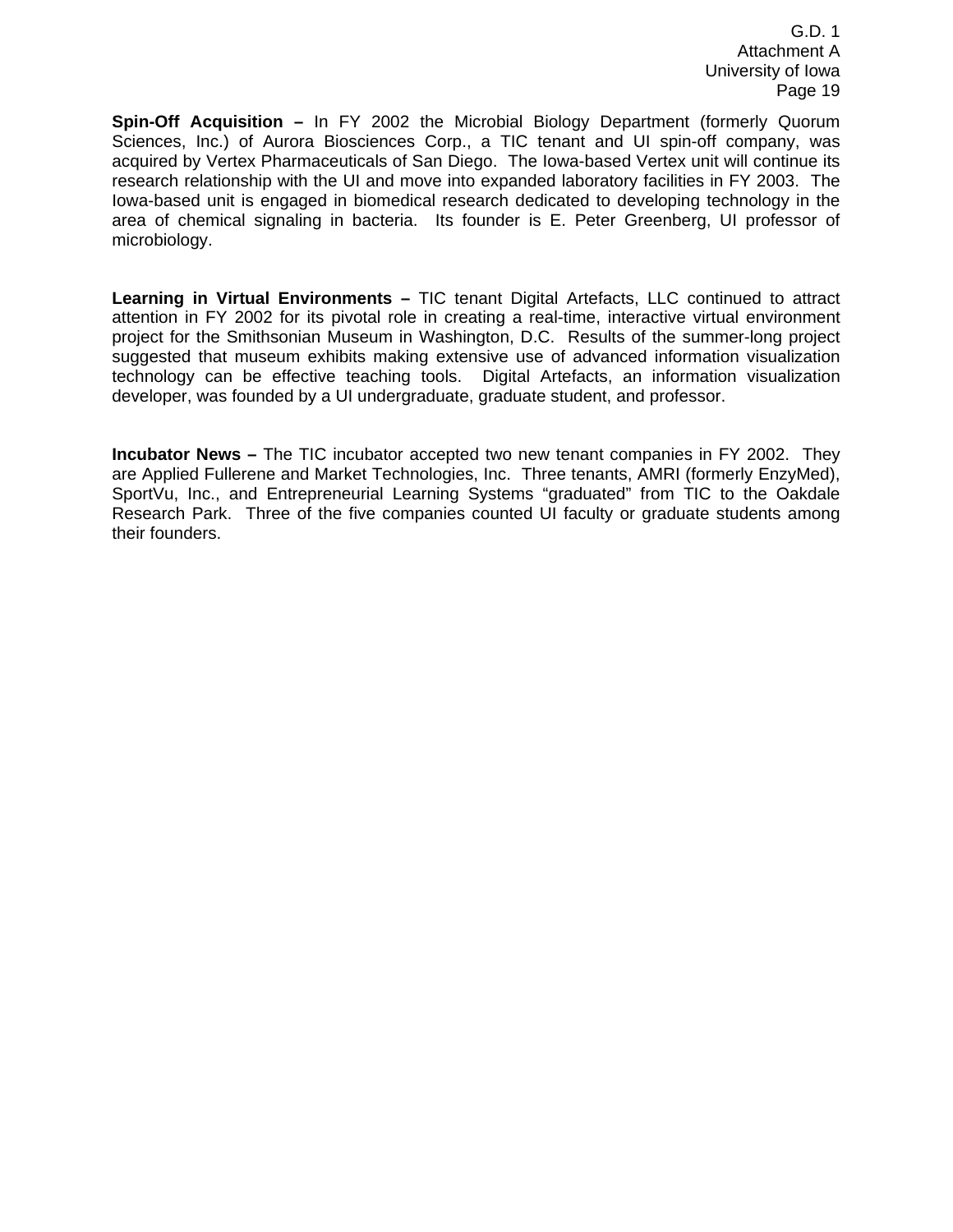**Spin-Off Acquisition –** In FY 2002 the Microbial Biology Department (formerly Quorum Sciences, Inc.) of Aurora Biosciences Corp., a TIC tenant and UI spin-off company, was acquired by Vertex Pharmaceuticals of San Diego. The Iowa-based Vertex unit will continue its research relationship with the UI and move into expanded laboratory facilities in FY 2003. The Iowa-based unit is engaged in biomedical research dedicated to developing technology in the area of chemical signaling in bacteria. Its founder is E. Peter Greenberg, UI professor of microbiology.

**Learning in Virtual Environments –** TIC tenant Digital Artefacts, LLC continued to attract attention in FY 2002 for its pivotal role in creating a real-time, interactive virtual environment project for the Smithsonian Museum in Washington, D.C. Results of the summer-long project suggested that museum exhibits making extensive use of advanced information visualization technology can be effective teaching tools. Digital Artefacts, an information visualization developer, was founded by a UI undergraduate, graduate student, and professor.

**Incubator News –** The TIC incubator accepted two new tenant companies in FY 2002. They are Applied Fullerene and Market Technologies, Inc. Three tenants, AMRI (formerly EnzyMed), SportVu, Inc., and Entrepreneurial Learning Systems "graduated" from TIC to the Oakdale Research Park. Three of the five companies counted UI faculty or graduate students among their founders.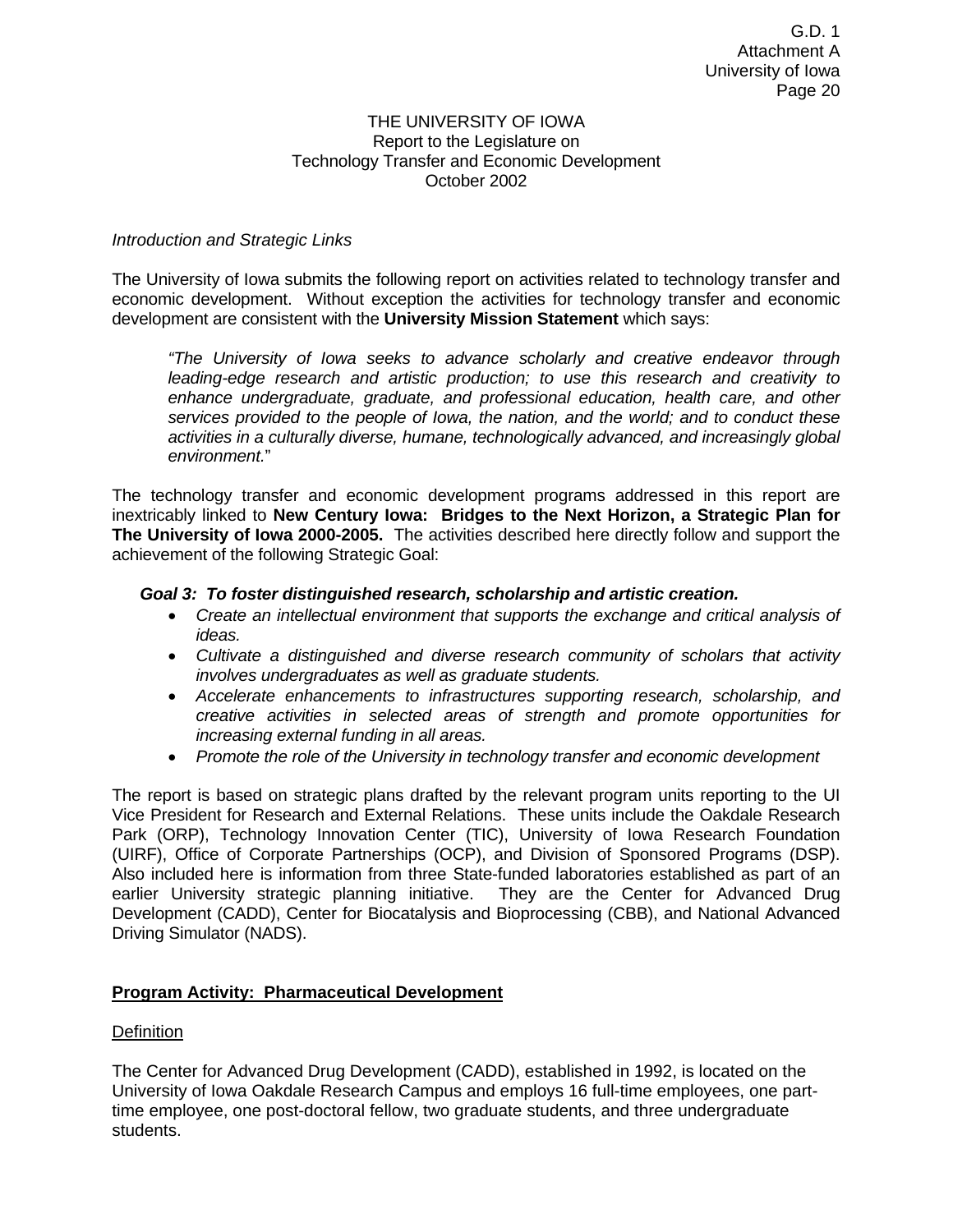#### THE UNIVERSITY OF IOWA Report to the Legislature on Technology Transfer and Economic Development October 2002

#### *Introduction and Strategic Links*

The University of Iowa submits the following report on activities related to technology transfer and economic development. Without exception the activities for technology transfer and economic development are consistent with the **University Mission Statement** which says:

*"The University of Iowa seeks to advance scholarly and creative endeavor through leading-edge research and artistic production; to use this research and creativity to*  enhance undergraduate, graduate, and professional education, health care, and other *services provided to the people of Iowa, the nation, and the world; and to conduct these activities in a culturally diverse, humane, technologically advanced, and increasingly global environment.*"

The technology transfer and economic development programs addressed in this report are inextricably linked to **New Century Iowa: Bridges to the Next Horizon, a Strategic Plan for The University of Iowa 2000-2005.** The activities described here directly follow and support the achievement of the following Strategic Goal:

#### *Goal 3: To foster distinguished research, scholarship and artistic creation.*

- *Create an intellectual environment that supports the exchange and critical analysis of ideas.*
- *Cultivate a distinguished and diverse research community of scholars that activity involves undergraduates as well as graduate students.*
- *Accelerate enhancements to infrastructures supporting research, scholarship, and creative activities in selected areas of strength and promote opportunities for increasing external funding in all areas.*
- *Promote the role of the University in technology transfer and economic development*

The report is based on strategic plans drafted by the relevant program units reporting to the UI Vice President for Research and External Relations. These units include the Oakdale Research Park (ORP), Technology Innovation Center (TIC), University of Iowa Research Foundation (UIRF), Office of Corporate Partnerships (OCP), and Division of Sponsored Programs (DSP). Also included here is information from three State-funded laboratories established as part of an earlier University strategic planning initiative. They are the Center for Advanced Drug Development (CADD), Center for Biocatalysis and Bioprocessing (CBB), and National Advanced Driving Simulator (NADS).

#### **Program Activity: Pharmaceutical Development**

#### Definition

The Center for Advanced Drug Development (CADD), established in 1992, is located on the University of Iowa Oakdale Research Campus and employs 16 full-time employees, one parttime employee, one post-doctoral fellow, two graduate students, and three undergraduate students.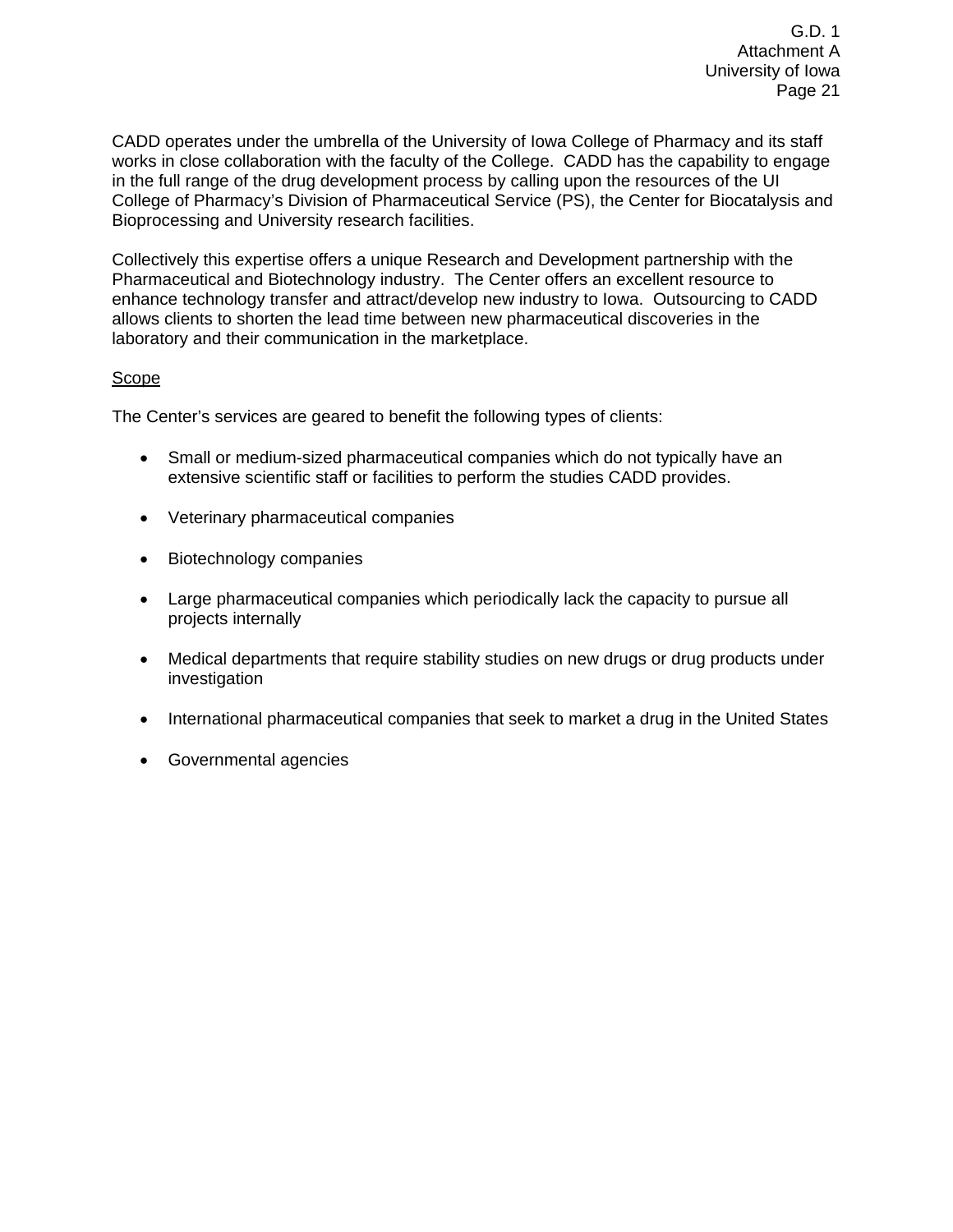CADD operates under the umbrella of the University of Iowa College of Pharmacy and its staff works in close collaboration with the faculty of the College. CADD has the capability to engage in the full range of the drug development process by calling upon the resources of the UI College of Pharmacy's Division of Pharmaceutical Service (PS), the Center for Biocatalysis and Bioprocessing and University research facilities.

Collectively this expertise offers a unique Research and Development partnership with the Pharmaceutical and Biotechnology industry. The Center offers an excellent resource to enhance technology transfer and attract/develop new industry to Iowa. Outsourcing to CADD allows clients to shorten the lead time between new pharmaceutical discoveries in the laboratory and their communication in the marketplace.

#### Scope

The Center's services are geared to benefit the following types of clients:

- Small or medium-sized pharmaceutical companies which do not typically have an extensive scientific staff or facilities to perform the studies CADD provides.
- Veterinary pharmaceutical companies
- Biotechnology companies
- Large pharmaceutical companies which periodically lack the capacity to pursue all projects internally
- Medical departments that require stability studies on new drugs or drug products under investigation
- International pharmaceutical companies that seek to market a drug in the United States
- Governmental agencies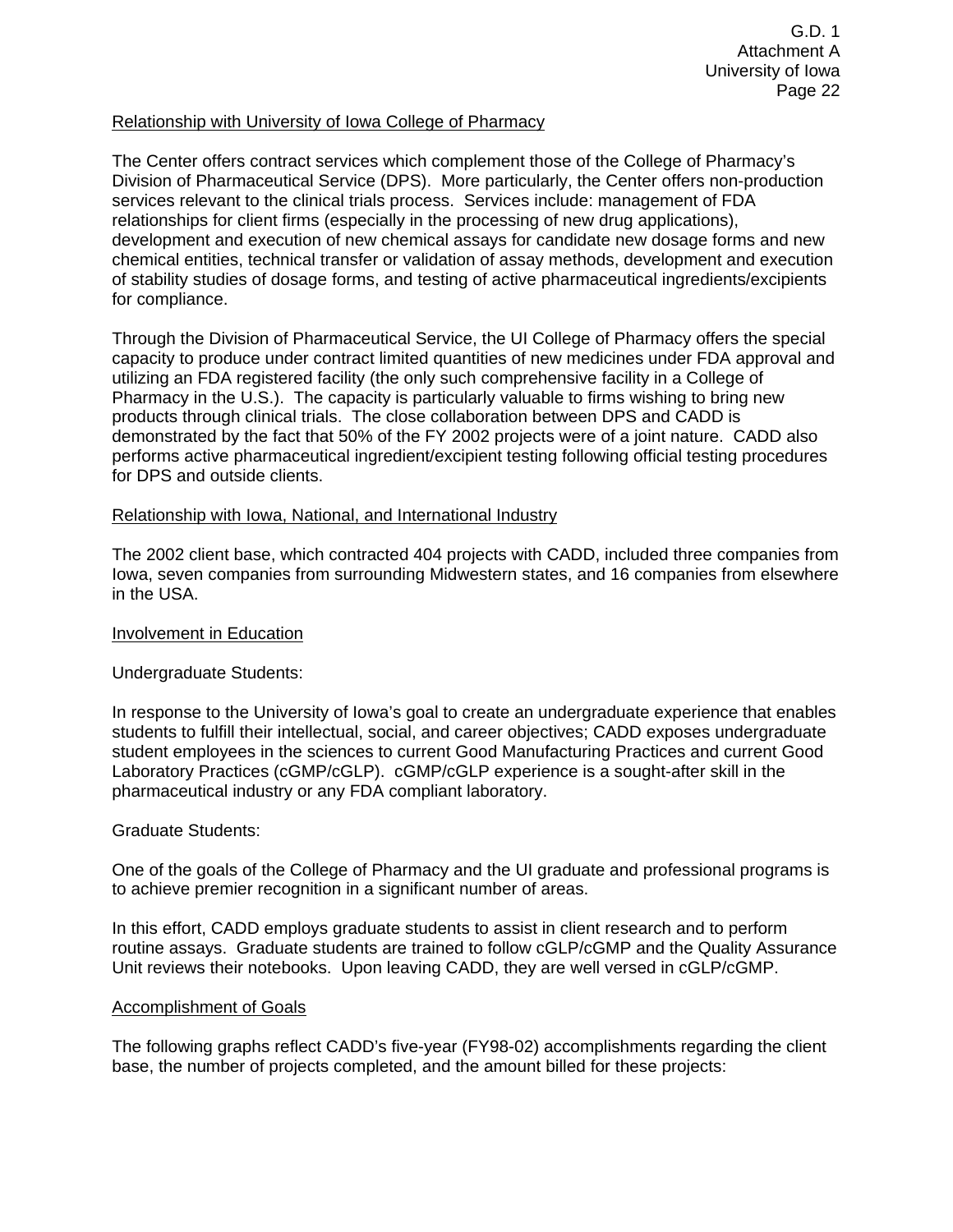#### Relationship with University of Iowa College of Pharmacy

The Center offers contract services which complement those of the College of Pharmacy's Division of Pharmaceutical Service (DPS). More particularly, the Center offers non-production services relevant to the clinical trials process. Services include: management of FDA relationships for client firms (especially in the processing of new drug applications), development and execution of new chemical assays for candidate new dosage forms and new chemical entities, technical transfer or validation of assay methods, development and execution of stability studies of dosage forms, and testing of active pharmaceutical ingredients/excipients for compliance.

Through the Division of Pharmaceutical Service, the UI College of Pharmacy offers the special capacity to produce under contract limited quantities of new medicines under FDA approval and utilizing an FDA registered facility (the only such comprehensive facility in a College of Pharmacy in the U.S.). The capacity is particularly valuable to firms wishing to bring new products through clinical trials. The close collaboration between DPS and CADD is demonstrated by the fact that 50% of the FY 2002 projects were of a joint nature. CADD also performs active pharmaceutical ingredient/excipient testing following official testing procedures for DPS and outside clients.

#### Relationship with Iowa, National, and International Industry

The 2002 client base, which contracted 404 projects with CADD, included three companies from Iowa, seven companies from surrounding Midwestern states, and 16 companies from elsewhere in the USA.

#### Involvement in Education

#### Undergraduate Students:

In response to the University of Iowa's goal to create an undergraduate experience that enables students to fulfill their intellectual, social, and career objectives; CADD exposes undergraduate student employees in the sciences to current Good Manufacturing Practices and current Good Laboratory Practices (cGMP/cGLP). cGMP/cGLP experience is a sought-after skill in the pharmaceutical industry or any FDA compliant laboratory.

#### Graduate Students:

One of the goals of the College of Pharmacy and the UI graduate and professional programs is to achieve premier recognition in a significant number of areas.

In this effort, CADD employs graduate students to assist in client research and to perform routine assays. Graduate students are trained to follow cGLP/cGMP and the Quality Assurance Unit reviews their notebooks. Upon leaving CADD, they are well versed in cGLP/cGMP.

#### Accomplishment of Goals

The following graphs reflect CADD's five-year (FY98-02) accomplishments regarding the client base, the number of projects completed, and the amount billed for these projects: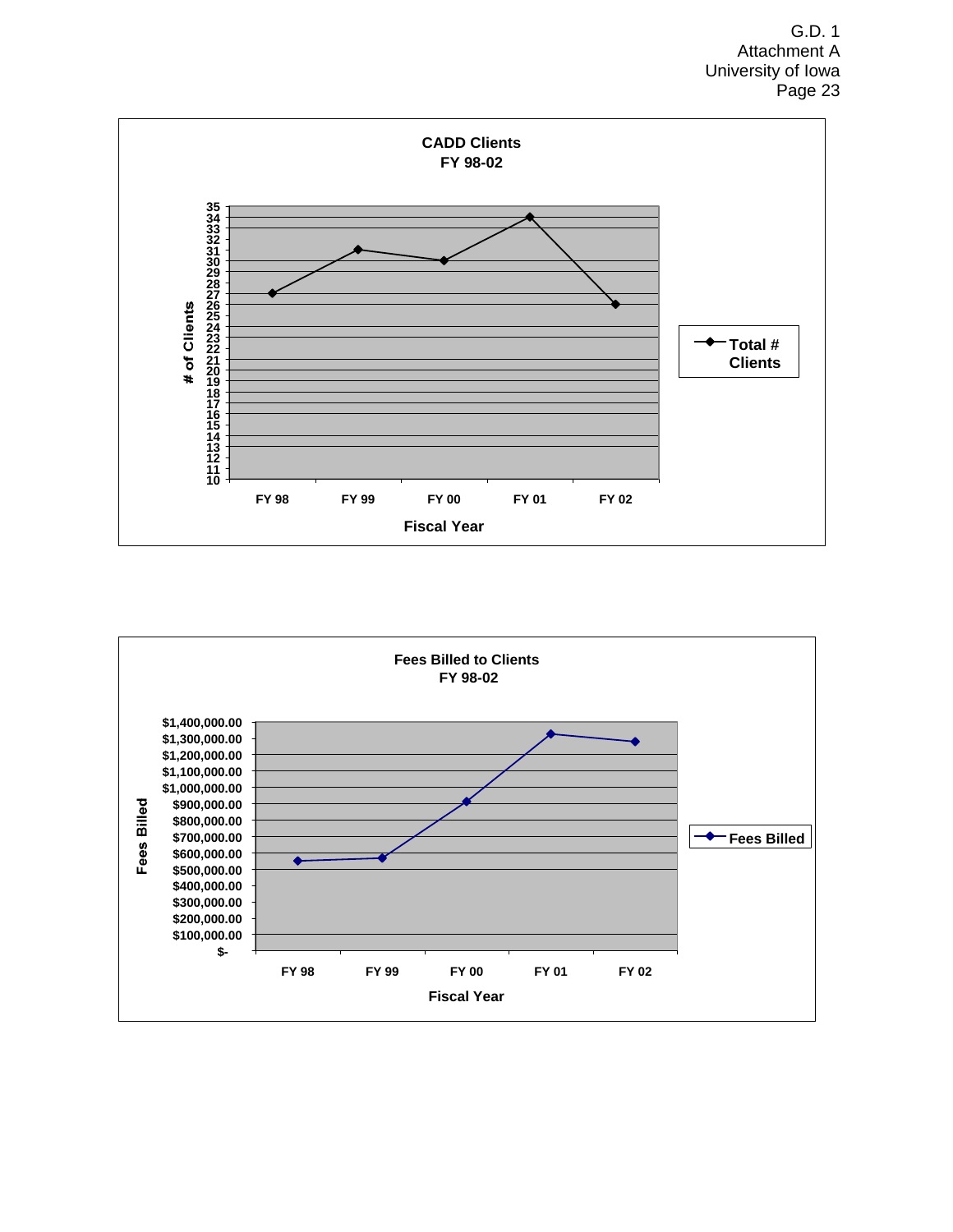

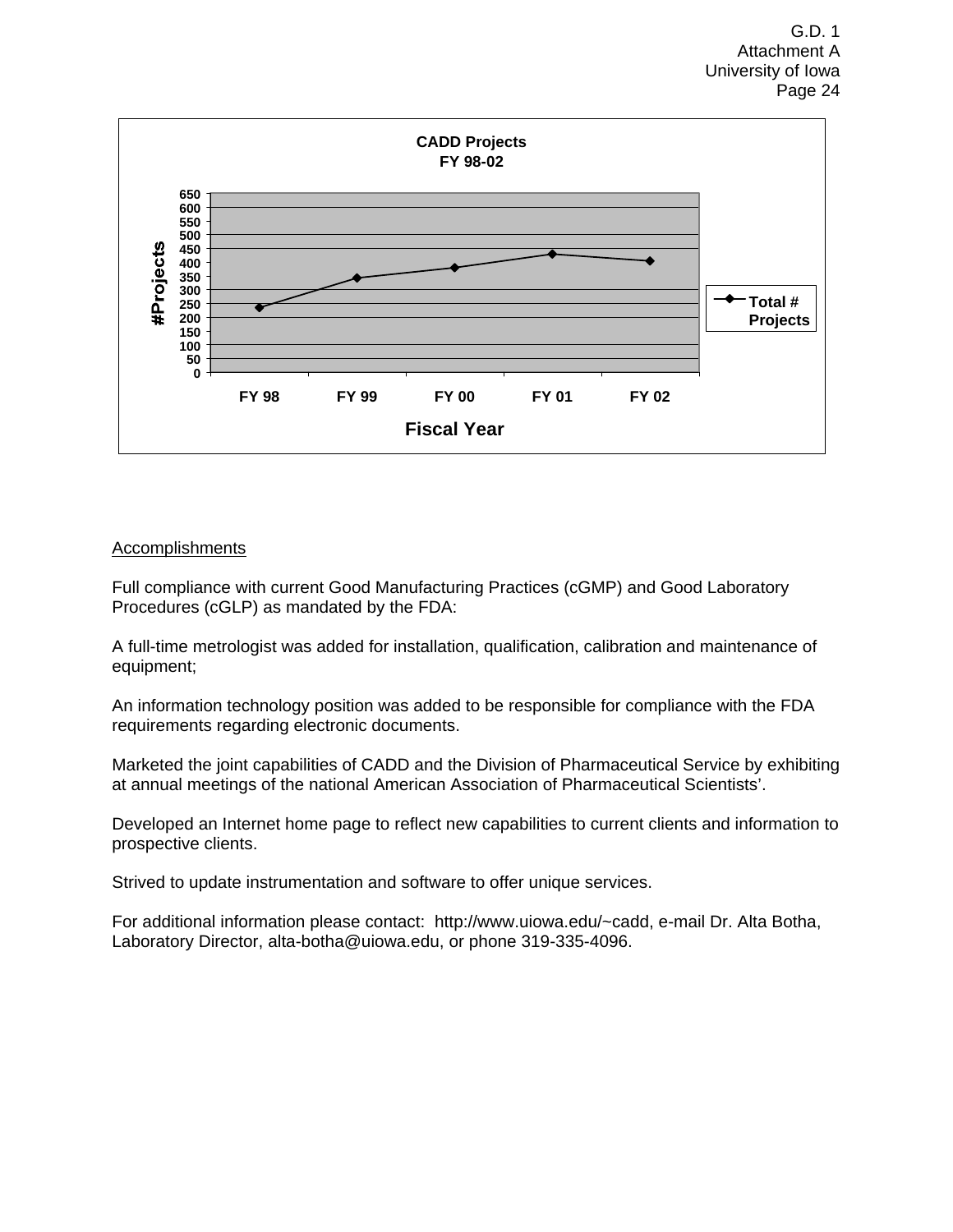

#### Accomplishments

Full compliance with current Good Manufacturing Practices (cGMP) and Good Laboratory Procedures (cGLP) as mandated by the FDA:

A full-time metrologist was added for installation, qualification, calibration and maintenance of equipment;

An information technology position was added to be responsible for compliance with the FDA requirements regarding electronic documents.

Marketed the joint capabilities of CADD and the Division of Pharmaceutical Service by exhibiting at annual meetings of the national American Association of Pharmaceutical Scientists'.

Developed an Internet home page to reflect new capabilities to current clients and information to prospective clients.

Strived to update instrumentation and software to offer unique services.

For additional information please contact: http://www.uiowa.edu/~cadd, e-mail Dr. Alta Botha, Laboratory Director, alta-botha@uiowa.edu, or phone 319-335-4096.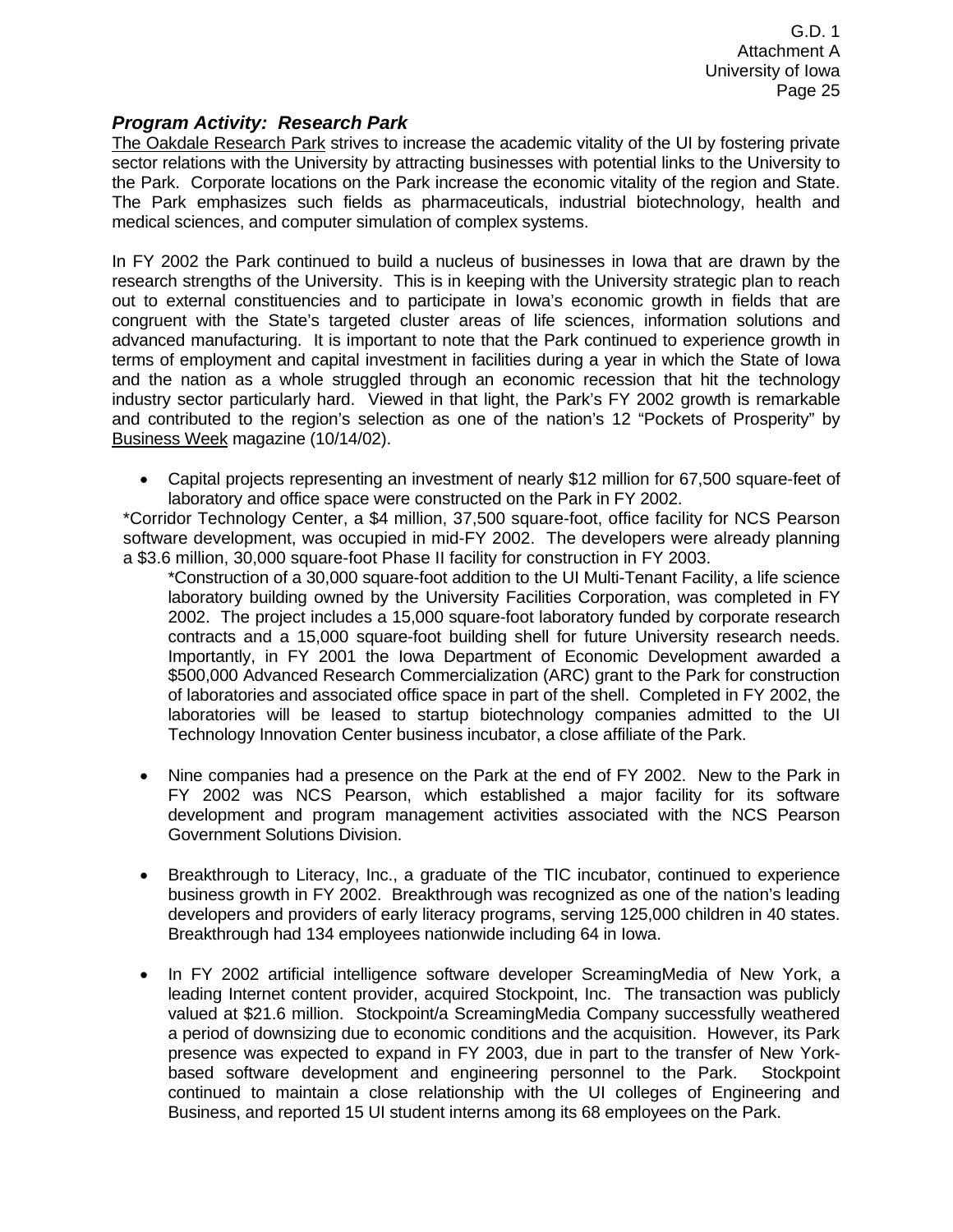#### *Program Activity: Research Park*

The Oakdale Research Park strives to increase the academic vitality of the UI by fostering private sector relations with the University by attracting businesses with potential links to the University to the Park. Corporate locations on the Park increase the economic vitality of the region and State. The Park emphasizes such fields as pharmaceuticals, industrial biotechnology, health and medical sciences, and computer simulation of complex systems.

In FY 2002 the Park continued to build a nucleus of businesses in Iowa that are drawn by the research strengths of the University. This is in keeping with the University strategic plan to reach out to external constituencies and to participate in Iowa's economic growth in fields that are congruent with the State's targeted cluster areas of life sciences, information solutions and advanced manufacturing. It is important to note that the Park continued to experience growth in terms of employment and capital investment in facilities during a year in which the State of Iowa and the nation as a whole struggled through an economic recession that hit the technology industry sector particularly hard. Viewed in that light, the Park's FY 2002 growth is remarkable and contributed to the region's selection as one of the nation's 12 "Pockets of Prosperity" by Business Week magazine (10/14/02).

• Capital projects representing an investment of nearly \$12 million for 67,500 square-feet of laboratory and office space were constructed on the Park in FY 2002.

\*Corridor Technology Center, a \$4 million, 37,500 square-foot, office facility for NCS Pearson software development, was occupied in mid-FY 2002. The developers were already planning a \$3.6 million, 30,000 square-foot Phase II facility for construction in FY 2003.

- \*Construction of a 30,000 square-foot addition to the UI Multi-Tenant Facility, a life science laboratory building owned by the University Facilities Corporation, was completed in FY 2002. The project includes a 15,000 square-foot laboratory funded by corporate research contracts and a 15,000 square-foot building shell for future University research needs. Importantly, in FY 2001 the Iowa Department of Economic Development awarded a \$500,000 Advanced Research Commercialization (ARC) grant to the Park for construction of laboratories and associated office space in part of the shell. Completed in FY 2002, the laboratories will be leased to startup biotechnology companies admitted to the UI Technology Innovation Center business incubator, a close affiliate of the Park.
- Nine companies had a presence on the Park at the end of FY 2002. New to the Park in FY 2002 was NCS Pearson, which established a major facility for its software development and program management activities associated with the NCS Pearson Government Solutions Division.
- Breakthrough to Literacy, Inc., a graduate of the TIC incubator, continued to experience business growth in FY 2002. Breakthrough was recognized as one of the nation's leading developers and providers of early literacy programs, serving 125,000 children in 40 states. Breakthrough had 134 employees nationwide including 64 in Iowa.
- In FY 2002 artificial intelligence software developer ScreamingMedia of New York, a leading Internet content provider, acquired Stockpoint, Inc. The transaction was publicly valued at \$21.6 million. Stockpoint/a ScreamingMedia Company successfully weathered a period of downsizing due to economic conditions and the acquisition. However, its Park presence was expected to expand in FY 2003, due in part to the transfer of New Yorkbased software development and engineering personnel to the Park. Stockpoint continued to maintain a close relationship with the UI colleges of Engineering and Business, and reported 15 UI student interns among its 68 employees on the Park.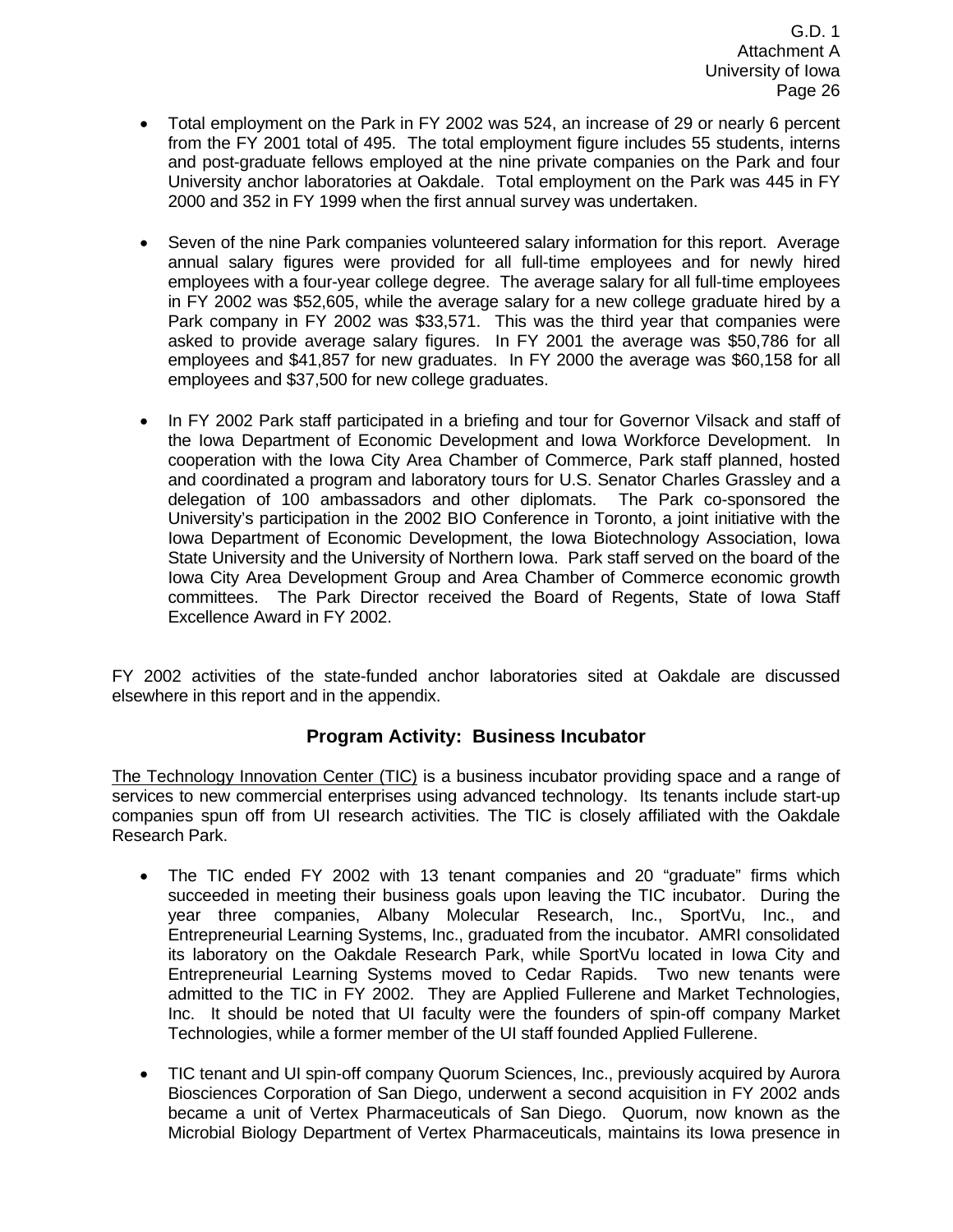- Total employment on the Park in FY 2002 was 524, an increase of 29 or nearly 6 percent from the FY 2001 total of 495. The total employment figure includes 55 students, interns and post-graduate fellows employed at the nine private companies on the Park and four University anchor laboratories at Oakdale. Total employment on the Park was 445 in FY 2000 and 352 in FY 1999 when the first annual survey was undertaken.
- Seven of the nine Park companies volunteered salary information for this report. Average annual salary figures were provided for all full-time employees and for newly hired employees with a four-year college degree. The average salary for all full-time employees in FY 2002 was \$52,605, while the average salary for a new college graduate hired by a Park company in FY 2002 was \$33,571. This was the third year that companies were asked to provide average salary figures. In FY 2001 the average was \$50,786 for all employees and \$41,857 for new graduates. In FY 2000 the average was \$60,158 for all employees and \$37,500 for new college graduates.
- In FY 2002 Park staff participated in a briefing and tour for Governor Vilsack and staff of the Iowa Department of Economic Development and Iowa Workforce Development. In cooperation with the Iowa City Area Chamber of Commerce, Park staff planned, hosted and coordinated a program and laboratory tours for U.S. Senator Charles Grassley and a delegation of 100 ambassadors and other diplomats. The Park co-sponsored the University's participation in the 2002 BIO Conference in Toronto, a joint initiative with the Iowa Department of Economic Development, the Iowa Biotechnology Association, Iowa State University and the University of Northern Iowa. Park staff served on the board of the Iowa City Area Development Group and Area Chamber of Commerce economic growth committees. The Park Director received the Board of Regents, State of Iowa Staff Excellence Award in FY 2002.

FY 2002 activities of the state-funded anchor laboratories sited at Oakdale are discussed elsewhere in this report and in the appendix.

#### **Program Activity: Business Incubator**

The Technology Innovation Center (TIC) is a business incubator providing space and a range of services to new commercial enterprises using advanced technology. Its tenants include start-up companies spun off from UI research activities. The TIC is closely affiliated with the Oakdale Research Park.

- The TIC ended FY 2002 with 13 tenant companies and 20 "graduate" firms which succeeded in meeting their business goals upon leaving the TIC incubator. During the year three companies, Albany Molecular Research, Inc., SportVu, Inc., and Entrepreneurial Learning Systems, Inc., graduated from the incubator. AMRI consolidated its laboratory on the Oakdale Research Park, while SportVu located in Iowa City and Entrepreneurial Learning Systems moved to Cedar Rapids. Two new tenants were admitted to the TIC in FY 2002. They are Applied Fullerene and Market Technologies, Inc. It should be noted that UI faculty were the founders of spin-off company Market Technologies, while a former member of the UI staff founded Applied Fullerene.
- TIC tenant and UI spin-off company Quorum Sciences, Inc., previously acquired by Aurora Biosciences Corporation of San Diego, underwent a second acquisition in FY 2002 ands became a unit of Vertex Pharmaceuticals of San Diego. Quorum, now known as the Microbial Biology Department of Vertex Pharmaceuticals, maintains its Iowa presence in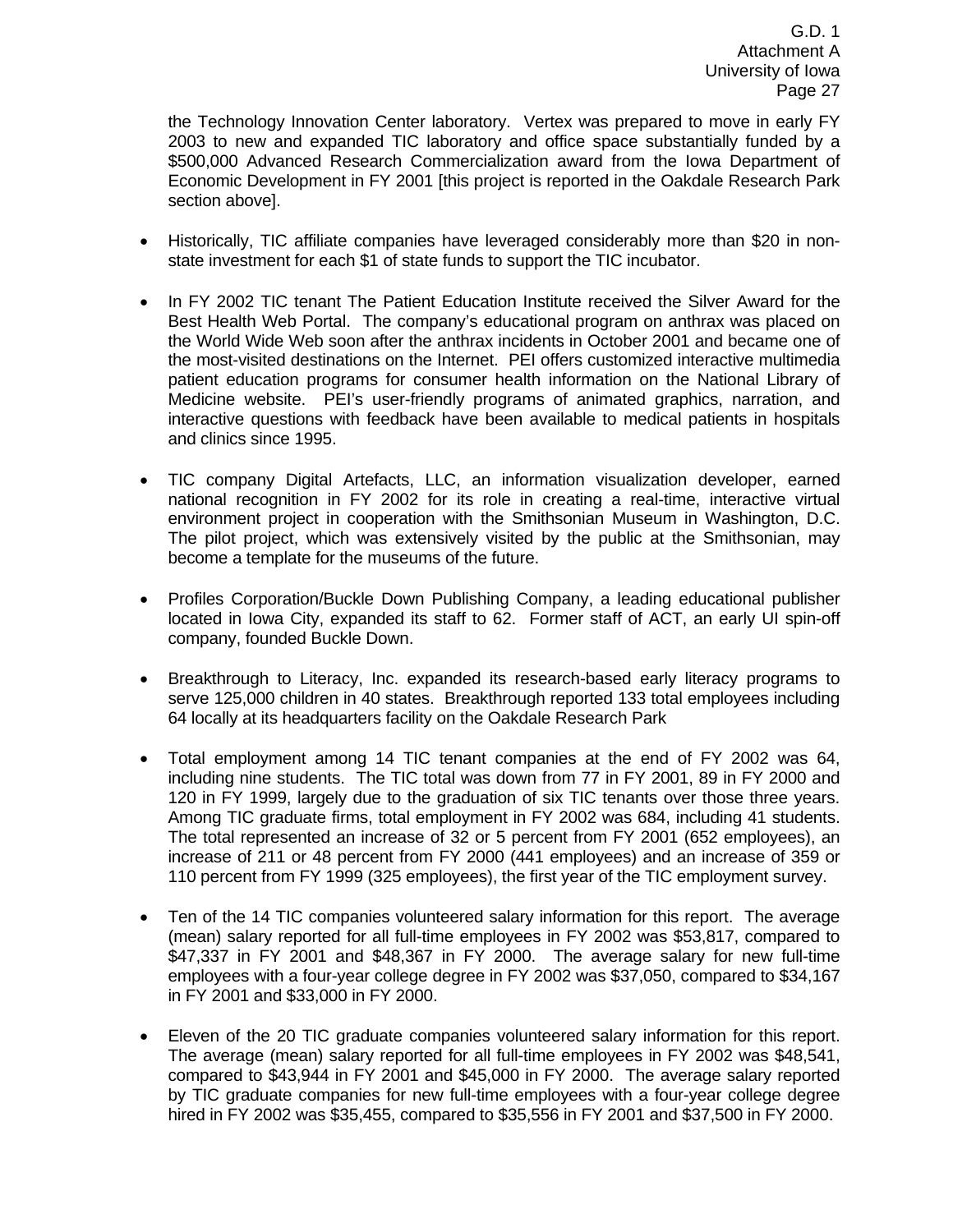the Technology Innovation Center laboratory. Vertex was prepared to move in early FY 2003 to new and expanded TIC laboratory and office space substantially funded by a \$500,000 Advanced Research Commercialization award from the Iowa Department of Economic Development in FY 2001 [this project is reported in the Oakdale Research Park section above].

- Historically, TIC affiliate companies have leveraged considerably more than \$20 in nonstate investment for each \$1 of state funds to support the TIC incubator.
- In FY 2002 TIC tenant The Patient Education Institute received the Silver Award for the Best Health Web Portal. The company's educational program on anthrax was placed on the World Wide Web soon after the anthrax incidents in October 2001 and became one of the most-visited destinations on the Internet. PEI offers customized interactive multimedia patient education programs for consumer health information on the National Library of Medicine website. PEI's user-friendly programs of animated graphics, narration, and interactive questions with feedback have been available to medical patients in hospitals and clinics since 1995.
- TIC company Digital Artefacts, LLC, an information visualization developer, earned national recognition in FY 2002 for its role in creating a real-time, interactive virtual environment project in cooperation with the Smithsonian Museum in Washington, D.C. The pilot project, which was extensively visited by the public at the Smithsonian, may become a template for the museums of the future.
- Profiles Corporation/Buckle Down Publishing Company, a leading educational publisher located in Iowa City, expanded its staff to 62. Former staff of ACT, an early UI spin-off company, founded Buckle Down.
- Breakthrough to Literacy, Inc. expanded its research-based early literacy programs to serve 125,000 children in 40 states. Breakthrough reported 133 total employees including 64 locally at its headquarters facility on the Oakdale Research Park
- Total employment among 14 TIC tenant companies at the end of FY 2002 was 64, including nine students. The TIC total was down from 77 in FY 2001, 89 in FY 2000 and 120 in FY 1999, largely due to the graduation of six TIC tenants over those three years. Among TIC graduate firms, total employment in FY 2002 was 684, including 41 students. The total represented an increase of 32 or 5 percent from FY 2001 (652 employees), an increase of 211 or 48 percent from FY 2000 (441 employees) and an increase of 359 or 110 percent from FY 1999 (325 employees), the first year of the TIC employment survey.
- Ten of the 14 TIC companies volunteered salary information for this report. The average (mean) salary reported for all full-time employees in FY 2002 was \$53,817, compared to \$47,337 in FY 2001 and \$48,367 in FY 2000. The average salary for new full-time employees with a four-year college degree in FY 2002 was \$37,050, compared to \$34,167 in FY 2001 and \$33,000 in FY 2000.
- Eleven of the 20 TIC graduate companies volunteered salary information for this report. The average (mean) salary reported for all full-time employees in FY 2002 was \$48,541, compared to \$43,944 in FY 2001 and \$45,000 in FY 2000. The average salary reported by TIC graduate companies for new full-time employees with a four-year college degree hired in FY 2002 was \$35,455, compared to \$35,556 in FY 2001 and \$37,500 in FY 2000.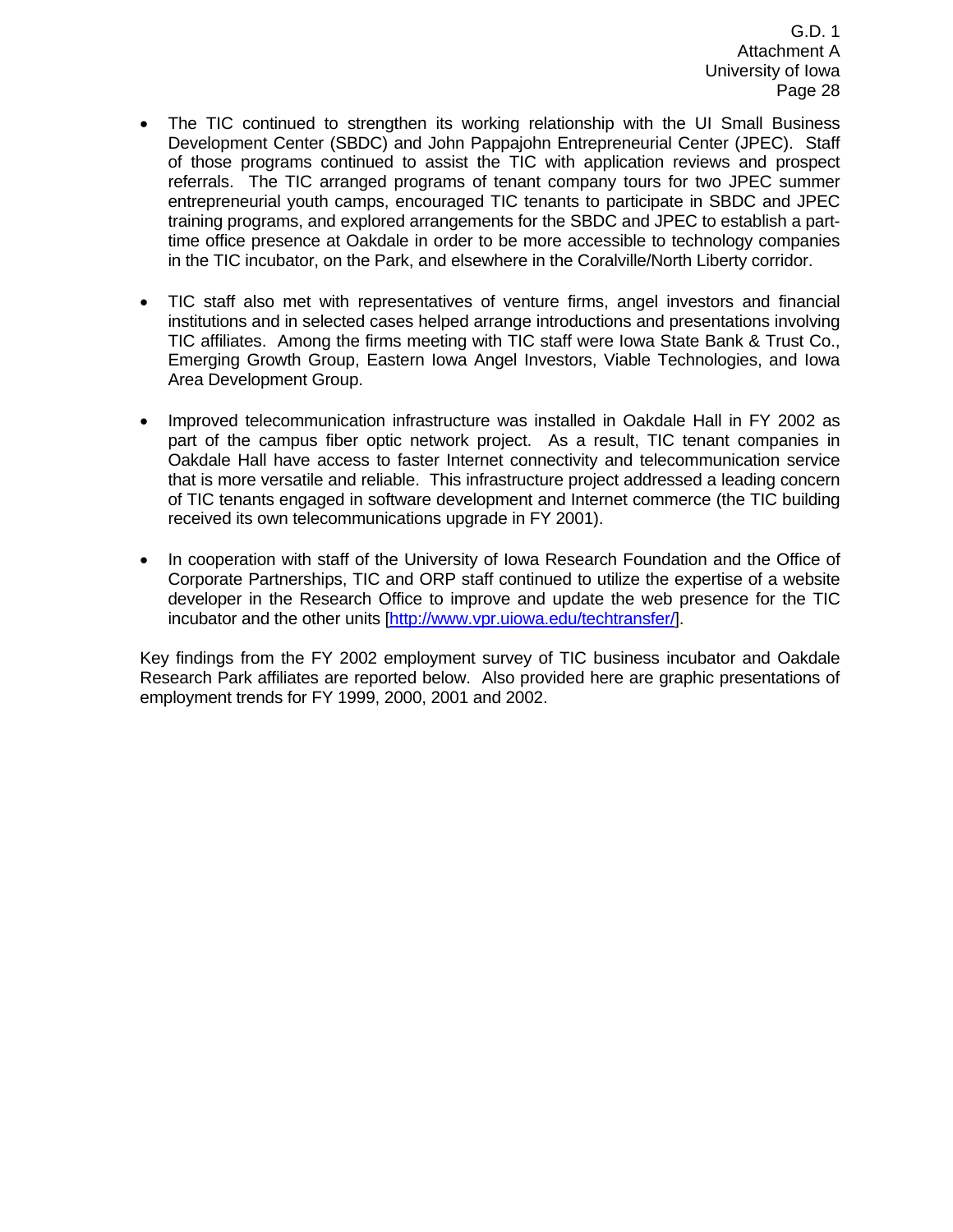- The TIC continued to strengthen its working relationship with the UI Small Business Development Center (SBDC) and John Pappajohn Entrepreneurial Center (JPEC). Staff of those programs continued to assist the TIC with application reviews and prospect referrals. The TIC arranged programs of tenant company tours for two JPEC summer entrepreneurial youth camps, encouraged TIC tenants to participate in SBDC and JPEC training programs, and explored arrangements for the SBDC and JPEC to establish a parttime office presence at Oakdale in order to be more accessible to technology companies in the TIC incubator, on the Park, and elsewhere in the Coralville/North Liberty corridor.
- TIC staff also met with representatives of venture firms, angel investors and financial institutions and in selected cases helped arrange introductions and presentations involving TIC affiliates. Among the firms meeting with TIC staff were Iowa State Bank & Trust Co., Emerging Growth Group, Eastern Iowa Angel Investors, Viable Technologies, and Iowa Area Development Group.
- Improved telecommunication infrastructure was installed in Oakdale Hall in FY 2002 as part of the campus fiber optic network project. As a result, TIC tenant companies in Oakdale Hall have access to faster Internet connectivity and telecommunication service that is more versatile and reliable. This infrastructure project addressed a leading concern of TIC tenants engaged in software development and Internet commerce (the TIC building received its own telecommunications upgrade in FY 2001).
- In cooperation with staff of the University of Iowa Research Foundation and the Office of Corporate Partnerships, TIC and ORP staff continued to utilize the expertise of a website developer in the Research Office to improve and update the web presence for the TIC incubator and the other units [http://www.vpr.uiowa.edu/techtransfer/].

Key findings from the FY 2002 employment survey of TIC business incubator and Oakdale Research Park affiliates are reported below. Also provided here are graphic presentations of employment trends for FY 1999, 2000, 2001 and 2002.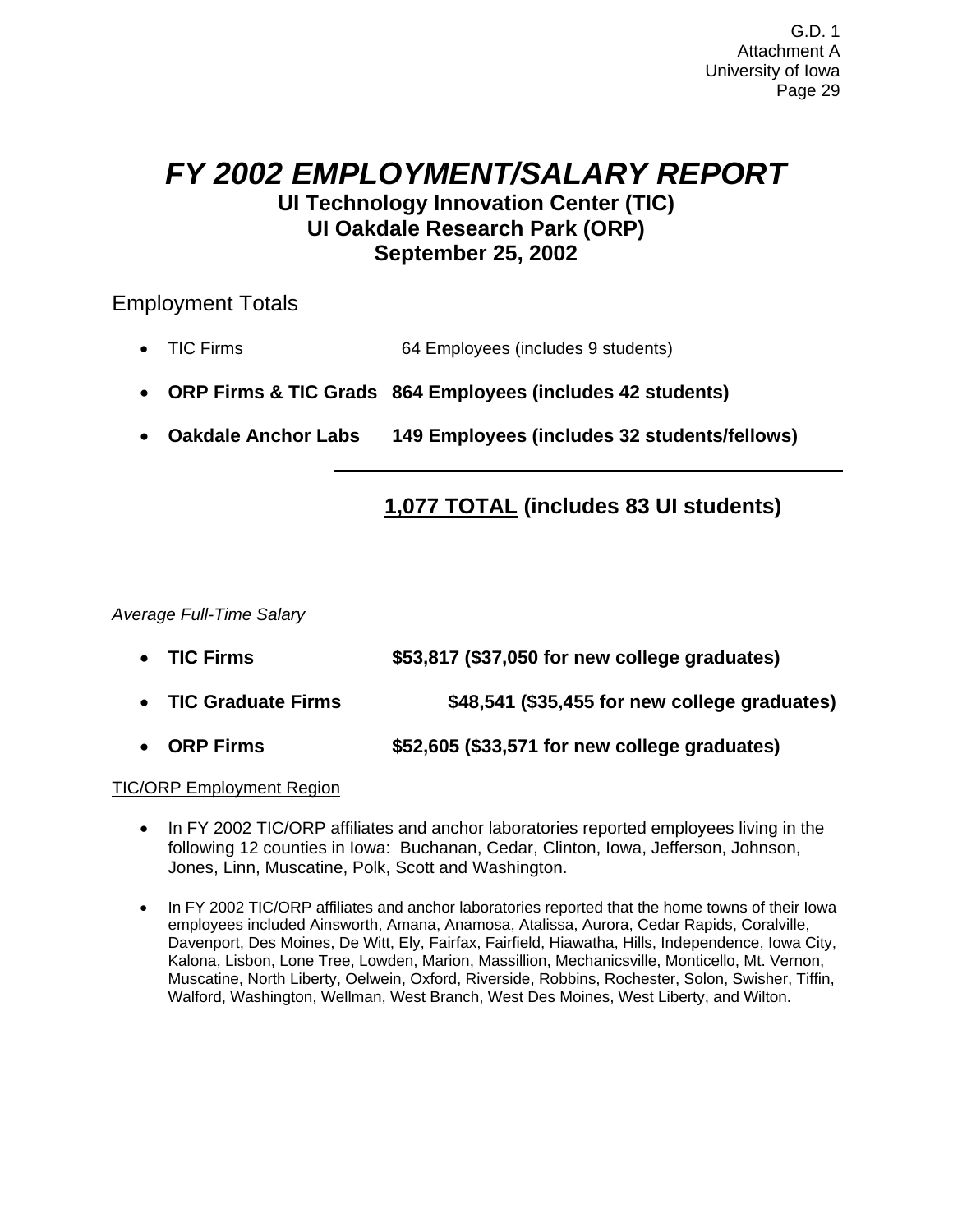## *FY 2002 EMPLOYMENT/SALARY REPORT*  **UI Technology Innovation Center (TIC) UI Oakdale Research Park (ORP) September 25, 2002**

### Employment Totals

- TIC Firms 64 Employees (includes 9 students)
- **ORP Firms & TIC Grads 864 Employees (includes 42 students)**
- **Oakdale Anchor Labs 149 Employees (includes 32 students/fellows)**

## **1,077 TOTAL (includes 83 UI students)**

*Average Full-Time Salary* 

- **TIC Firms \$53,817 (\$37,050 for new college graduates)**
- **TIC Graduate Firms \$48,541 (\$35,455 for new college graduates)**
- **ORP Firms \$52,605 (\$33,571 for new college graduates)**

#### TIC/ORP Employment Region

- In FY 2002 TIC/ORP affiliates and anchor laboratories reported employees living in the following 12 counties in Iowa: Buchanan, Cedar, Clinton, Iowa, Jefferson, Johnson, Jones, Linn, Muscatine, Polk, Scott and Washington.
- In FY 2002 TIC/ORP affiliates and anchor laboratories reported that the home towns of their Iowa employees included Ainsworth, Amana, Anamosa, Atalissa, Aurora, Cedar Rapids, Coralville, Davenport, Des Moines, De Witt, Ely, Fairfax, Fairfield, Hiawatha, Hills, Independence, Iowa City, Kalona, Lisbon, Lone Tree, Lowden, Marion, Massillion, Mechanicsville, Monticello, Mt. Vernon, Muscatine, North Liberty, Oelwein, Oxford, Riverside, Robbins, Rochester, Solon, Swisher, Tiffin, Walford, Washington, Wellman, West Branch, West Des Moines, West Liberty, and Wilton.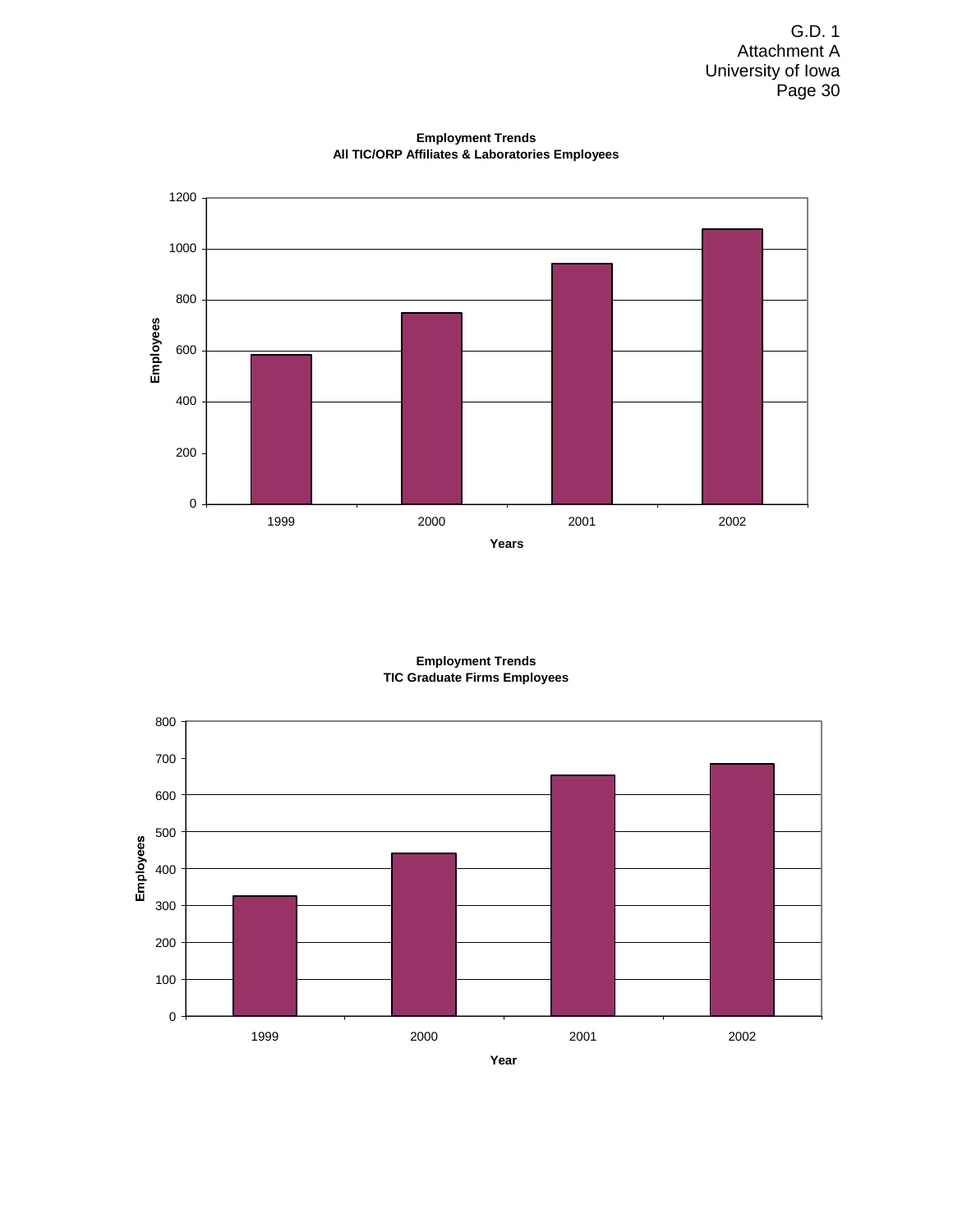

**Employment Trends All TIC/ORP Affiliates & Laboratories Employees**

**Employment Trends TIC Graduate Firms Employees**

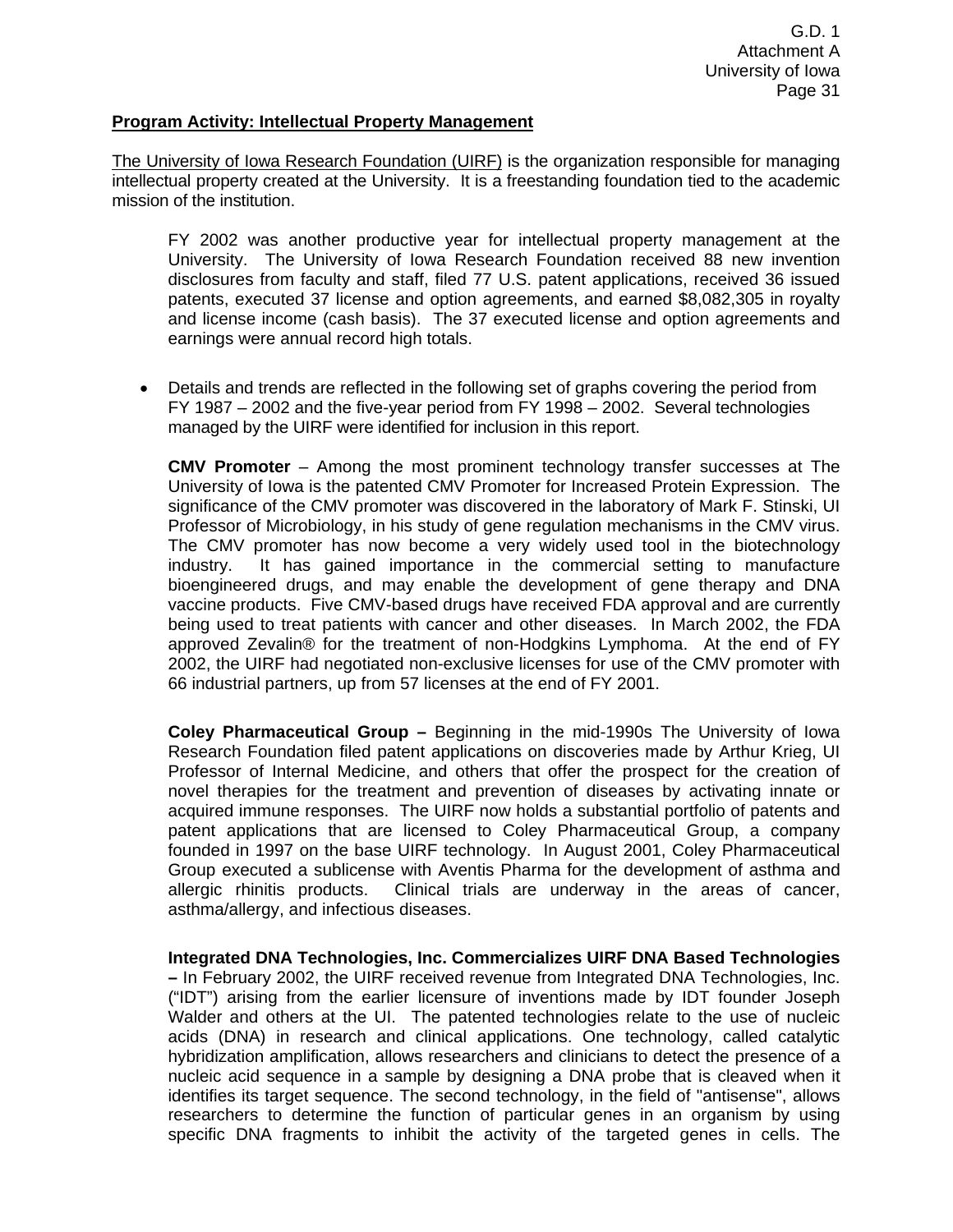#### **Program Activity: Intellectual Property Management**

The University of Iowa Research Foundation (UIRF) is the organization responsible for managing intellectual property created at the University. It is a freestanding foundation tied to the academic mission of the institution.

FY 2002 was another productive year for intellectual property management at the University. The University of Iowa Research Foundation received 88 new invention disclosures from faculty and staff, filed 77 U.S. patent applications, received 36 issued patents, executed 37 license and option agreements, and earned \$8,082,305 in royalty and license income (cash basis). The 37 executed license and option agreements and earnings were annual record high totals.

• Details and trends are reflected in the following set of graphs covering the period from FY 1987 – 2002 and the five-year period from FY 1998 – 2002. Several technologies managed by the UIRF were identified for inclusion in this report.

**CMV Promoter** – Among the most prominent technology transfer successes at The University of Iowa is the patented CMV Promoter for Increased Protein Expression. The significance of the CMV promoter was discovered in the laboratory of Mark F. Stinski, UI Professor of Microbiology, in his study of gene regulation mechanisms in the CMV virus. The CMV promoter has now become a very widely used tool in the biotechnology industry. It has gained importance in the commercial setting to manufacture bioengineered drugs, and may enable the development of gene therapy and DNA vaccine products. Five CMV-based drugs have received FDA approval and are currently being used to treat patients with cancer and other diseases. In March 2002, the FDA approved Zevalin® for the treatment of non-Hodgkins Lymphoma. At the end of FY 2002, the UIRF had negotiated non-exclusive licenses for use of the CMV promoter with 66 industrial partners, up from 57 licenses at the end of FY 2001.

**Coley Pharmaceutical Group –** Beginning in the mid-1990s The University of Iowa Research Foundation filed patent applications on discoveries made by Arthur Krieg, UI Professor of Internal Medicine, and others that offer the prospect for the creation of novel therapies for the treatment and prevention of diseases by activating innate or acquired immune responses. The UIRF now holds a substantial portfolio of patents and patent applications that are licensed to Coley Pharmaceutical Group, a company founded in 1997 on the base UIRF technology. In August 2001, Coley Pharmaceutical Group executed a sublicense with Aventis Pharma for the development of asthma and allergic rhinitis products. Clinical trials are underway in the areas of cancer, asthma/allergy, and infectious diseases.

**Integrated DNA Technologies, Inc. Commercializes UIRF DNA Based Technologies –** In February 2002, the UIRF received revenue from Integrated DNA Technologies, Inc. ("IDT") arising from the earlier licensure of inventions made by IDT founder Joseph Walder and others at the UI. The patented technologies relate to the use of nucleic acids (DNA) in research and clinical applications. One technology, called catalytic hybridization amplification, allows researchers and clinicians to detect the presence of a nucleic acid sequence in a sample by designing a DNA probe that is cleaved when it identifies its target sequence. The second technology, in the field of "antisense", allows researchers to determine the function of particular genes in an organism by using specific DNA fragments to inhibit the activity of the targeted genes in cells. The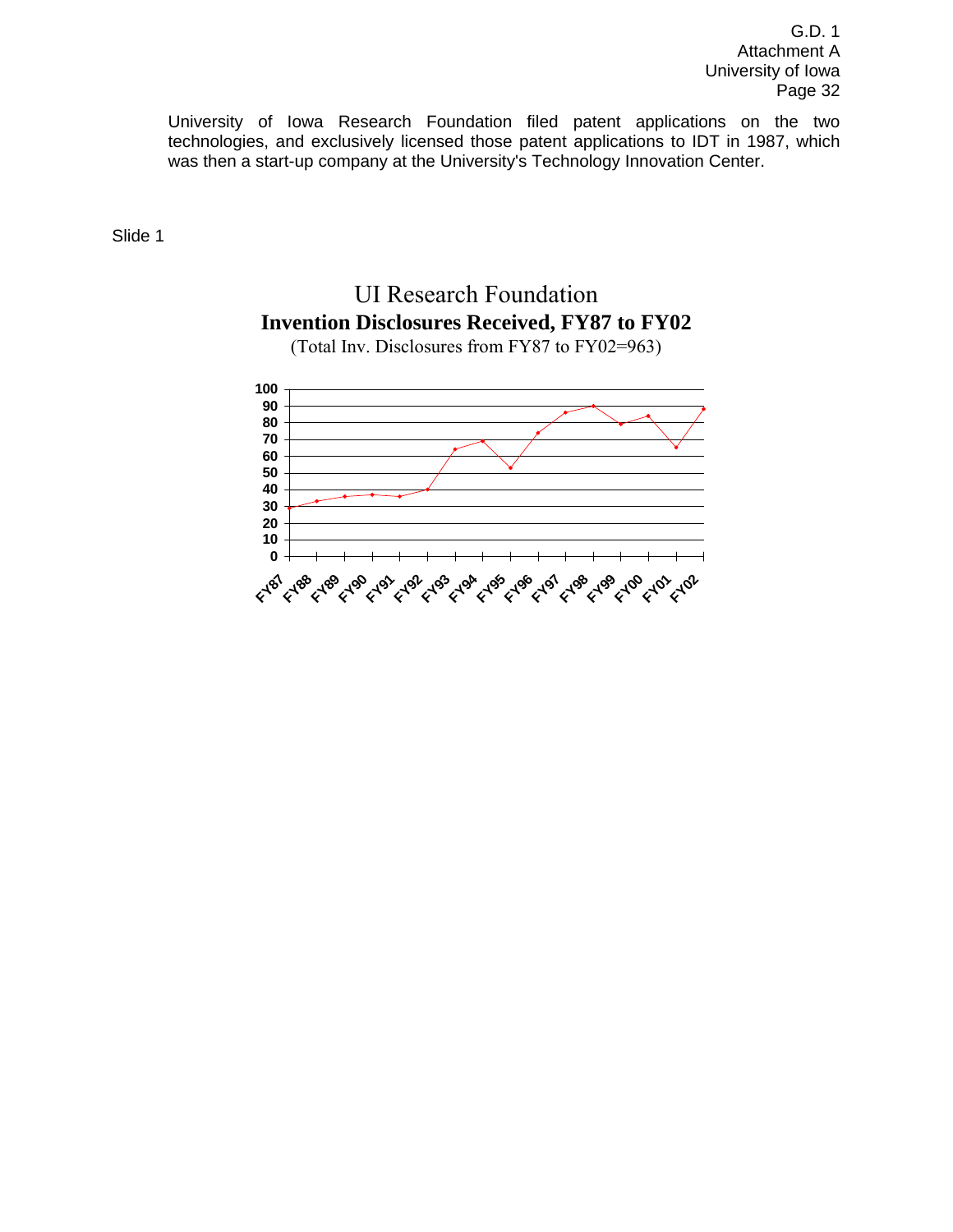University of Iowa Research Foundation filed patent applications on the two technologies, and exclusively licensed those patent applications to IDT in 1987, which was then a start-up company at the University's Technology Innovation Center.

Slide 1

## UI Research Foundation **Invention Disclosures Received, FY87 to FY02**



(Total Inv. Disclosures from FY87 to FY02=963)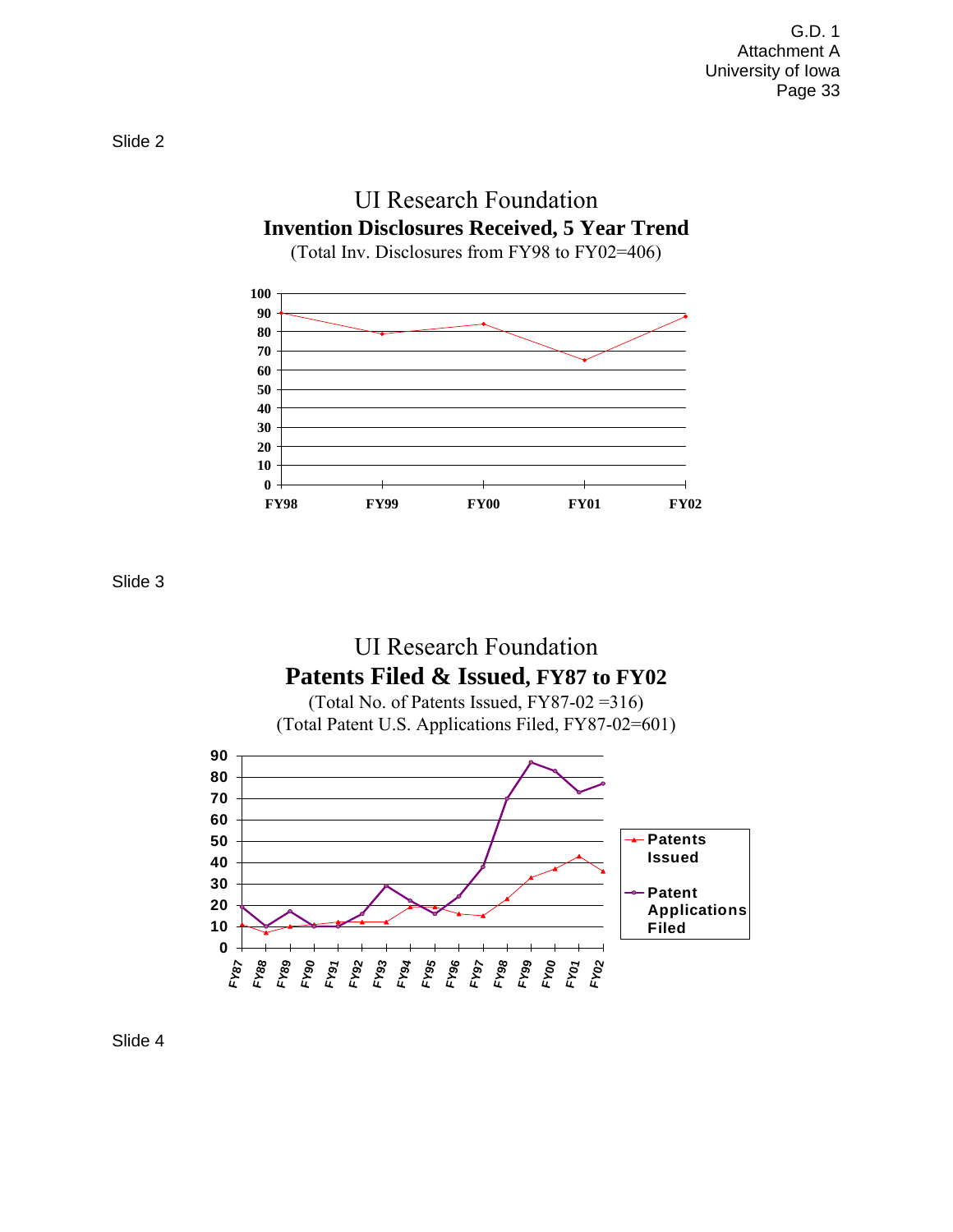

**FY98 FY99 FY00 FY01 FY02**

Slide 3





Slide 4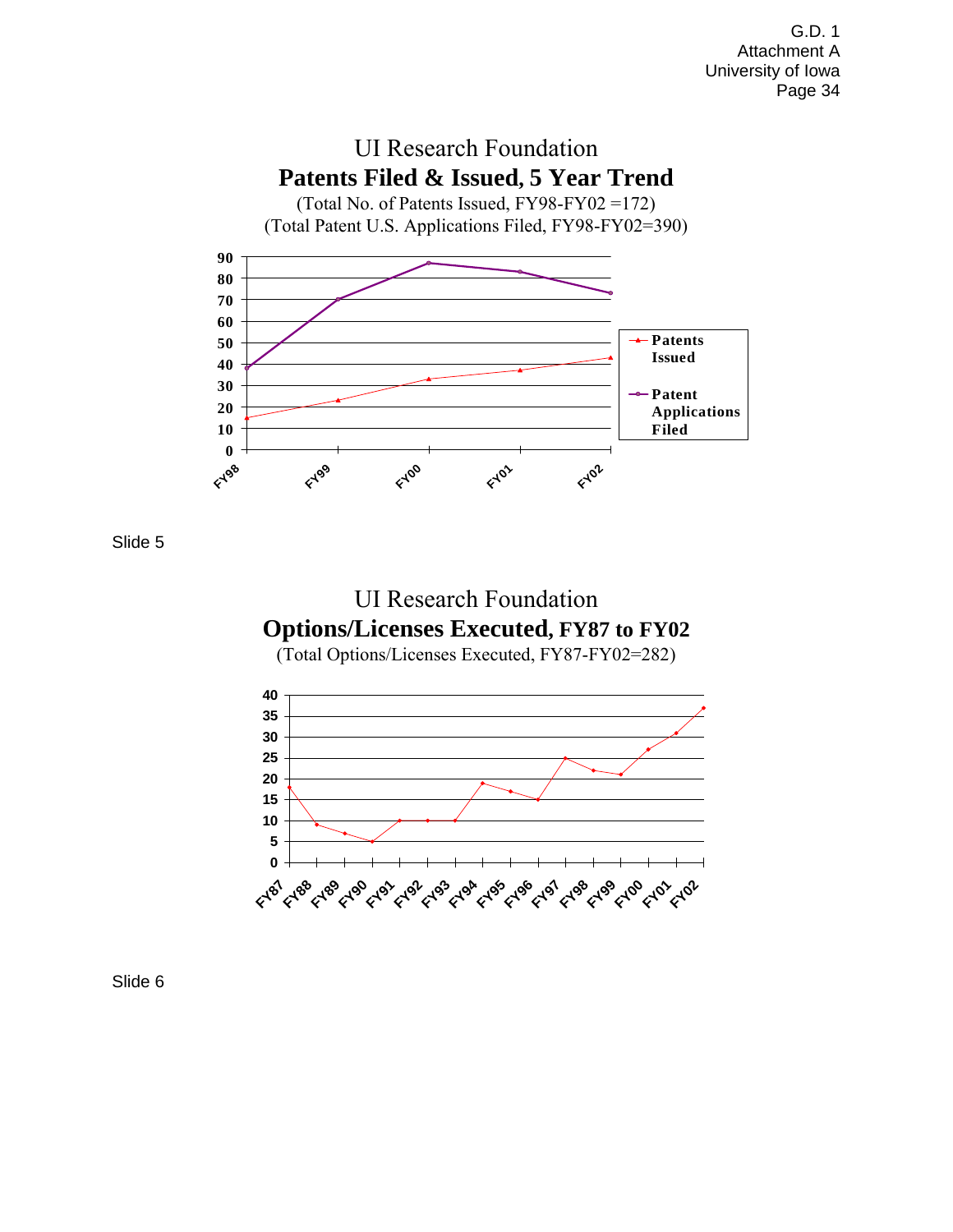

Slide 5



(Total Options/Licenses Executed, FY87-FY02=282)



Slide 6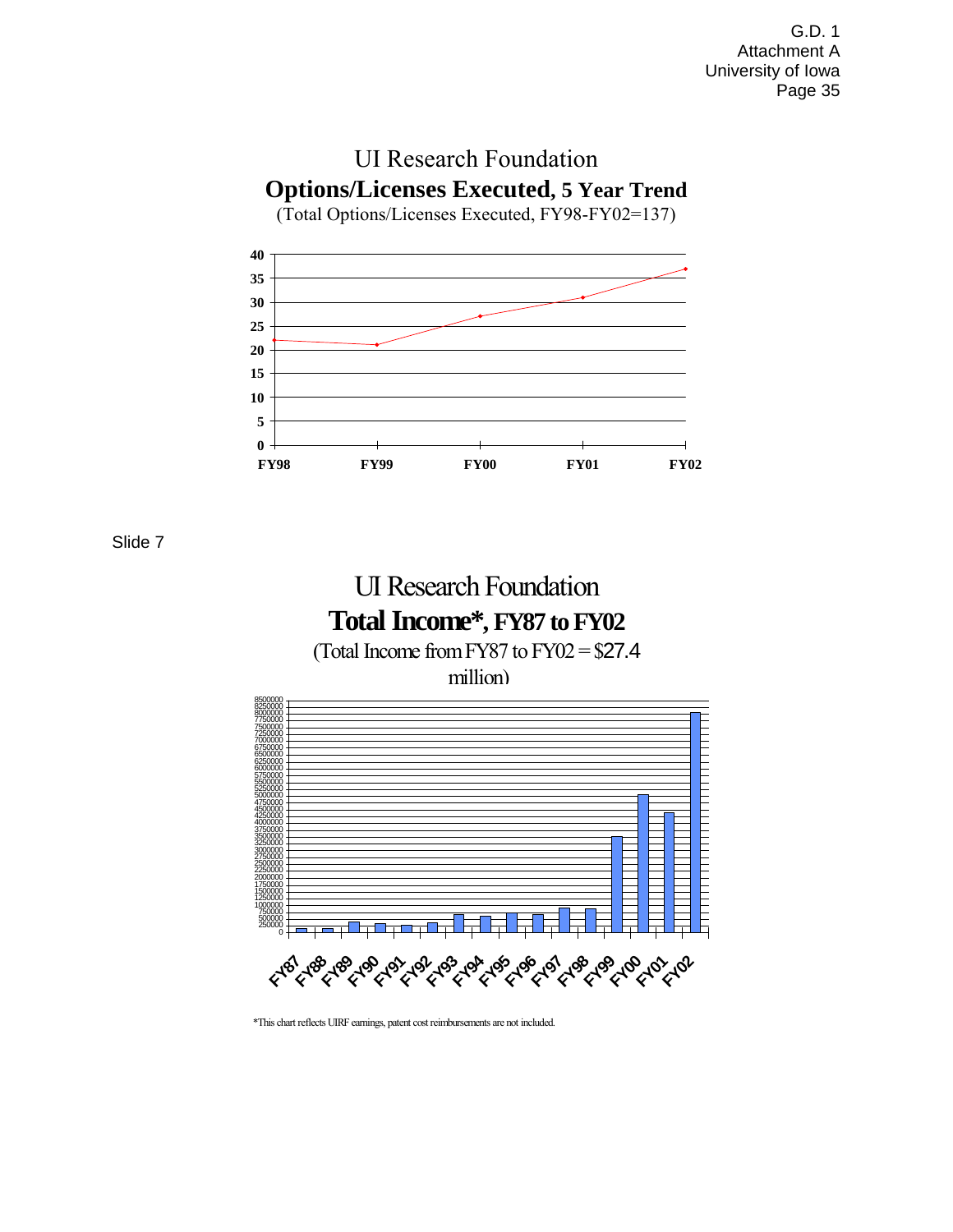

Slide 7





\*This chart reflects UIRF earnings, patent cost reimbursements are not included.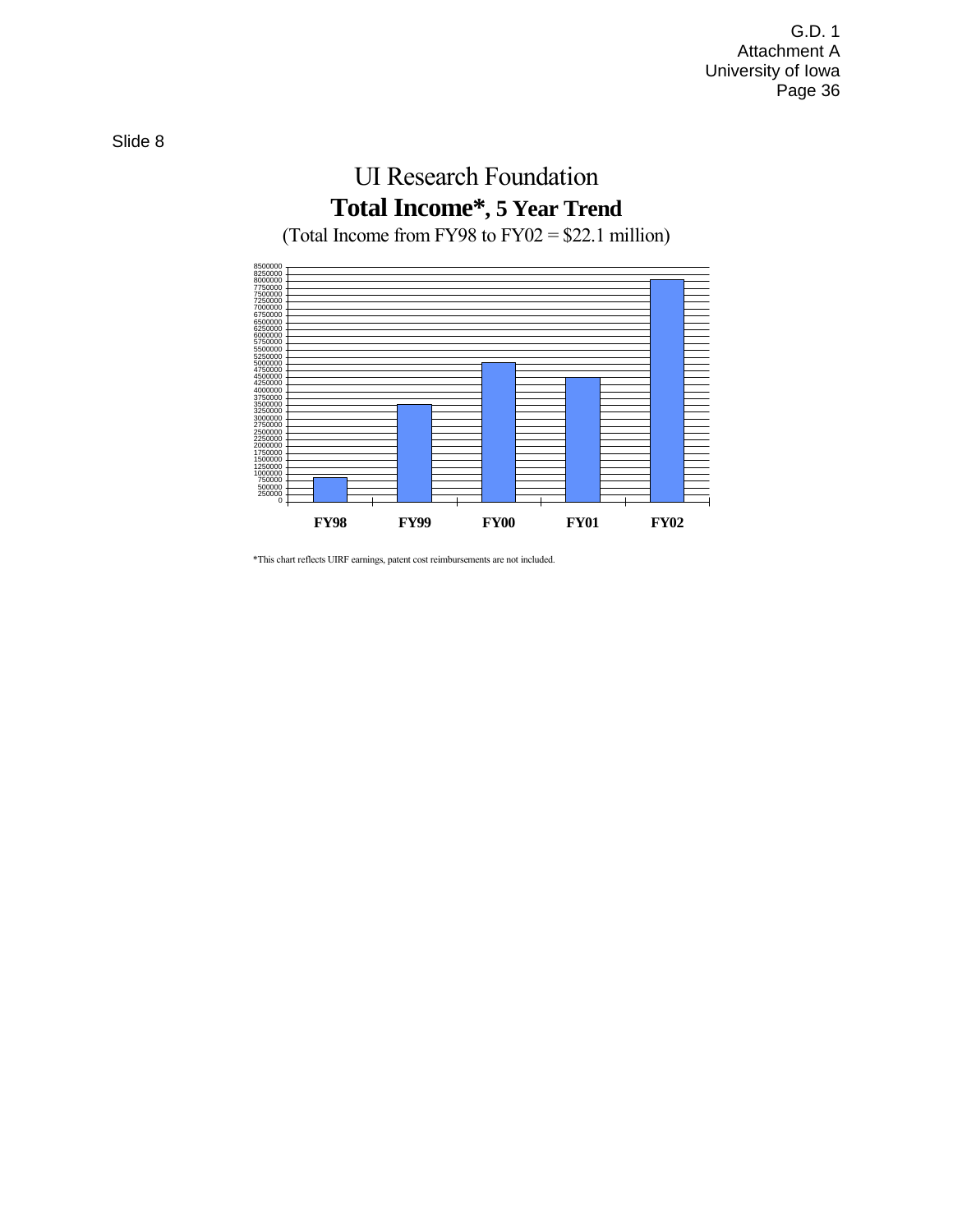## UI Research Foundation **Total Income\*, 5 Year Trend** (Total Income from FY98 to FY02 = \$22.1 million)



\*This chart reflects UIRF earnings, patent cost reimbursements are not included.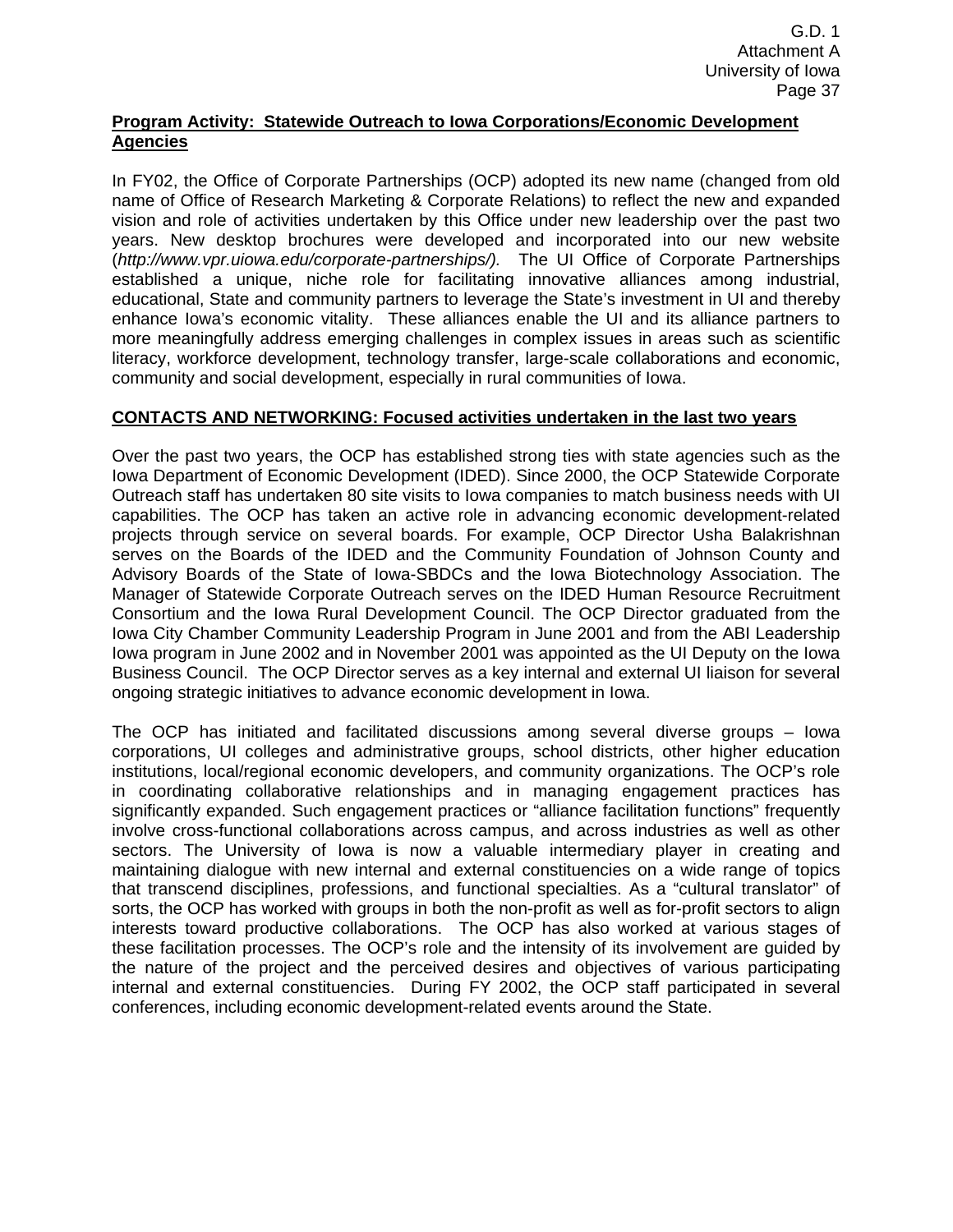## **Program Activity: Statewide Outreach to Iowa Corporations/Economic Development Agencies**

In FY02, the Office of Corporate Partnerships (OCP) adopted its new name (changed from old name of Office of Research Marketing & Corporate Relations) to reflect the new and expanded vision and role of activities undertaken by this Office under new leadership over the past two years. New desktop brochures were developed and incorporated into our new website (*http://www.vpr.uiowa.edu/corporate-partnerships/).* The UI Office of Corporate Partnerships established a unique, niche role for facilitating innovative alliances among industrial, educational, State and community partners to leverage the State's investment in UI and thereby enhance Iowa's economic vitality. These alliances enable the UI and its alliance partners to more meaningfully address emerging challenges in complex issues in areas such as scientific literacy, workforce development, technology transfer, large-scale collaborations and economic, community and social development, especially in rural communities of Iowa.

## **CONTACTS AND NETWORKING: Focused activities undertaken in the last two years**

Over the past two years, the OCP has established strong ties with state agencies such as the Iowa Department of Economic Development (IDED). Since 2000, the OCP Statewide Corporate Outreach staff has undertaken 80 site visits to Iowa companies to match business needs with UI capabilities. The OCP has taken an active role in advancing economic development-related projects through service on several boards. For example, OCP Director Usha Balakrishnan serves on the Boards of the IDED and the Community Foundation of Johnson County and Advisory Boards of the State of Iowa-SBDCs and the Iowa Biotechnology Association. The Manager of Statewide Corporate Outreach serves on the IDED Human Resource Recruitment Consortium and the Iowa Rural Development Council. The OCP Director graduated from the Iowa City Chamber Community Leadership Program in June 2001 and from the ABI Leadership Iowa program in June 2002 and in November 2001 was appointed as the UI Deputy on the Iowa Business Council. The OCP Director serves as a key internal and external UI liaison for several ongoing strategic initiatives to advance economic development in Iowa.

The OCP has initiated and facilitated discussions among several diverse groups – Iowa corporations, UI colleges and administrative groups, school districts, other higher education institutions, local/regional economic developers, and community organizations. The OCP's role in coordinating collaborative relationships and in managing engagement practices has significantly expanded. Such engagement practices or "alliance facilitation functions" frequently involve cross-functional collaborations across campus, and across industries as well as other sectors. The University of Iowa is now a valuable intermediary player in creating and maintaining dialogue with new internal and external constituencies on a wide range of topics that transcend disciplines, professions, and functional specialties. As a "cultural translator" of sorts, the OCP has worked with groups in both the non-profit as well as for-profit sectors to align interests toward productive collaborations. The OCP has also worked at various stages of these facilitation processes. The OCP's role and the intensity of its involvement are guided by the nature of the project and the perceived desires and objectives of various participating internal and external constituencies. During FY 2002, the OCP staff participated in several conferences, including economic development-related events around the State.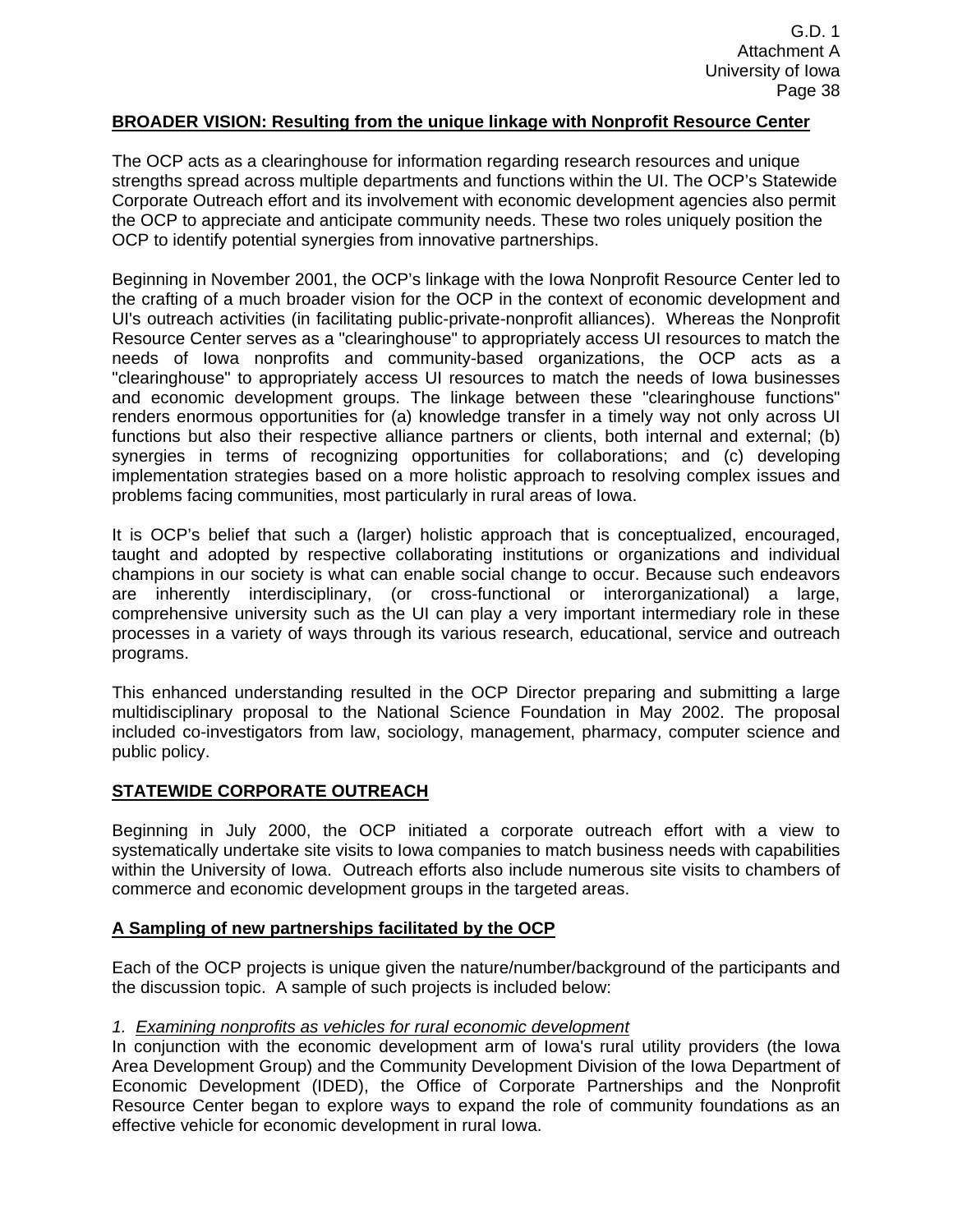## **BROADER VISION: Resulting from the unique linkage with Nonprofit Resource Center**

The OCP acts as a clearinghouse for information regarding research resources and unique strengths spread across multiple departments and functions within the UI. The OCP's Statewide Corporate Outreach effort and its involvement with economic development agencies also permit the OCP to appreciate and anticipate community needs. These two roles uniquely position the OCP to identify potential synergies from innovative partnerships.

Beginning in November 2001, the OCP's linkage with the Iowa Nonprofit Resource Center led to the crafting of a much broader vision for the OCP in the context of economic development and UI's outreach activities (in facilitating public-private-nonprofit alliances). Whereas the Nonprofit Resource Center serves as a "clearinghouse" to appropriately access UI resources to match the needs of Iowa nonprofits and community-based organizations, the OCP acts as a "clearinghouse" to appropriately access UI resources to match the needs of Iowa businesses and economic development groups. The linkage between these "clearinghouse functions" renders enormous opportunities for (a) knowledge transfer in a timely way not only across UI functions but also their respective alliance partners or clients, both internal and external; (b) synergies in terms of recognizing opportunities for collaborations; and (c) developing implementation strategies based on a more holistic approach to resolving complex issues and problems facing communities, most particularly in rural areas of Iowa.

It is OCP's belief that such a (larger) holistic approach that is conceptualized, encouraged, taught and adopted by respective collaborating institutions or organizations and individual champions in our society is what can enable social change to occur. Because such endeavors are inherently interdisciplinary, (or cross-functional or interorganizational) a large, comprehensive university such as the UI can play a very important intermediary role in these processes in a variety of ways through its various research, educational, service and outreach programs.

This enhanced understanding resulted in the OCP Director preparing and submitting a large multidisciplinary proposal to the National Science Foundation in May 2002. The proposal included co-investigators from law, sociology, management, pharmacy, computer science and public policy.

## **STATEWIDE CORPORATE OUTREACH**

Beginning in July 2000, the OCP initiated a corporate outreach effort with a view to systematically undertake site visits to Iowa companies to match business needs with capabilities within the University of Iowa. Outreach efforts also include numerous site visits to chambers of commerce and economic development groups in the targeted areas.

## **A Sampling of new partnerships facilitated by the OCP**

Each of the OCP projects is unique given the nature/number/background of the participants and the discussion topic. A sample of such projects is included below:

## *1. Examining nonprofits as vehicles for rural economic development*

In conjunction with the economic development arm of Iowa's rural utility providers (the Iowa Area Development Group) and the Community Development Division of the Iowa Department of Economic Development (IDED), the Office of Corporate Partnerships and the Nonprofit Resource Center began to explore ways to expand the role of community foundations as an effective vehicle for economic development in rural Iowa.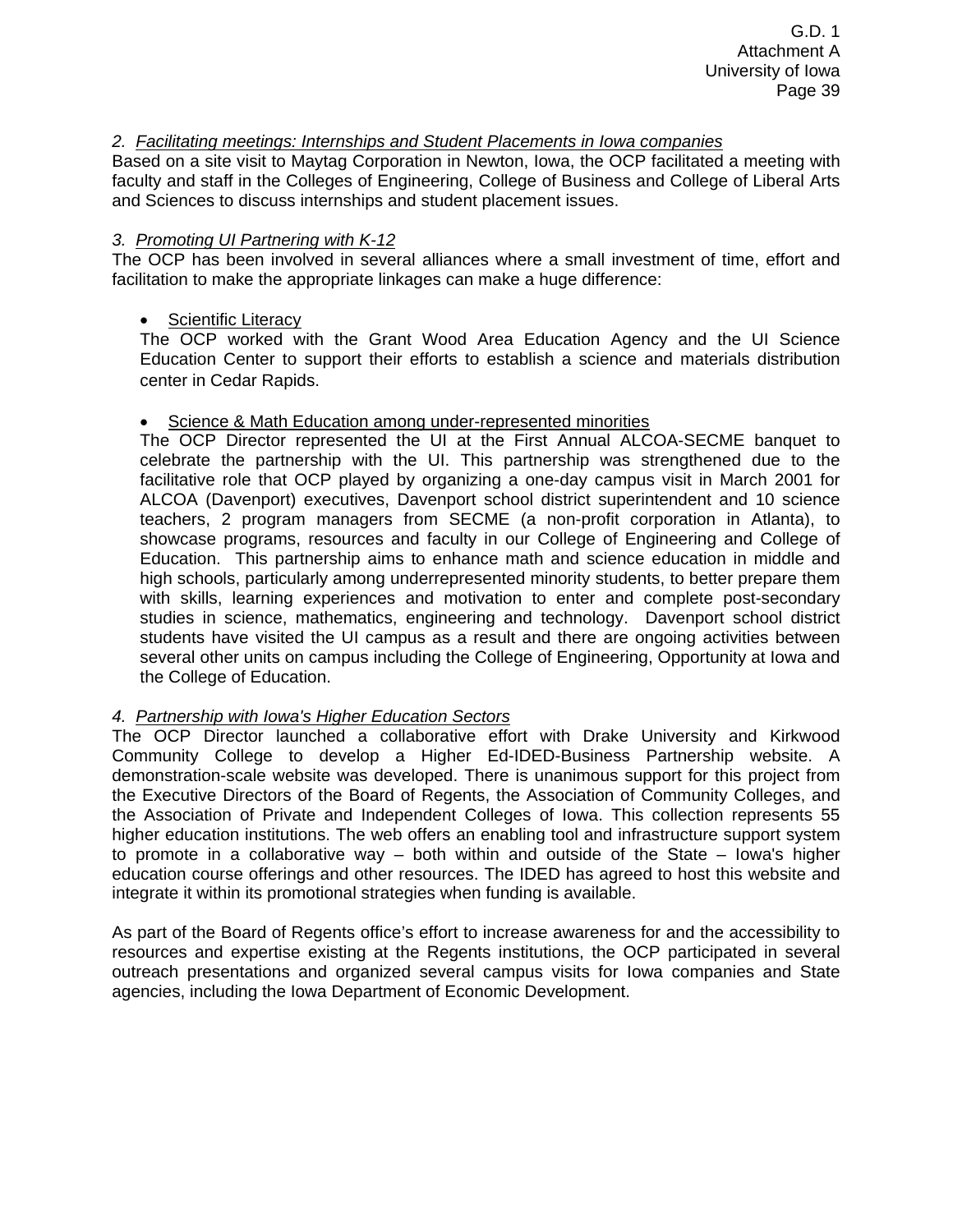## *2. Facilitating meetings: Internships and Student Placements in Iowa companies*

Based on a site visit to Maytag Corporation in Newton, Iowa, the OCP facilitated a meeting with faculty and staff in the Colleges of Engineering, College of Business and College of Liberal Arts and Sciences to discuss internships and student placement issues.

## *3. Promoting UI Partnering with K-12*

The OCP has been involved in several alliances where a small investment of time, effort and facilitation to make the appropriate linkages can make a huge difference:

## • Scientific Literacy

The OCP worked with the Grant Wood Area Education Agency and the UI Science Education Center to support their efforts to establish a science and materials distribution center in Cedar Rapids.

## • Science & Math Education among under-represented minorities

The OCP Director represented the UI at the First Annual ALCOA-SECME banquet to celebrate the partnership with the UI. This partnership was strengthened due to the facilitative role that OCP played by organizing a one-day campus visit in March 2001 for ALCOA (Davenport) executives, Davenport school district superintendent and 10 science teachers, 2 program managers from SECME (a non-profit corporation in Atlanta), to showcase programs, resources and faculty in our College of Engineering and College of Education. This partnership aims to enhance math and science education in middle and high schools, particularly among underrepresented minority students, to better prepare them with skills, learning experiences and motivation to enter and complete post-secondary studies in science, mathematics, engineering and technology. Davenport school district students have visited the UI campus as a result and there are ongoing activities between several other units on campus including the College of Engineering, Opportunity at Iowa and the College of Education.

## *4. Partnership with Iowa's Higher Education Sectors*

The OCP Director launched a collaborative effort with Drake University and Kirkwood Community College to develop a Higher Ed-IDED-Business Partnership website. A demonstration-scale website was developed. There is unanimous support for this project from the Executive Directors of the Board of Regents, the Association of Community Colleges, and the Association of Private and Independent Colleges of Iowa. This collection represents 55 higher education institutions. The web offers an enabling tool and infrastructure support system to promote in a collaborative way – both within and outside of the State – Iowa's higher education course offerings and other resources. The IDED has agreed to host this website and integrate it within its promotional strategies when funding is available.

As part of the Board of Regents office's effort to increase awareness for and the accessibility to resources and expertise existing at the Regents institutions, the OCP participated in several outreach presentations and organized several campus visits for Iowa companies and State agencies, including the Iowa Department of Economic Development.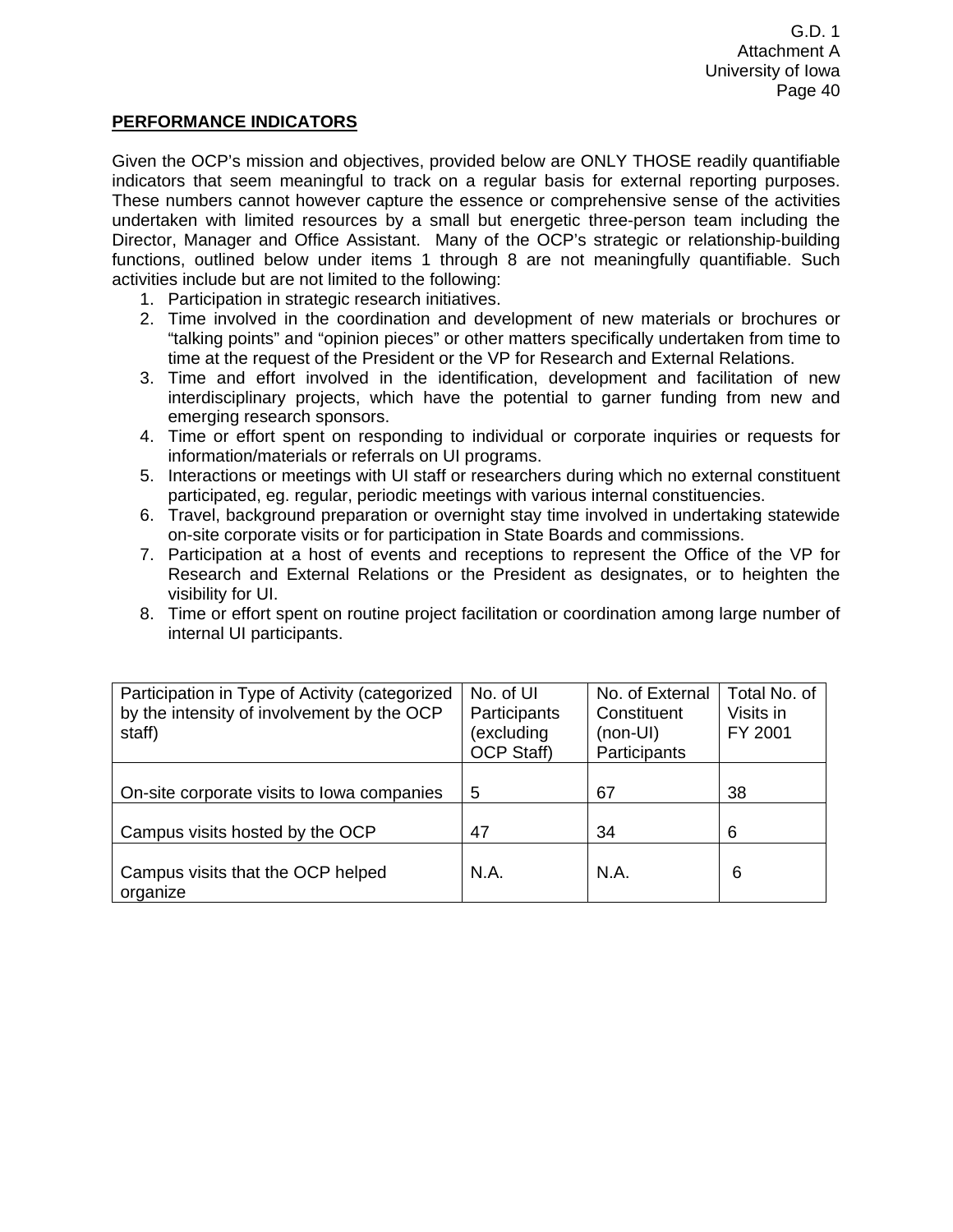## **PERFORMANCE INDICATORS**

Given the OCP's mission and objectives, provided below are ONLY THOSE readily quantifiable indicators that seem meaningful to track on a regular basis for external reporting purposes. These numbers cannot however capture the essence or comprehensive sense of the activities undertaken with limited resources by a small but energetic three-person team including the Director, Manager and Office Assistant. Many of the OCP's strategic or relationship-building functions, outlined below under items 1 through 8 are not meaningfully quantifiable. Such activities include but are not limited to the following:

- 1. Participation in strategic research initiatives.
- 2. Time involved in the coordination and development of new materials or brochures or "talking points" and "opinion pieces" or other matters specifically undertaken from time to time at the request of the President or the VP for Research and External Relations.
- 3. Time and effort involved in the identification, development and facilitation of new interdisciplinary projects, which have the potential to garner funding from new and emerging research sponsors.
- 4. Time or effort spent on responding to individual or corporate inquiries or requests for information/materials or referrals on UI programs.
- 5. Interactions or meetings with UI staff or researchers during which no external constituent participated, eg. regular, periodic meetings with various internal constituencies.
- 6. Travel, background preparation or overnight stay time involved in undertaking statewide on-site corporate visits or for participation in State Boards and commissions.
- 7. Participation at a host of events and receptions to represent the Office of the VP for Research and External Relations or the President as designates, or to heighten the visibility for UI.
- 8. Time or effort spent on routine project facilitation or coordination among large number of internal UI participants.

| Participation in Type of Activity (categorized<br>by the intensity of involvement by the OCP<br>staff) | No. of UI<br>Participants<br>(excluding<br><b>OCP Staff)</b> | No. of External<br>Constituent<br>$(non-UI)$<br>Participants | Total No. of<br>Visits in<br>FY 2001 |
|--------------------------------------------------------------------------------------------------------|--------------------------------------------------------------|--------------------------------------------------------------|--------------------------------------|
| On-site corporate visits to lowa companies                                                             | 5                                                            | 67                                                           | 38                                   |
| Campus visits hosted by the OCP                                                                        | 47                                                           | 34                                                           | 6                                    |
| Campus visits that the OCP helped<br>organize                                                          | N.A.                                                         | N.A.                                                         | 6                                    |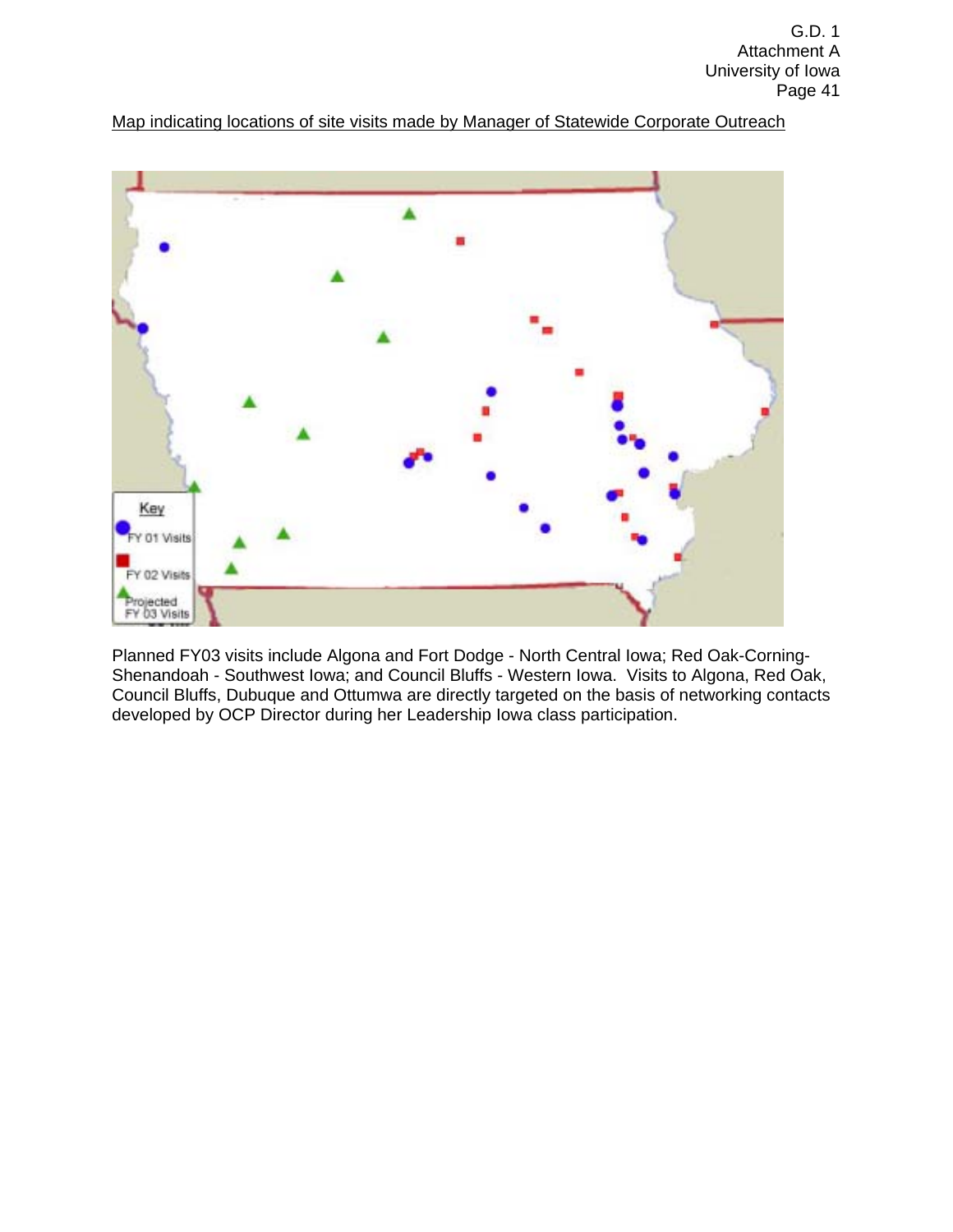Map indicating locations of site visits made by Manager of Statewide Corporate Outreach



Planned FY03 visits include Algona and Fort Dodge - North Central Iowa; Red Oak-Corning-Shenandoah - Southwest Iowa; and Council Bluffs - Western Iowa. Visits to Algona, Red Oak, Council Bluffs, Dubuque and Ottumwa are directly targeted on the basis of networking contacts developed by OCP Director during her Leadership Iowa class participation.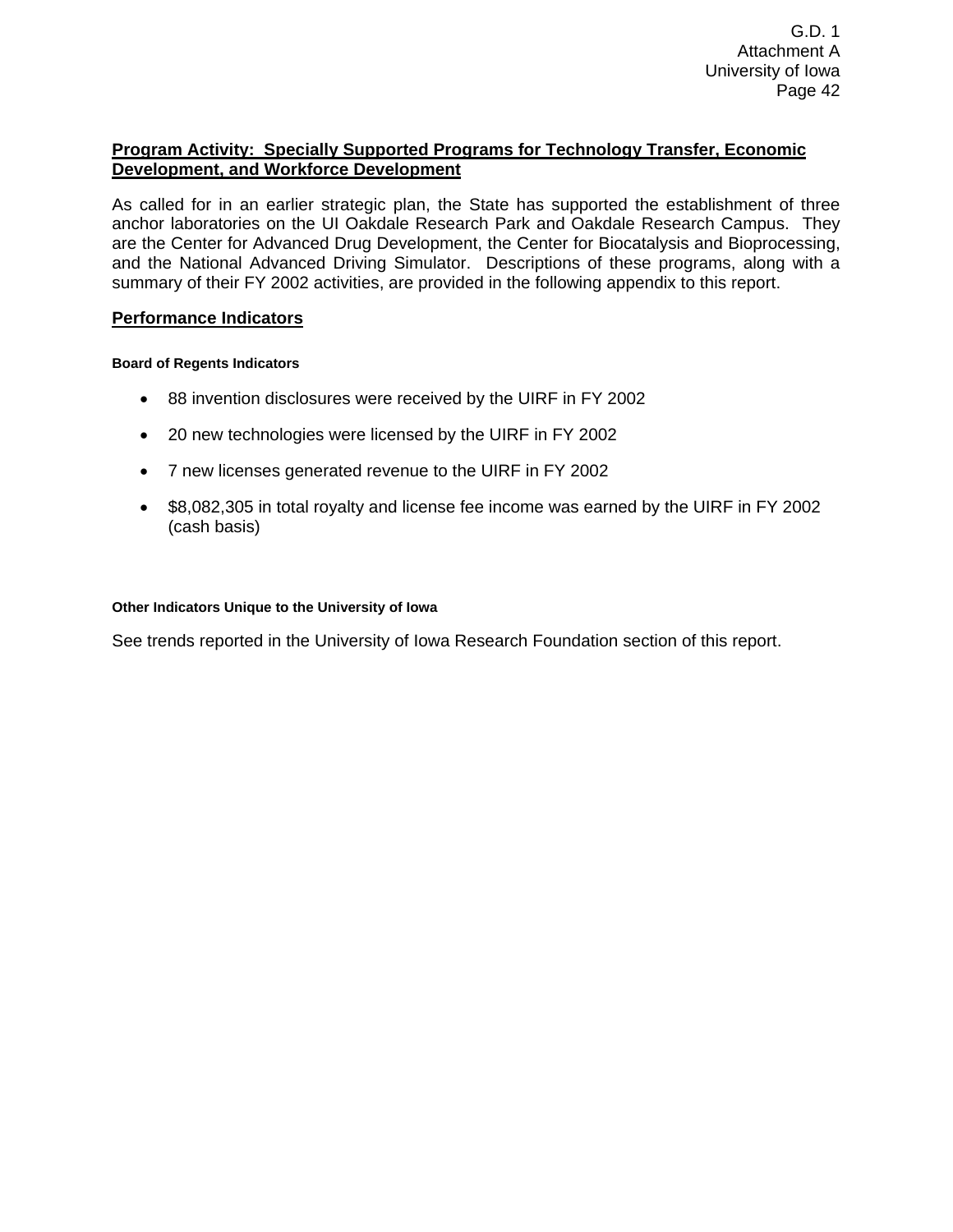## **Program Activity: Specially Supported Programs for Technology Transfer, Economic Development, and Workforce Development**

As called for in an earlier strategic plan, the State has supported the establishment of three anchor laboratories on the UI Oakdale Research Park and Oakdale Research Campus. They are the Center for Advanced Drug Development, the Center for Biocatalysis and Bioprocessing, and the National Advanced Driving Simulator. Descriptions of these programs, along with a summary of their FY 2002 activities, are provided in the following appendix to this report.

## **Performance Indicators**

## **Board of Regents Indicators**

- 88 invention disclosures were received by the UIRF in FY 2002
- 20 new technologies were licensed by the UIRF in FY 2002
- 7 new licenses generated revenue to the UIRF in FY 2002
- \$8,082,305 in total royalty and license fee income was earned by the UIRF in FY 2002 (cash basis)

#### **Other Indicators Unique to the University of Iowa**

See trends reported in the University of Iowa Research Foundation section of this report.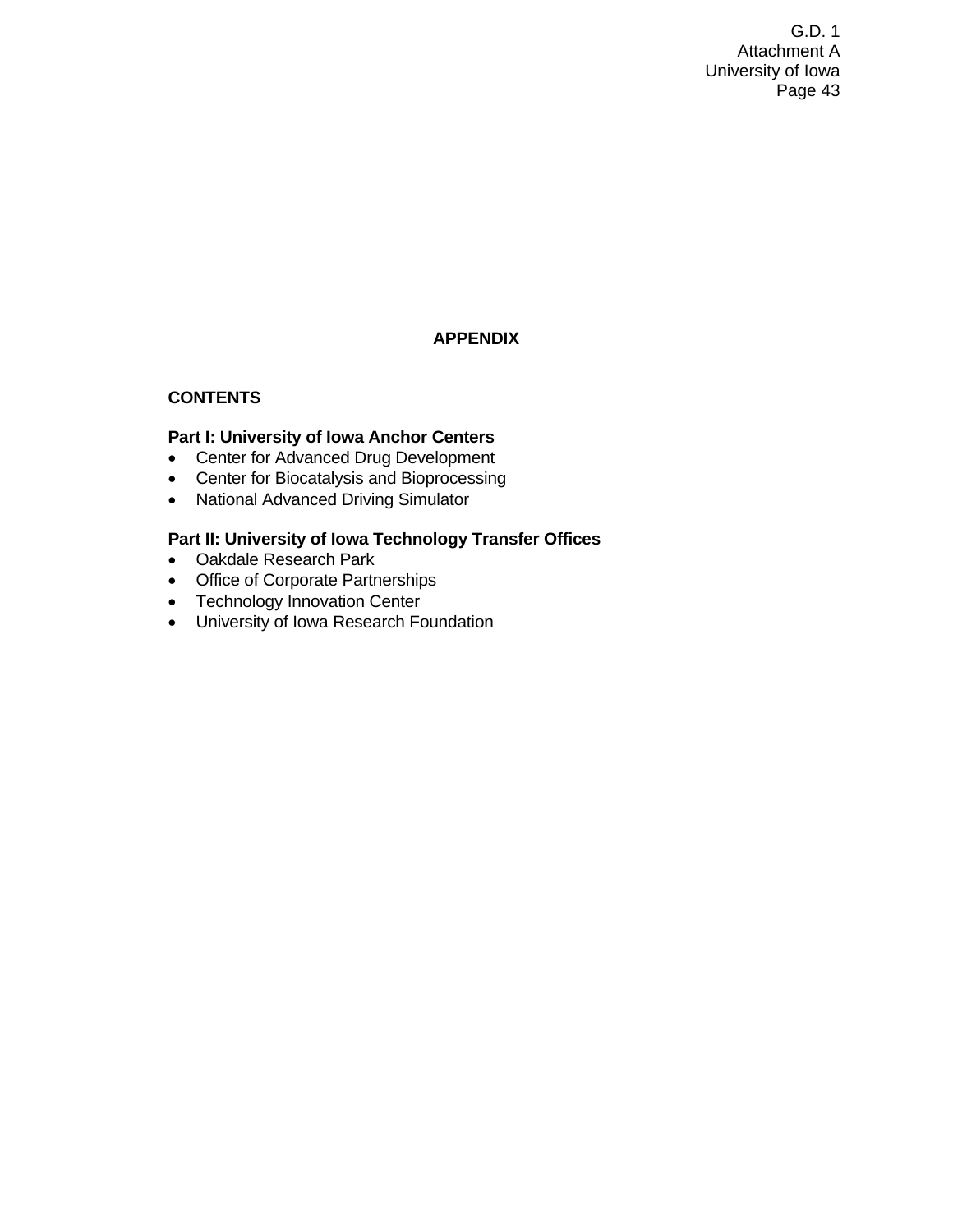# **APPENDIX**

## **CONTENTS**

## **Part I: University of Iowa Anchor Centers**

- Center for Advanced Drug Development
- Center for Biocatalysis and Bioprocessing
- National Advanced Driving Simulator

## **Part II: University of Iowa Technology Transfer Offices**

- Oakdale Research Park
- Office of Corporate Partnerships
- Technology Innovation Center
- University of Iowa Research Foundation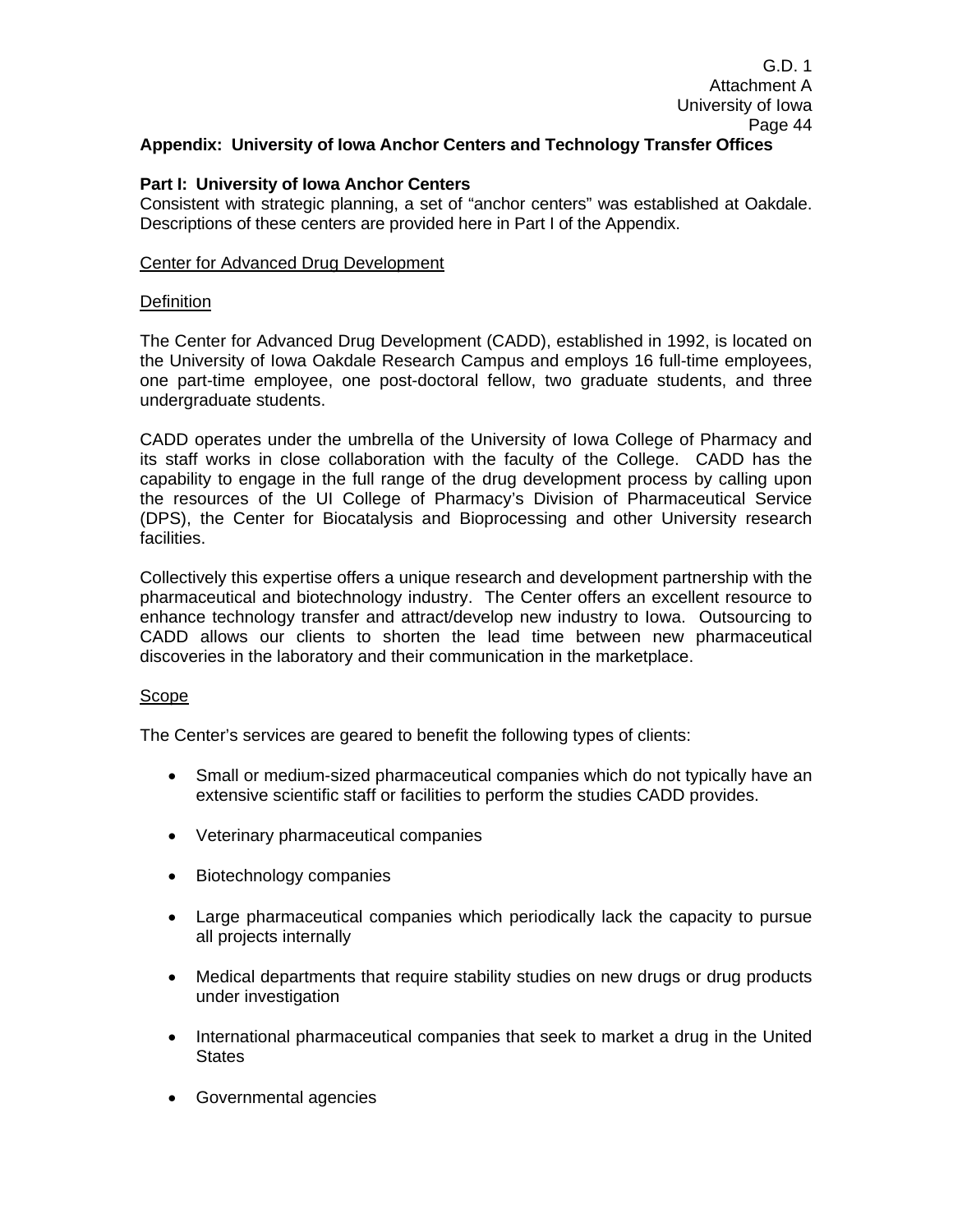## **Part I: University of Iowa Anchor Centers**

Consistent with strategic planning, a set of "anchor centers" was established at Oakdale. Descriptions of these centers are provided here in Part I of the Appendix.

## Center for Advanced Drug Development

## **Definition**

The Center for Advanced Drug Development (CADD), established in 1992, is located on the University of Iowa Oakdale Research Campus and employs 16 full-time employees, one part-time employee, one post-doctoral fellow, two graduate students, and three undergraduate students.

CADD operates under the umbrella of the University of Iowa College of Pharmacy and its staff works in close collaboration with the faculty of the College. CADD has the capability to engage in the full range of the drug development process by calling upon the resources of the UI College of Pharmacy's Division of Pharmaceutical Service (DPS), the Center for Biocatalysis and Bioprocessing and other University research facilities.

Collectively this expertise offers a unique research and development partnership with the pharmaceutical and biotechnology industry. The Center offers an excellent resource to enhance technology transfer and attract/develop new industry to Iowa. Outsourcing to CADD allows our clients to shorten the lead time between new pharmaceutical discoveries in the laboratory and their communication in the marketplace.

## Scope

The Center's services are geared to benefit the following types of clients:

- Small or medium-sized pharmaceutical companies which do not typically have an extensive scientific staff or facilities to perform the studies CADD provides.
- Veterinary pharmaceutical companies
- Biotechnology companies
- Large pharmaceutical companies which periodically lack the capacity to pursue all projects internally
- Medical departments that require stability studies on new drugs or drug products under investigation
- International pharmaceutical companies that seek to market a drug in the United **States**
- Governmental agencies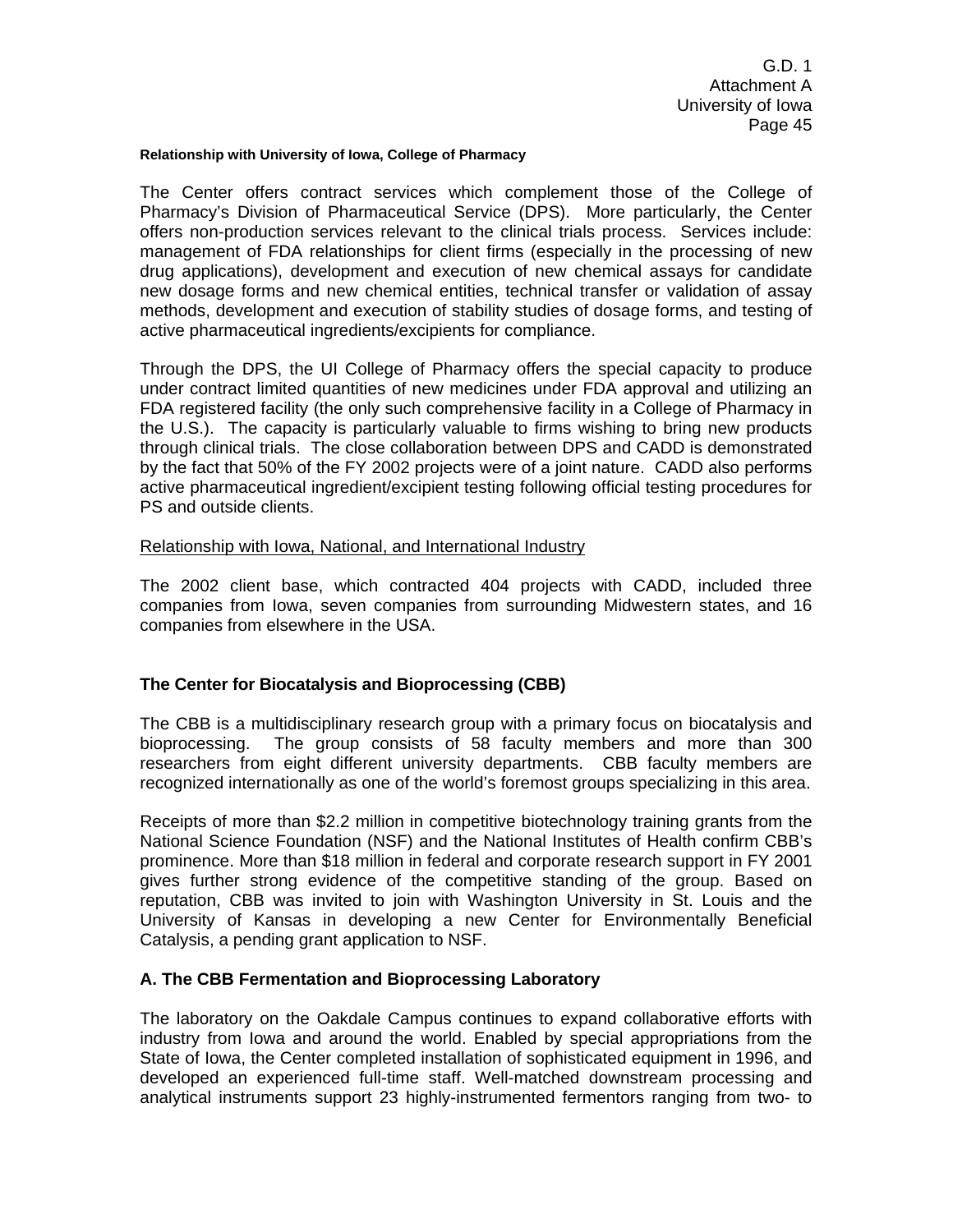#### **Relationship with University of Iowa, College of Pharmacy**

The Center offers contract services which complement those of the College of Pharmacy's Division of Pharmaceutical Service (DPS). More particularly, the Center offers non-production services relevant to the clinical trials process. Services include: management of FDA relationships for client firms (especially in the processing of new drug applications), development and execution of new chemical assays for candidate new dosage forms and new chemical entities, technical transfer or validation of assay methods, development and execution of stability studies of dosage forms, and testing of active pharmaceutical ingredients/excipients for compliance.

Through the DPS, the UI College of Pharmacy offers the special capacity to produce under contract limited quantities of new medicines under FDA approval and utilizing an FDA registered facility (the only such comprehensive facility in a College of Pharmacy in the U.S.). The capacity is particularly valuable to firms wishing to bring new products through clinical trials. The close collaboration between DPS and CADD is demonstrated by the fact that 50% of the FY 2002 projects were of a joint nature. CADD also performs active pharmaceutical ingredient/excipient testing following official testing procedures for PS and outside clients.

#### Relationship with Iowa, National, and International Industry

The 2002 client base, which contracted 404 projects with CADD, included three companies from Iowa, seven companies from surrounding Midwestern states, and 16 companies from elsewhere in the USA.

## **The Center for Biocatalysis and Bioprocessing (CBB)**

The CBB is a multidisciplinary research group with a primary focus on biocatalysis and bioprocessing. The group consists of 58 faculty members and more than 300 researchers from eight different university departments. CBB faculty members are recognized internationally as one of the world's foremost groups specializing in this area.

Receipts of more than \$2.2 million in competitive biotechnology training grants from the National Science Foundation (NSF) and the National Institutes of Health confirm CBB's prominence. More than \$18 million in federal and corporate research support in FY 2001 gives further strong evidence of the competitive standing of the group. Based on reputation, CBB was invited to join with Washington University in St. Louis and the University of Kansas in developing a new Center for Environmentally Beneficial Catalysis, a pending grant application to NSF.

## **A. The CBB Fermentation and Bioprocessing Laboratory**

The laboratory on the Oakdale Campus continues to expand collaborative efforts with industry from Iowa and around the world. Enabled by special appropriations from the State of Iowa, the Center completed installation of sophisticated equipment in 1996, and developed an experienced full-time staff. Well-matched downstream processing and analytical instruments support 23 highly-instrumented fermentors ranging from two- to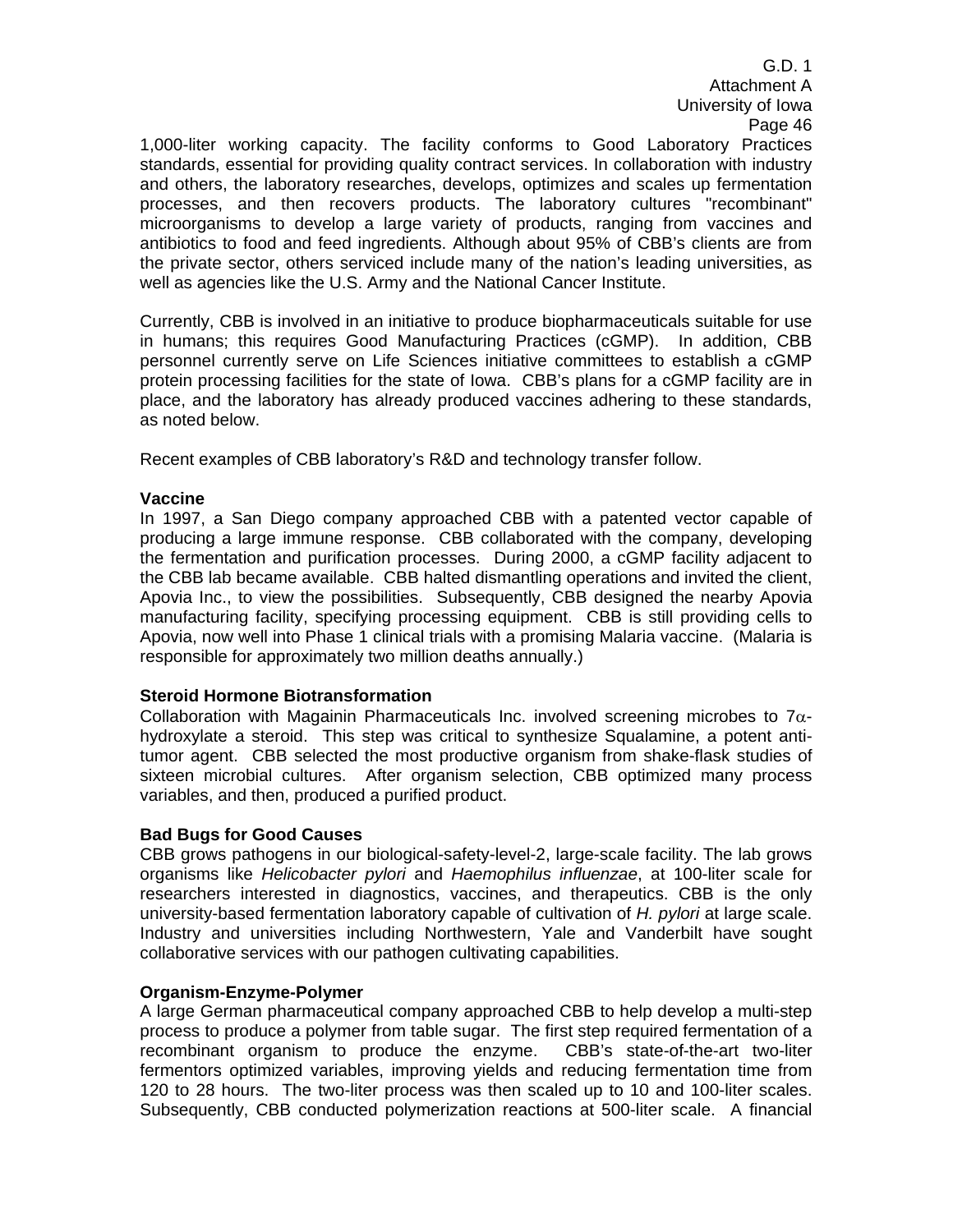1,000-liter working capacity. The facility conforms to Good Laboratory Practices standards, essential for providing quality contract services. In collaboration with industry and others, the laboratory researches, develops, optimizes and scales up fermentation processes, and then recovers products. The laboratory cultures "recombinant" microorganisms to develop a large variety of products, ranging from vaccines and antibiotics to food and feed ingredients. Although about 95% of CBB's clients are from the private sector, others serviced include many of the nation's leading universities, as well as agencies like the U.S. Army and the National Cancer Institute.

Currently, CBB is involved in an initiative to produce biopharmaceuticals suitable for use in humans; this requires Good Manufacturing Practices (cGMP). In addition, CBB personnel currently serve on Life Sciences initiative committees to establish a cGMP protein processing facilities for the state of Iowa. CBB's plans for a cGMP facility are in place, and the laboratory has already produced vaccines adhering to these standards, as noted below.

Recent examples of CBB laboratory's R&D and technology transfer follow.

## **Vaccine**

In 1997, a San Diego company approached CBB with a patented vector capable of producing a large immune response. CBB collaborated with the company, developing the fermentation and purification processes. During 2000, a cGMP facility adjacent to the CBB lab became available. CBB halted dismantling operations and invited the client, Apovia Inc., to view the possibilities. Subsequently, CBB designed the nearby Apovia manufacturing facility, specifying processing equipment. CBB is still providing cells to Apovia, now well into Phase 1 clinical trials with a promising Malaria vaccine. (Malaria is responsible for approximately two million deaths annually.)

## **Steroid Hormone Biotransformation**

Collaboration with Magainin Pharmaceuticals Inc. involved screening microbes to  $7\alpha$ hydroxylate a steroid. This step was critical to synthesize Squalamine, a potent antitumor agent. CBB selected the most productive organism from shake-flask studies of sixteen microbial cultures. After organism selection, CBB optimized many process variables, and then, produced a purified product.

## **Bad Bugs for Good Causes**

CBB grows pathogens in our biological-safety-level-2, large-scale facility. The lab grows organisms like *Helicobacter pylori* and *Haemophilus influenzae*, at 100-liter scale for researchers interested in diagnostics, vaccines, and therapeutics. CBB is the only university-based fermentation laboratory capable of cultivation of *H. pylori* at large scale. Industry and universities including Northwestern, Yale and Vanderbilt have sought collaborative services with our pathogen cultivating capabilities.

## **Organism-Enzyme-Polymer**

A large German pharmaceutical company approached CBB to help develop a multi-step process to produce a polymer from table sugar. The first step required fermentation of a recombinant organism to produce the enzyme. CBB's state-of-the-art two-liter fermentors optimized variables, improving yields and reducing fermentation time from 120 to 28 hours. The two-liter process was then scaled up to 10 and 100-liter scales. Subsequently, CBB conducted polymerization reactions at 500-liter scale. A financial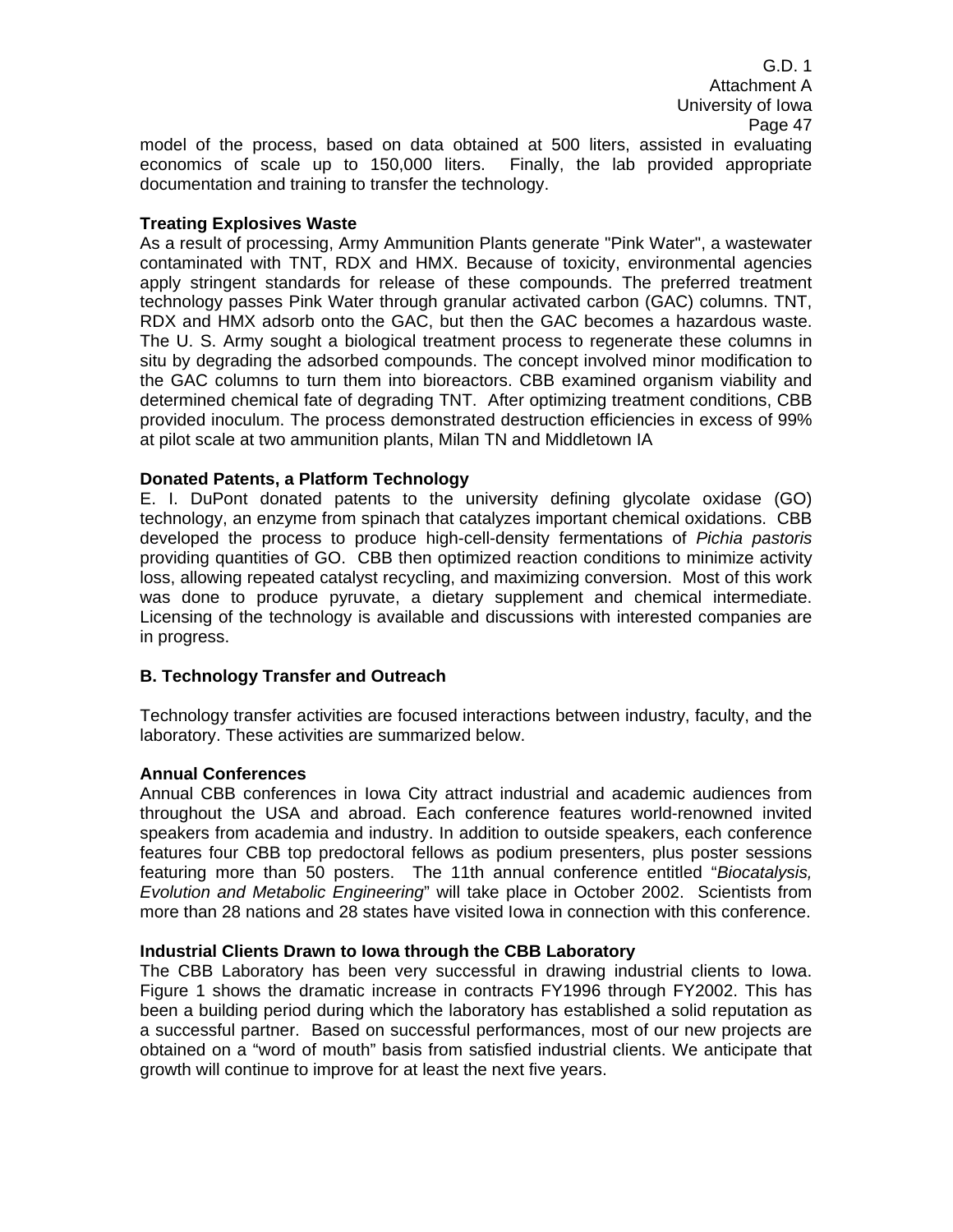model of the process, based on data obtained at 500 liters, assisted in evaluating economics of scale up to 150,000 liters. Finally, the lab provided appropriate documentation and training to transfer the technology.

## **Treating Explosives Waste**

As a result of processing, Army Ammunition Plants generate "Pink Water", a wastewater contaminated with TNT, RDX and HMX. Because of toxicity, environmental agencies apply stringent standards for release of these compounds. The preferred treatment technology passes Pink Water through granular activated carbon (GAC) columns. TNT, RDX and HMX adsorb onto the GAC, but then the GAC becomes a hazardous waste. The U. S. Army sought a biological treatment process to regenerate these columns in situ by degrading the adsorbed compounds. The concept involved minor modification to the GAC columns to turn them into bioreactors. CBB examined organism viability and determined chemical fate of degrading TNT. After optimizing treatment conditions, CBB provided inoculum. The process demonstrated destruction efficiencies in excess of 99% at pilot scale at two ammunition plants, Milan TN and Middletown IA

## **Donated Patents, a Platform Technology**

E. I. DuPont donated patents to the university defining glycolate oxidase (GO) technology, an enzyme from spinach that catalyzes important chemical oxidations. CBB developed the process to produce high-cell-density fermentations of *Pichia pastoris*  providing quantities of GO. CBB then optimized reaction conditions to minimize activity loss, allowing repeated catalyst recycling, and maximizing conversion. Most of this work was done to produce pyruvate, a dietary supplement and chemical intermediate. Licensing of the technology is available and discussions with interested companies are in progress.

## **B. Technology Transfer and Outreach**

Technology transfer activities are focused interactions between industry, faculty, and the laboratory. These activities are summarized below.

## **Annual Conferences**

Annual CBB conferences in Iowa City attract industrial and academic audiences from throughout the USA and abroad. Each conference features world-renowned invited speakers from academia and industry. In addition to outside speakers, each conference features four CBB top predoctoral fellows as podium presenters, plus poster sessions featuring more than 50 posters. The 11th annual conference entitled "*Biocatalysis, Evolution and Metabolic Engineering*" will take place in October 2002. Scientists from more than 28 nations and 28 states have visited Iowa in connection with this conference.

## **Industrial Clients Drawn to Iowa through the CBB Laboratory**

The CBB Laboratory has been very successful in drawing industrial clients to Iowa. Figure 1 shows the dramatic increase in contracts FY1996 through FY2002. This has been a building period during which the laboratory has established a solid reputation as a successful partner. Based on successful performances, most of our new projects are obtained on a "word of mouth" basis from satisfied industrial clients. We anticipate that growth will continue to improve for at least the next five years.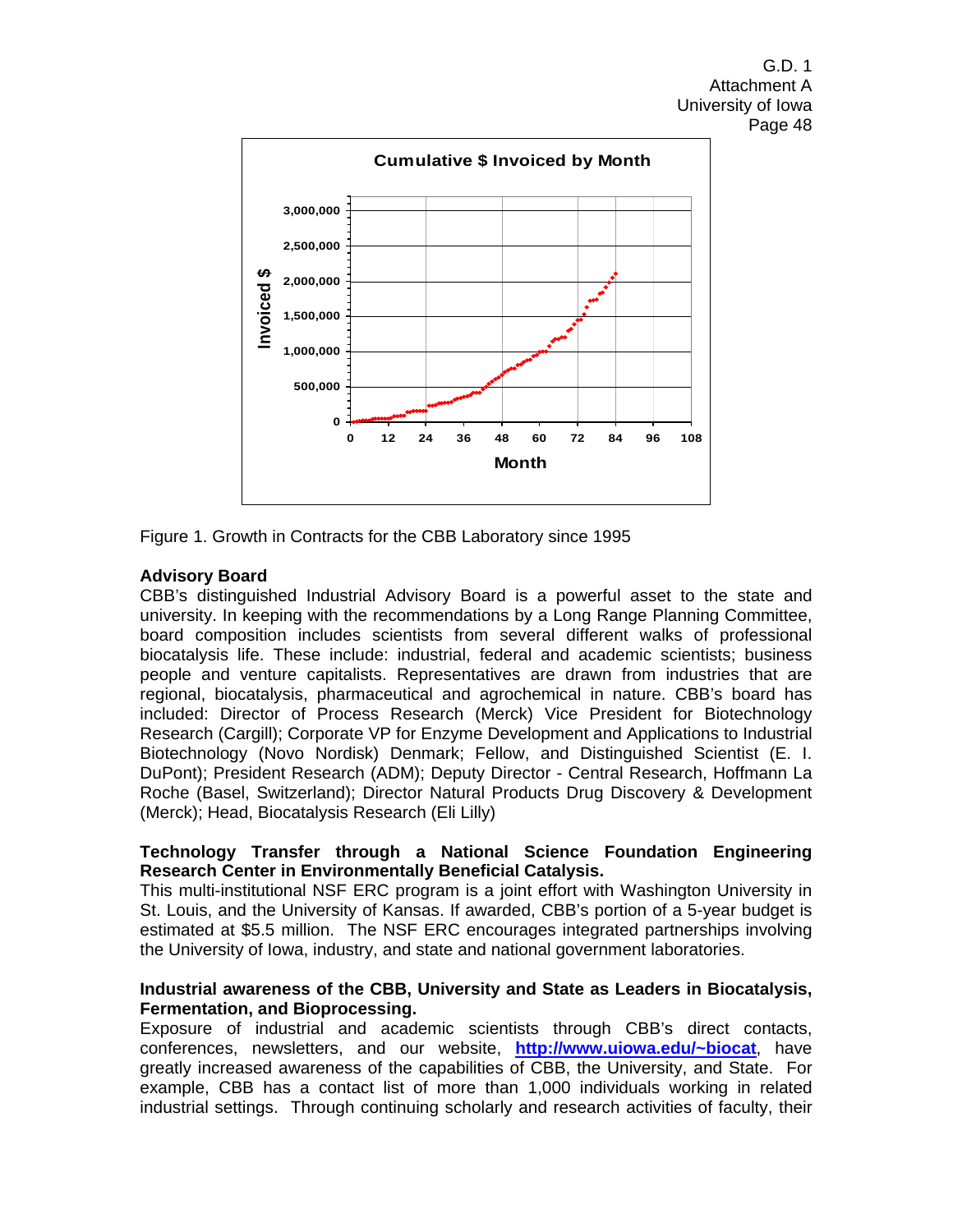

Figure 1. Growth in Contracts for the CBB Laboratory since 1995

## **Advisory Board**

CBB's distinguished Industrial Advisory Board is a powerful asset to the state and university. In keeping with the recommendations by a Long Range Planning Committee, board composition includes scientists from several different walks of professional biocatalysis life. These include: industrial, federal and academic scientists; business people and venture capitalists. Representatives are drawn from industries that are regional, biocatalysis, pharmaceutical and agrochemical in nature. CBB's board has included: Director of Process Research (Merck) Vice President for Biotechnology Research (Cargill); Corporate VP for Enzyme Development and Applications to Industrial Biotechnology (Novo Nordisk) Denmark; Fellow, and Distinguished Scientist (E. I. DuPont); President Research (ADM); Deputy Director - Central Research, Hoffmann La Roche (Basel, Switzerland); Director Natural Products Drug Discovery & Development (Merck); Head, Biocatalysis Research (Eli Lilly)

## **Technology Transfer through a National Science Foundation Engineering Research Center in Environmentally Beneficial Catalysis.**

This multi-institutional NSF ERC program is a joint effort with Washington University in St. Louis, and the University of Kansas. If awarded, CBB's portion of a 5-year budget is estimated at \$5.5 million. The NSF ERC encourages integrated partnerships involving the University of Iowa, industry, and state and national government laboratories.

## **Industrial awareness of the CBB, University and State as Leaders in Biocatalysis, Fermentation, and Bioprocessing.**

Exposure of industrial and academic scientists through CBB's direct contacts, conferences, newsletters, and our website, **http://www.uiowa.edu/~biocat**, have greatly increased awareness of the capabilities of CBB, the University, and State. For example, CBB has a contact list of more than 1,000 individuals working in related industrial settings. Through continuing scholarly and research activities of faculty, their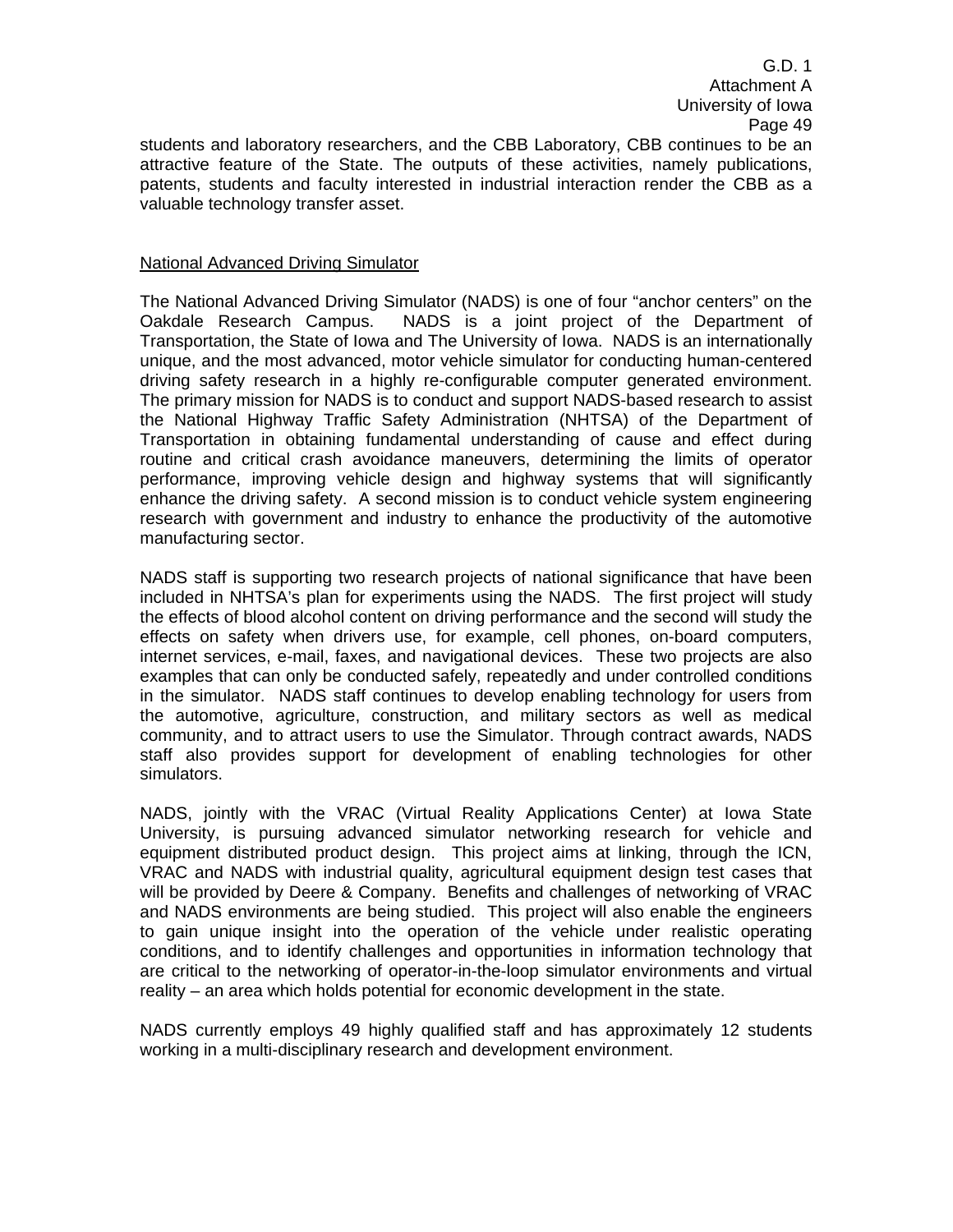students and laboratory researchers, and the CBB Laboratory, CBB continues to be an attractive feature of the State. The outputs of these activities, namely publications, patents, students and faculty interested in industrial interaction render the CBB as a valuable technology transfer asset.

## National Advanced Driving Simulator

The National Advanced Driving Simulator (NADS) is one of four "anchor centers" on the Oakdale Research Campus. NADS is a joint project of the Department of Transportation, the State of Iowa and The University of Iowa. NADS is an internationally unique, and the most advanced, motor vehicle simulator for conducting human-centered driving safety research in a highly re-configurable computer generated environment. The primary mission for NADS is to conduct and support NADS-based research to assist the National Highway Traffic Safety Administration (NHTSA) of the Department of Transportation in obtaining fundamental understanding of cause and effect during routine and critical crash avoidance maneuvers, determining the limits of operator performance, improving vehicle design and highway systems that will significantly enhance the driving safety. A second mission is to conduct vehicle system engineering research with government and industry to enhance the productivity of the automotive manufacturing sector.

NADS staff is supporting two research projects of national significance that have been included in NHTSA's plan for experiments using the NADS. The first project will study the effects of blood alcohol content on driving performance and the second will study the effects on safety when drivers use, for example, cell phones, on-board computers, internet services, e-mail, faxes, and navigational devices. These two projects are also examples that can only be conducted safely, repeatedly and under controlled conditions in the simulator. NADS staff continues to develop enabling technology for users from the automotive, agriculture, construction, and military sectors as well as medical community, and to attract users to use the Simulator. Through contract awards, NADS staff also provides support for development of enabling technologies for other simulators.

NADS, jointly with the VRAC (Virtual Reality Applications Center) at Iowa State University, is pursuing advanced simulator networking research for vehicle and equipment distributed product design. This project aims at linking, through the ICN, VRAC and NADS with industrial quality, agricultural equipment design test cases that will be provided by Deere & Company. Benefits and challenges of networking of VRAC and NADS environments are being studied. This project will also enable the engineers to gain unique insight into the operation of the vehicle under realistic operating conditions, and to identify challenges and opportunities in information technology that are critical to the networking of operator-in-the-loop simulator environments and virtual reality – an area which holds potential for economic development in the state.

NADS currently employs 49 highly qualified staff and has approximately 12 students working in a multi-disciplinary research and development environment.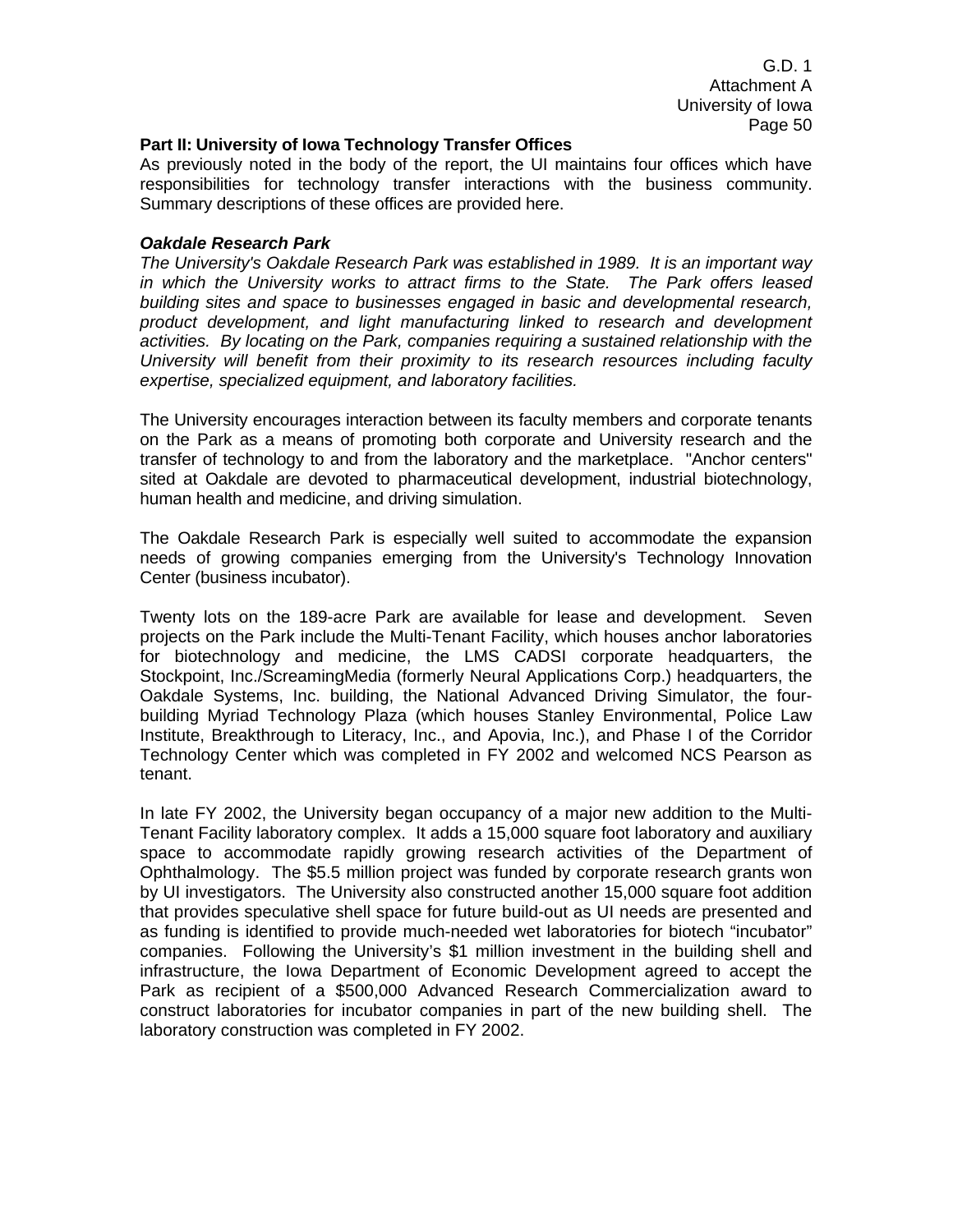#### **Part II: University of Iowa Technology Transfer Offices**

As previously noted in the body of the report, the UI maintains four offices which have responsibilities for technology transfer interactions with the business community. Summary descriptions of these offices are provided here.

### *Oakdale Research Park*

*The University's Oakdale Research Park was established in 1989. It is an important way in which the University works to attract firms to the State. The Park offers leased building sites and space to businesses engaged in basic and developmental research, product development, and light manufacturing linked to research and development activities. By locating on the Park, companies requiring a sustained relationship with the University will benefit from their proximity to its research resources including faculty expertise, specialized equipment, and laboratory facilities.* 

The University encourages interaction between its faculty members and corporate tenants on the Park as a means of promoting both corporate and University research and the transfer of technology to and from the laboratory and the marketplace. "Anchor centers" sited at Oakdale are devoted to pharmaceutical development, industrial biotechnology, human health and medicine, and driving simulation.

The Oakdale Research Park is especially well suited to accommodate the expansion needs of growing companies emerging from the University's Technology Innovation Center (business incubator).

Twenty lots on the 189-acre Park are available for lease and development. Seven projects on the Park include the Multi-Tenant Facility, which houses anchor laboratories for biotechnology and medicine, the LMS CADSI corporate headquarters, the Stockpoint, Inc./ScreamingMedia (formerly Neural Applications Corp.) headquarters, the Oakdale Systems, Inc. building, the National Advanced Driving Simulator, the fourbuilding Myriad Technology Plaza (which houses Stanley Environmental, Police Law Institute, Breakthrough to Literacy, Inc., and Apovia, Inc.), and Phase I of the Corridor Technology Center which was completed in FY 2002 and welcomed NCS Pearson as tenant.

In late FY 2002, the University began occupancy of a major new addition to the Multi-Tenant Facility laboratory complex. It adds a 15,000 square foot laboratory and auxiliary space to accommodate rapidly growing research activities of the Department of Ophthalmology. The \$5.5 million project was funded by corporate research grants won by UI investigators. The University also constructed another 15,000 square foot addition that provides speculative shell space for future build-out as UI needs are presented and as funding is identified to provide much-needed wet laboratories for biotech "incubator" companies. Following the University's \$1 million investment in the building shell and infrastructure, the Iowa Department of Economic Development agreed to accept the Park as recipient of a \$500,000 Advanced Research Commercialization award to construct laboratories for incubator companies in part of the new building shell. The laboratory construction was completed in FY 2002.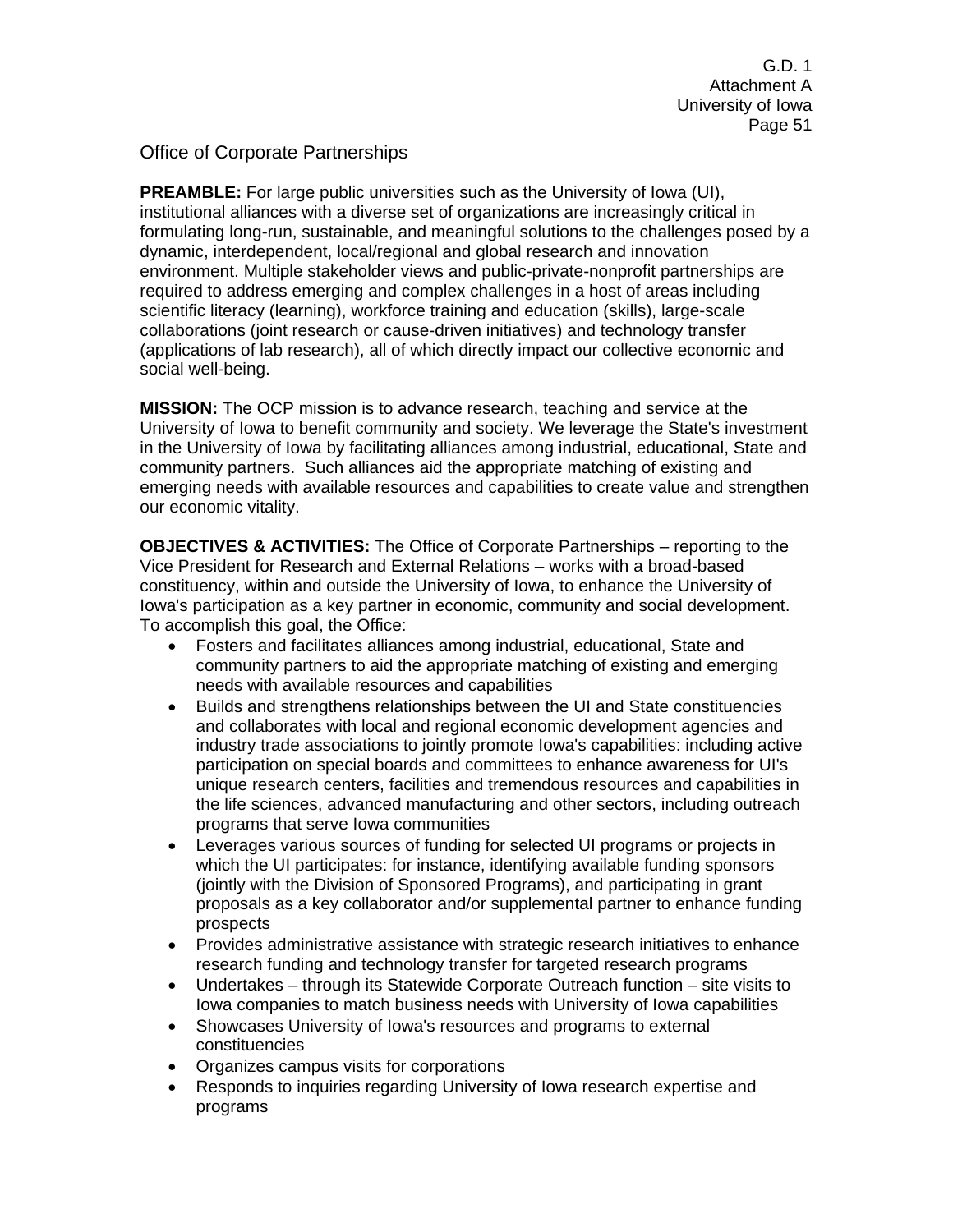Office of Corporate Partnerships

**PREAMBLE:** For large public universities such as the University of Iowa (UI), institutional alliances with a diverse set of organizations are increasingly critical in formulating long-run, sustainable, and meaningful solutions to the challenges posed by a dynamic, interdependent, local/regional and global research and innovation environment. Multiple stakeholder views and public-private-nonprofit partnerships are required to address emerging and complex challenges in a host of areas including scientific literacy (learning), workforce training and education (skills), large-scale collaborations (joint research or cause-driven initiatives) and technology transfer (applications of lab research), all of which directly impact our collective economic and social well-being.

**MISSION:** The OCP mission is to advance research, teaching and service at the University of Iowa to benefit community and society. We leverage the State's investment in the University of Iowa by facilitating alliances among industrial, educational, State and community partners. Such alliances aid the appropriate matching of existing and emerging needs with available resources and capabilities to create value and strengthen our economic vitality.

**OBJECTIVES & ACTIVITIES:** The Office of Corporate Partnerships – reporting to the Vice President for Research and External Relations – works with a broad-based constituency, within and outside the University of Iowa, to enhance the University of Iowa's participation as a key partner in economic, community and social development. To accomplish this goal, the Office:

- Fosters and facilitates alliances among industrial, educational, State and community partners to aid the appropriate matching of existing and emerging needs with available resources and capabilities
- Builds and strengthens relationships between the UI and State constituencies and collaborates with local and regional economic development agencies and industry trade associations to jointly promote Iowa's capabilities: including active participation on special boards and committees to enhance awareness for UI's unique research centers, facilities and tremendous resources and capabilities in the life sciences, advanced manufacturing and other sectors, including outreach programs that serve Iowa communities
- Leverages various sources of funding for selected UI programs or projects in which the UI participates: for instance, identifying available funding sponsors (jointly with the Division of Sponsored Programs), and participating in grant proposals as a key collaborator and/or supplemental partner to enhance funding prospects
- Provides administrative assistance with strategic research initiatives to enhance research funding and technology transfer for targeted research programs
- Undertakes through its Statewide Corporate Outreach function site visits to Iowa companies to match business needs with University of Iowa capabilities
- Showcases University of Iowa's resources and programs to external constituencies
- Organizes campus visits for corporations
- Responds to inquiries regarding University of Iowa research expertise and programs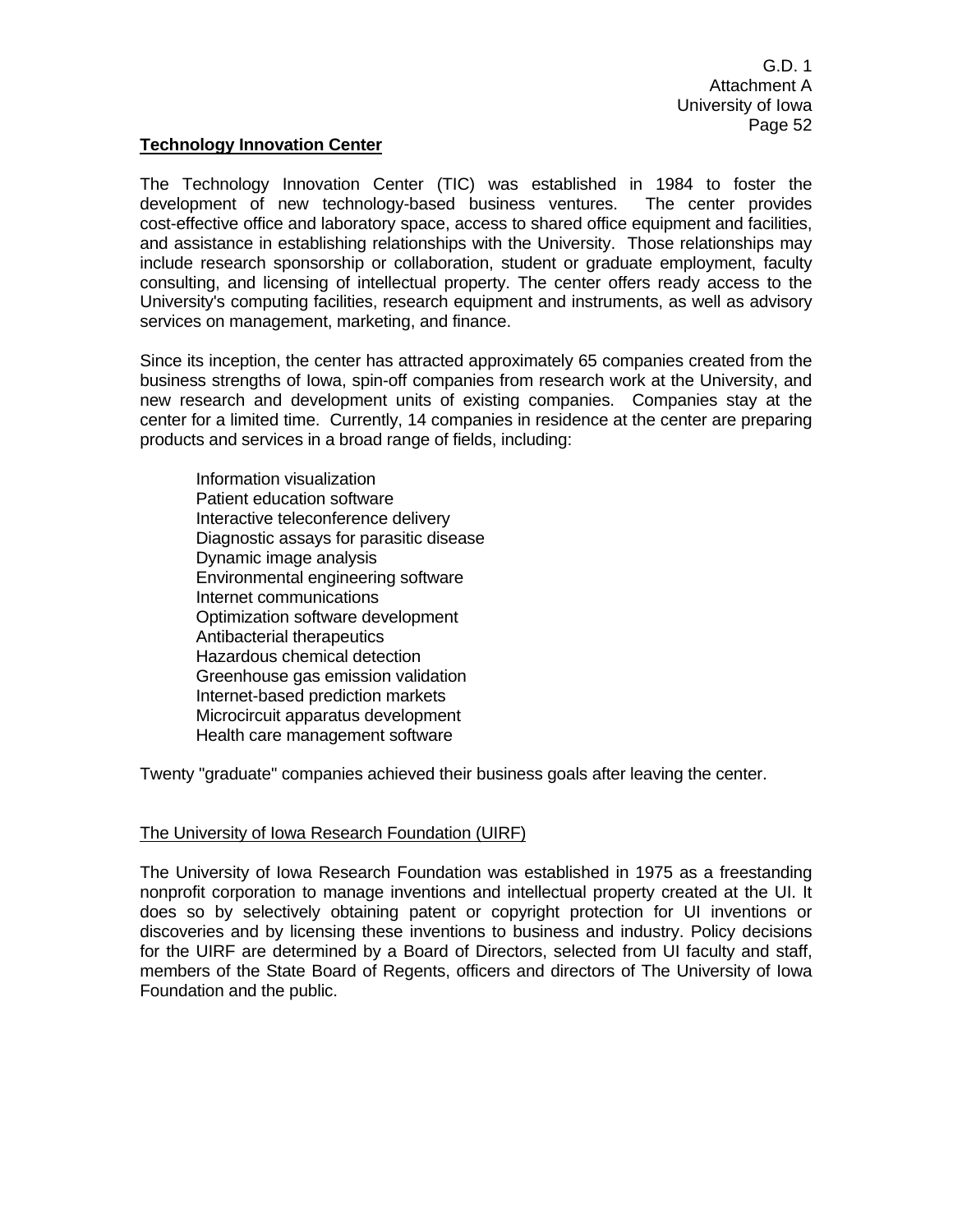## **Technology Innovation Center**

The Technology Innovation Center (TIC) was established in 1984 to foster the development of new technology-based business ventures. The center provides cost-effective office and laboratory space, access to shared office equipment and facilities, and assistance in establishing relationships with the University. Those relationships may include research sponsorship or collaboration, student or graduate employment, faculty consulting, and licensing of intellectual property. The center offers ready access to the University's computing facilities, research equipment and instruments, as well as advisory services on management, marketing, and finance.

Since its inception, the center has attracted approximately 65 companies created from the business strengths of Iowa, spin-off companies from research work at the University, and new research and development units of existing companies. Companies stay at the center for a limited time. Currently, 14 companies in residence at the center are preparing products and services in a broad range of fields, including:

 Information visualization Patient education software Interactive teleconference delivery Diagnostic assays for parasitic disease Dynamic image analysis Environmental engineering software Internet communications Optimization software development Antibacterial therapeutics Hazardous chemical detection Greenhouse gas emission validation Internet-based prediction markets Microcircuit apparatus development Health care management software

Twenty "graduate" companies achieved their business goals after leaving the center.

## The University of Iowa Research Foundation (UIRF)

The University of Iowa Research Foundation was established in 1975 as a freestanding nonprofit corporation to manage inventions and intellectual property created at the UI. It does so by selectively obtaining patent or copyright protection for UI inventions or discoveries and by licensing these inventions to business and industry. Policy decisions for the UIRF are determined by a Board of Directors, selected from UI faculty and staff, members of the State Board of Regents, officers and directors of The University of Iowa Foundation and the public.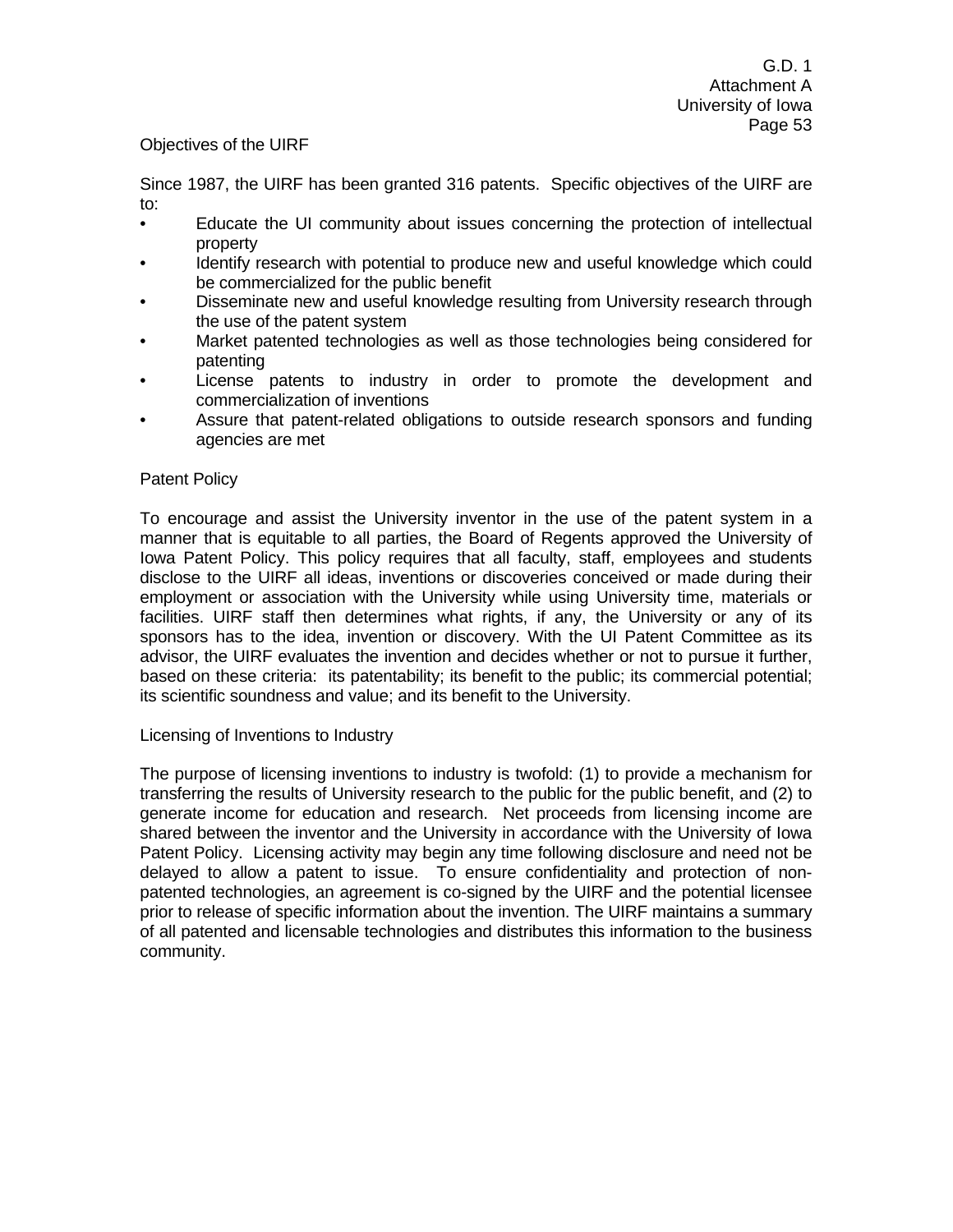## Objectives of the UIRF

Since 1987, the UIRF has been granted 316 patents. Specific objectives of the UIRF are to:

- Educate the UI community about issues concerning the protection of intellectual property
- Identify research with potential to produce new and useful knowledge which could be commercialized for the public benefit
- Disseminate new and useful knowledge resulting from University research through the use of the patent system
- Market patented technologies as well as those technologies being considered for patenting
- License patents to industry in order to promote the development and commercialization of inventions
- Assure that patent-related obligations to outside research sponsors and funding agencies are met

## Patent Policy

To encourage and assist the University inventor in the use of the patent system in a manner that is equitable to all parties, the Board of Regents approved the University of Iowa Patent Policy. This policy requires that all faculty, staff, employees and students disclose to the UIRF all ideas, inventions or discoveries conceived or made during their employment or association with the University while using University time, materials or facilities. UIRF staff then determines what rights, if any, the University or any of its sponsors has to the idea, invention or discovery. With the UI Patent Committee as its advisor, the UIRF evaluates the invention and decides whether or not to pursue it further, based on these criteria: its patentability; its benefit to the public; its commercial potential; its scientific soundness and value; and its benefit to the University.

Licensing of Inventions to Industry

The purpose of licensing inventions to industry is twofold: (1) to provide a mechanism for transferring the results of University research to the public for the public benefit, and (2) to generate income for education and research. Net proceeds from licensing income are shared between the inventor and the University in accordance with the University of Iowa Patent Policy. Licensing activity may begin any time following disclosure and need not be delayed to allow a patent to issue. To ensure confidentiality and protection of nonpatented technologies, an agreement is co-signed by the UIRF and the potential licensee prior to release of specific information about the invention. The UIRF maintains a summary of all patented and licensable technologies and distributes this information to the business community.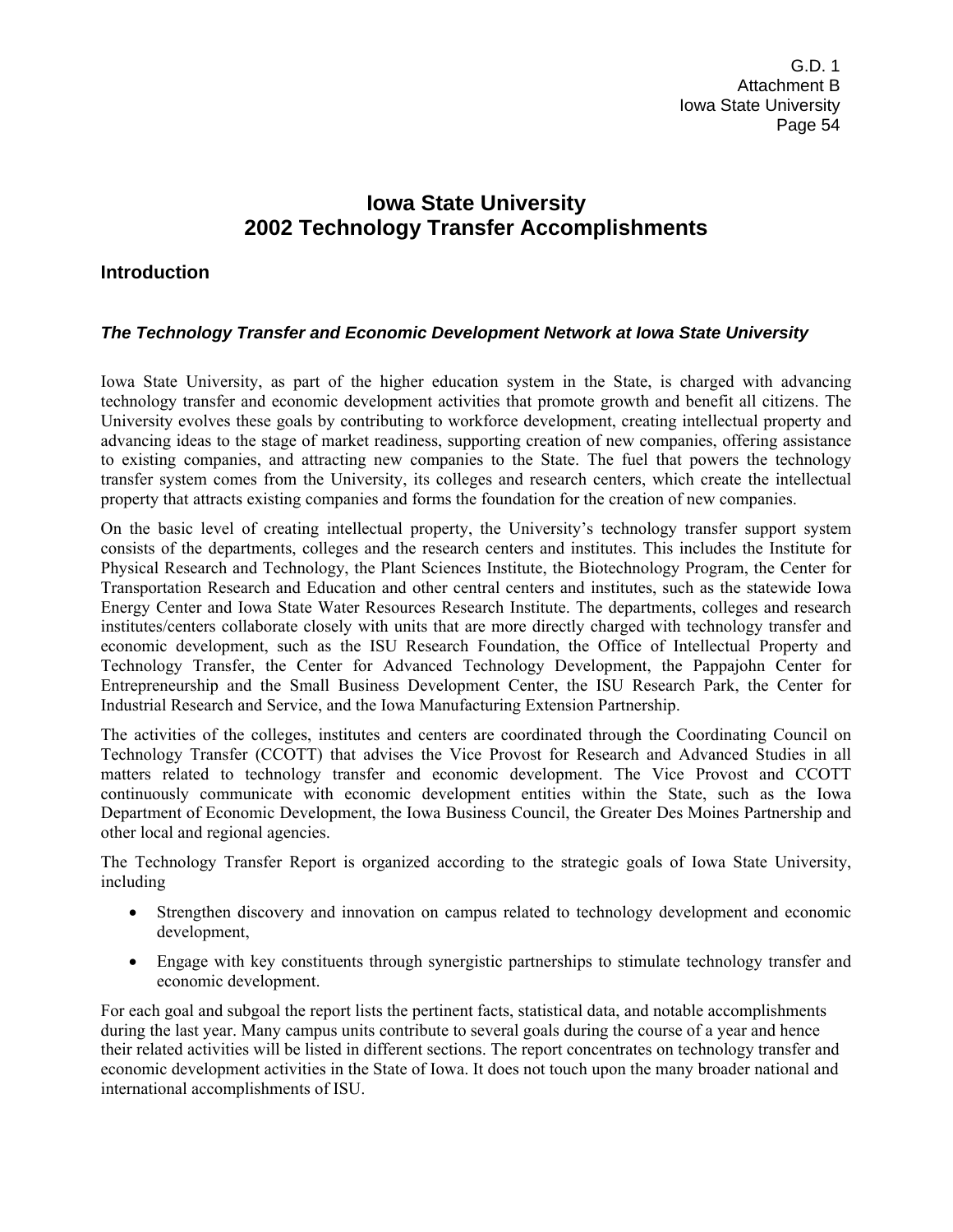# **Iowa State University 2002 Technology Transfer Accomplishments**

# **Introduction**

# *The Technology Transfer and Economic Development Network at Iowa State University*

Iowa State University, as part of the higher education system in the State, is charged with advancing technology transfer and economic development activities that promote growth and benefit all citizens. The University evolves these goals by contributing to workforce development, creating intellectual property and advancing ideas to the stage of market readiness, supporting creation of new companies, offering assistance to existing companies, and attracting new companies to the State. The fuel that powers the technology transfer system comes from the University, its colleges and research centers, which create the intellectual property that attracts existing companies and forms the foundation for the creation of new companies.

On the basic level of creating intellectual property, the University's technology transfer support system consists of the departments, colleges and the research centers and institutes. This includes the Institute for Physical Research and Technology, the Plant Sciences Institute, the Biotechnology Program, the Center for Transportation Research and Education and other central centers and institutes, such as the statewide Iowa Energy Center and Iowa State Water Resources Research Institute. The departments, colleges and research institutes/centers collaborate closely with units that are more directly charged with technology transfer and economic development, such as the ISU Research Foundation, the Office of Intellectual Property and Technology Transfer, the Center for Advanced Technology Development, the Pappajohn Center for Entrepreneurship and the Small Business Development Center, the ISU Research Park, the Center for Industrial Research and Service, and the Iowa Manufacturing Extension Partnership.

The activities of the colleges, institutes and centers are coordinated through the Coordinating Council on Technology Transfer (CCOTT) that advises the Vice Provost for Research and Advanced Studies in all matters related to technology transfer and economic development. The Vice Provost and CCOTT continuously communicate with economic development entities within the State, such as the Iowa Department of Economic Development, the Iowa Business Council, the Greater Des Moines Partnership and other local and regional agencies.

The Technology Transfer Report is organized according to the strategic goals of Iowa State University, including

- Strengthen discovery and innovation on campus related to technology development and economic development,
- Engage with key constituents through synergistic partnerships to stimulate technology transfer and economic development.

For each goal and subgoal the report lists the pertinent facts, statistical data, and notable accomplishments during the last year. Many campus units contribute to several goals during the course of a year and hence their related activities will be listed in different sections. The report concentrates on technology transfer and economic development activities in the State of Iowa. It does not touch upon the many broader national and international accomplishments of ISU.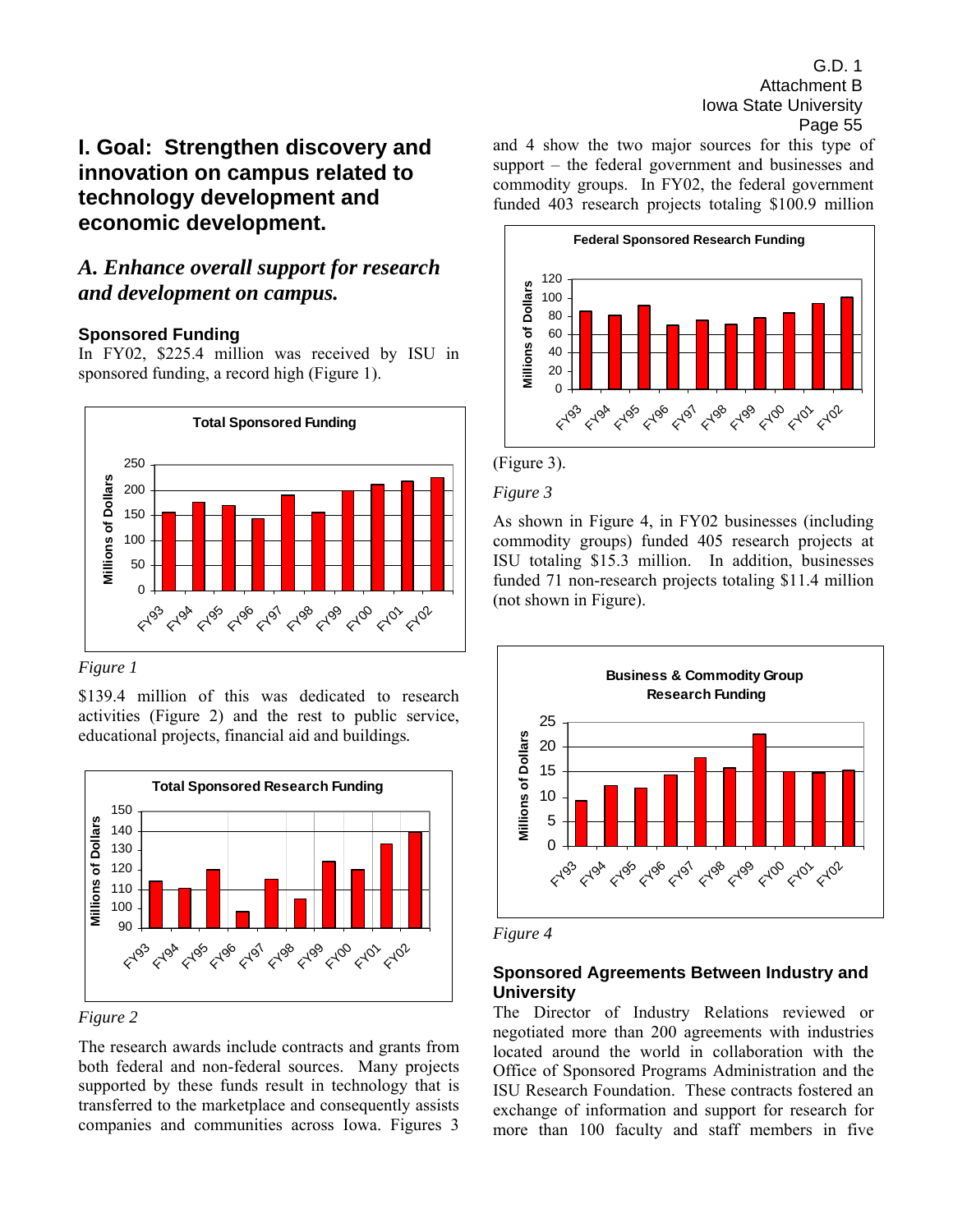# **I. Goal: Strengthen discovery and innovation on campus related to technology development and economic development.**

# *A. Enhance overall support for research and development on campus.*

## **Sponsored Funding**

In FY02, \$225.4 million was received by ISU in sponsored funding, a record high (Figure 1).



*Figure 1* 

\$139.4 million of this was dedicated to research activities (Figure 2) and the rest to public service, educational projects, financial aid and buildings*.* 



*Figure 2*

The research awards include contracts and grants from both federal and non-federal sources. Many projects supported by these funds result in technology that is transferred to the marketplace and consequently assists companies and communities across Iowa. Figures 3 and 4 show the two major sources for this type of support  $-$  the federal government and businesses and commodity groups. In FY02, the federal government funded 403 research projects totaling \$100.9 million





*Figure 3* 

As shown in Figure 4, in FY02 businesses (including commodity groups) funded 405 research projects at ISU totaling \$15.3 million. In addition, businesses funded 71 non-research projects totaling \$11.4 million (not shown in Figure).



*Figure 4* 

## **Sponsored Agreements Between Industry and University**

The Director of Industry Relations reviewed or negotiated more than 200 agreements with industries located around the world in collaboration with the Office of Sponsored Programs Administration and the ISU Research Foundation. These contracts fostered an exchange of information and support for research for more than 100 faculty and staff members in five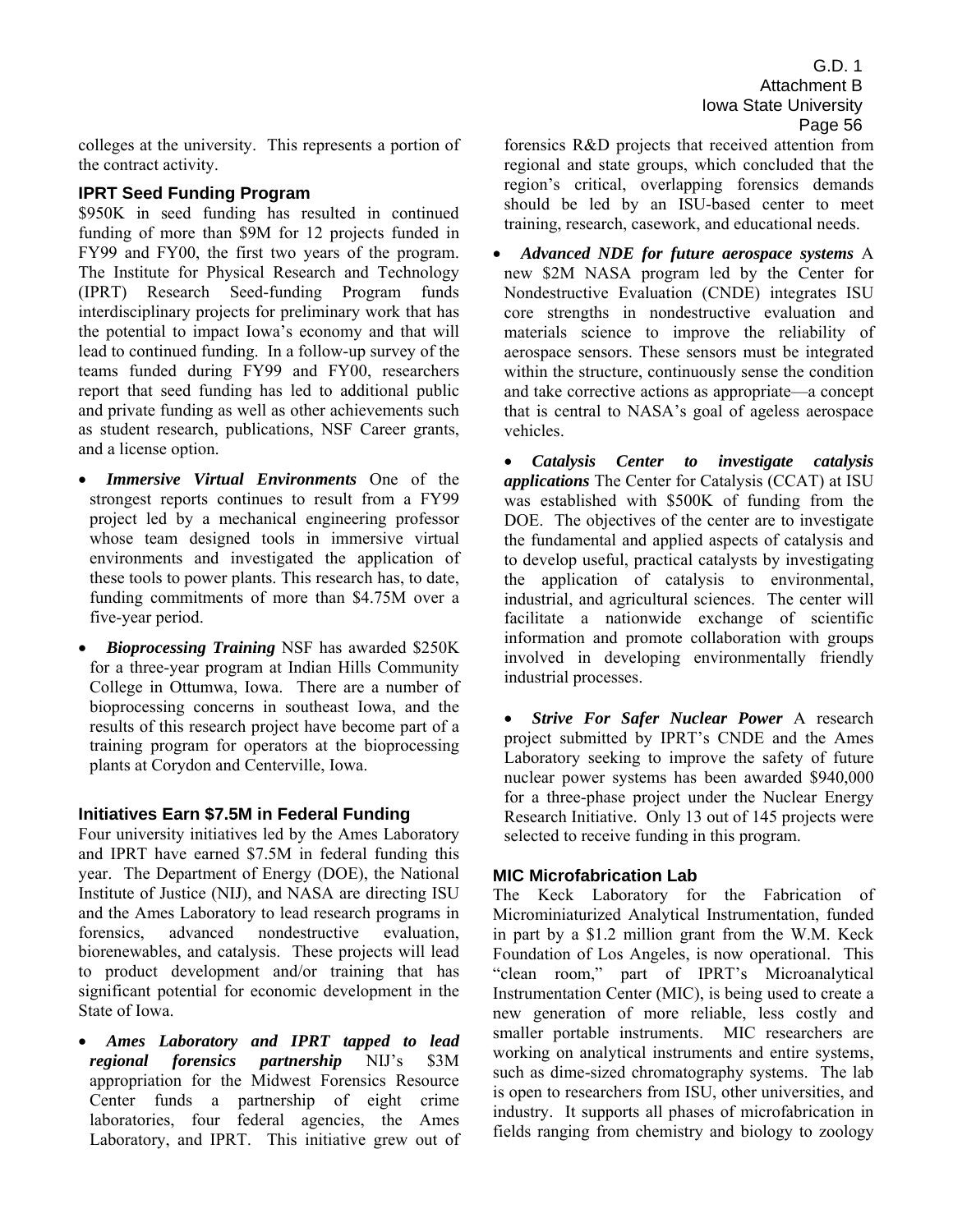colleges at the university. This represents a portion of the contract activity.

## **IPRT Seed Funding Program**

\$950K in seed funding has resulted in continued funding of more than \$9M for 12 projects funded in FY99 and FY00, the first two years of the program. The Institute for Physical Research and Technology (IPRT) Research Seed-funding Program funds interdisciplinary projects for preliminary work that has the potential to impact Iowa's economy and that will lead to continued funding. In a follow-up survey of the teams funded during FY99 and FY00, researchers report that seed funding has led to additional public and private funding as well as other achievements such as student research, publications, NSF Career grants, and a license option.

- *Immersive Virtual Environments* One of the strongest reports continues to result from a FY99 project led by a mechanical engineering professor whose team designed tools in immersive virtual environments and investigated the application of these tools to power plants. This research has, to date, funding commitments of more than \$4.75M over a five-year period.
- *Bioprocessing Training* NSF has awarded \$250K for a three-year program at Indian Hills Community College in Ottumwa, Iowa. There are a number of bioprocessing concerns in southeast Iowa, and the results of this research project have become part of a training program for operators at the bioprocessing plants at Corydon and Centerville, Iowa.

## **Initiatives Earn \$7.5M in Federal Funding**

Four university initiatives led by the Ames Laboratory and IPRT have earned \$7.5M in federal funding this year. The Department of Energy (DOE), the National Institute of Justice (NIJ), and NASA are directing ISU and the Ames Laboratory to lead research programs in forensics, advanced nondestructive evaluation, biorenewables, and catalysis. These projects will lead to product development and/or training that has significant potential for economic development in the State of Iowa.

• *Ames Laboratory and IPRT tapped to lead*  regional forensics partnership NIJ's \$3M appropriation for the Midwest Forensics Resource Center funds a partnership of eight crime laboratories, four federal agencies, the Ames Laboratory, and IPRT. This initiative grew out of

forensics R&D projects that received attention from regional and state groups, which concluded that the region's critical, overlapping forensics demands should be led by an ISU-based center to meet training, research, casework, and educational needs.

• *Advanced NDE for future aerospace systems* A new \$2M NASA program led by the Center for Nondestructive Evaluation (CNDE) integrates ISU core strengths in nondestructive evaluation and materials science to improve the reliability of aerospace sensors. These sensors must be integrated within the structure, continuously sense the condition and take corrective actions as appropriate—a concept that is central to NASA's goal of ageless aerospace vehicles.

• *Catalysis Center to investigate catalysis applications* The Center for Catalysis (CCAT) at ISU was established with \$500K of funding from the DOE. The objectives of the center are to investigate the fundamental and applied aspects of catalysis and to develop useful, practical catalysts by investigating the application of catalysis to environmental, industrial, and agricultural sciences. The center will facilitate a nationwide exchange of scientific information and promote collaboration with groups involved in developing environmentally friendly industrial processes.

• *Strive For Safer Nuclear Power* A research project submitted by IPRT's CNDE and the Ames Laboratory seeking to improve the safety of future nuclear power systems has been awarded \$940,000 for a three-phase project under the Nuclear Energy Research Initiative. Only 13 out of 145 projects were selected to receive funding in this program.

## **MIC Microfabrication Lab**

The Keck Laboratory for the Fabrication of Microminiaturized Analytical Instrumentation, funded in part by a \$1.2 million grant from the W.M. Keck Foundation of Los Angeles, is now operational. This "clean room," part of IPRT's Microanalytical Instrumentation Center (MIC), is being used to create a new generation of more reliable, less costly and smaller portable instruments. MIC researchers are working on analytical instruments and entire systems, such as dime-sized chromatography systems. The lab is open to researchers from ISU, other universities, and industry. It supports all phases of microfabrication in fields ranging from chemistry and biology to zoology

G.D. 1 Attachment B Iowa State University Page 56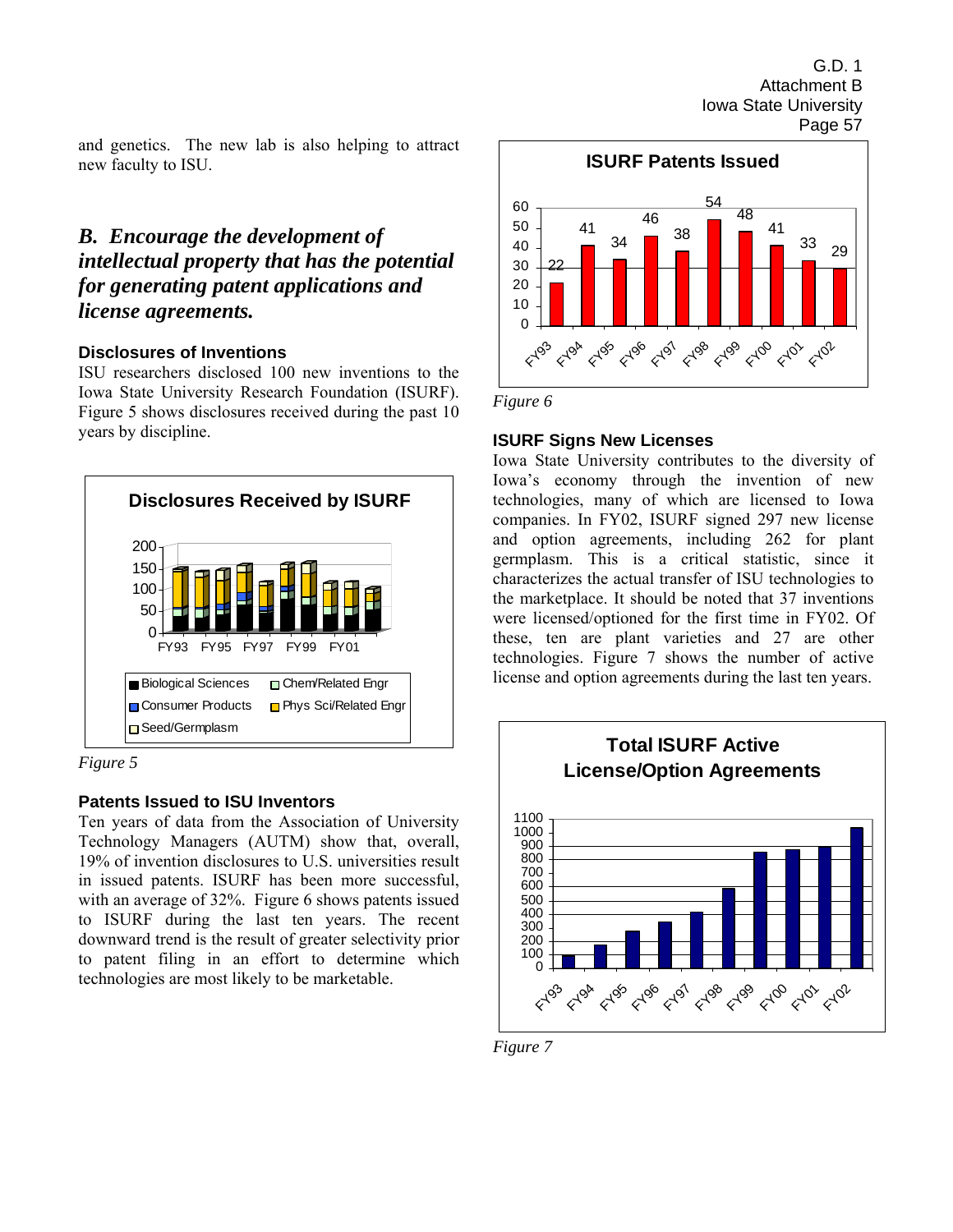and genetics. The new lab is also helping to attract new faculty to ISU.

# *B. Encourage the development of intellectual property that has the potential for generating patent applications and license agreements.*

## **Disclosures of Inventions**

ISU researchers disclosed 100 new inventions to the Iowa State University Research Foundation (ISURF). Figure 5 shows disclosures received during the past 10 years by discipline.





## **Patents Issued to ISU Inventors**

Ten years of data from the Association of University Technology Managers (AUTM) show that, overall, 19% of invention disclosures to U.S. universities result in issued patents. ISURF has been more successful, with an average of 32%. Figure 6 shows patents issued to ISURF during the last ten years. The recent downward trend is the result of greater selectivity prior to patent filing in an effort to determine which technologies are most likely to be marketable.



*Figure 6* 

## **ISURF Signs New Licenses**

Iowa State University contributes to the diversity of Iowa's economy through the invention of new technologies, many of which are licensed to Iowa companies. In FY02, ISURF signed 297 new license and option agreements, including 262 for plant germplasm. This is a critical statistic, since it characterizes the actual transfer of ISU technologies to the marketplace. It should be noted that 37 inventions were licensed/optioned for the first time in FY02. Of these, ten are plant varieties and 27 are other technologies. Figure 7 shows the number of active license and option agreements during the last ten years.



*Figure 7*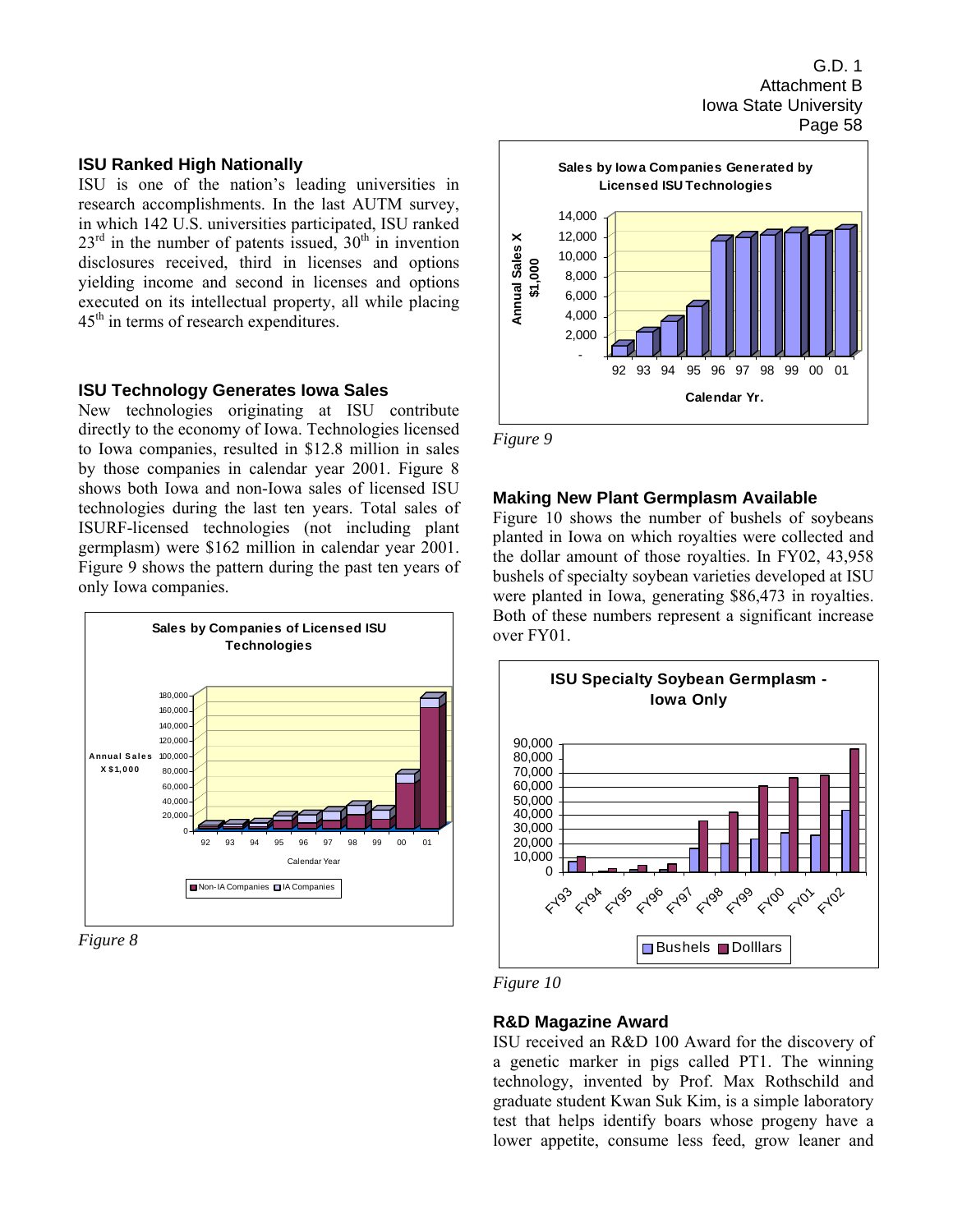#### **ISU Ranked High Nationally**

ISU is one of the nation's leading universities in research accomplishments. In the last AUTM survey, in which 142 U.S. universities participated, ISU ranked  $23<sup>rd</sup>$  in the number of patents issued,  $30<sup>th</sup>$  in invention disclosures received, third in licenses and options yielding income and second in licenses and options executed on its intellectual property, all while placing  $45<sup>th</sup>$  in terms of research expenditures.

#### **ISU Technology Generates Iowa Sales**

New technologies originating at ISU contribute directly to the economy of Iowa. Technologies licensed to Iowa companies, resulted in \$12.8 million in sales by those companies in calendar year 2001. Figure 8 shows both Iowa and non-Iowa sales of licensed ISU technologies during the last ten years. Total sales of ISURF-licensed technologies (not including plant germplasm) were \$162 million in calendar year 2001. Figure 9 shows the pattern during the past ten years of only Iowa companies.



*Figure 8* 



*Figure 9* 

#### **Making New Plant Germplasm Available**

Figure 10 shows the number of bushels of soybeans planted in Iowa on which royalties were collected and the dollar amount of those royalties. In FY02, 43,958 bushels of specialty soybean varieties developed at ISU were planted in Iowa, generating \$86,473 in royalties. Both of these numbers represent a significant increase over FY01.



*Figure 10* 

#### **R&D Magazine Award**

ISU received an R&D 100 Award for the discovery of a genetic marker in pigs called PT1. The winning technology, invented by Prof. Max Rothschild and graduate student Kwan Suk Kim, is a simple laboratory test that helps identify boars whose progeny have a lower appetite, consume less feed, grow leaner and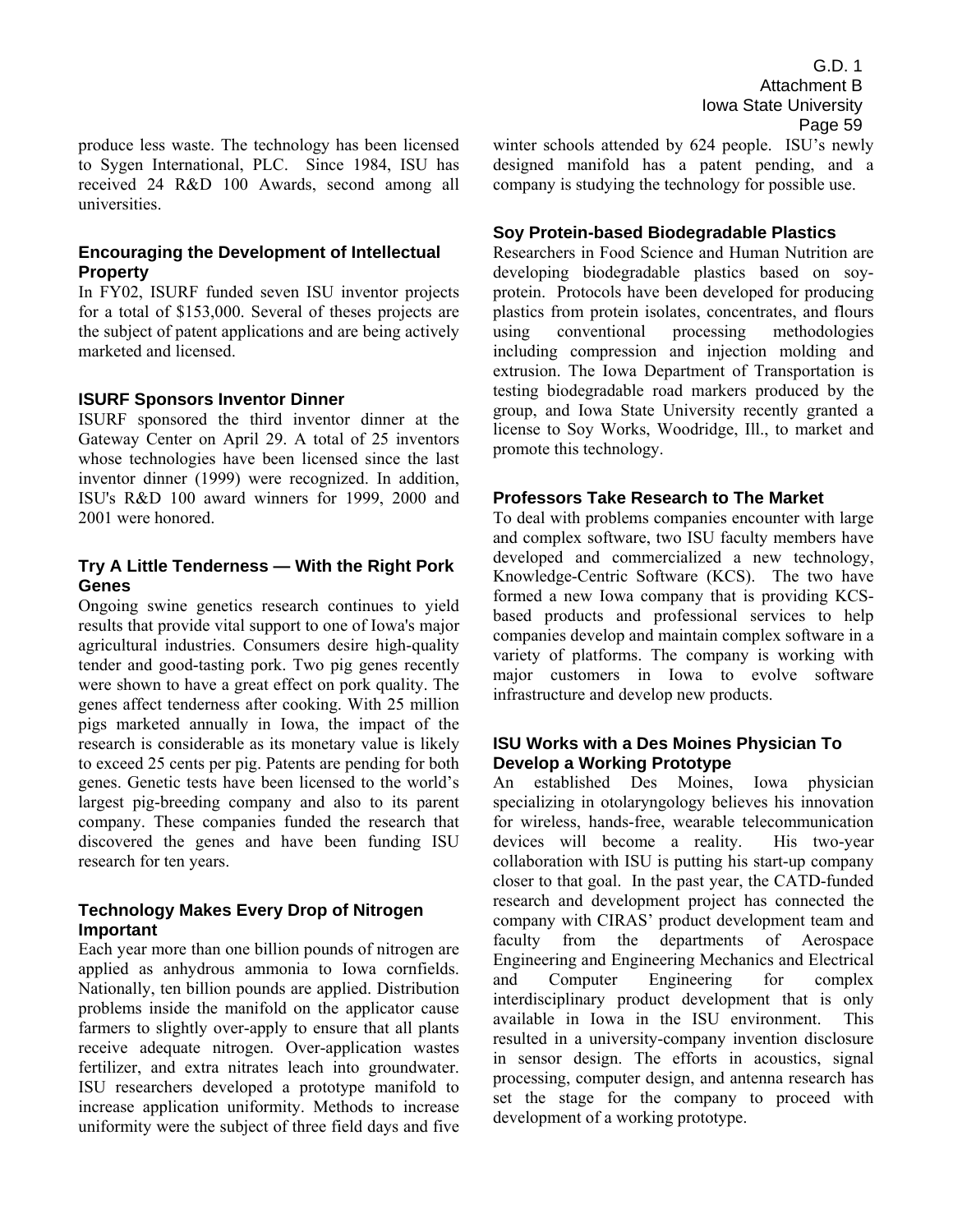produce less waste. The technology has been licensed to Sygen International, PLC. Since 1984, ISU has received 24 R&D 100 Awards, second among all universities.

## **Encouraging the Development of Intellectual Property**

In FY02, ISURF funded seven ISU inventor projects for a total of \$153,000. Several of theses projects are the subject of patent applications and are being actively marketed and licensed.

#### **ISURF Sponsors Inventor Dinner**

ISURF sponsored the third inventor dinner at the Gateway Center on April 29. A total of 25 inventors whose technologies have been licensed since the last inventor dinner (1999) were recognized. In addition, ISU's R&D 100 award winners for 1999, 2000 and 2001 were honored.

## **Try A Little Tenderness — With the Right Pork Genes**

Ongoing swine genetics research continues to yield results that provide vital support to one of Iowa's major agricultural industries. Consumers desire high-quality tender and good-tasting pork. Two pig genes recently were shown to have a great effect on pork quality. The genes affect tenderness after cooking. With 25 million pigs marketed annually in Iowa, the impact of the research is considerable as its monetary value is likely to exceed 25 cents per pig. Patents are pending for both genes. Genetic tests have been licensed to the world's largest pig-breeding company and also to its parent company. These companies funded the research that discovered the genes and have been funding ISU research for ten years.

## **Technology Makes Every Drop of Nitrogen Important**

Each year more than one billion pounds of nitrogen are applied as anhydrous ammonia to Iowa cornfields. Nationally, ten billion pounds are applied. Distribution problems inside the manifold on the applicator cause farmers to slightly over-apply to ensure that all plants receive adequate nitrogen. Over-application wastes fertilizer, and extra nitrates leach into groundwater. ISU researchers developed a prototype manifold to increase application uniformity. Methods to increase uniformity were the subject of three field days and five winter schools attended by 624 people. ISU's newly designed manifold has a patent pending, and a company is studying the technology for possible use.

#### **Soy Protein-based Biodegradable Plastics**

Researchers in Food Science and Human Nutrition are developing biodegradable plastics based on soyprotein. Protocols have been developed for producing plastics from protein isolates, concentrates, and flours using conventional processing methodologies including compression and injection molding and extrusion. The Iowa Department of Transportation is testing biodegradable road markers produced by the group, and Iowa State University recently granted a license to Soy Works, Woodridge, Ill., to market and promote this technology.

#### **Professors Take Research to The Market**

To deal with problems companies encounter with large and complex software, two ISU faculty members have developed and commercialized a new technology, Knowledge-Centric Software (KCS). The two have formed a new Iowa company that is providing KCSbased products and professional services to help companies develop and maintain complex software in a variety of platforms. The company is working with major customers in Iowa to evolve software infrastructure and develop new products.

## **ISU Works with a Des Moines Physician To Develop a Working Prototype**

An established Des Moines, Iowa physician specializing in otolaryngology believes his innovation for wireless, hands-free, wearable telecommunication devices will become a reality. His two-year collaboration with ISU is putting his start-up company closer to that goal. In the past year, the CATD-funded research and development project has connected the company with CIRAS' product development team and faculty from the departments of Aerospace Engineering and Engineering Mechanics and Electrical and Computer Engineering for complex interdisciplinary product development that is only available in Iowa in the ISU environment. This resulted in a university-company invention disclosure in sensor design. The efforts in acoustics, signal processing, computer design, and antenna research has set the stage for the company to proceed with development of a working prototype.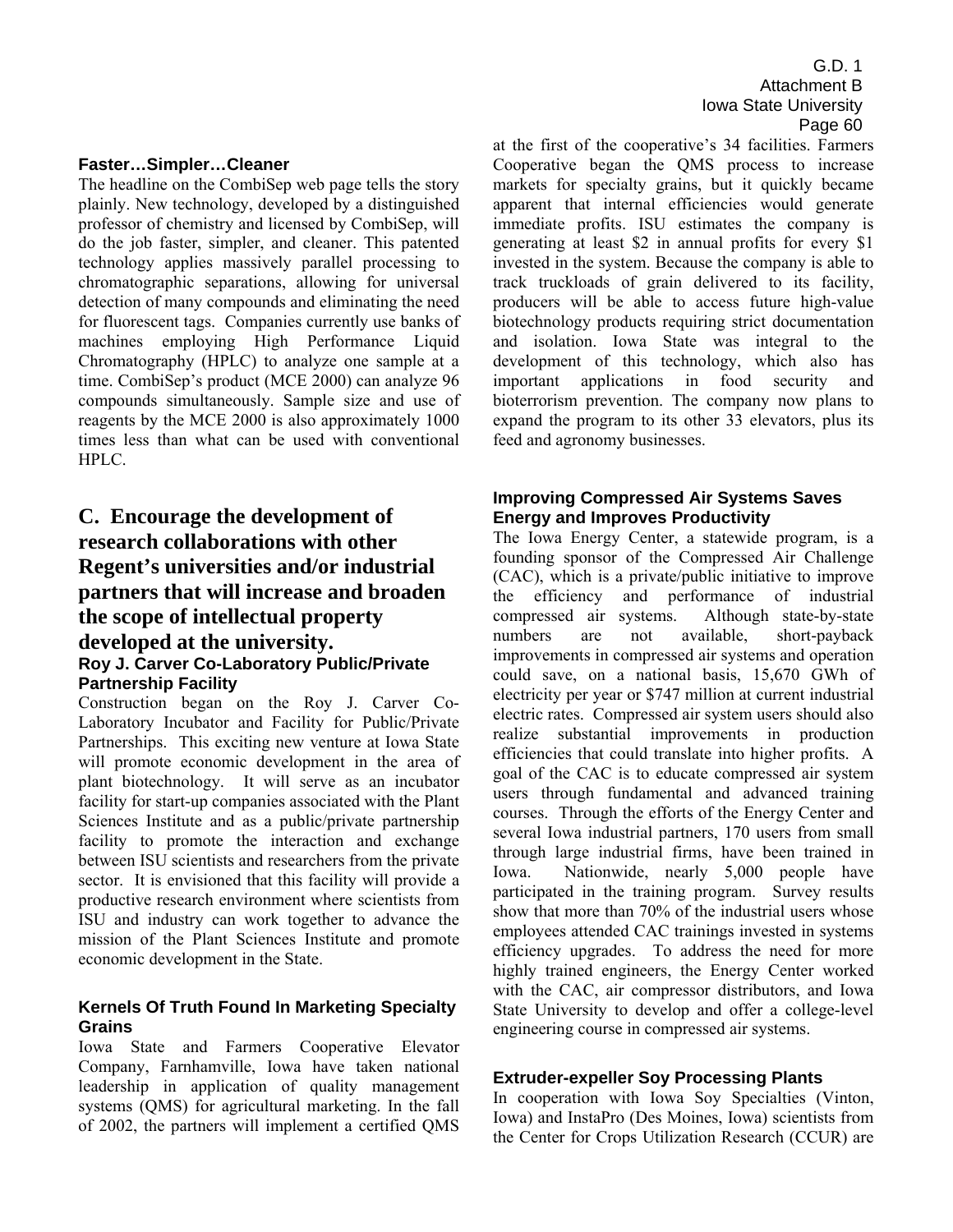### **Faster…Simpler…Cleaner**

The headline on the CombiSep web page tells the story plainly. New technology, developed by a distinguished professor of chemistry and licensed by CombiSep, will do the job faster, simpler, and cleaner. This patented technology applies massively parallel processing to chromatographic separations, allowing for universal detection of many compounds and eliminating the need for fluorescent tags. Companies currently use banks of machines employing High Performance Liquid Chromatography (HPLC) to analyze one sample at a time. CombiSep's product (MCE 2000) can analyze 96 compounds simultaneously. Sample size and use of reagents by the MCE 2000 is also approximately 1000 times less than what can be used with conventional HPLC.

# **C. Encourage the development of research collaborations with other Regent's universities and/or industrial partners that will increase and broaden the scope of intellectual property developed at the university. Roy J. Carver Co-Laboratory Public/Private Partnership Facility**

Construction began on the Roy J. Carver Co-Laboratory Incubator and Facility for Public/Private Partnerships. This exciting new venture at Iowa State will promote economic development in the area of plant biotechnology. It will serve as an incubator facility for start-up companies associated with the Plant Sciences Institute and as a public/private partnership facility to promote the interaction and exchange between ISU scientists and researchers from the private sector. It is envisioned that this facility will provide a productive research environment where scientists from ISU and industry can work together to advance the mission of the Plant Sciences Institute and promote economic development in the State.

## **Kernels Of Truth Found In Marketing Specialty Grains**

Iowa State and Farmers Cooperative Elevator Company, Farnhamville, Iowa have taken national leadership in application of quality management systems (QMS) for agricultural marketing. In the fall of 2002, the partners will implement a certified QMS

G.D. 1 Attachment B Iowa State University Page 60

at the first of the cooperative's 34 facilities. Farmers Cooperative began the QMS process to increase markets for specialty grains, but it quickly became apparent that internal efficiencies would generate immediate profits. ISU estimates the company is generating at least \$2 in annual profits for every \$1 invested in the system. Because the company is able to track truckloads of grain delivered to its facility, producers will be able to access future high-value biotechnology products requiring strict documentation and isolation. Iowa State was integral to the development of this technology, which also has important applications in food security and bioterrorism prevention. The company now plans to expand the program to its other 33 elevators, plus its feed and agronomy businesses.

## **Improving Compressed Air Systems Saves Energy and Improves Productivity**

The Iowa Energy Center, a statewide program, is a founding sponsor of the Compressed Air Challenge (CAC), which is a private/public initiative to improve the efficiency and performance of industrial compressed air systems. Although state-by-state numbers are not available, short-payback improvements in compressed air systems and operation could save, on a national basis, 15,670 GWh of electricity per year or \$747 million at current industrial electric rates. Compressed air system users should also realize substantial improvements in production efficiencies that could translate into higher profits. A goal of the CAC is to educate compressed air system users through fundamental and advanced training courses. Through the efforts of the Energy Center and several Iowa industrial partners, 170 users from small through large industrial firms, have been trained in Iowa. Nationwide, nearly 5,000 people have participated in the training program. Survey results show that more than 70% of the industrial users whose employees attended CAC trainings invested in systems efficiency upgrades. To address the need for more highly trained engineers, the Energy Center worked with the CAC, air compressor distributors, and Iowa State University to develop and offer a college-level engineering course in compressed air systems.

## **Extruder-expeller Soy Processing Plants**

In cooperation with Iowa Soy Specialties (Vinton, Iowa) and InstaPro (Des Moines, Iowa) scientists from the Center for Crops Utilization Research (CCUR) are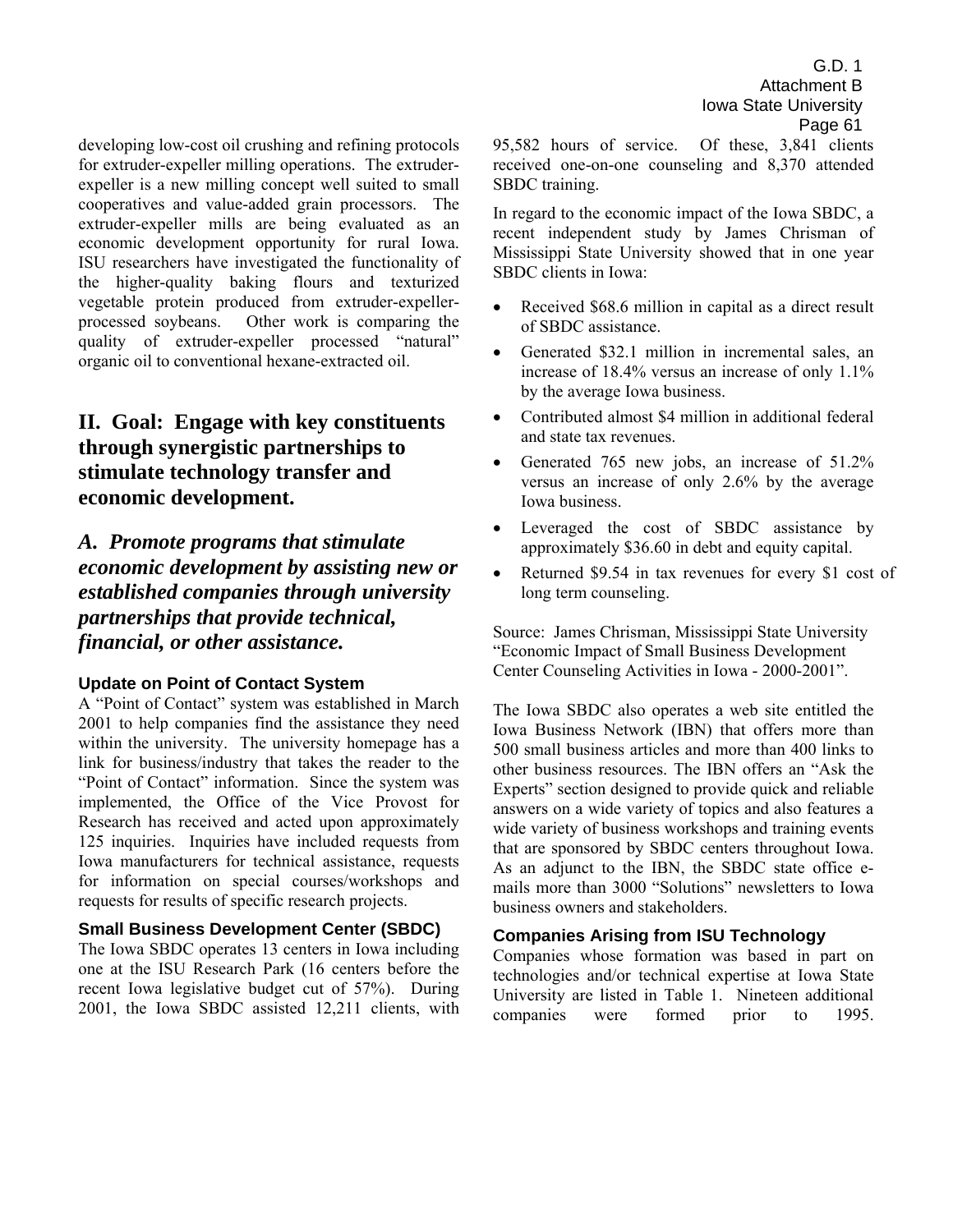developing low-cost oil crushing and refining protocols for extruder-expeller milling operations. The extruderexpeller is a new milling concept well suited to small cooperatives and value-added grain processors. The extruder-expeller mills are being evaluated as an economic development opportunity for rural Iowa. ISU researchers have investigated the functionality of the higher-quality baking flours and texturized vegetable protein produced from extruder-expellerprocessed soybeans. Other work is comparing the quality of extruder-expeller processed "natural" organic oil to conventional hexane-extracted oil.

# **II. Goal: Engage with key constituents through synergistic partnerships to stimulate technology transfer and economic development.**

*A. Promote programs that stimulate economic development by assisting new or established companies through university partnerships that provide technical, financial, or other assistance.* 

## **Update on Point of Contact System**

A "Point of Contact" system was established in March 2001 to help companies find the assistance they need within the university. The university homepage has a link for business/industry that takes the reader to the "Point of Contact" information. Since the system was implemented, the Office of the Vice Provost for Research has received and acted upon approximately 125 inquiries. Inquiries have included requests from Iowa manufacturers for technical assistance, requests for information on special courses/workshops and requests for results of specific research projects.

## **Small Business Development Center (SBDC)**

The Iowa SBDC operates 13 centers in Iowa including one at the ISU Research Park (16 centers before the recent Iowa legislative budget cut of 57%). During 2001, the Iowa SBDC assisted 12,211 clients, with 95,582 hours of service. Of these, 3,841 clients received one-on-one counseling and 8,370 attended SBDC training.

In regard to the economic impact of the Iowa SBDC, a recent independent study by James Chrisman of Mississippi State University showed that in one year SBDC clients in Iowa:

- Received \$68.6 million in capital as a direct result of SBDC assistance.
- Generated \$32.1 million in incremental sales, an increase of 18.4% versus an increase of only 1.1% by the average Iowa business.
- Contributed almost \$4 million in additional federal and state tax revenues.
- Generated 765 new jobs, an increase of 51.2% versus an increase of only 2.6% by the average Iowa business.
- Leveraged the cost of SBDC assistance by approximately \$36.60 in debt and equity capital.
- Returned \$9.54 in tax revenues for every \$1 cost of long term counseling.

Source: James Chrisman, Mississippi State University ìEconomic Impact of Small Business Development Center Counseling Activities in Iowa - 2000-2001".

The Iowa SBDC also operates a web site entitled the Iowa Business Network (IBN) that offers more than 500 small business articles and more than 400 links to other business resources. The IBN offers an "Ask the Experts" section designed to provide quick and reliable answers on a wide variety of topics and also features a wide variety of business workshops and training events that are sponsored by SBDC centers throughout Iowa. As an adjunct to the IBN, the SBDC state office emails more than 3000 "Solutions" newsletters to Iowa business owners and stakeholders.

## **Companies Arising from ISU Technology**

Companies whose formation was based in part on technologies and/or technical expertise at Iowa State University are listed in Table 1. Nineteen additional companies were formed prior to 1995.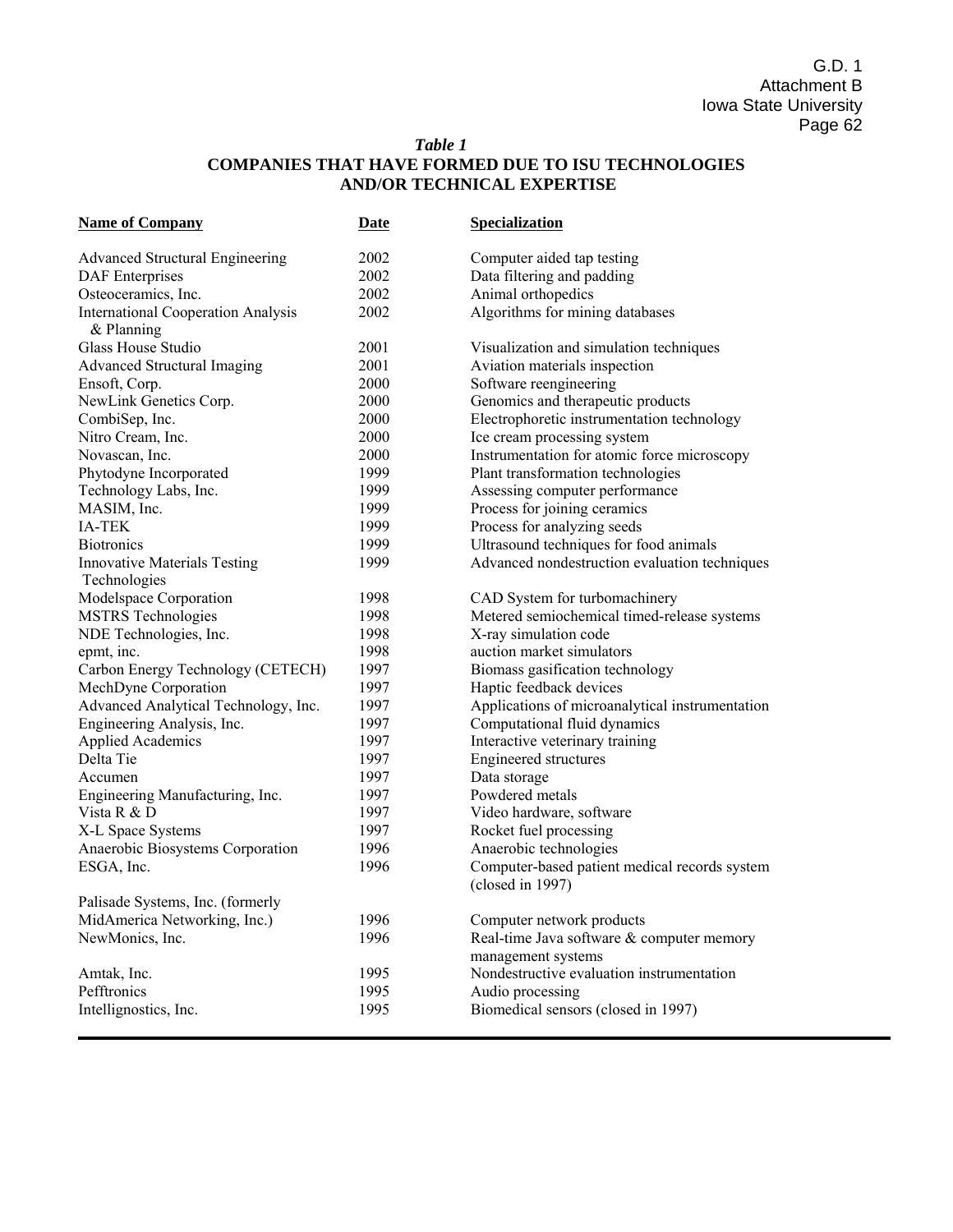## *Table 1*  **COMPANIES THAT HAVE FORMED DUE TO ISU TECHNOLOGIES AND/OR TECHNICAL EXPERTISE**

| <b>Name of Company</b>                                    | <b>Date</b> | Specialization                                                         |
|-----------------------------------------------------------|-------------|------------------------------------------------------------------------|
| <b>Advanced Structural Engineering</b>                    | 2002        | Computer aided tap testing                                             |
| <b>DAF</b> Enterprises                                    | 2002        | Data filtering and padding                                             |
| Osteoceramics, Inc.                                       | 2002        | Animal orthopedics                                                     |
| <b>International Cooperation Analysis</b><br>$&$ Planning | 2002        | Algorithms for mining databases                                        |
| Glass House Studio                                        | 2001        | Visualization and simulation techniques                                |
| <b>Advanced Structural Imaging</b>                        | 2001        | Aviation materials inspection                                          |
| Ensoft, Corp.                                             | 2000        | Software reengineering                                                 |
| NewLink Genetics Corp.                                    | 2000        | Genomics and therapeutic products                                      |
| CombiSep, Inc.                                            | 2000        | Electrophoretic instrumentation technology                             |
| Nitro Cream, Inc.                                         | 2000        | Ice cream processing system                                            |
| Novascan, Inc.                                            | 2000        | Instrumentation for atomic force microscopy                            |
| Phytodyne Incorporated                                    | 1999        | Plant transformation technologies                                      |
| Technology Labs, Inc.                                     | 1999        | Assessing computer performance                                         |
| MASIM, Inc.                                               | 1999        | Process for joining ceramics                                           |
| <b>IA-TEK</b>                                             | 1999        | Process for analyzing seeds                                            |
| <b>Biotronics</b>                                         | 1999        | Ultrasound techniques for food animals                                 |
| <b>Innovative Materials Testing</b>                       | 1999        | Advanced nondestruction evaluation techniques                          |
| Technologies                                              |             |                                                                        |
| Modelspace Corporation                                    | 1998        | CAD System for turbomachinery                                          |
| <b>MSTRS</b> Technologies                                 | 1998        | Metered semiochemical timed-release systems                            |
| NDE Technologies, Inc.                                    | 1998        | X-ray simulation code                                                  |
| epmt, inc.                                                | 1998        | auction market simulators                                              |
| Carbon Energy Technology (CETECH)                         | 1997        | Biomass gasification technology                                        |
| MechDyne Corporation                                      | 1997        | Haptic feedback devices                                                |
| Advanced Analytical Technology, Inc.                      | 1997        | Applications of microanalytical instrumentation                        |
| Engineering Analysis, Inc.                                | 1997        | Computational fluid dynamics                                           |
| <b>Applied Academics</b>                                  | 1997        | Interactive veterinary training                                        |
| Delta Tie                                                 | 1997        | Engineered structures                                                  |
| Accumen                                                   | 1997        | Data storage                                                           |
| Engineering Manufacturing, Inc.                           | 1997        | Powdered metals                                                        |
| Vista R & D                                               | 1997        | Video hardware, software                                               |
| X-L Space Systems                                         | 1997        | Rocket fuel processing                                                 |
| Anaerobic Biosystems Corporation                          | 1996        | Anaerobic technologies                                                 |
| ESGA, Inc.                                                | 1996        | Computer-based patient medical records system<br>(closed in 1997)      |
| Palisade Systems, Inc. (formerly                          |             |                                                                        |
|                                                           | 1996        |                                                                        |
| MidAmerica Networking, Inc.)<br>NewMonics, Inc.           | 1996        | Computer network products<br>Real-time Java software & computer memory |
|                                                           |             | management systems                                                     |
| Amtak, Inc.                                               | 1995        | Nondestructive evaluation instrumentation                              |
| Pefftronics                                               | 1995        | Audio processing                                                       |
| Intellignostics, Inc.                                     | 1995        | Biomedical sensors (closed in 1997)                                    |

Ī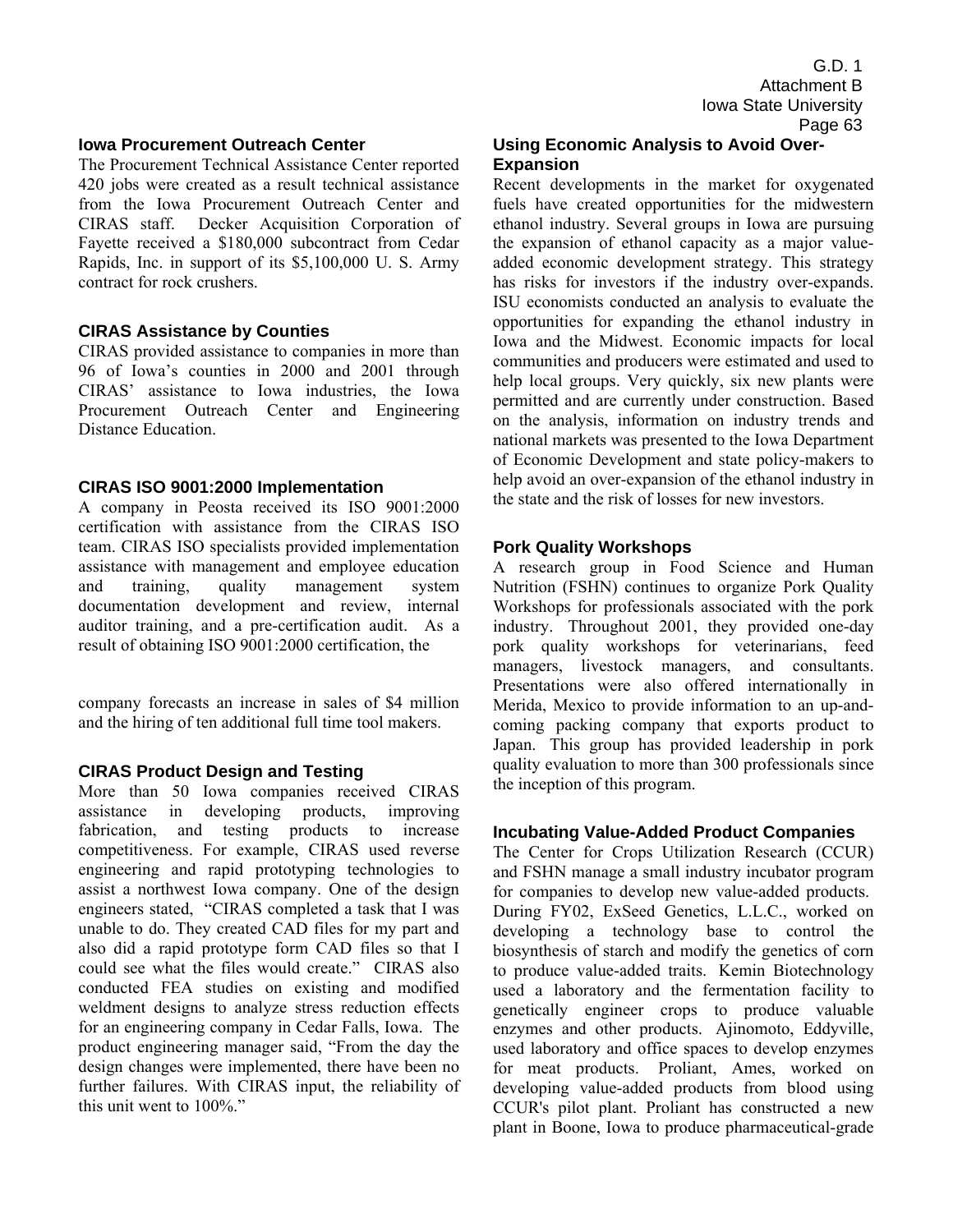## **Iowa Procurement Outreach Center**

The Procurement Technical Assistance Center reported 420 jobs were created as a result technical assistance from the Iowa Procurement Outreach Center and CIRAS staff. Decker Acquisition Corporation of Fayette received a \$180,000 subcontract from Cedar Rapids, Inc. in support of its \$5,100,000 U. S. Army contract for rock crushers.

## **CIRAS Assistance by Counties**

CIRAS provided assistance to companies in more than 96 of Iowa's counties in 2000 and 2001 through CIRAS' assistance to Iowa industries, the Iowa Procurement Outreach Center and Engineering Distance Education.

## **CIRAS ISO 9001:2000 Implementation**

A company in Peosta received its ISO 9001:2000 certification with assistance from the CIRAS ISO team. CIRAS ISO specialists provided implementation assistance with management and employee education and training, quality management system documentation development and review, internal auditor training, and a pre-certification audit. As a result of obtaining ISO 9001:2000 certification, the

company forecasts an increase in sales of \$4 million and the hiring of ten additional full time tool makers.

## **CIRAS Product Design and Testing**

More than 50 Iowa companies received CIRAS assistance in developing products, improving fabrication, and testing products to increase competitiveness. For example, CIRAS used reverse engineering and rapid prototyping technologies to assist a northwest Iowa company. One of the design engineers stated, "CIRAS completed a task that I was unable to do. They created CAD files for my part and also did a rapid prototype form CAD files so that I could see what the files would create." CIRAS also conducted FEA studies on existing and modified weldment designs to analyze stress reduction effects for an engineering company in Cedar Falls, Iowa. The product engineering manager said, "From the day the design changes were implemented, there have been no further failures. With CIRAS input, the reliability of this unit went to  $100\%$ ."

## **Using Economic Analysis to Avoid Over-Expansion**

Recent developments in the market for oxygenated fuels have created opportunities for the midwestern ethanol industry. Several groups in Iowa are pursuing the expansion of ethanol capacity as a major valueadded economic development strategy. This strategy has risks for investors if the industry over-expands. ISU economists conducted an analysis to evaluate the opportunities for expanding the ethanol industry in Iowa and the Midwest. Economic impacts for local communities and producers were estimated and used to help local groups. Very quickly, six new plants were permitted and are currently under construction. Based on the analysis, information on industry trends and national markets was presented to the Iowa Department of Economic Development and state policy-makers to help avoid an over-expansion of the ethanol industry in the state and the risk of losses for new investors.

## **Pork Quality Workshops**

A research group in Food Science and Human Nutrition (FSHN) continues to organize Pork Quality Workshops for professionals associated with the pork industry. Throughout 2001, they provided one-day pork quality workshops for veterinarians, feed managers, livestock managers, and consultants. Presentations were also offered internationally in Merida, Mexico to provide information to an up-andcoming packing company that exports product to Japan. This group has provided leadership in pork quality evaluation to more than 300 professionals since the inception of this program.

## **Incubating Value-Added Product Companies**

The Center for Crops Utilization Research (CCUR) and FSHN manage a small industry incubator program for companies to develop new value-added products. During FY02, ExSeed Genetics, L.L.C., worked on developing a technology base to control the biosynthesis of starch and modify the genetics of corn to produce value-added traits. Kemin Biotechnology used a laboratory and the fermentation facility to genetically engineer crops to produce valuable enzymes and other products. Ajinomoto, Eddyville, used laboratory and office spaces to develop enzymes for meat products. Proliant, Ames, worked on developing value-added products from blood using CCUR's pilot plant. Proliant has constructed a new plant in Boone, Iowa to produce pharmaceutical-grade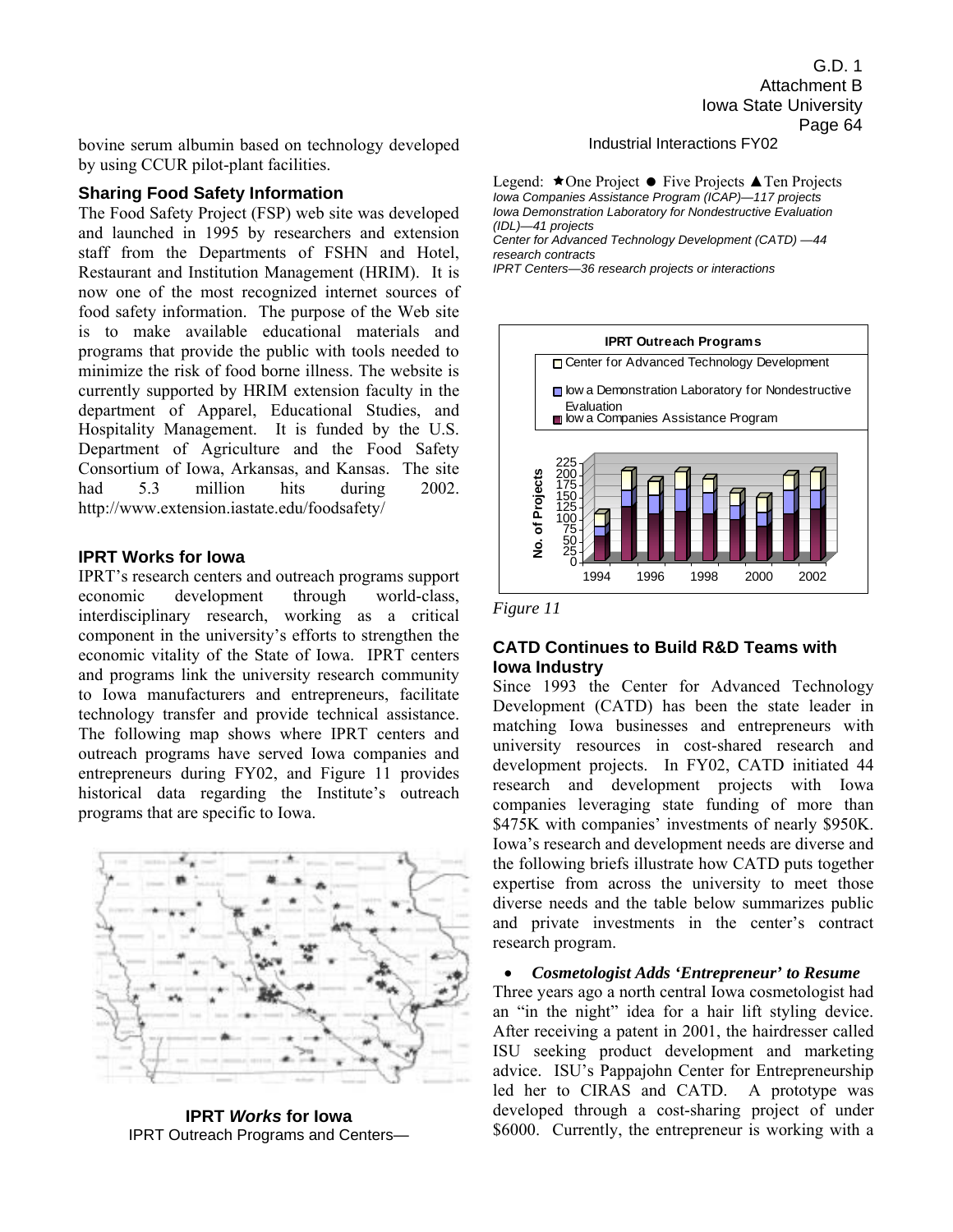bovine serum albumin based on technology developed by using CCUR pilot-plant facilities.

#### **Sharing Food Safety Information**

The Food Safety Project (FSP) web site was developed and launched in 1995 by researchers and extension staff from the Departments of FSHN and Hotel, Restaurant and Institution Management (HRIM). It is now one of the most recognized internet sources of food safety information. The purpose of the Web site is to make available educational materials and programs that provide the public with tools needed to minimize the risk of food borne illness. The website is currently supported by HRIM extension faculty in the department of Apparel, Educational Studies, and Hospitality Management. It is funded by the U.S. Department of Agriculture and the Food Safety Consortium of Iowa, Arkansas, and Kansas. The site had 5.3 million hits during 2002. http://www.extension.iastate.edu/foodsafety/

#### **IPRT Works for Iowa**

IPRT's research centers and outreach programs support economic development through world-class, interdisciplinary research, working as a critical component in the university's efforts to strengthen the economic vitality of the State of Iowa. IPRT centers and programs link the university research community to Iowa manufacturers and entrepreneurs, facilitate technology transfer and provide technical assistance. The following map shows where IPRT centers and outreach programs have served Iowa companies and entrepreneurs during FY02, and Figure 11 provides historical data regarding the Institute's outreach programs that are specific to Iowa.



**IPRT** *Works* **for Iowa**  IPRT Outreach Programs and Centers—

G.D. 1 Attachment B Iowa State University Page 64

Industrial Interactions FY02

Legend:  $\star$ One Project  $\bullet$  Five Projects  $\blacktriangle$  Ten Projects *Iowa Companies Assistance Program (ICAP)—117 projects Iowa Demonstration Laboratory for Nondestructive Evaluation (IDL)—41 projects Center for Advanced Technology Development (CATD) —44 research contracts* 

*IPRT Centers—36 research projects or interactions* 





### **CATD Continues to Build R&D Teams with Iowa Industry**

Since 1993 the Center for Advanced Technology Development (CATD) has been the state leader in matching Iowa businesses and entrepreneurs with university resources in cost-shared research and development projects. In FY02, CATD initiated 44 research and development projects with Iowa companies leveraging state funding of more than \$475K with companies' investments of nearly \$950K. Iowa's research and development needs are diverse and the following briefs illustrate how CATD puts together expertise from across the university to meet those diverse needs and the table below summarizes public and private investments in the center's contract research program.

• *Cosmetologist Adds 'Entrepreneur' to Resume*  Three years ago a north central Iowa cosmetologist had an "in the night" idea for a hair lift styling device. After receiving a patent in 2001, the hairdresser called ISU seeking product development and marketing advice. ISU's Pappajohn Center for Entrepreneurship led her to CIRAS and CATD. A prototype was developed through a cost-sharing project of under \$6000. Currently, the entrepreneur is working with a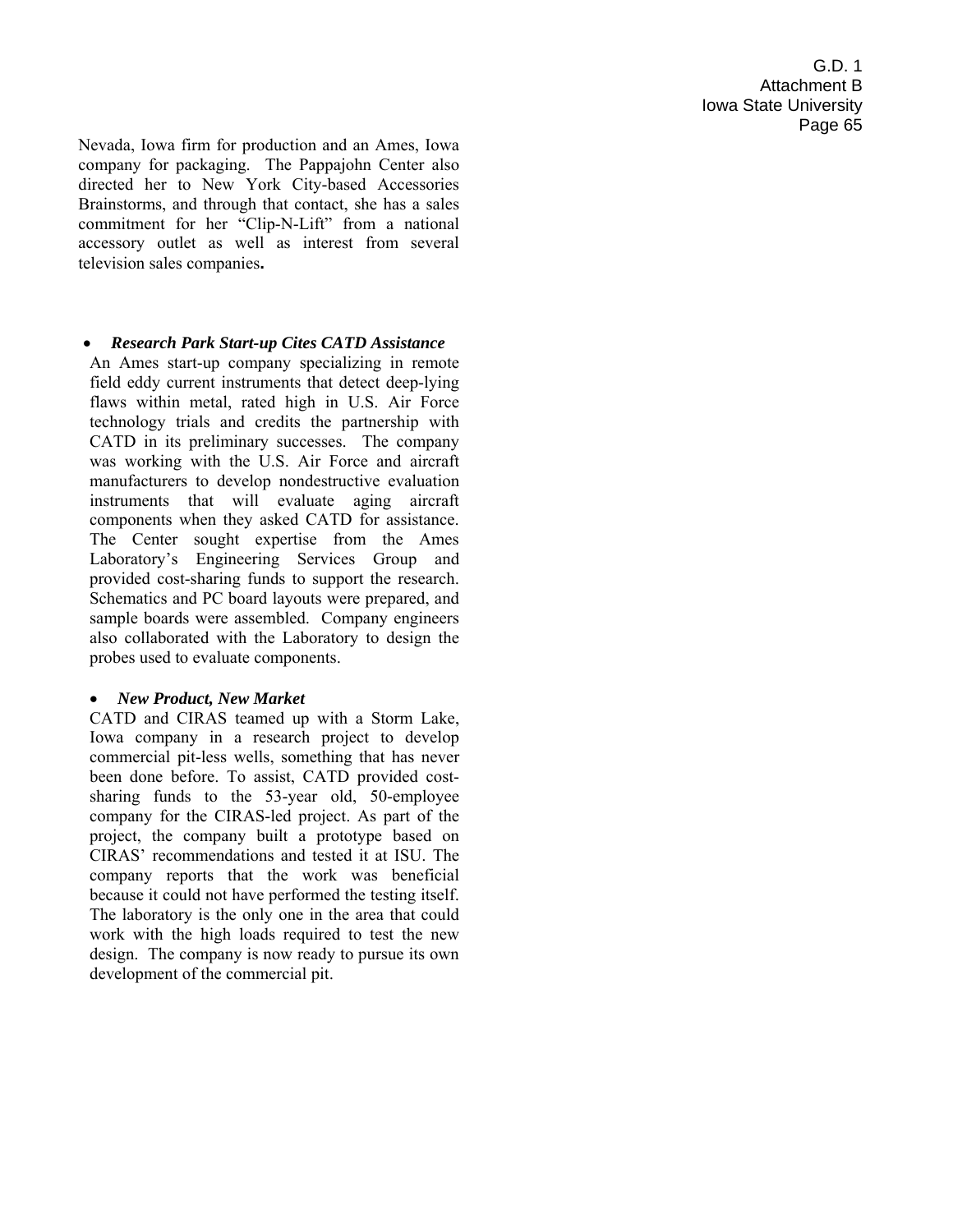Nevada, Iowa firm for production and an Ames, Iowa company for packaging. The Pappajohn Center also directed her to New York City-based Accessories Brainstorms, and through that contact, she has a sales commitment for her "Clip-N-Lift" from a national accessory outlet as well as interest from several television sales companies**.** 

## • *Research Park Start-up Cites CATD Assistance*

An Ames start-up company specializing in remote field eddy current instruments that detect deep-lying flaws within metal, rated high in U.S. Air Force technology trials and credits the partnership with CATD in its preliminary successes. The company was working with the U.S. Air Force and aircraft manufacturers to develop nondestructive evaluation instruments that will evaluate aging aircraft components when they asked CATD for assistance. The Center sought expertise from the Ames Laboratory's Engineering Services Group and provided cost-sharing funds to support the research. Schematics and PC board layouts were prepared, and sample boards were assembled. Company engineers also collaborated with the Laboratory to design the probes used to evaluate components.

## • *New Product, New Market*

CATD and CIRAS teamed up with a Storm Lake, Iowa company in a research project to develop commercial pit-less wells, something that has never been done before. To assist, CATD provided costsharing funds to the 53-year old, 50-employee company for the CIRAS-led project. As part of the project, the company built a prototype based on CIRAS' recommendations and tested it at ISU. The company reports that the work was beneficial because it could not have performed the testing itself. The laboratory is the only one in the area that could work with the high loads required to test the new design. The company is now ready to pursue its own development of the commercial pit.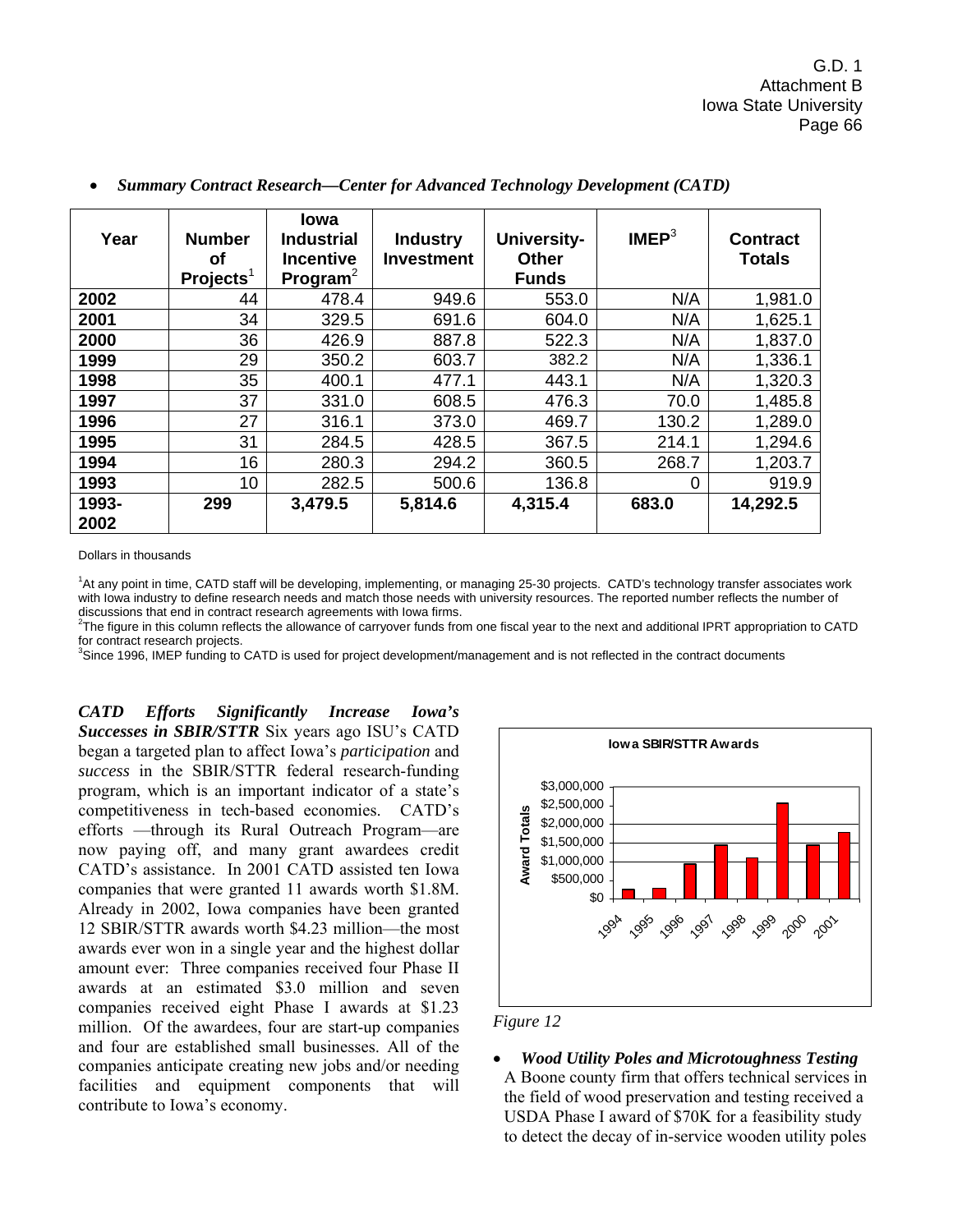| Year          | <b>Number</b><br>Οf<br>Proofs <sup>1</sup> | <b>lowa</b><br><b>Industrial</b><br><b>Incentive</b><br>Program <sup>2</sup> | <b>Industry</b><br><b>Investment</b> | <b>University-</b><br><b>Other</b><br><b>Funds</b> | IMEP <sup>3</sup> | <b>Contract</b><br><b>Totals</b> |
|---------------|--------------------------------------------|------------------------------------------------------------------------------|--------------------------------------|----------------------------------------------------|-------------------|----------------------------------|
| 2002          | 44                                         | 478.4                                                                        | 949.6                                | 553.0                                              | N/A               | 1,981.0                          |
| 2001          | 34                                         | 329.5                                                                        | 691.6                                | 604.0                                              | N/A               | 1,625.1                          |
| 2000          | 36                                         | 426.9                                                                        | 887.8                                | 522.3                                              | N/A               | 1,837.0                          |
| 1999          | 29                                         | 350.2                                                                        | 603.7                                | 382.2                                              | N/A               | 1,336.1                          |
| 1998          | 35                                         | 400.1                                                                        | 477.1                                | 443.1                                              | N/A               | 1,320.3                          |
| 1997          | 37                                         | 331.0                                                                        | 608.5                                | 476.3                                              | 70.0              | 1,485.8                          |
| 1996          | 27                                         | 316.1                                                                        | 373.0                                | 469.7                                              | 130.2             | 1,289.0                          |
| 1995          | 31                                         | 284.5                                                                        | 428.5                                | 367.5                                              | 214.1             | 1,294.6                          |
| 1994          | 16                                         | 280.3                                                                        | 294.2                                | 360.5                                              | 268.7             | 1,203.7                          |
| 1993          | 10                                         | 282.5                                                                        | 500.6                                | 136.8                                              | 0                 | 919.9                            |
| 1993-<br>2002 | 299                                        | 3,479.5                                                                      | 5,814.6                              | 4,315.4                                            | 683.0             | 14,292.5                         |

#### • *Summary Contract Research—Center for Advanced Technology Development (CATD)*

Dollars in thousands

<sup>1</sup>At any point in time, CATD staff will be developing, implementing, or managing 25-30 projects. CATD's technology transfer associates work with Iowa industry to define research needs and match those needs with university resources. The reported number reflects the number of discussions that end in contract research agreements with Iowa firms.

<sup>2</sup>The figure in this column reflects the allowance of carryover funds from one fiscal year to the next and additional IPRT appropriation to CATD for contract research projects.

3 Since 1996, IMEP funding to CATD is used for project development/management and is not reflected in the contract documents

*CATD Efforts Significantly Increase Iowa's*  **Successes in SBIR/STTR** Six years ago ISU's CATD began a targeted plan to affect Iowa's *participation* and *success* in the SBIR/STTR federal research-funding program, which is an important indicator of a state's competitiveness in tech-based economies. CATD's efforts —through its Rural Outreach Program—are now paying off, and many grant awardees credit CATDís assistance.In 2001 CATD assisted ten Iowa companies that were granted 11 awards worth \$1.8M. Already in 2002, Iowa companies have been granted 12 SBIR/STTR awards worth \$4.23 million—the most awards ever won in a single year and the highest dollar amount ever: Three companies received four Phase II awards at an estimated \$3.0 million and seven companies received eight Phase I awards at \$1.23 million. Of the awardees, four are start-up companies and four are established small businesses. All of the companies anticipate creating new jobs and/or needing facilities and equipment components that will contribute to Iowa's economy.





• *Wood Utility Poles and Microtoughness Testing*  A Boone county firm that offers technical services in the field of wood preservation and testing received a USDA Phase I award of \$70K for a feasibility study to detect the decay of in-service wooden utility poles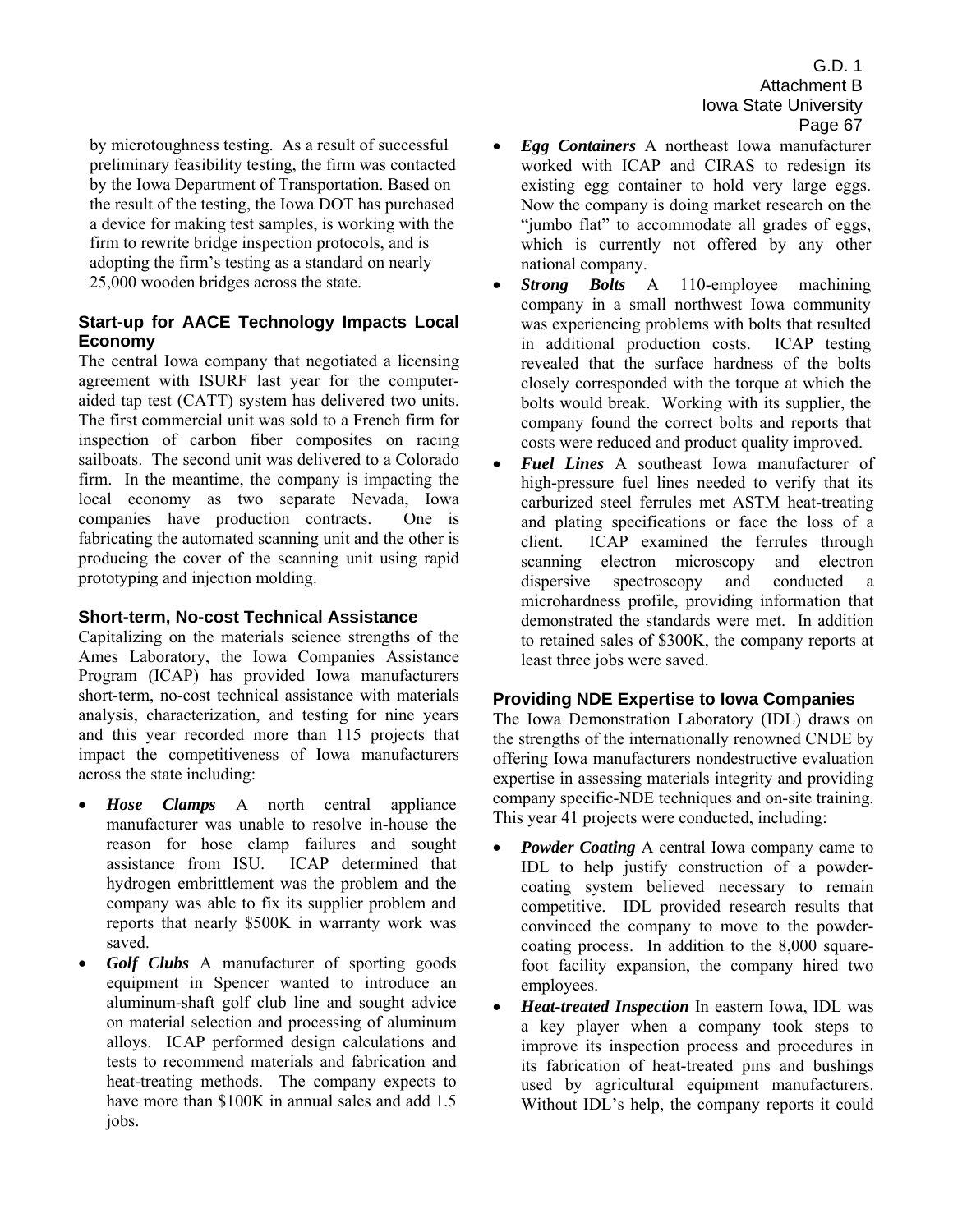by microtoughness testing. As a result of successful preliminary feasibility testing, the firm was contacted by the Iowa Department of Transportation. Based on the result of the testing, the Iowa DOT has purchased a device for making test samples, is working with the firm to rewrite bridge inspection protocols, and is adopting the firm's testing as a standard on nearly 25,000 wooden bridges across the state.

## **Start-up for AACE Technology Impacts Local Economy**

The central Iowa company that negotiated a licensing agreement with ISURF last year for the computeraided tap test (CATT) system has delivered two units. The first commercial unit was sold to a French firm for inspection of carbon fiber composites on racing sailboats. The second unit was delivered to a Colorado firm. In the meantime, the company is impacting the local economy as two separate Nevada, Iowa companies have production contracts. One is fabricating the automated scanning unit and the other is producing the cover of the scanning unit using rapid prototyping and injection molding.

## **Short-term, No-cost Technical Assistance**

Capitalizing on the materials science strengths of the Ames Laboratory, the Iowa Companies Assistance Program (ICAP) has provided Iowa manufacturers short-term, no-cost technical assistance with materials analysis, characterization, and testing for nine years and this year recorded more than 115 projects that impact the competitiveness of Iowa manufacturers across the state including:

- *Hose Clamps* A north central appliance manufacturer was unable to resolve in-house the reason for hose clamp failures and sought assistance from ISU. ICAP determined that hydrogen embrittlement was the problem and the company was able to fix its supplier problem and reports that nearly \$500K in warranty work was saved.
- *Golf Clubs* A manufacturer of sporting goods equipment in Spencer wanted to introduce an aluminum-shaft golf club line and sought advice on material selection and processing of aluminum alloys. ICAP performed design calculations and tests to recommend materials and fabrication and heat-treating methods. The company expects to have more than \$100K in annual sales and add 1.5 jobs.
- *Egg Containers* A northeast Iowa manufacturer worked with ICAP and CIRAS to redesign its existing egg container to hold very large eggs. Now the company is doing market research on the "jumbo flat" to accommodate all grades of eggs, which is currently not offered by any other national company.
- *Strong Bolts* A 110-employee machining company in a small northwest Iowa community was experiencing problems with bolts that resulted in additional production costs. ICAP testing revealed that the surface hardness of the bolts closely corresponded with the torque at which the bolts would break. Working with its supplier, the company found the correct bolts and reports that costs were reduced and product quality improved.
- *Fuel Lines* A southeast Iowa manufacturer of high-pressure fuel lines needed to verify that its carburized steel ferrules met ASTM heat-treating and plating specifications or face the loss of a client. ICAP examined the ferrules through scanning electron microscopy and electron dispersive spectroscopy and conducted a microhardness profile, providing information that demonstrated the standards were met. In addition to retained sales of \$300K, the company reports at least three jobs were saved.

## **Providing NDE Expertise to Iowa Companies**

The Iowa Demonstration Laboratory (IDL) draws on the strengths of the internationally renowned CNDE by offering Iowa manufacturers nondestructive evaluation expertise in assessing materials integrity and providing company specific-NDE techniques and on-site training. This year 41 projects were conducted, including:

- *Powder Coating* A central Iowa company came to IDL to help justify construction of a powdercoating system believed necessary to remain competitive. IDL provided research results that convinced the company to move to the powdercoating process. In addition to the 8,000 squarefoot facility expansion, the company hired two employees.
- *Heat-treated Inspection* In eastern Iowa, IDL was a key player when a company took steps to improve its inspection process and procedures in its fabrication of heat-treated pins and bushings used by agricultural equipment manufacturers. Without IDL's help, the company reports it could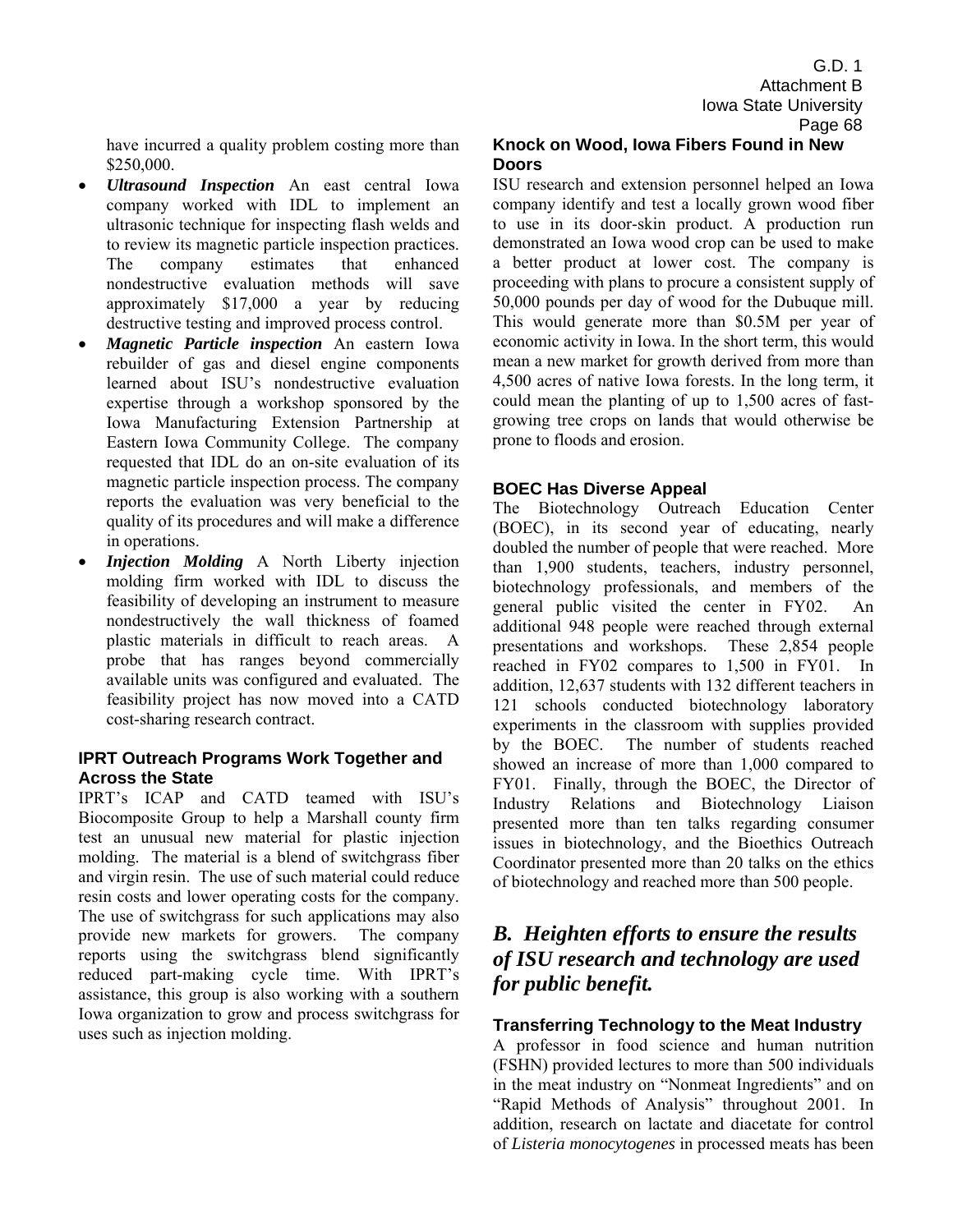have incurred a quality problem costing more than \$250,000.

- *Ultrasound Inspection* An east central Iowa company worked with IDL to implement an ultrasonic technique for inspecting flash welds and to review its magnetic particle inspection practices. The company estimates that enhanced nondestructive evaluation methods will save approximately \$17,000 a year by reducing destructive testing and improved process control.
- *Magnetic Particle inspection* An eastern Iowa rebuilder of gas and diesel engine components learned about ISU's nondestructive evaluation expertise through a workshop sponsored by the Iowa Manufacturing Extension Partnership at Eastern Iowa Community College. The company requested that IDL do an on-site evaluation of its magnetic particle inspection process. The company reports the evaluation was very beneficial to the quality of its procedures and will make a difference in operations.
- *Injection Molding* A North Liberty injection molding firm worked with IDL to discuss the feasibility of developing an instrument to measure nondestructively the wall thickness of foamed plastic materials in difficult to reach areas. A probe that has ranges beyond commercially available units was configured and evaluated. The feasibility project has now moved into a CATD cost-sharing research contract.

## **IPRT Outreach Programs Work Together and Across the State**

IPRT's ICAP and CATD teamed with ISU's Biocomposite Group to help a Marshall county firm test an unusual new material for plastic injection molding. The material is a blend of switchgrass fiber and virgin resin. The use of such material could reduce resin costs and lower operating costs for the company. The use of switchgrass for such applications may also provide new markets for growers. The company reports using the switchgrass blend significantly reduced part-making cycle time. With IPRT's assistance, this group is also working with a southern Iowa organization to grow and process switchgrass for uses such as injection molding.

# **Knock on Wood, Iowa Fibers Found in New Doors**

ISU research and extension personnel helped an Iowa company identify and test a locally grown wood fiber to use in its door-skin product. A production run demonstrated an Iowa wood crop can be used to make a better product at lower cost. The company is proceeding with plans to procure a consistent supply of 50,000 pounds per day of wood for the Dubuque mill. This would generate more than \$0.5M per year of economic activity in Iowa. In the short term, this would mean a new market for growth derived from more than 4,500 acres of native Iowa forests. In the long term, it could mean the planting of up to 1,500 acres of fastgrowing tree crops on lands that would otherwise be prone to floods and erosion.

## **BOEC Has Diverse Appeal**

The Biotechnology Outreach Education Center (BOEC), in its second year of educating, nearly doubled the number of people that were reached. More than 1,900 students, teachers, industry personnel, biotechnology professionals, and members of the general public visited the center in FY02. An additional 948 people were reached through external presentations and workshops. These 2,854 people reached in FY02 compares to 1,500 in FY01. In addition, 12,637 students with 132 different teachers in 121 schools conducted biotechnology laboratory experiments in the classroom with supplies provided by the BOEC. The number of students reached showed an increase of more than 1,000 compared to FY01. Finally, through the BOEC, the Director of Industry Relations and Biotechnology Liaison presented more than ten talks regarding consumer issues in biotechnology, and the Bioethics Outreach Coordinator presented more than 20 talks on the ethics of biotechnology and reached more than 500 people.

# *B. Heighten efforts to ensure the results of ISU research and technology are used for public benefit.*

## **Transferring Technology to the Meat Industry**

A professor in food science and human nutrition (FSHN) provided lectures to more than 500 individuals in the meat industry on "Nonmeat Ingredients" and on "Rapid Methods of Analysis" throughout 2001. In addition, research on lactate and diacetate for control of *Listeria monocytogenes* in processed meats has been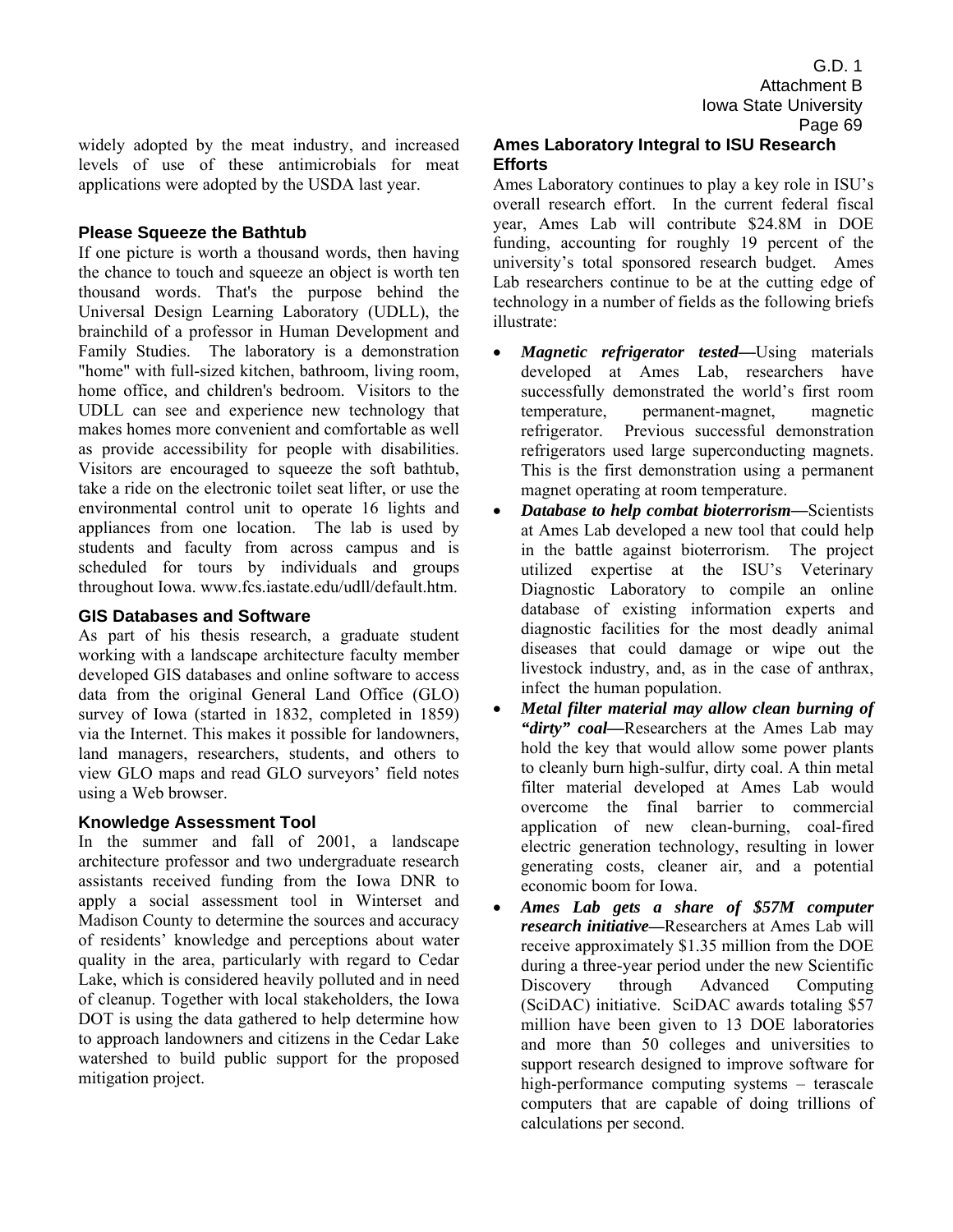widely adopted by the meat industry, and increased levels of use of these antimicrobials for meat applications were adopted by the USDA last year.

## **Please Squeeze the Bathtub**

If one picture is worth a thousand words, then having the chance to touch and squeeze an object is worth ten thousand words. That's the purpose behind the Universal Design Learning Laboratory (UDLL), the brainchild of a professor in Human Development and Family Studies. The laboratory is a demonstration "home" with full-sized kitchen, bathroom, living room, home office, and children's bedroom. Visitors to the UDLL can see and experience new technology that makes homes more convenient and comfortable as well as provide accessibility for people with disabilities. Visitors are encouraged to squeeze the soft bathtub, take a ride on the electronic toilet seat lifter, or use the environmental control unit to operate 16 lights and appliances from one location. The lab is used by students and faculty from across campus and is scheduled for tours by individuals and groups throughout Iowa. www.fcs.iastate.edu/udll/default.htm.

## **GIS Databases and Software**

As part of his thesis research, a graduate student working with a landscape architecture faculty member developed GIS databases and online software to access data from the original General Land Office (GLO) survey of Iowa (started in 1832, completed in 1859) via the Internet. This makes it possible for landowners, land managers, researchers, students, and others to view GLO maps and read GLO surveyors' field notes using a Web browser.

## **Knowledge Assessment Tool**

In the summer and fall of 2001, a landscape architecture professor and two undergraduate research assistants received funding from the Iowa DNR to apply a social assessment tool in Winterset and Madison County to determine the sources and accuracy of residents' knowledge and perceptions about water quality in the area, particularly with regard to Cedar Lake, which is considered heavily polluted and in need of cleanup. Together with local stakeholders, the Iowa DOT is using the data gathered to help determine how to approach landowners and citizens in the Cedar Lake watershed to build public support for the proposed mitigation project.

## **Ames Laboratory Integral to ISU Research Efforts**

Ames Laboratory continues to play a key role in ISU's overall research effort. In the current federal fiscal year, Ames Lab will contribute \$24.8M in DOE funding, accounting for roughly 19 percent of the university's total sponsored research budget. Ames Lab researchers continue to be at the cutting edge of technology in a number of fields as the following briefs illustrate:

- *Magnetic refrigerator tested***—**Using materials developed at Ames Lab, researchers have successfully demonstrated the world's first room temperature, permanent-magnet, magnetic refrigerator. Previous successful demonstration refrigerators used large superconducting magnets. This is the first demonstration using a permanent magnet operating at room temperature.
- *Database to help combat bioterrorism*—Scientists at Ames Lab developed a new tool that could help in the battle against bioterrorism. The project utilized expertise at the ISU's Veterinary Diagnostic Laboratory to compile an online database of existing information experts and diagnostic facilities for the most deadly animal diseases that could damage or wipe out the livestock industry, and, as in the case of anthrax, infect the human population.
- *Metal filter material may allow clean burning of "dirty" coal***—**Researchers at the Ames Lab may hold the key that would allow some power plants to cleanly burn high-sulfur, dirty coal. A thin metal filter material developed at Ames Lab would overcome the final barrier to commercial application of new clean-burning, coal-fired electric generation technology, resulting in lower generating costs, cleaner air, and a potential economic boom for Iowa.
- *Ames Lab gets a share of \$57M computer research initiative***—**Researchers at Ames Lab will receive approximately \$1.35 million from the DOE during a three-year period under the new Scientific Discovery through Advanced Computing (SciDAC) initiative. SciDAC awards totaling \$57 million have been given to 13 DOE laboratories and more than 50 colleges and universities to support research designed to improve software for high-performance computing systems  $-$  terascale computers that are capable of doing trillions of calculations per second.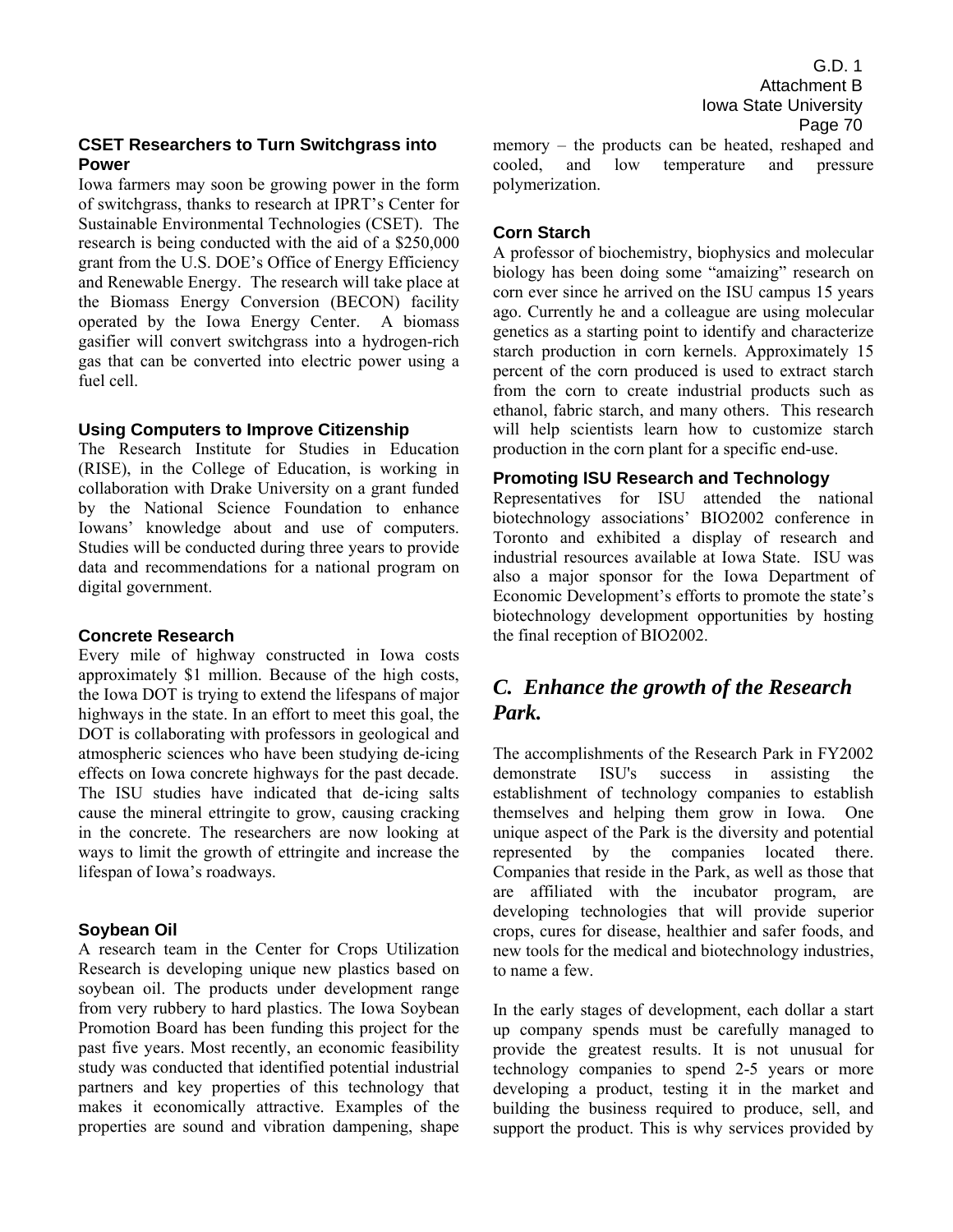## **CSET Researchers to Turn Switchgrass into Power**

Iowa farmers may soon be growing power in the form of switchgrass, thanks to research at IPRT's Center for Sustainable Environmental Technologies (CSET). The research is being conducted with the aid of a \$250,000 grant from the U.S. DOE's Office of Energy Efficiency and Renewable Energy. The research will take place at the Biomass Energy Conversion (BECON) facility operated by the Iowa Energy Center. A biomass gasifier will convert switchgrass into a hydrogen-rich gas that can be converted into electric power using a fuel cell.

#### **Using Computers to Improve Citizenship**

The Research Institute for Studies in Education (RISE), in the College of Education, is working in collaboration with Drake University on a grant funded by the National Science Foundation to enhance Iowans' knowledge about and use of computers. Studies will be conducted during three years to provide data and recommendations for a national program on digital government.

#### **Concrete Research**

Every mile of highway constructed in Iowa costs approximately \$1 million. Because of the high costs, the Iowa DOT is trying to extend the lifespans of major highways in the state. In an effort to meet this goal, the DOT is collaborating with professors in geological and atmospheric sciences who have been studying de-icing effects on Iowa concrete highways for the past decade. The ISU studies have indicated that de-icing salts cause the mineral ettringite to grow, causing cracking in the concrete. The researchers are now looking at ways to limit the growth of ettringite and increase the lifespan of Iowa's roadways.

## **Soybean Oil**

A research team in the Center for Crops Utilization Research is developing unique new plastics based on soybean oil. The products under development range from very rubbery to hard plastics. The Iowa Soybean Promotion Board has been funding this project for the past five years. Most recently, an economic feasibility study was conducted that identified potential industrial partners and key properties of this technology that makes it economically attractive. Examples of the properties are sound and vibration dampening, shape

G.D. 1 Attachment B Iowa State University Page 70

 $memory - the products can be heated, reshaped and$ cooled, and low temperature and pressure polymerization.

## **Corn Starch**

A professor of biochemistry, biophysics and molecular biology has been doing some "amaizing" research on corn ever since he arrived on the ISU campus 15 years ago. Currently he and a colleague are using molecular genetics as a starting point to identify and characterize starch production in corn kernels. Approximately 15 percent of the corn produced is used to extract starch from the corn to create industrial products such as ethanol, fabric starch, and many others. This research will help scientists learn how to customize starch production in the corn plant for a specific end-use.

#### **Promoting ISU Research and Technology**

Representatives for ISU attended the national biotechnology associations' BIO2002 conference in Toronto and exhibited a display of research and industrial resources available at Iowa State. ISU was also a major sponsor for the Iowa Department of Economic Development's efforts to promote the state's biotechnology development opportunities by hosting the final reception of BIO2002.

# *C. Enhance the growth of the Research Park.*

The accomplishments of the Research Park in FY2002 demonstrate ISU's success in assisting the establishment of technology companies to establish themselves and helping them grow in Iowa. One unique aspect of the Park is the diversity and potential represented by the companies located there. Companies that reside in the Park, as well as those that are affiliated with the incubator program, are developing technologies that will provide superior crops, cures for disease, healthier and safer foods, and new tools for the medical and biotechnology industries, to name a few.

In the early stages of development, each dollar a start up company spends must be carefully managed to provide the greatest results. It is not unusual for technology companies to spend 2-5 years or more developing a product, testing it in the market and building the business required to produce, sell, and support the product. This is why services provided by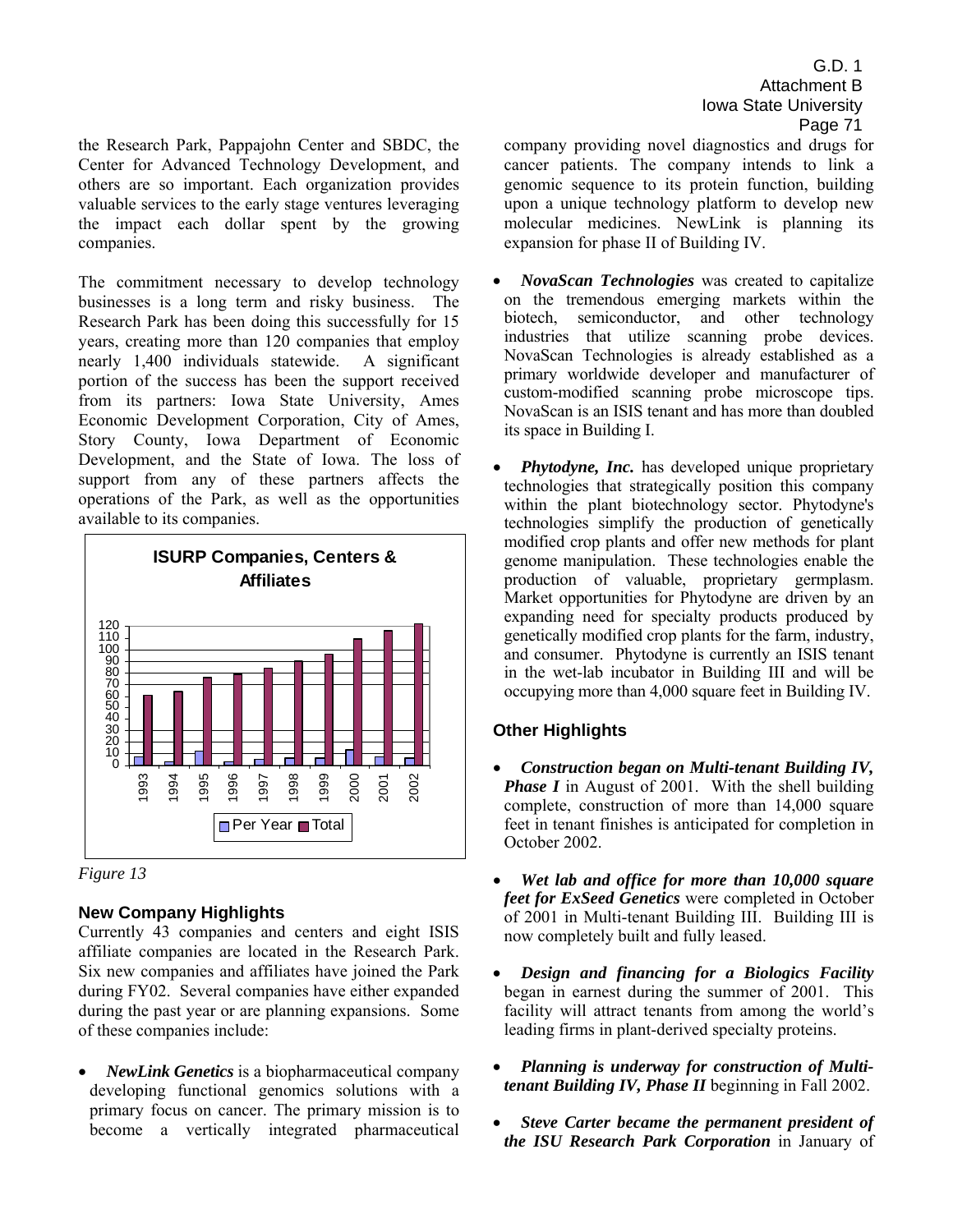the Research Park, Pappajohn Center and SBDC, the Center for Advanced Technology Development, and others are so important. Each organization provides valuable services to the early stage ventures leveraging the impact each dollar spent by the growing companies.

The commitment necessary to develop technology businesses is a long term and risky business. The Research Park has been doing this successfully for 15 years, creating more than 120 companies that employ nearly 1,400 individuals statewide. A significant portion of the success has been the support received from its partners: Iowa State University, Ames Economic Development Corporation, City of Ames, Story County, Iowa Department of Economic Development, and the State of Iowa. The loss of support from any of these partners affects the operations of the Park, as well as the opportunities available to its companies.





# **New Company Highlights**

Currently 43 companies and centers and eight ISIS affiliate companies are located in the Research Park. Six new companies and affiliates have joined the Park during FY02. Several companies have either expanded during the past year or are planning expansions. Some of these companies include:

• *NewLink Genetics* is a biopharmaceutical company developing functional genomics solutions with a primary focus on cancer. The primary mission is to become a vertically integrated pharmaceutical

G.D. 1 Attachment B Iowa State University Page 71

company providing novel diagnostics and drugs for cancer patients. The company intends to link a genomic sequence to its protein function, building upon a unique technology platform to develop new molecular medicines. NewLink is planning its expansion for phase II of Building IV.

- *NovaScan Technologies* was created to capitalize on the tremendous emerging markets within the biotech, semiconductor, and other technology industries that utilize scanning probe devices. NovaScan Technologies is already established as a primary worldwide developer and manufacturer of custom-modified scanning probe microscope tips. NovaScan is an ISIS tenant and has more than doubled its space in Building I.
- *Phytodyne, Inc.* has developed unique proprietary technologies that strategically position this company within the plant biotechnology sector. Phytodyne's technologies simplify the production of genetically modified crop plants and offer new methods for plant genome manipulation. These technologies enable the production of valuable, proprietary germplasm. Market opportunities for Phytodyne are driven by an expanding need for specialty products produced by genetically modified crop plants for the farm, industry, and consumer. Phytodyne is currently an ISIS tenant in the wet-lab incubator in Building III and will be occupying more than 4,000 square feet in Building IV.

# **Other Highlights**

- *Construction began on Multi-tenant Building IV, Phase I* in August of 2001. With the shell building complete, construction of more than 14,000 square feet in tenant finishes is anticipated for completion in October 2002.
- *Wet lab and office for more than 10,000 square feet for ExSeed Genetics* were completed in October of 2001 in Multi-tenant Building III. Building III is now completely built and fully leased.
- *Design and financing for a Biologics Facility* began in earnest during the summer of 2001. This facility will attract tenants from among the world's leading firms in plant-derived specialty proteins.
- *Planning is underway for construction of Multitenant Building IV, Phase II* beginning in Fall 2002.
- *Steve Carter became the permanent president of the ISU Research Park Corporation* in January of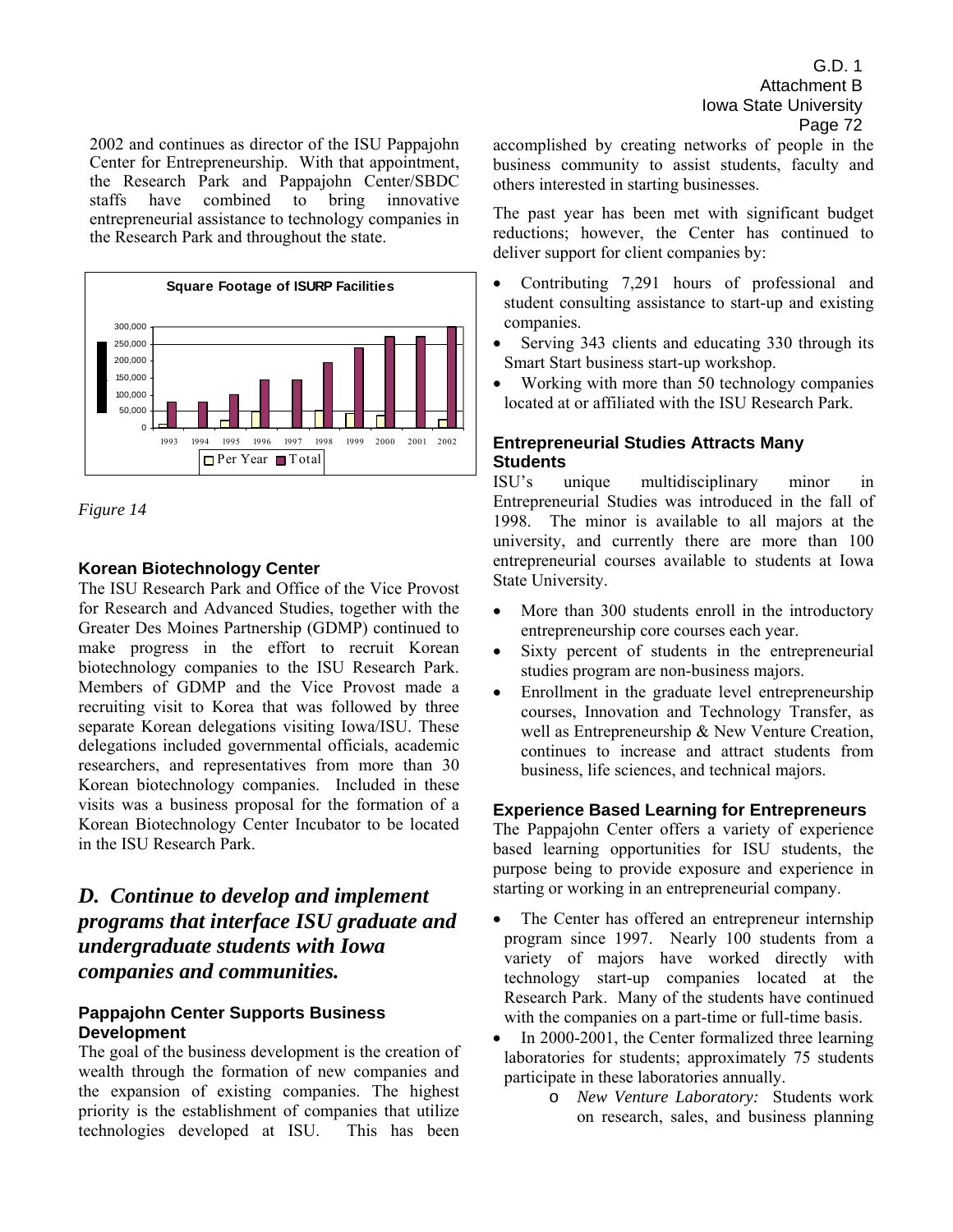2002 and continues as director of the ISU Pappajohn Center for Entrepreneurship. With that appointment, the Research Park and Pappajohn Center/SBDC<br>staffs have combined to bring innovative staffs have combined to bring innovative entrepreneurial assistance to technology companies in the Research Park and throughout the state.



## *Figure 14*

#### **Korean Biotechnology Center**

The ISU Research Park and Office of the Vice Provost for Research and Advanced Studies, together with the Greater Des Moines Partnership (GDMP) continued to make progress in the effort to recruit Korean biotechnology companies to the ISU Research Park. Members of GDMP and the Vice Provost made a recruiting visit to Korea that was followed by three separate Korean delegations visiting Iowa/ISU. These delegations included governmental officials, academic researchers, and representatives from more than 30 Korean biotechnology companies. Included in these visits was a business proposal for the formation of a Korean Biotechnology Center Incubator to be located in the ISU Research Park.

# *D. Continue to develop and implement programs that interface ISU graduate and undergraduate students with Iowa companies and communities.*

## **Pappajohn Center Supports Business Development**

The goal of the business development is the creation of wealth through the formation of new companies and the expansion of existing companies. The highest priority is the establishment of companies that utilize technologies developed at ISU. This has been

G.D. 1 Attachment B Iowa State University Page 72

accomplished by creating networks of people in the business community to assist students, faculty and others interested in starting businesses.

The past year has been met with significant budget reductions; however, the Center has continued to deliver support for client companies by:

- Contributing 7,291 hours of professional and student consulting assistance to start-up and existing companies.
- Serving 343 clients and educating 330 through its Smart Start business start-up workshop.
- Working with more than 50 technology companies located at or affiliated with the ISU Research Park.

## **Entrepreneurial Studies Attracts Many Students**

ISUís unique multidisciplinary minor in Entrepreneurial Studies was introduced in the fall of 1998. The minor is available to all majors at the university, and currently there are more than 100 entrepreneurial courses available to students at Iowa State University.

- More than 300 students enroll in the introductory entrepreneurship core courses each year.
- Sixty percent of students in the entrepreneurial studies program are non-business majors.
- Enrollment in the graduate level entrepreneurship courses, Innovation and Technology Transfer, as well as Entrepreneurship & New Venture Creation, continues to increase and attract students from business, life sciences, and technical majors.

## **Experience Based Learning for Entrepreneurs**

The Pappajohn Center offers a variety of experience based learning opportunities for ISU students, the purpose being to provide exposure and experience in starting or working in an entrepreneurial company.

- The Center has offered an entrepreneur internship program since 1997. Nearly 100 students from a variety of majors have worked directly with technology start-up companies located at the Research Park. Many of the students have continued with the companies on a part-time or full-time basis.
- In 2000-2001, the Center formalized three learning laboratories for students; approximately 75 students participate in these laboratories annually.
	- o *New Venture Laboratory:* Students work on research, sales, and business planning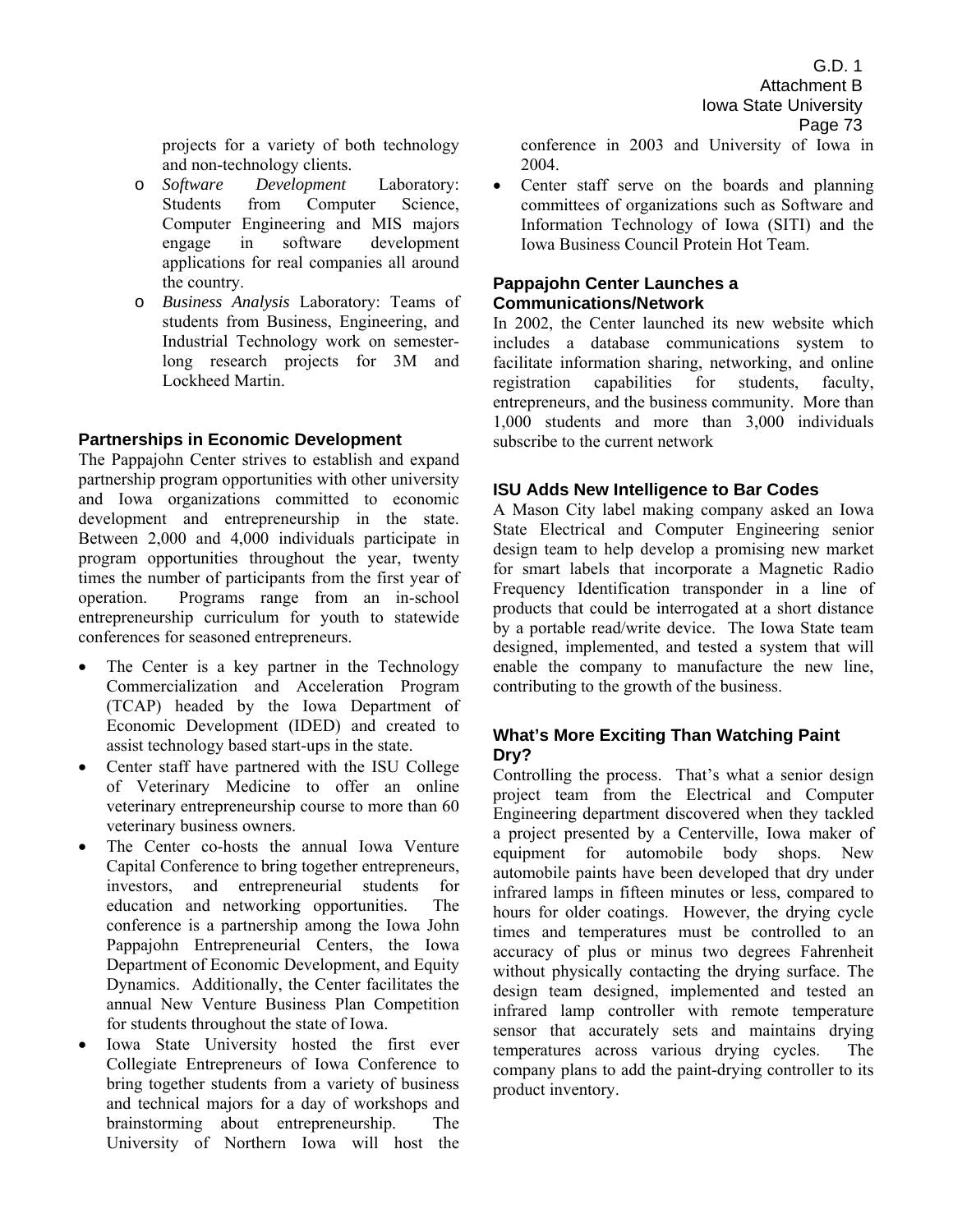projects for a variety of both technology and non-technology clients.

- o *Software Development* Laboratory: Students from Computer Science, Computer Engineering and MIS majors engage in software development applications for real companies all around the country.
- o *Business Analysis* Laboratory: Teams of students from Business, Engineering, and Industrial Technology work on semesterlong research projects for 3M and Lockheed Martin.

#### **Partnerships in Economic Development**

The Pappajohn Center strives to establish and expand partnership program opportunities with other university and Iowa organizations committed to economic development and entrepreneurship in the state. Between 2,000 and 4,000 individuals participate in program opportunities throughout the year, twenty times the number of participants from the first year of operation. Programs range from an in-school entrepreneurship curriculum for youth to statewide conferences for seasoned entrepreneurs.

- The Center is a key partner in the Technology Commercialization and Acceleration Program (TCAP) headed by the Iowa Department of Economic Development (IDED) and created to assist technology based start-ups in the state.
- Center staff have partnered with the ISU College of Veterinary Medicine to offer an online veterinary entrepreneurship course to more than 60 veterinary business owners.
- The Center co-hosts the annual Iowa Venture Capital Conference to bring together entrepreneurs, investors, and entrepreneurial students for education and networking opportunities. The conference is a partnership among the Iowa John Pappajohn Entrepreneurial Centers, the Iowa Department of Economic Development, and Equity Dynamics. Additionally, the Center facilitates the annual New Venture Business Plan Competition for students throughout the state of Iowa.
- Iowa State University hosted the first ever Collegiate Entrepreneurs of Iowa Conference to bring together students from a variety of business and technical majors for a day of workshops and brainstorming about entrepreneurship. The University of Northern Iowa will host the

conference in 2003 and University of Iowa in 2004.

• Center staff serve on the boards and planning committees of organizations such as Software and Information Technology of Iowa (SITI) and the Iowa Business Council Protein Hot Team.

#### **Pappajohn Center Launches a Communications/Network**

In 2002, the Center launched its new website which includes a database communications system to facilitate information sharing, networking, and online registration capabilities for students, faculty, entrepreneurs, and the business community. More than 1,000 students and more than 3,000 individuals subscribe to the current network

#### **ISU Adds New Intelligence to Bar Codes**

A Mason City label making company asked an Iowa State Electrical and Computer Engineering senior design team to help develop a promising new market for smart labels that incorporate a Magnetic Radio Frequency Identification transponder in a line of products that could be interrogated at a short distance by a portable read/write device. The Iowa State team designed, implemented, and tested a system that will enable the company to manufacture the new line, contributing to the growth of the business.

#### **What's More Exciting Than Watching Paint Dry?**

Controlling the process. That's what a senior design project team from the Electrical and Computer Engineering department discovered when they tackled a project presented by a Centerville, Iowa maker of equipment for automobile body shops. New automobile paints have been developed that dry under infrared lamps in fifteen minutes or less, compared to hours for older coatings. However, the drying cycle times and temperatures must be controlled to an accuracy of plus or minus two degrees Fahrenheit without physically contacting the drying surface. The design team designed, implemented and tested an infrared lamp controller with remote temperature sensor that accurately sets and maintains drying temperatures across various drying cycles. The company plans to add the paint-drying controller to its product inventory.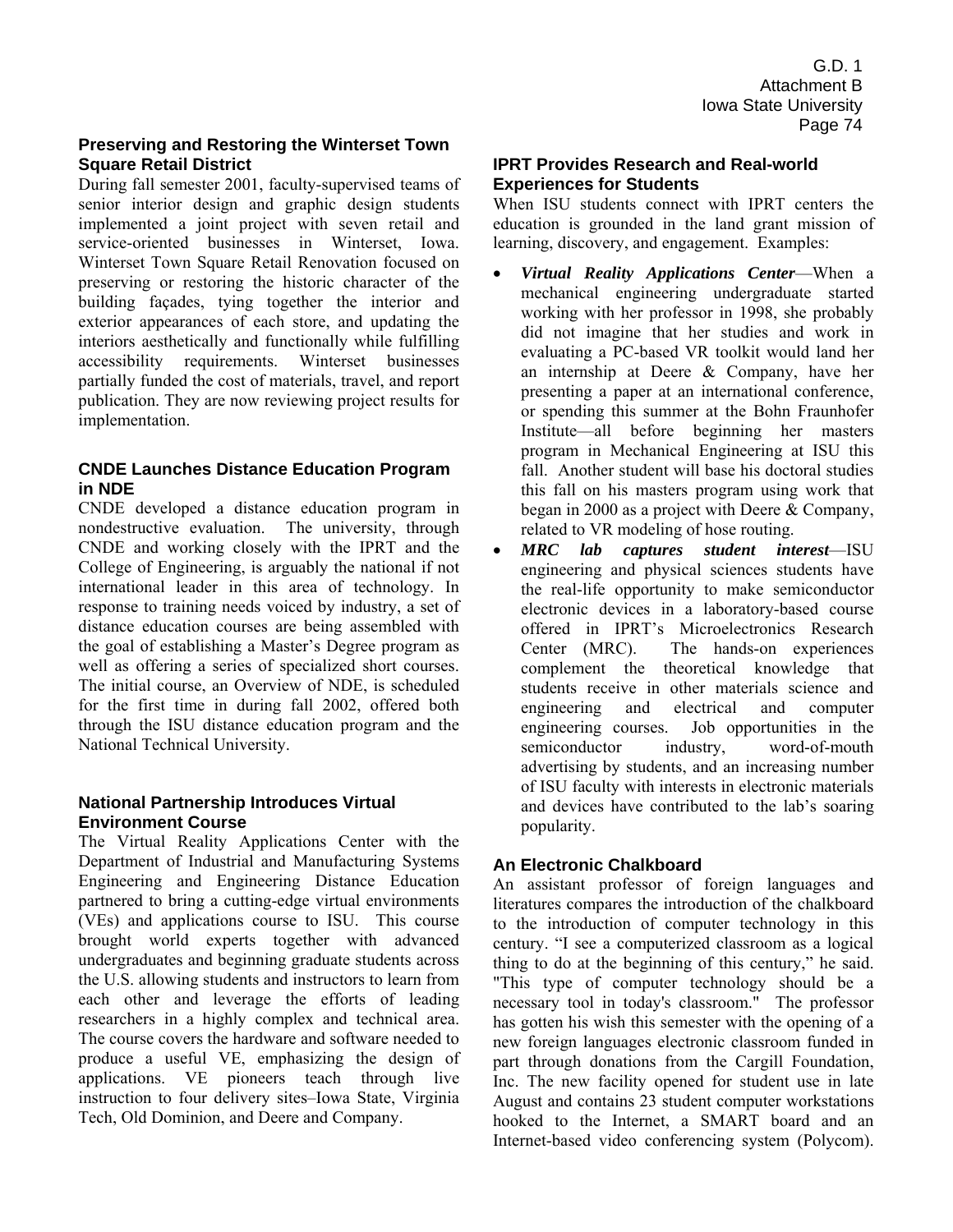#### **Preserving and Restoring the Winterset Town Square Retail District**

During fall semester 2001, faculty-supervised teams of senior interior design and graphic design students implemented a joint project with seven retail and service-oriented businesses in Winterset, Iowa. Winterset Town Square Retail Renovation focused on preserving or restoring the historic character of the building façades, tying together the interior and exterior appearances of each store, and updating the interiors aesthetically and functionally while fulfilling accessibility requirements. Winterset businesses partially funded the cost of materials, travel, and report publication. They are now reviewing project results for implementation.

#### **CNDE Launches Distance Education Program in NDE**

CNDE developed a distance education program in nondestructive evaluation. The university, through CNDE and working closely with the IPRT and the College of Engineering, is arguably the national if not international leader in this area of technology. In response to training needs voiced by industry, a set of distance education courses are being assembled with the goal of establishing a Master's Degree program as well as offering a series of specialized short courses. The initial course, an Overview of NDE, is scheduled for the first time in during fall 2002, offered both through the ISU distance education program and the National Technical University.

#### **National Partnership Introduces Virtual Environment Course**

The Virtual Reality Applications Center with the Department of Industrial and Manufacturing Systems Engineering and Engineering Distance Education partnered to bring a cutting-edge virtual environments (VEs) and applications course to ISU. This course brought world experts together with advanced undergraduates and beginning graduate students across the U.S. allowing students and instructors to learn from each other and leverage the efforts of leading researchers in a highly complex and technical area. The course covers the hardware and software needed to produce a useful VE, emphasizing the design of applications. VE pioneers teach through live instruction to four delivery sites-Iowa State, Virginia Tech, Old Dominion, and Deere and Company.

#### **IPRT Provides Research and Real-world Experiences for Students**

When ISU students connect with IPRT centers the education is grounded in the land grant mission of learning, discovery, and engagement. Examples:

- Virtual Reality Applications Center-When a mechanical engineering undergraduate started working with her professor in 1998, she probably did not imagine that her studies and work in evaluating a PC-based VR toolkit would land her an internship at Deere & Company, have her presenting a paper at an international conference, or spending this summer at the Bohn Fraunhofer Institute—all before beginning her masters program in Mechanical Engineering at ISU this fall. Another student will base his doctoral studies this fall on his masters program using work that began in 2000 as a project with Deere & Company, related to VR modeling of hose routing.
- *MRC* lab captures student interest—ISU engineering and physical sciences students have the real-life opportunity to make semiconductor electronic devices in a laboratory-based course offered in IPRT's Microelectronics Research Center (MRC). The hands-on experiences complement the theoretical knowledge that students receive in other materials science and engineering and electrical and computer engineering courses. Job opportunities in the semiconductor industry, word-of-mouth advertising by students, and an increasing number of ISU faculty with interests in electronic materials and devices have contributed to the lab's soaring popularity.

# **An Electronic Chalkboard**

An assistant professor of foreign languages and literatures compares the introduction of the chalkboard to the introduction of computer technology in this century. "I see a computerized classroom as a logical thing to do at the beginning of this century," he said. "This type of computer technology should be a necessary tool in today's classroom." The professor has gotten his wish this semester with the opening of a new foreign languages electronic classroom funded in part through donations from the Cargill Foundation, Inc. The new facility opened for student use in late August and contains 23 student computer workstations hooked to the Internet, a SMART board and an Internet-based video conferencing system (Polycom).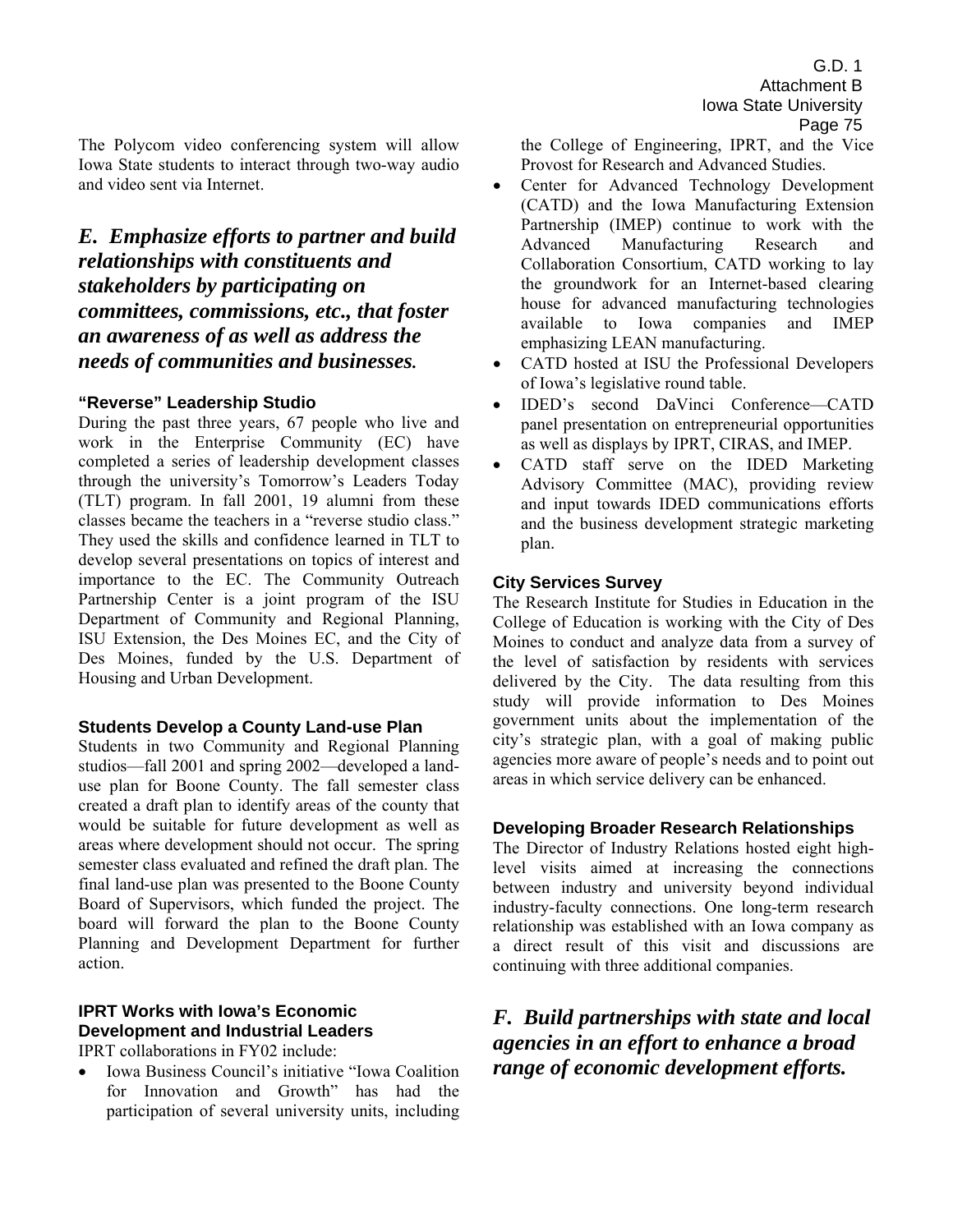The Polycom video conferencing system will allow Iowa State students to interact through two-way audio and video sent via Internet.

# *E. Emphasize efforts to partner and build relationships with constituents and stakeholders by participating on committees, commissions, etc., that foster an awareness of as well as address the needs of communities and businesses.*

#### **"Reverse" Leadership Studio**

During the past three years, 67 people who live and work in the Enterprise Community (EC) have completed a series of leadership development classes through the university's Tomorrow's Leaders Today (TLT) program. In fall 2001, 19 alumni from these classes became the teachers in a "reverse studio class." They used the skills and confidence learned in TLT to develop several presentations on topics of interest and importance to the EC. The Community Outreach Partnership Center is a joint program of the ISU Department of Community and Regional Planning, ISU Extension, the Des Moines EC, and the City of Des Moines, funded by the U.S. Department of Housing and Urban Development.

#### **Students Develop a County Land-use Plan**

Students in two Community and Regional Planning studios—fall 2001 and spring 2002—developed a landuse plan for Boone County. The fall semester class created a draft plan to identify areas of the county that would be suitable for future development as well as areas where development should not occur. The spring semester class evaluated and refined the draft plan. The final land-use plan was presented to the Boone County Board of Supervisors, which funded the project. The board will forward the plan to the Boone County Planning and Development Department for further action.

# **IPRT Works with Iowa's Economic Development and Industrial Leaders**

IPRT collaborations in FY02 include:

Iowa Business Council's initiative "Iowa Coalition" for Innovation and Growth<sup>"</sup> has had the participation of several university units, including the College of Engineering, IPRT, and the Vice Provost for Research and Advanced Studies.

- Center for Advanced Technology Development (CATD) and the Iowa Manufacturing Extension Partnership (IMEP) continue to work with the Advanced Manufacturing Research and Collaboration Consortium, CATD working to lay the groundwork for an Internet-based clearing house for advanced manufacturing technologies available to Iowa companies and IMEP emphasizing LEAN manufacturing.
- CATD hosted at ISU the Professional Developers of Iowa's legislative round table.
- IDED's second DaVinci Conference-CATD panel presentation on entrepreneurial opportunities as well as displays by IPRT, CIRAS, and IMEP.
- CATD staff serve on the IDED Marketing Advisory Committee (MAC), providing review and input towards IDED communications efforts and the business development strategic marketing plan.

#### **City Services Survey**

The Research Institute for Studies in Education in the College of Education is working with the City of Des Moines to conduct and analyze data from a survey of the level of satisfaction by residents with services delivered by the City. The data resulting from this study will provide information to Des Moines government units about the implementation of the city's strategic plan, with a goal of making public agencies more aware of people's needs and to point out areas in which service delivery can be enhanced.

#### **Developing Broader Research Relationships**

The Director of Industry Relations hosted eight highlevel visits aimed at increasing the connections between industry and university beyond individual industry-faculty connections. One long-term research relationship was established with an Iowa company as a direct result of this visit and discussions are continuing with three additional companies.

# *F. Build partnerships with state and local agencies in an effort to enhance a broad range of economic development efforts.*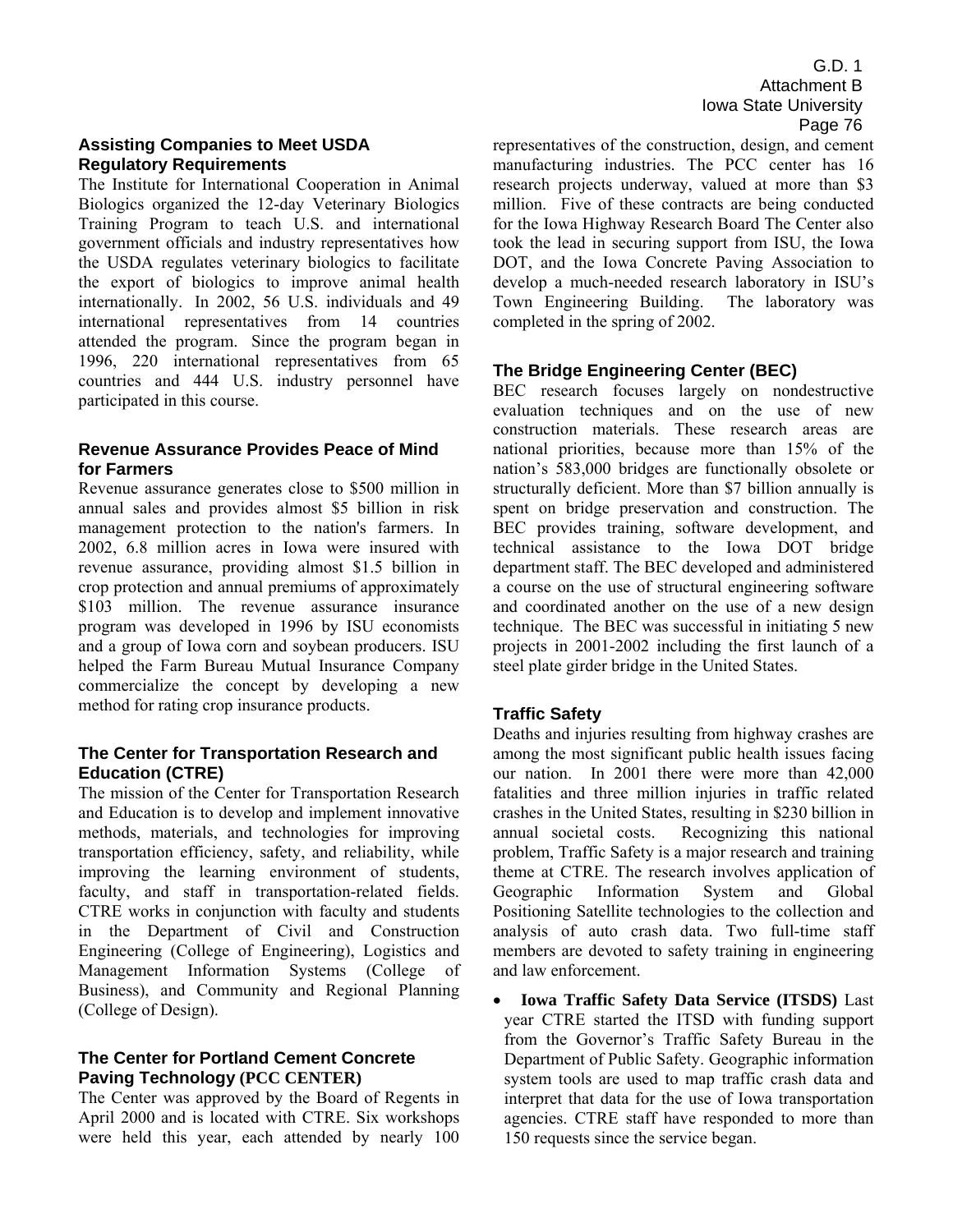#### **Assisting Companies to Meet USDA Regulatory Requirements**

The Institute for International Cooperation in Animal Biologics organized the 12-day Veterinary Biologics Training Program to teach U.S. and international government officials and industry representatives how the USDA regulates veterinary biologics to facilitate the export of biologics to improve animal health internationally. In 2002, 56 U.S. individuals and 49 international representatives from 14 countries attended the program. Since the program began in 1996, 220 international representatives from 65 countries and 444 U.S. industry personnel have participated in this course.

#### **Revenue Assurance Provides Peace of Mind for Farmers**

Revenue assurance generates close to \$500 million in annual sales and provides almost \$5 billion in risk management protection to the nation's farmers. In 2002, 6.8 million acres in Iowa were insured with revenue assurance, providing almost \$1.5 billion in crop protection and annual premiums of approximately \$103 million. The revenue assurance insurance program was developed in 1996 by ISU economists and a group of Iowa corn and soybean producers. ISU helped the Farm Bureau Mutual Insurance Company commercialize the concept by developing a new method for rating crop insurance products.

#### **The Center for Transportation Research and Education (CTRE)**

The mission of the Center for Transportation Research and Education is to develop and implement innovative methods, materials, and technologies for improving transportation efficiency, safety, and reliability, while improving the learning environment of students, faculty, and staff in transportation-related fields. CTRE works in conjunction with faculty and students in the Department of Civil and Construction Engineering (College of Engineering), Logistics and Management Information Systems (College of Business), and Community and Regional Planning (College of Design).

#### **The Center for Portland Cement Concrete Paving Technology (PCC CENTER)**

The Center was approved by the Board of Regents in April 2000 and is located with CTRE. Six workshops were held this year, each attended by nearly 100

G.D. 1 Attachment B Iowa State University Page 76

representatives of the construction, design, and cement manufacturing industries. The PCC center has 16 research projects underway, valued at more than \$3 million. Five of these contracts are being conducted for the Iowa Highway Research Board The Center also took the lead in securing support from ISU, the Iowa DOT, and the Iowa Concrete Paving Association to develop a much-needed research laboratory in ISU's Town Engineering Building. The laboratory was completed in the spring of 2002.

#### **The Bridge Engineering Center (BEC)**

BEC research focuses largely on nondestructive evaluation techniques and on the use of new construction materials. These research areas are national priorities, because more than 15% of the nation's 583,000 bridges are functionally obsolete or structurally deficient. More than \$7 billion annually is spent on bridge preservation and construction. The BEC provides training, software development, and technical assistance to the Iowa DOT bridge department staff. The BEC developed and administered a course on the use of structural engineering software and coordinated another on the use of a new design technique. The BEC was successful in initiating 5 new projects in 2001-2002 including the first launch of a steel plate girder bridge in the United States.

#### **Traffic Safety**

Deaths and injuries resulting from highway crashes are among the most significant public health issues facing our nation. In 2001 there were more than 42,000 fatalities and three million injuries in traffic related crashes in the United States, resulting in \$230 billion in annual societal costs. Recognizing this national problem, Traffic Safety is a major research and training theme at CTRE. The research involves application of Geographic Information System and Global Positioning Satellite technologies to the collection and analysis of auto crash data. Two full-time staff members are devoted to safety training in engineering and law enforcement.

• **Iowa Traffic Safety Data Service (ITSDS)** Last year CTRE started the ITSD with funding support from the Governor's Traffic Safety Bureau in the Department of Public Safety. Geographic information system tools are used to map traffic crash data and interpret that data for the use of Iowa transportation agencies. CTRE staff have responded to more than 150 requests since the service began.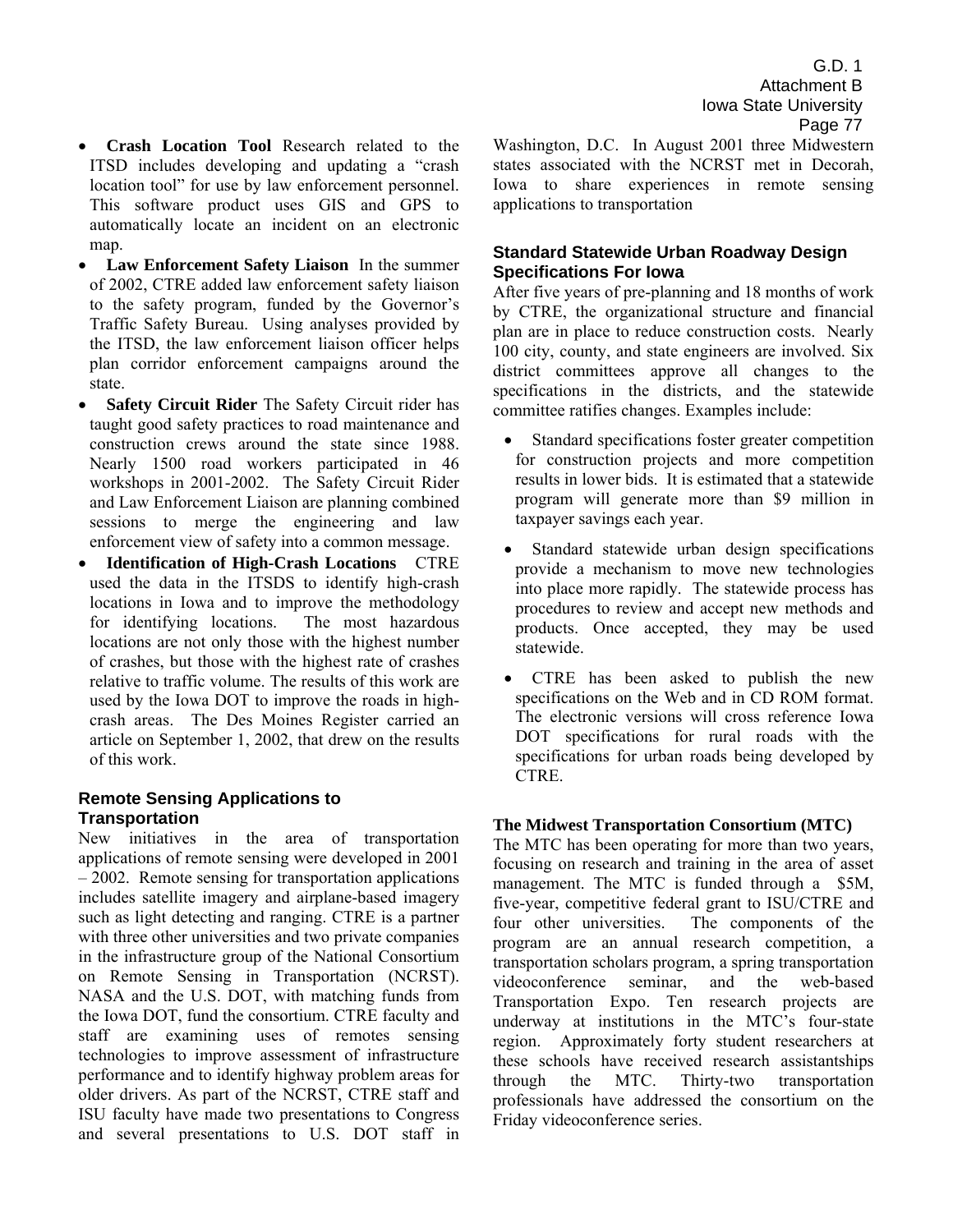- **Crash Location Tool** Research related to the ITSD includes developing and updating a "crash" location tool" for use by law enforcement personnel. This software product uses GIS and GPS to automatically locate an incident on an electronic map.
- **Law Enforcement Safety Liaison** In the summer of 2002, CTRE added law enforcement safety liaison to the safety program, funded by the Governor's Traffic Safety Bureau. Using analyses provided by the ITSD, the law enforcement liaison officer helps plan corridor enforcement campaigns around the state.
- **Safety Circuit Rider** The Safety Circuit rider has taught good safety practices to road maintenance and construction crews around the state since 1988. Nearly 1500 road workers participated in 46 workshops in 2001-2002. The Safety Circuit Rider and Law Enforcement Liaison are planning combined sessions to merge the engineering and law enforcement view of safety into a common message.
- **Identification of High-Crash Locations** CTRE used the data in the ITSDS to identify high-crash locations in Iowa and to improve the methodology for identifying locations. The most hazardous locations are not only those with the highest number of crashes, but those with the highest rate of crashes relative to traffic volume. The results of this work are used by the Iowa DOT to improve the roads in highcrash areas. The Des Moines Register carried an article on September 1, 2002, that drew on the results of this work.

#### **Remote Sensing Applications to Transportation**

New initiatives in the area of transportation applications of remote sensing were developed in 2001  $-2002$ . Remote sensing for transportation applications includes satellite imagery and airplane-based imagery such as light detecting and ranging. CTRE is a partner with three other universities and two private companies in the infrastructure group of the National Consortium on Remote Sensing in Transportation (NCRST). NASA and the U.S. DOT, with matching funds from the Iowa DOT, fund the consortium. CTRE faculty and staff are examining uses of remotes sensing technologies to improve assessment of infrastructure performance and to identify highway problem areas for older drivers. As part of the NCRST, CTRE staff and ISU faculty have made two presentations to Congress and several presentations to U.S. DOT staff in

Washington, D.C. In August 2001 three Midwestern states associated with the NCRST met in Decorah, Iowa to share experiences in remote sensing applications to transportation

#### **Standard Statewide Urban Roadway Design Specifications For Iowa**

After five years of pre-planning and 18 months of work by CTRE, the organizational structure and financial plan are in place to reduce construction costs. Nearly 100 city, county, and state engineers are involved. Six district committees approve all changes to the specifications in the districts, and the statewide committee ratifies changes. Examples include:

- Standard specifications foster greater competition for construction projects and more competition results in lower bids. It is estimated that a statewide program will generate more than \$9 million in taxpayer savings each year.
- Standard statewide urban design specifications provide a mechanism to move new technologies into place more rapidly. The statewide process has procedures to review and accept new methods and products. Once accepted, they may be used statewide.
- CTRE has been asked to publish the new specifications on the Web and in CD ROM format. The electronic versions will cross reference Iowa DOT specifications for rural roads with the specifications for urban roads being developed by CTRE.

#### **The Midwest Transportation Consortium (MTC)**

The MTC has been operating for more than two years, focusing on research and training in the area of asset management. The MTC is funded through a \$5M, five-year, competitive federal grant to ISU/CTRE and four other universities. The components of the program are an annual research competition, a transportation scholars program, a spring transportation videoconference seminar, and the web-based Transportation Expo. Ten research projects are underway at institutions in the MTC's four-state region. Approximately forty student researchers at these schools have received research assistantships through the MTC. Thirty-two transportation professionals have addressed the consortium on the Friday videoconference series.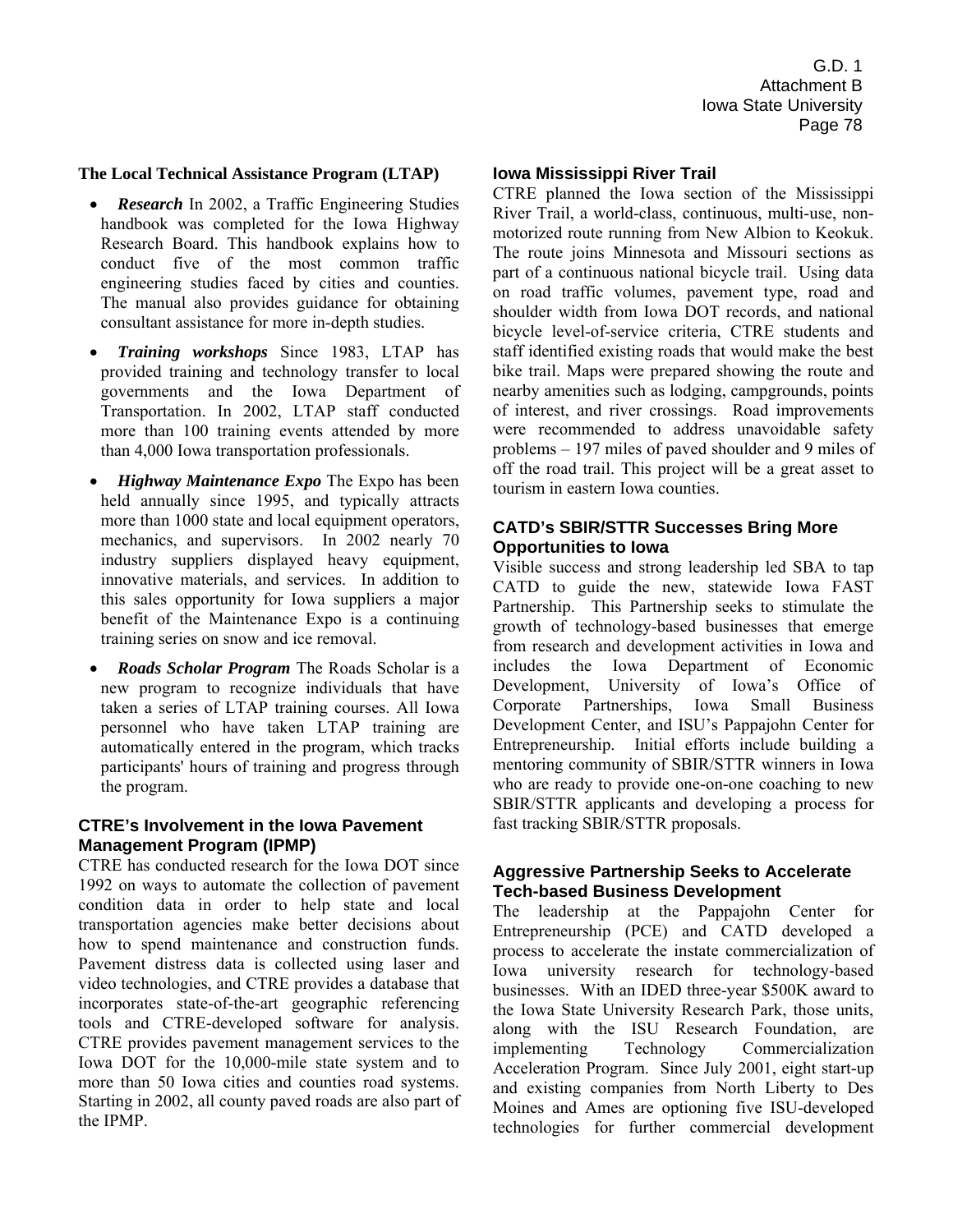#### **The Local Technical Assistance Program (LTAP)**

- *Research* In 2002, a Traffic Engineering Studies handbook was completed for the Iowa Highway Research Board. This handbook explains how to conduct five of the most common traffic engineering studies faced by cities and counties. The manual also provides guidance for obtaining consultant assistance for more in-depth studies.
- *Training workshops* Since 1983, LTAP has provided training and technology transfer to local governments and the Iowa Department of Transportation. In 2002, LTAP staff conducted more than 100 training events attended by more than 4,000 Iowa transportation professionals.
- *Highway Maintenance Expo* The Expo has been held annually since 1995, and typically attracts more than 1000 state and local equipment operators, mechanics, and supervisors. In 2002 nearly 70 industry suppliers displayed heavy equipment, innovative materials, and services. In addition to this sales opportunity for Iowa suppliers a major benefit of the Maintenance Expo is a continuing training series on snow and ice removal.
- *Roads Scholar Program* The Roads Scholar is a new program to recognize individuals that have taken a series of LTAP training courses. All Iowa personnel who have taken LTAP training are automatically entered in the program, which tracks participants' hours of training and progress through the program.

#### **CTRE's Involvement in the Iowa Pavement Management Program (IPMP)**

CTRE has conducted research for the Iowa DOT since 1992 on ways to automate the collection of pavement condition data in order to help state and local transportation agencies make better decisions about how to spend maintenance and construction funds. Pavement distress data is collected using laser and video technologies, and CTRE provides a database that incorporates state-of-the-art geographic referencing tools and CTRE-developed software for analysis. CTRE provides pavement management services to the Iowa DOT for the 10,000-mile state system and to more than 50 Iowa cities and counties road systems. Starting in 2002, all county paved roads are also part of the IPMP.

#### **Iowa Mississippi River Trail**

CTRE planned the Iowa section of the Mississippi River Trail, a world-class, continuous, multi-use, nonmotorized route running from New Albion to Keokuk. The route joins Minnesota and Missouri sections as part of a continuous national bicycle trail. Using data on road traffic volumes, pavement type, road and shoulder width from Iowa DOT records, and national bicycle level-of-service criteria, CTRE students and staff identified existing roads that would make the best bike trail. Maps were prepared showing the route and nearby amenities such as lodging, campgrounds, points of interest, and river crossings. Road improvements were recommended to address unavoidable safety problems  $-197$  miles of paved shoulder and 9 miles of off the road trail. This project will be a great asset to tourism in eastern Iowa counties.

#### **CATD's SBIR/STTR Successes Bring More Opportunities to Iowa**

Visible success and strong leadership led SBA to tap CATD to guide the new, statewide Iowa FAST Partnership. This Partnership seeks to stimulate the growth of technology-based businesses that emerge from research and development activities in Iowa and includes the Iowa Department of Economic Development, University of Iowa's Office of Corporate Partnerships, Iowa Small Business Development Center, and ISU's Pappajohn Center for Entrepreneurship. Initial efforts include building a mentoring community of SBIR/STTR winners in Iowa who are ready to provide one-on-one coaching to new SBIR/STTR applicants and developing a process for fast tracking SBIR/STTR proposals.

#### **Aggressive Partnership Seeks to Accelerate Tech-based Business Development**

The leadership at the Pappajohn Center for Entrepreneurship (PCE) and CATD developed a process to accelerate the instate commercialization of Iowa university research for technology-based businesses. With an IDED three-year \$500K award to the Iowa State University Research Park, those units, along with the ISU Research Foundation, are implementing Technology Commercialization Acceleration Program. Since July 2001, eight start-up and existing companies from North Liberty to Des Moines and Ames are optioning five ISU-developed technologies for further commercial development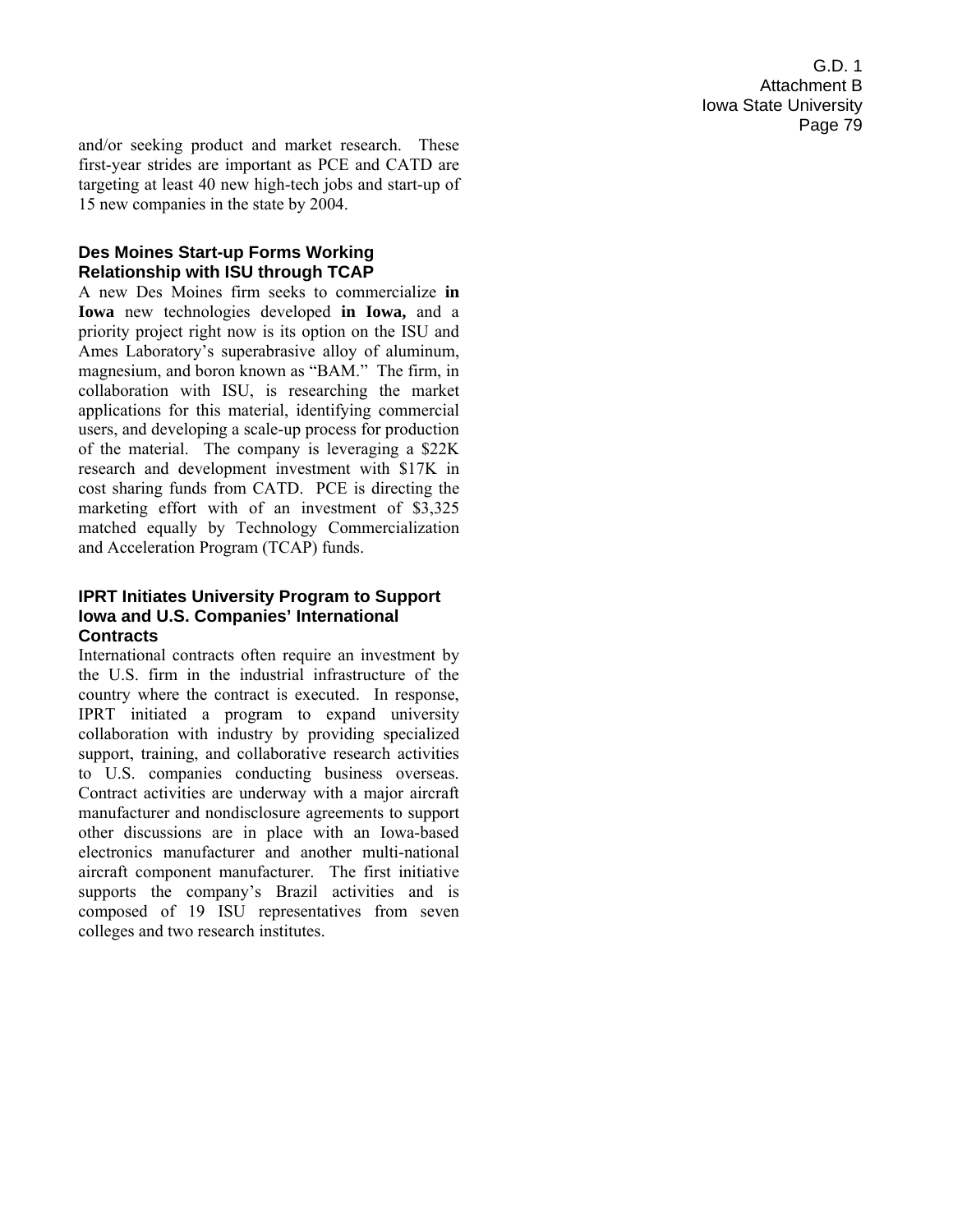and/or seeking product and market research. These first-year strides are important as PCE and CATD are targeting at least 40 new high-tech jobs and start-up of 15 new companies in the state by 2004.

#### **Des Moines Start-up Forms Working Relationship with ISU through TCAP**

A new Des Moines firm seeks to commercialize **in Iowa** new technologies developed **in Iowa,** and a priority project right now is its option on the ISU and Ames Laboratory's superabrasive alloy of aluminum, magnesium, and boron known as "BAM." The firm, in collaboration with ISU, is researching the market applications for this material, identifying commercial users, and developing a scale-up process for production of the material. The company is leveraging a \$22K research and development investment with \$17K in cost sharing funds from CATD. PCE is directing the marketing effort with of an investment of \$3,325 matched equally by Technology Commercialization and Acceleration Program (TCAP) funds.

#### **IPRT Initiates University Program to Support Iowa and U.S. Companies' International Contracts**

International contracts often require an investment by the U.S. firm in the industrial infrastructure of the country where the contract is executed. In response, IPRT initiated a program to expand university collaboration with industry by providing specialized support, training, and collaborative research activities to U.S. companies conducting business overseas. Contract activities are underway with a major aircraft manufacturer and nondisclosure agreements to support other discussions are in place with an Iowa-based electronics manufacturer and another multi-national aircraft component manufacturer. The first initiative supports the company's Brazil activities and is composed of 19 ISU representatives from seven colleges and two research institutes.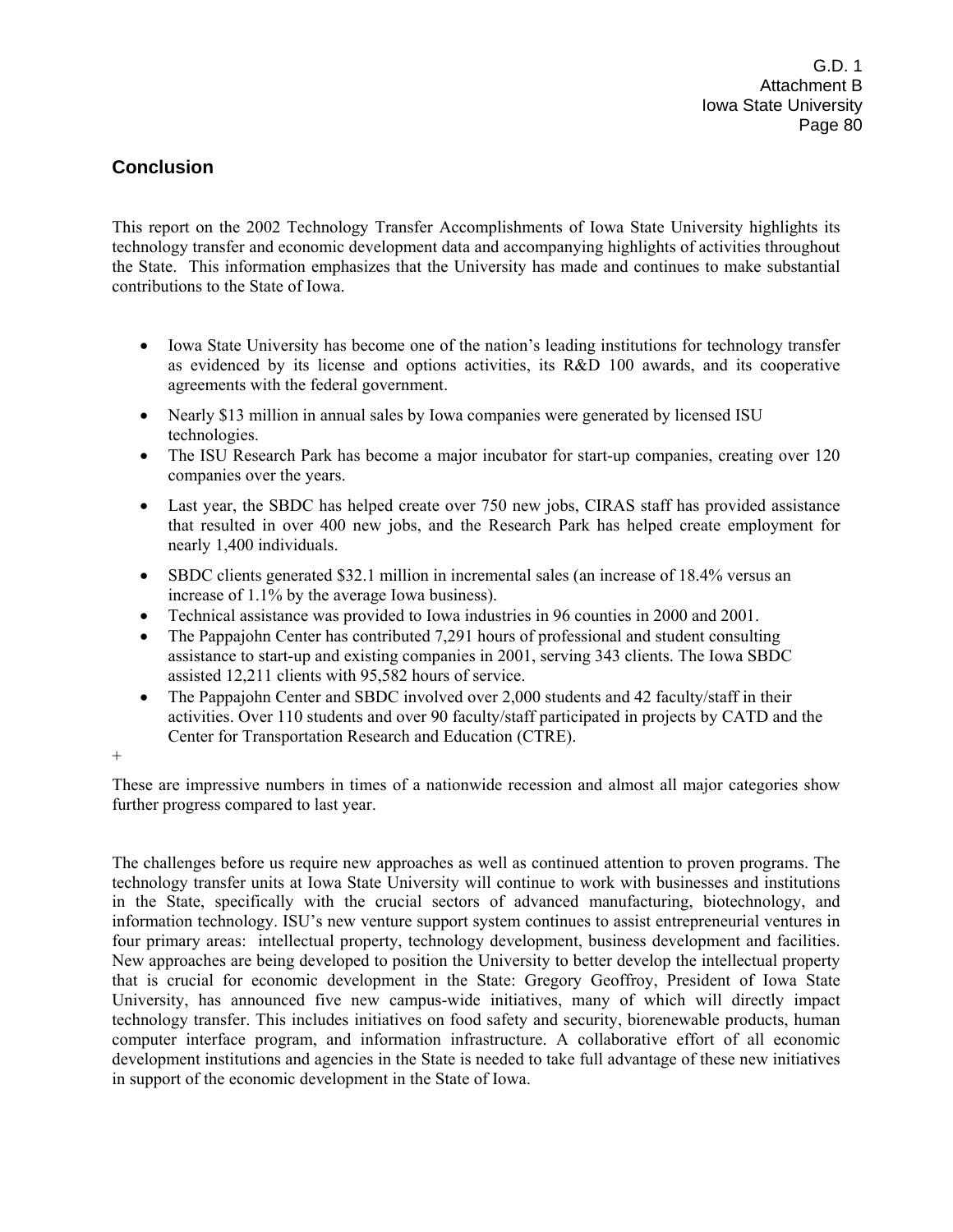# **Conclusion**

This report on the 2002 Technology Transfer Accomplishments of Iowa State University highlights its technology transfer and economic development data and accompanying highlights of activities throughout the State. This information emphasizes that the University has made and continues to make substantial contributions to the State of Iowa.

- Iowa State University has become one of the nation's leading institutions for technology transfer as evidenced by its license and options activities, its R&D 100 awards, and its cooperative agreements with the federal government.
- Nearly \$13 million in annual sales by Iowa companies were generated by licensed ISU technologies.
- The ISU Research Park has become a major incubator for start-up companies, creating over 120 companies over the years.
- Last year, the SBDC has helped create over 750 new jobs, CIRAS staff has provided assistance that resulted in over 400 new jobs, and the Research Park has helped create employment for nearly 1,400 individuals.
- SBDC clients generated \$32.1 million in incremental sales (an increase of 18.4% versus an increase of 1.1% by the average Iowa business).
- Technical assistance was provided to Iowa industries in 96 counties in 2000 and 2001.
- The Pappajohn Center has contributed 7,291 hours of professional and student consulting assistance to start-up and existing companies in 2001, serving 343 clients. The Iowa SBDC assisted 12,211 clients with 95,582 hours of service.
- The Pappajohn Center and SBDC involved over 2,000 students and 42 faculty/staff in their activities. Over 110 students and over 90 faculty/staff participated in projects by CATD and the Center for Transportation Research and Education (CTRE).

+

These are impressive numbers in times of a nationwide recession and almost all major categories show further progress compared to last year.

The challenges before us require new approaches as well as continued attention to proven programs. The technology transfer units at Iowa State University will continue to work with businesses and institutions in the State, specifically with the crucial sectors of advanced manufacturing, biotechnology, and information technology. ISU's new venture support system continues to assist entrepreneurial ventures in four primary areas: intellectual property, technology development, business development and facilities. New approaches are being developed to position the University to better develop the intellectual property that is crucial for economic development in the State: Gregory Geoffroy, President of Iowa State University, has announced five new campus-wide initiatives, many of which will directly impact technology transfer. This includes initiatives on food safety and security, biorenewable products, human computer interface program, and information infrastructure. A collaborative effort of all economic development institutions and agencies in the State is needed to take full advantage of these new initiatives in support of the economic development in the State of Iowa.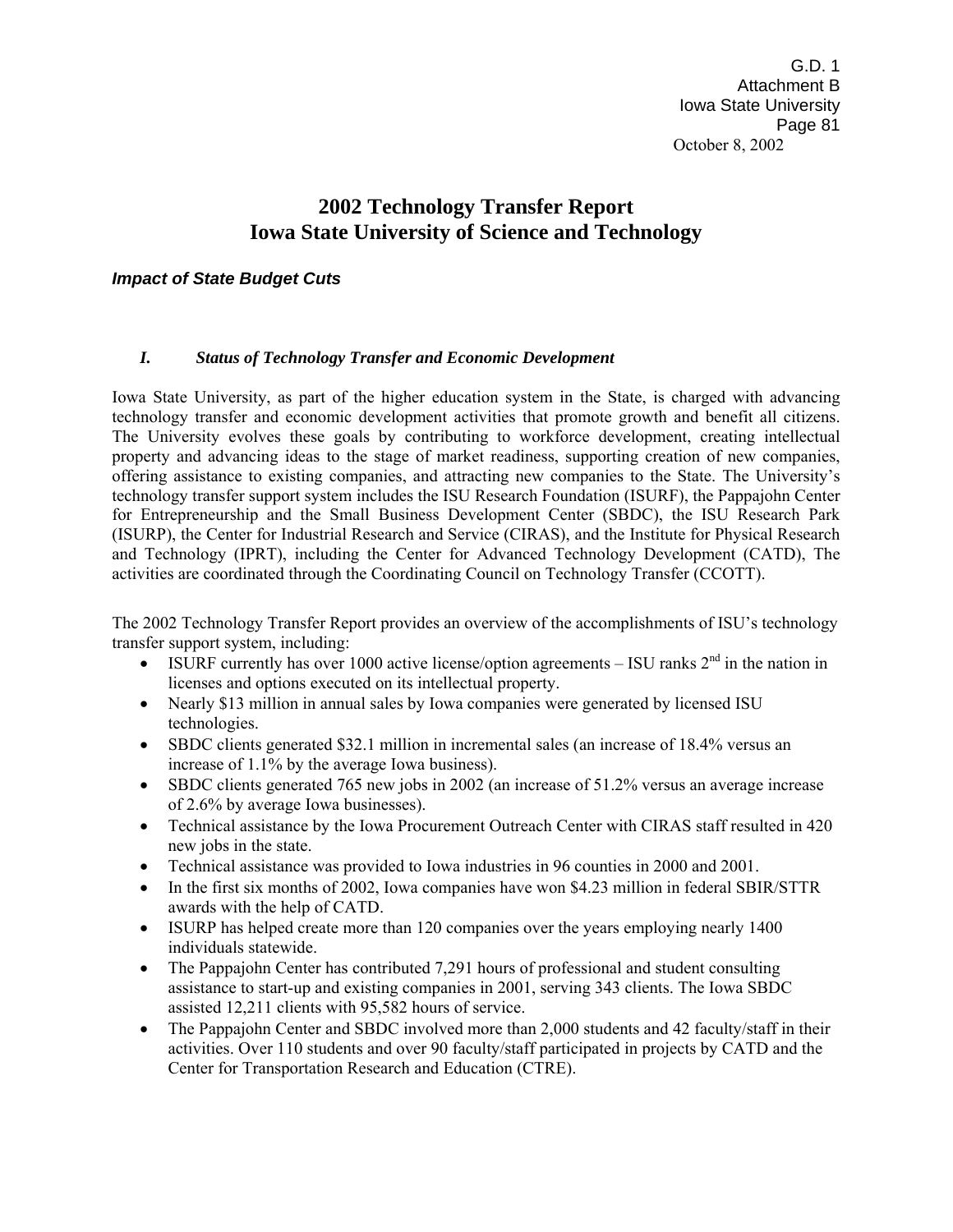G.D. 1 Attachment B Iowa State University Page 81 October 8, 2002

# **2002 Technology Transfer Report Iowa State University of Science and Technology**

#### *Impact of State Budget Cuts*

#### *I. Status of Technology Transfer and Economic Development*

Iowa State University, as part of the higher education system in the State, is charged with advancing technology transfer and economic development activities that promote growth and benefit all citizens. The University evolves these goals by contributing to workforce development, creating intellectual property and advancing ideas to the stage of market readiness, supporting creation of new companies, offering assistance to existing companies, and attracting new companies to the State. The Universityís technology transfer support system includes the ISU Research Foundation (ISURF), the Pappajohn Center for Entrepreneurship and the Small Business Development Center (SBDC), the ISU Research Park (ISURP), the Center for Industrial Research and Service (CIRAS), and the Institute for Physical Research and Technology (IPRT), including the Center for Advanced Technology Development (CATD), The activities are coordinated through the Coordinating Council on Technology Transfer (CCOTT).

The 2002 Technology Transfer Report provides an overview of the accomplishments of ISU's technology transfer support system, including:

- ISURF currently has over 1000 active license/option agreements ISU ranks  $2<sup>nd</sup>$  in the nation in licenses and options executed on its intellectual property.
- Nearly \$13 million in annual sales by Iowa companies were generated by licensed ISU technologies.
- SBDC clients generated \$32.1 million in incremental sales (an increase of 18.4% versus an increase of 1.1% by the average Iowa business).
- SBDC clients generated 765 new jobs in 2002 (an increase of 51.2% versus an average increase of 2.6% by average Iowa businesses).
- Technical assistance by the Iowa Procurement Outreach Center with CIRAS staff resulted in 420 new jobs in the state.
- Technical assistance was provided to Iowa industries in 96 counties in 2000 and 2001.
- In the first six months of 2002, Iowa companies have won \$4.23 million in federal SBIR/STTR awards with the help of CATD.
- ISURP has helped create more than 120 companies over the years employing nearly 1400 individuals statewide.
- The Pappajohn Center has contributed 7,291 hours of professional and student consulting assistance to start-up and existing companies in 2001, serving 343 clients. The Iowa SBDC assisted 12,211 clients with 95,582 hours of service.
- The Pappajohn Center and SBDC involved more than 2,000 students and 42 faculty/staff in their activities. Over 110 students and over 90 faculty/staff participated in projects by CATD and the Center for Transportation Research and Education (CTRE).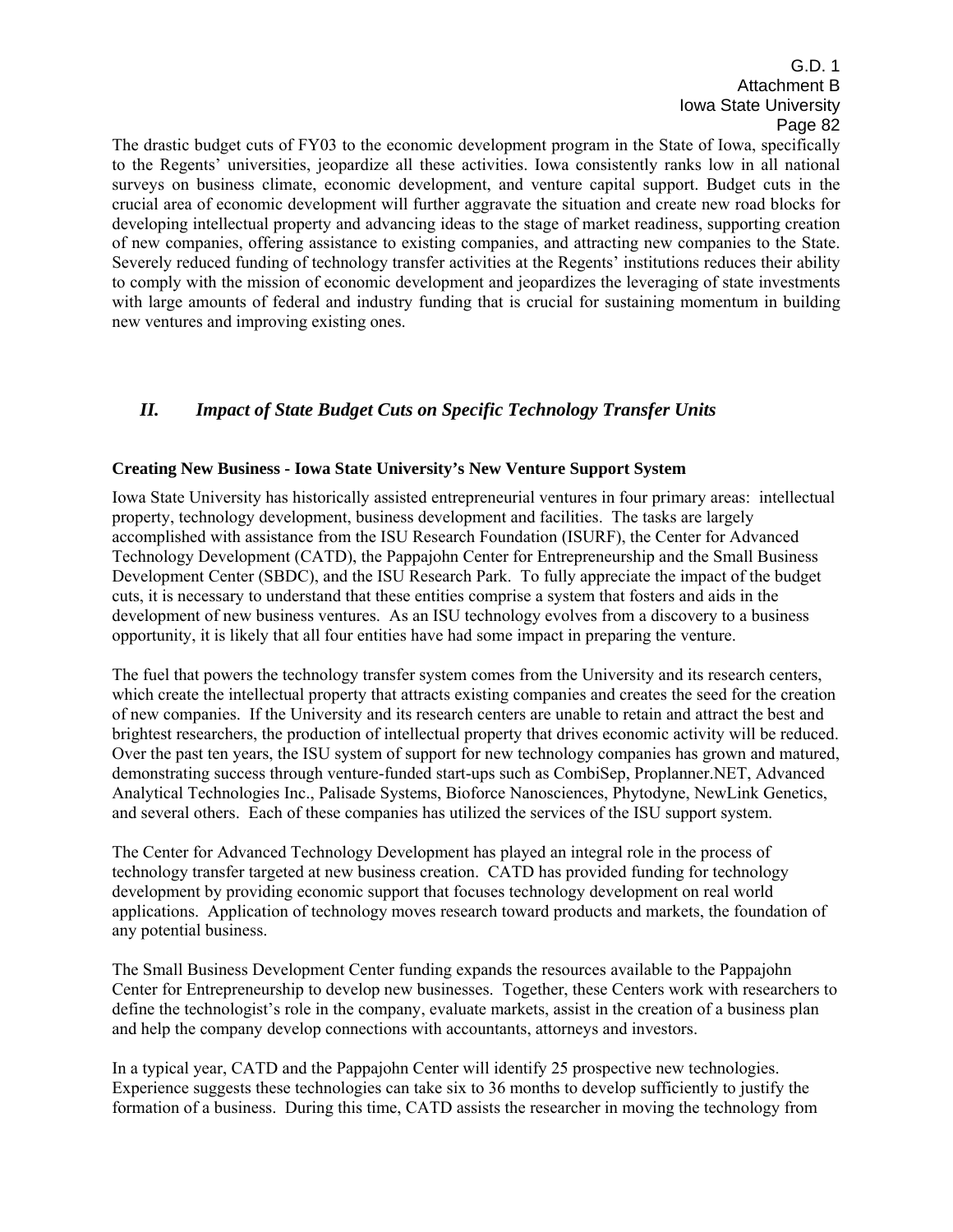The drastic budget cuts of FY03 to the economic development program in the State of Iowa, specifically to the Regents' universities, jeopardize all these activities. Iowa consistently ranks low in all national surveys on business climate, economic development, and venture capital support. Budget cuts in the crucial area of economic development will further aggravate the situation and create new road blocks for developing intellectual property and advancing ideas to the stage of market readiness, supporting creation of new companies, offering assistance to existing companies, and attracting new companies to the State. Severely reduced funding of technology transfer activities at the Regents' institutions reduces their ability to comply with the mission of economic development and jeopardizes the leveraging of state investments with large amounts of federal and industry funding that is crucial for sustaining momentum in building new ventures and improving existing ones.

# *II. Impact of State Budget Cuts on Specific Technology Transfer Units*

#### **Creating New Business - Iowa State University's New Venture Support System**

Iowa State University has historically assisted entrepreneurial ventures in four primary areas: intellectual property, technology development, business development and facilities. The tasks are largely accomplished with assistance from the ISU Research Foundation (ISURF), the Center for Advanced Technology Development (CATD), the Pappajohn Center for Entrepreneurship and the Small Business Development Center (SBDC), and the ISU Research Park. To fully appreciate the impact of the budget cuts, it is necessary to understand that these entities comprise a system that fosters and aids in the development of new business ventures. As an ISU technology evolves from a discovery to a business opportunity, it is likely that all four entities have had some impact in preparing the venture.

The fuel that powers the technology transfer system comes from the University and its research centers, which create the intellectual property that attracts existing companies and creates the seed for the creation of new companies. If the University and its research centers are unable to retain and attract the best and brightest researchers, the production of intellectual property that drives economic activity will be reduced. Over the past ten years, the ISU system of support for new technology companies has grown and matured, demonstrating success through venture-funded start-ups such as CombiSep, Proplanner.NET, Advanced Analytical Technologies Inc., Palisade Systems, Bioforce Nanosciences, Phytodyne, NewLink Genetics, and several others. Each of these companies has utilized the services of the ISU support system.

The Center for Advanced Technology Development has played an integral role in the process of technology transfer targeted at new business creation. CATD has provided funding for technology development by providing economic support that focuses technology development on real world applications. Application of technology moves research toward products and markets, the foundation of any potential business.

The Small Business Development Center funding expands the resources available to the Pappajohn Center for Entrepreneurship to develop new businesses. Together, these Centers work with researchers to define the technologist's role in the company, evaluate markets, assist in the creation of a business plan and help the company develop connections with accountants, attorneys and investors.

In a typical year, CATD and the Pappajohn Center will identify 25 prospective new technologies. Experience suggests these technologies can take six to 36 months to develop sufficiently to justify the formation of a business. During this time, CATD assists the researcher in moving the technology from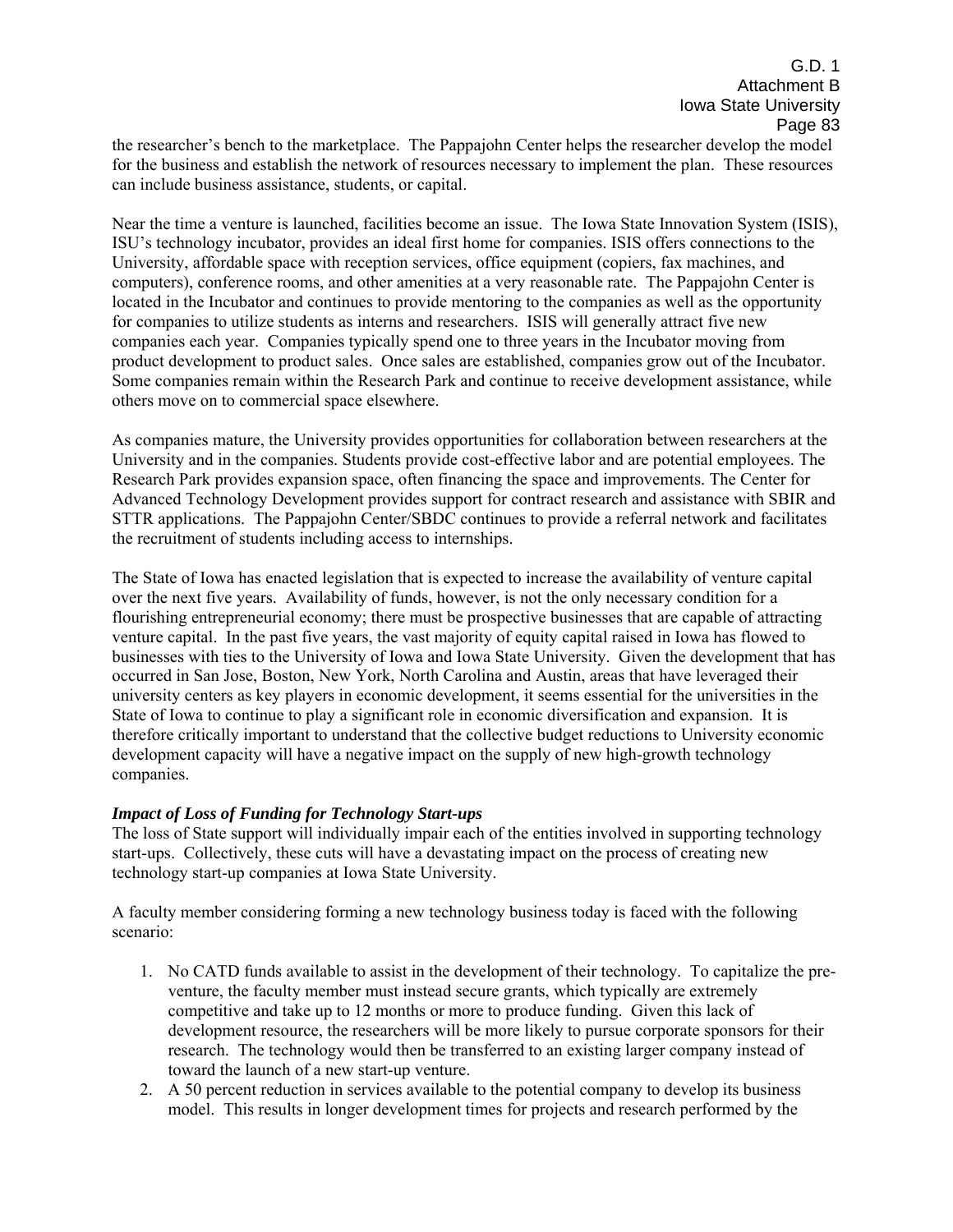the researcher's bench to the marketplace. The Pappajohn Center helps the researcher develop the model for the business and establish the network of resources necessary to implement the plan. These resources can include business assistance, students, or capital.

Near the time a venture is launched, facilities become an issue. The Iowa State Innovation System (ISIS), ISUís technology incubator, provides an ideal first home for companies. ISIS offers connections to the University, affordable space with reception services, office equipment (copiers, fax machines, and computers), conference rooms, and other amenities at a very reasonable rate. The Pappajohn Center is located in the Incubator and continues to provide mentoring to the companies as well as the opportunity for companies to utilize students as interns and researchers. ISIS will generally attract five new companies each year. Companies typically spend one to three years in the Incubator moving from product development to product sales. Once sales are established, companies grow out of the Incubator. Some companies remain within the Research Park and continue to receive development assistance, while others move on to commercial space elsewhere.

As companies mature, the University provides opportunities for collaboration between researchers at the University and in the companies. Students provide cost-effective labor and are potential employees. The Research Park provides expansion space, often financing the space and improvements. The Center for Advanced Technology Development provides support for contract research and assistance with SBIR and STTR applications. The Pappajohn Center/SBDC continues to provide a referral network and facilitates the recruitment of students including access to internships.

The State of Iowa has enacted legislation that is expected to increase the availability of venture capital over the next five years. Availability of funds, however, is not the only necessary condition for a flourishing entrepreneurial economy; there must be prospective businesses that are capable of attracting venture capital. In the past five years, the vast majority of equity capital raised in Iowa has flowed to businesses with ties to the University of Iowa and Iowa State University. Given the development that has occurred in San Jose, Boston, New York, North Carolina and Austin, areas that have leveraged their university centers as key players in economic development, it seems essential for the universities in the State of Iowa to continue to play a significant role in economic diversification and expansion. It is therefore critically important to understand that the collective budget reductions to University economic development capacity will have a negative impact on the supply of new high-growth technology companies.

#### *Impact of Loss of Funding for Technology Start-ups*

The loss of State support will individually impair each of the entities involved in supporting technology start-ups. Collectively, these cuts will have a devastating impact on the process of creating new technology start-up companies at Iowa State University.

A faculty member considering forming a new technology business today is faced with the following scenario:

- 1. No CATD funds available to assist in the development of their technology. To capitalize the preventure, the faculty member must instead secure grants, which typically are extremely competitive and take up to 12 months or more to produce funding. Given this lack of development resource, the researchers will be more likely to pursue corporate sponsors for their research. The technology would then be transferred to an existing larger company instead of toward the launch of a new start-up venture.
- 2. A 50 percent reduction in services available to the potential company to develop its business model. This results in longer development times for projects and research performed by the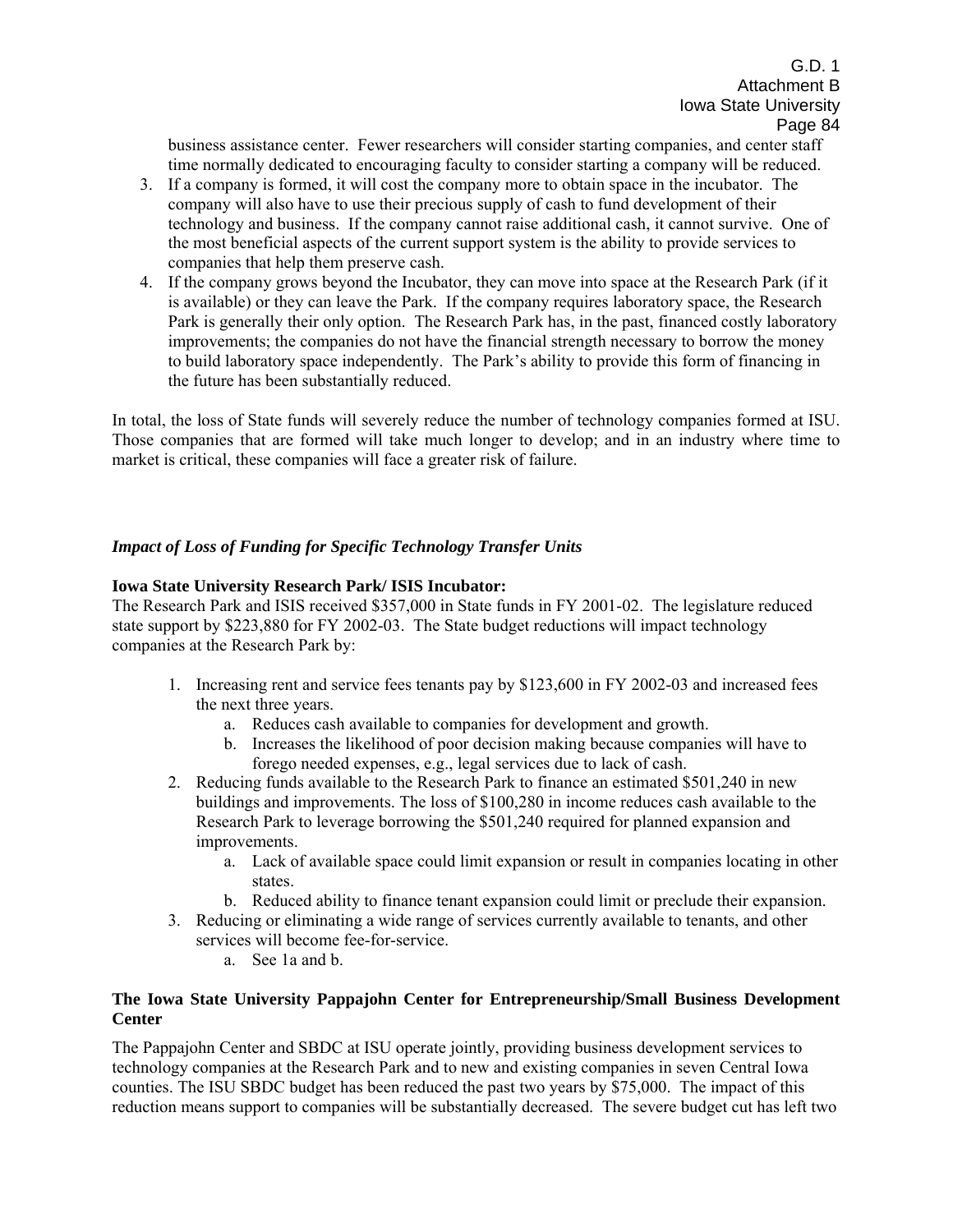business assistance center. Fewer researchers will consider starting companies, and center staff time normally dedicated to encouraging faculty to consider starting a company will be reduced.

- 3. If a company is formed, it will cost the company more to obtain space in the incubator. The company will also have to use their precious supply of cash to fund development of their technology and business. If the company cannot raise additional cash, it cannot survive. One of the most beneficial aspects of the current support system is the ability to provide services to companies that help them preserve cash.
- 4. If the company grows beyond the Incubator, they can move into space at the Research Park (if it is available) or they can leave the Park. If the company requires laboratory space, the Research Park is generally their only option. The Research Park has, in the past, financed costly laboratory improvements; the companies do not have the financial strength necessary to borrow the money to build laboratory space independently. The Park's ability to provide this form of financing in the future has been substantially reduced.

In total, the loss of State funds will severely reduce the number of technology companies formed at ISU. Those companies that are formed will take much longer to develop; and in an industry where time to market is critical, these companies will face a greater risk of failure.

#### *Impact of Loss of Funding for Specific Technology Transfer Units*

#### **Iowa State University Research Park/ ISIS Incubator:**

The Research Park and ISIS received \$357,000 in State funds in FY 2001-02. The legislature reduced state support by \$223,880 for FY 2002-03. The State budget reductions will impact technology companies at the Research Park by:

- 1. Increasing rent and service fees tenants pay by \$123,600 in FY 2002-03 and increased fees the next three years.
	- a. Reduces cash available to companies for development and growth.
	- b. Increases the likelihood of poor decision making because companies will have to forego needed expenses, e.g., legal services due to lack of cash.
- 2. Reducing funds available to the Research Park to finance an estimated \$501,240 in new buildings and improvements. The loss of \$100,280 in income reduces cash available to the Research Park to leverage borrowing the \$501,240 required for planned expansion and improvements.
	- a. Lack of available space could limit expansion or result in companies locating in other states.
	- b. Reduced ability to finance tenant expansion could limit or preclude their expansion.
- 3. Reducing or eliminating a wide range of services currently available to tenants, and other services will become fee-for-service.
	- a. See 1a and b.

#### **The Iowa State University Pappajohn Center for Entrepreneurship/Small Business Development Center**

The Pappajohn Center and SBDC at ISU operate jointly, providing business development services to technology companies at the Research Park and to new and existing companies in seven Central Iowa counties. The ISU SBDC budget has been reduced the past two years by \$75,000. The impact of this reduction means support to companies will be substantially decreased. The severe budget cut has left two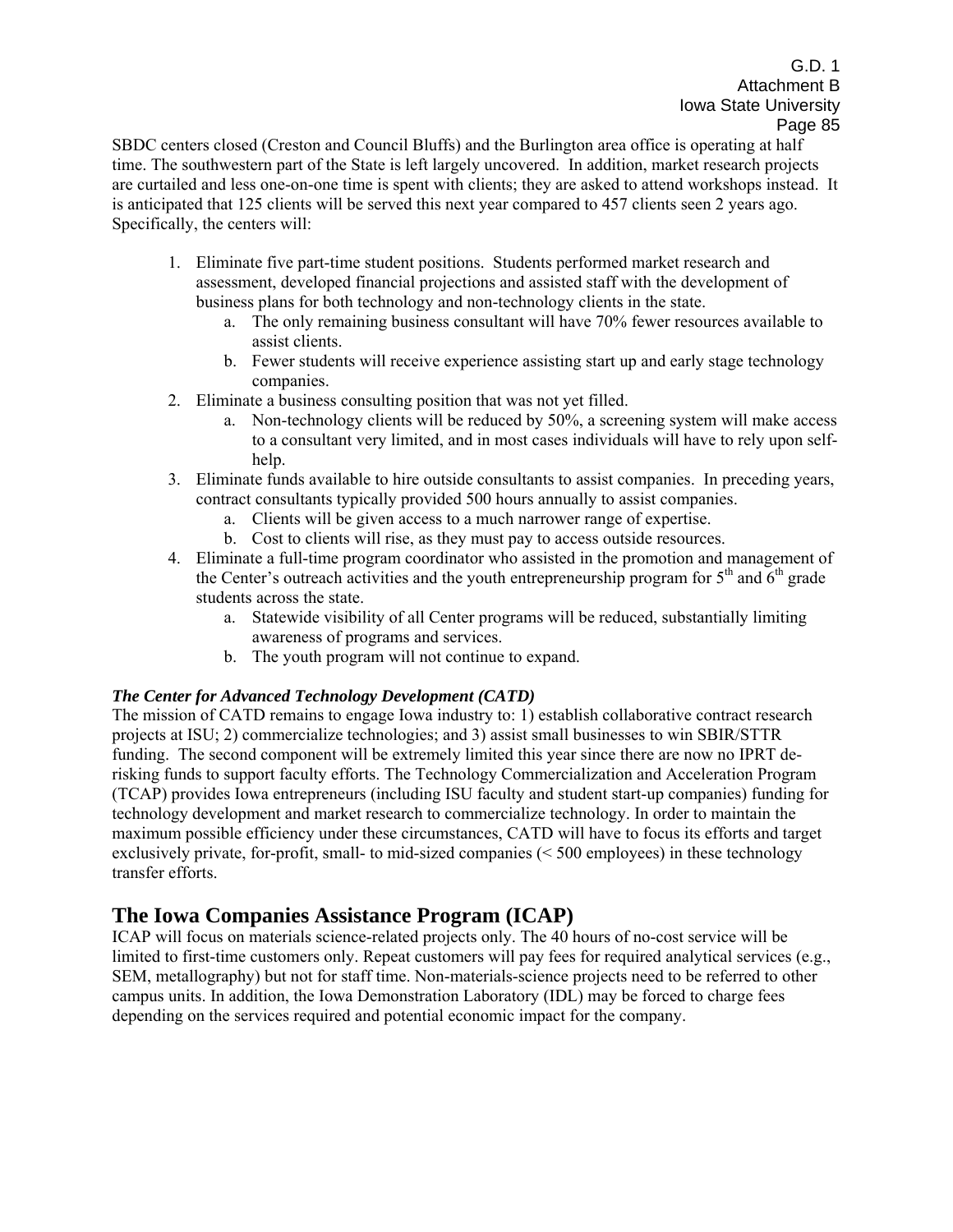SBDC centers closed (Creston and Council Bluffs) and the Burlington area office is operating at half time. The southwestern part of the State is left largely uncovered. In addition, market research projects are curtailed and less one-on-one time is spent with clients; they are asked to attend workshops instead. It is anticipated that 125 clients will be served this next year compared to 457 clients seen 2 years ago. Specifically, the centers will:

- 1. Eliminate five part-time student positions. Students performed market research and assessment, developed financial projections and assisted staff with the development of business plans for both technology and non-technology clients in the state.
	- a. The only remaining business consultant will have 70% fewer resources available to assist clients.
	- b. Fewer students will receive experience assisting start up and early stage technology companies.
- 2. Eliminate a business consulting position that was not yet filled.
	- a. Non-technology clients will be reduced by 50%, a screening system will make access to a consultant very limited, and in most cases individuals will have to rely upon selfhelp.
- 3. Eliminate funds available to hire outside consultants to assist companies. In preceding years, contract consultants typically provided 500 hours annually to assist companies.
	- a. Clients will be given access to a much narrower range of expertise.
	- b. Cost to clients will rise, as they must pay to access outside resources.
- 4. Eliminate a full-time program coordinator who assisted in the promotion and management of the Center's outreach activities and the youth entrepreneurship program for  $5<sup>th</sup>$  and  $6<sup>th</sup>$  grade students across the state.
	- a. Statewide visibility of all Center programs will be reduced, substantially limiting awareness of programs and services.
	- b. The youth program will not continue to expand.

#### *The Center for Advanced Technology Development (CATD)*

The mission of CATD remains to engage Iowa industry to: 1) establish collaborative contract research projects at ISU; 2) commercialize technologies; and 3) assist small businesses to win SBIR/STTR funding. The second component will be extremely limited this year since there are now no IPRT derisking funds to support faculty efforts. The Technology Commercialization and Acceleration Program (TCAP) provides Iowa entrepreneurs (including ISU faculty and student start-up companies) funding for technology development and market research to commercialize technology. In order to maintain the maximum possible efficiency under these circumstances, CATD will have to focus its efforts and target exclusively private, for-profit, small- to mid-sized companies (< 500 employees) in these technology transfer efforts.

# **The Iowa Companies Assistance Program (ICAP)**

ICAP will focus on materials science-related projects only. The 40 hours of no-cost service will be limited to first-time customers only. Repeat customers will pay fees for required analytical services (e.g., SEM, metallography) but not for staff time. Non-materials-science projects need to be referred to other campus units. In addition, the Iowa Demonstration Laboratory (IDL) may be forced to charge fees depending on the services required and potential economic impact for the company.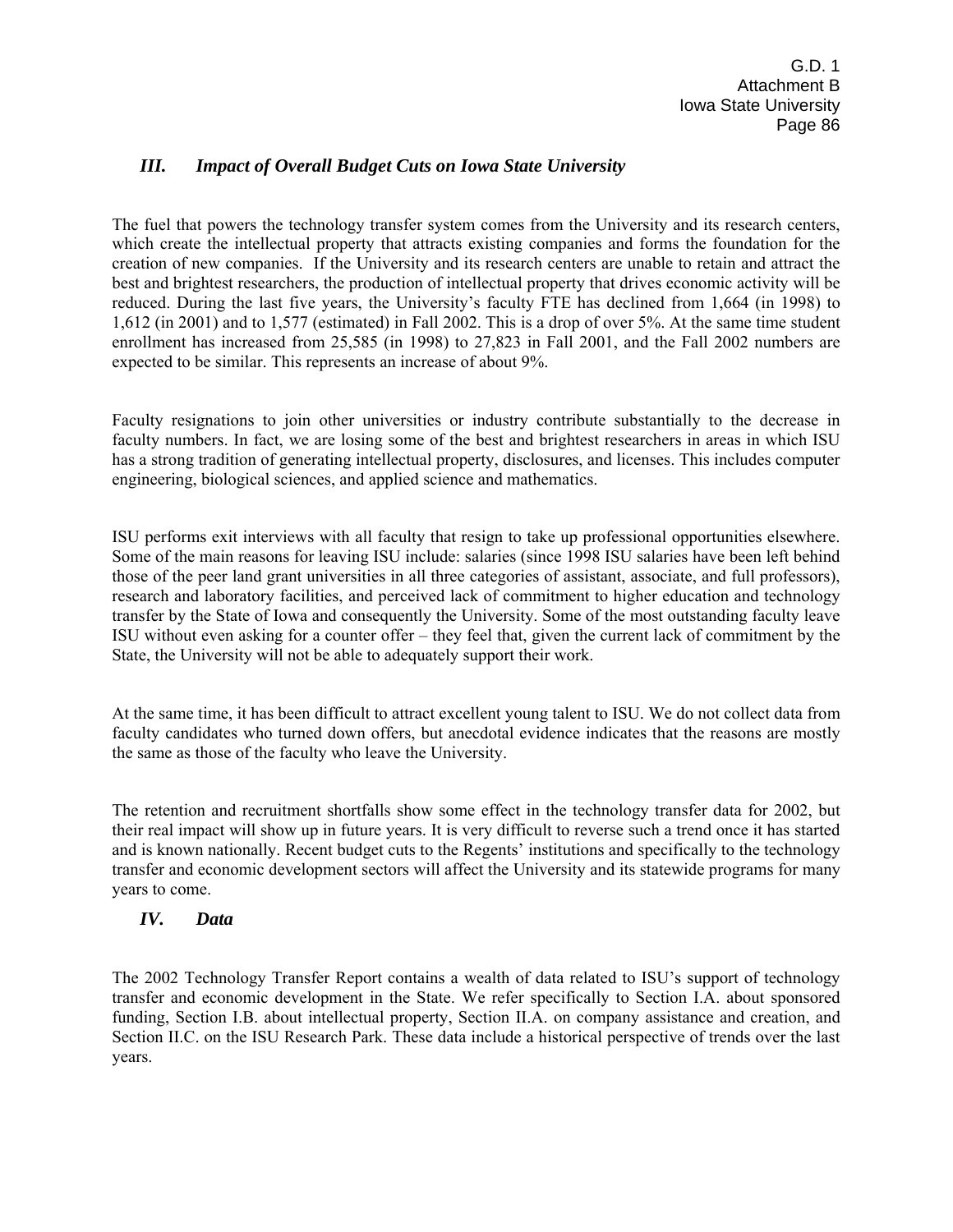# *III. Impact of Overall Budget Cuts on Iowa State University*

The fuel that powers the technology transfer system comes from the University and its research centers, which create the intellectual property that attracts existing companies and forms the foundation for the creation of new companies. If the University and its research centers are unable to retain and attract the best and brightest researchers, the production of intellectual property that drives economic activity will be reduced. During the last five years, the University's faculty FTE has declined from 1,664 (in 1998) to 1,612 (in 2001) and to 1,577 (estimated) in Fall 2002. This is a drop of over 5%. At the same time student enrollment has increased from 25,585 (in 1998) to 27,823 in Fall 2001, and the Fall 2002 numbers are expected to be similar. This represents an increase of about 9%.

Faculty resignations to join other universities or industry contribute substantially to the decrease in faculty numbers. In fact, we are losing some of the best and brightest researchers in areas in which ISU has a strong tradition of generating intellectual property, disclosures, and licenses. This includes computer engineering, biological sciences, and applied science and mathematics.

ISU performs exit interviews with all faculty that resign to take up professional opportunities elsewhere. Some of the main reasons for leaving ISU include: salaries (since 1998 ISU salaries have been left behind those of the peer land grant universities in all three categories of assistant, associate, and full professors), research and laboratory facilities, and perceived lack of commitment to higher education and technology transfer by the State of Iowa and consequently the University. Some of the most outstanding faculty leave ISU without even asking for a counter offer – they feel that, given the current lack of commitment by the State, the University will not be able to adequately support their work.

At the same time, it has been difficult to attract excellent young talent to ISU. We do not collect data from faculty candidates who turned down offers, but anecdotal evidence indicates that the reasons are mostly the same as those of the faculty who leave the University.

The retention and recruitment shortfalls show some effect in the technology transfer data for 2002, but their real impact will show up in future years. It is very difficult to reverse such a trend once it has started and is known nationally. Recent budget cuts to the Regents' institutions and specifically to the technology transfer and economic development sectors will affect the University and its statewide programs for many years to come.

# *IV. Data*

The 2002 Technology Transfer Report contains a wealth of data related to ISU's support of technology transfer and economic development in the State. We refer specifically to Section I.A. about sponsored funding, Section I.B. about intellectual property, Section II.A. on company assistance and creation, and Section II.C. on the ISU Research Park. These data include a historical perspective of trends over the last years.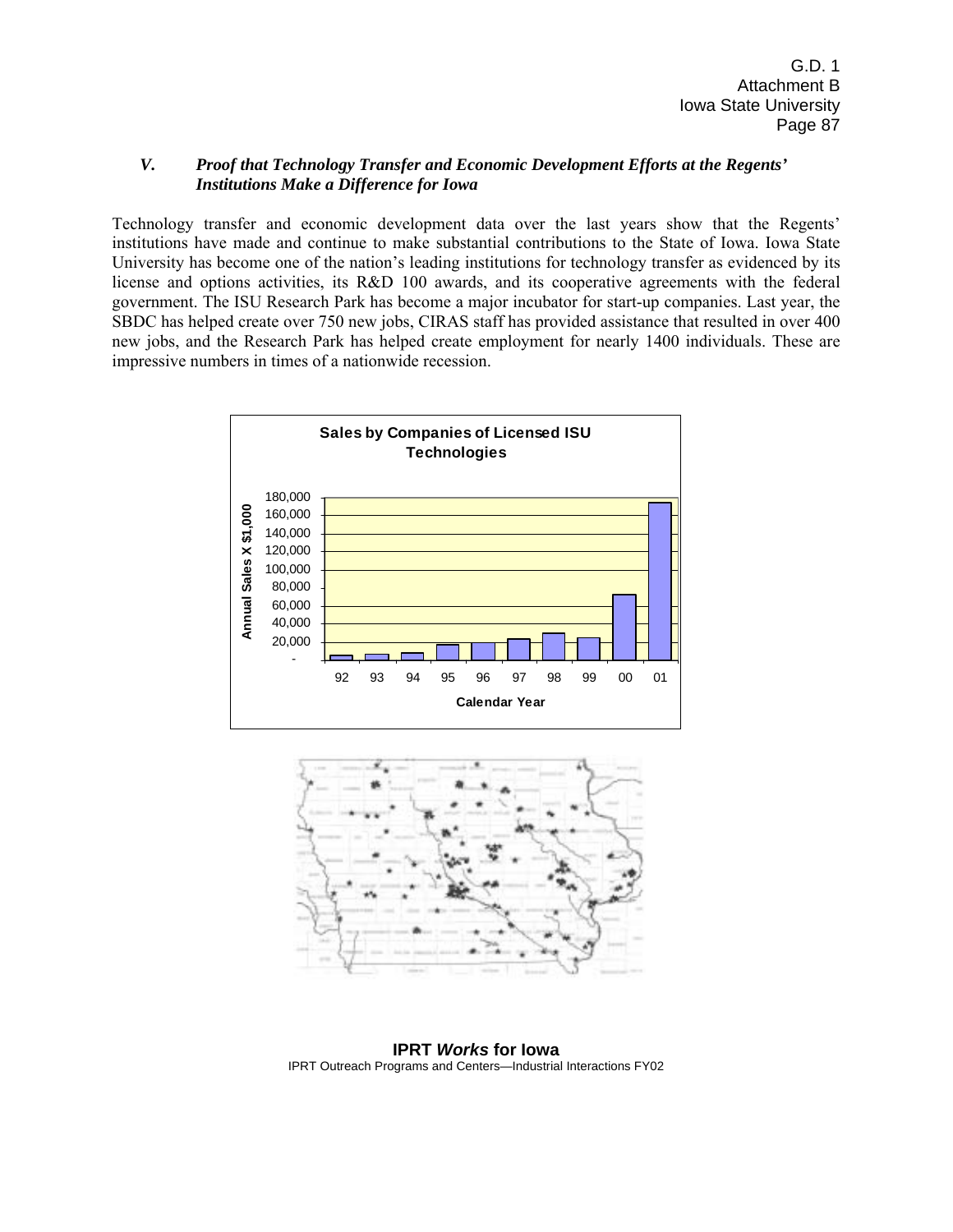#### *V. Proof that Technology Transfer and Economic Development Efforts at the Regents' Institutions Make a Difference for Iowa*

Technology transfer and economic development data over the last years show that the Regents' institutions have made and continue to make substantial contributions to the State of Iowa. Iowa State University has become one of the nation's leading institutions for technology transfer as evidenced by its license and options activities, its R&D 100 awards, and its cooperative agreements with the federal government. The ISU Research Park has become a major incubator for start-up companies. Last year, the SBDC has helped create over 750 new jobs, CIRAS staff has provided assistance that resulted in over 400 new jobs, and the Research Park has helped create employment for nearly 1400 individuals. These are impressive numbers in times of a nationwide recession.





**IPRT** *Works* **for Iowa**  IPRT Outreach Programs and Centers—Industrial Interactions FY02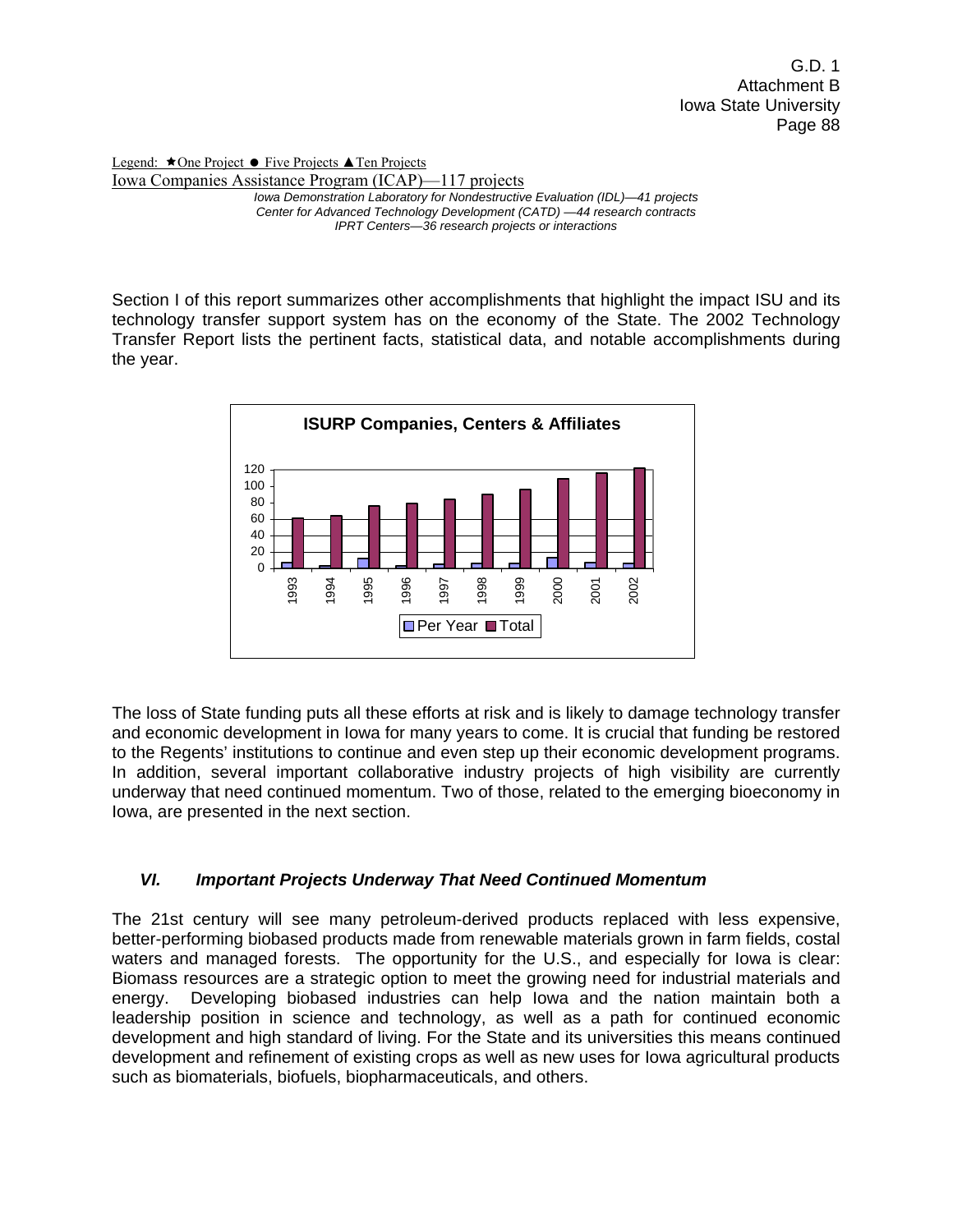Legend: ★One Project ● Five Projects ▲Ten Projects Iowa Companies Assistance Program (ICAP)—117 projects *Iowa Demonstration Laboratory for Nondestructive Evaluation (IDL)—41 projects Center for Advanced Technology Development (CATD) —44 research contracts IPRT Centers—36 research projects or interactions* 

Section I of this report summarizes other accomplishments that highlight the impact ISU and its technology transfer support system has on the economy of the State. The 2002 Technology Transfer Report lists the pertinent facts, statistical data, and notable accomplishments during the year.



The loss of State funding puts all these efforts at risk and is likely to damage technology transfer and economic development in Iowa for many years to come. It is crucial that funding be restored to the Regents' institutions to continue and even step up their economic development programs. In addition, several important collaborative industry projects of high visibility are currently underway that need continued momentum. Two of those, related to the emerging bioeconomy in Iowa, are presented in the next section.

# *VI. Important Projects Underway That Need Continued Momentum*

The 21st century will see many petroleum-derived products replaced with less expensive, better-performing biobased products made from renewable materials grown in farm fields, costal waters and managed forests. The opportunity for the U.S., and especially for Iowa is clear: Biomass resources are a strategic option to meet the growing need for industrial materials and energy. Developing biobased industries can help Iowa and the nation maintain both a leadership position in science and technology, as well as a path for continued economic development and high standard of living. For the State and its universities this means continued development and refinement of existing crops as well as new uses for Iowa agricultural products such as biomaterials, biofuels, biopharmaceuticals, and others.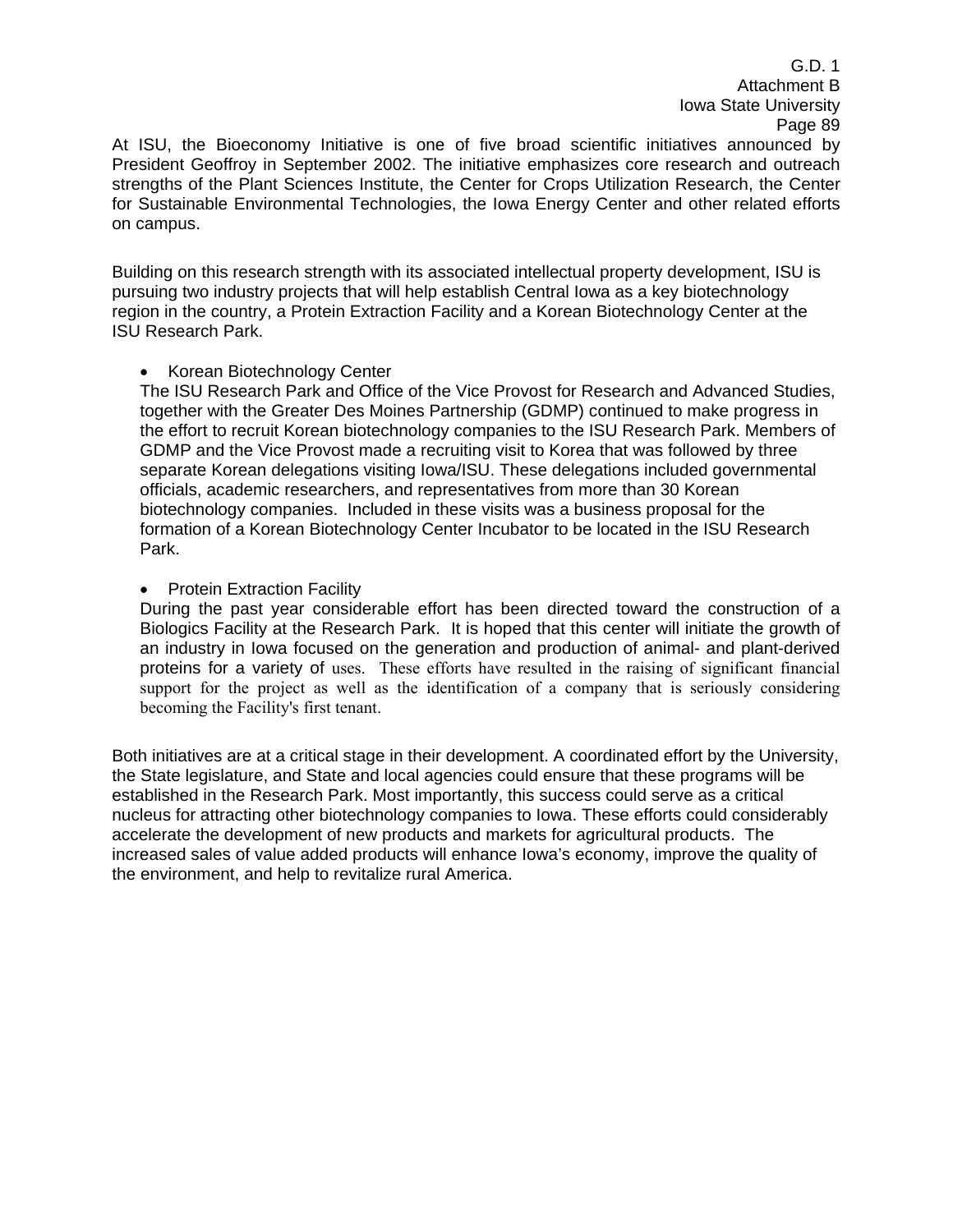At ISU, the Bioeconomy Initiative is one of five broad scientific initiatives announced by President Geoffroy in September 2002. The initiative emphasizes core research and outreach strengths of the Plant Sciences Institute, the Center for Crops Utilization Research, the Center for Sustainable Environmental Technologies, the Iowa Energy Center and other related efforts on campus.

Building on this research strength with its associated intellectual property development, ISU is pursuing two industry projects that will help establish Central Iowa as a key biotechnology region in the country, a Protein Extraction Facility and a Korean Biotechnology Center at the ISU Research Park.

#### • Korean Biotechnology Center

The ISU Research Park and Office of the Vice Provost for Research and Advanced Studies, together with the Greater Des Moines Partnership (GDMP) continued to make progress in the effort to recruit Korean biotechnology companies to the ISU Research Park. Members of GDMP and the Vice Provost made a recruiting visit to Korea that was followed by three separate Korean delegations visiting Iowa/ISU. These delegations included governmental officials, academic researchers, and representatives from more than 30 Korean biotechnology companies. Included in these visits was a business proposal for the formation of a Korean Biotechnology Center Incubator to be located in the ISU Research Park.

#### • Protein Extraction Facility

During the past year considerable effort has been directed toward the construction of a Biologics Facility at the Research Park. It is hoped that this center will initiate the growth of an industry in Iowa focused on the generation and production of animal- and plant-derived proteins for a variety of uses. These efforts have resulted in the raising of significant financial support for the project as well as the identification of a company that is seriously considering becoming the Facility's first tenant.

Both initiatives are at a critical stage in their development. A coordinated effort by the University, the State legislature, and State and local agencies could ensure that these programs will be established in the Research Park. Most importantly, this success could serve as a critical nucleus for attracting other biotechnology companies to Iowa. These efforts could considerably accelerate the development of new products and markets for agricultural products. The increased sales of value added products will enhance Iowa's economy, improve the quality of the environment, and help to revitalize rural America.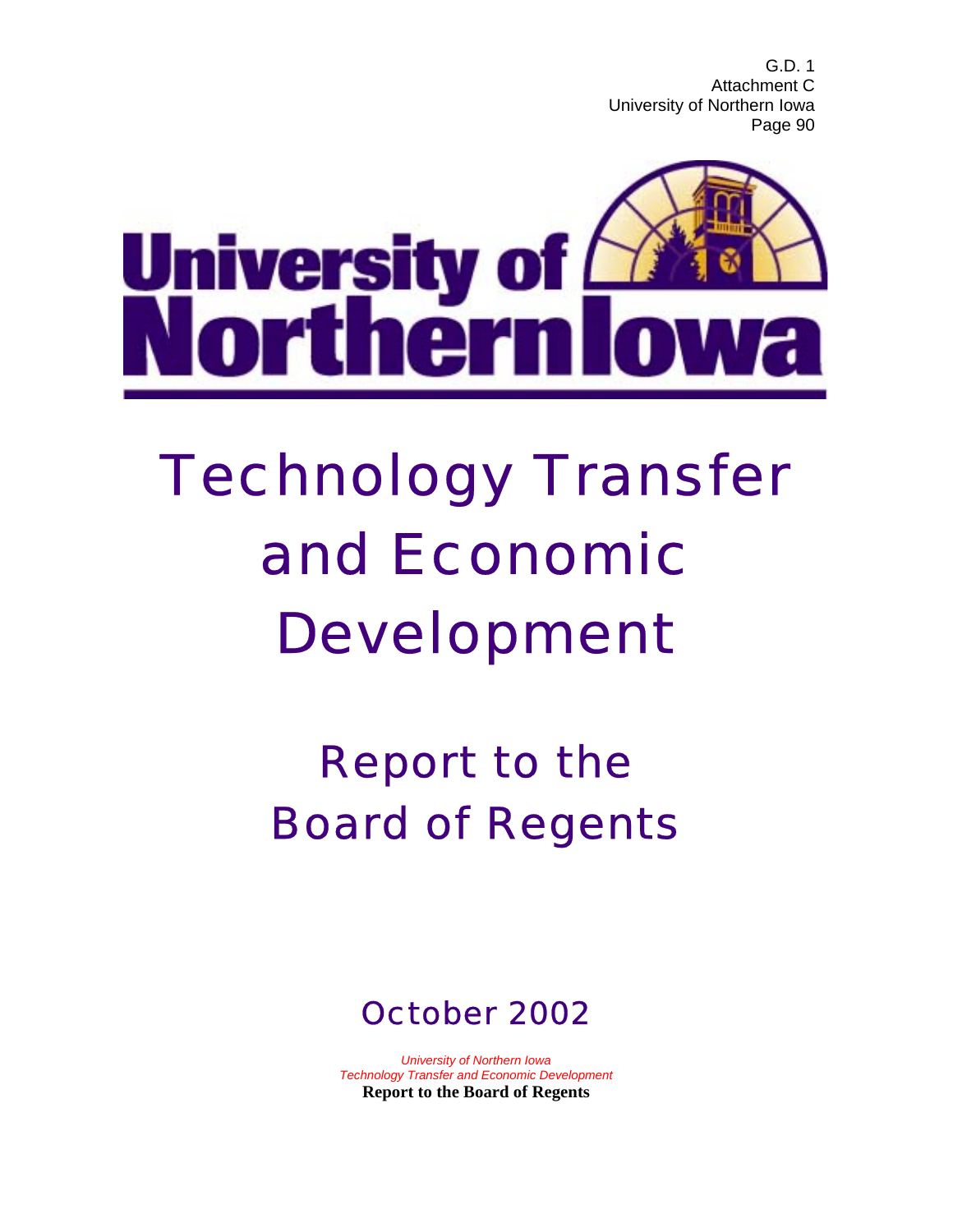

# Technology Transfer and Economic Development

Report to the Board of Regents



*University of Northern Iowa Technology Transfer and Economic Development*  **Report to the Board of Regents**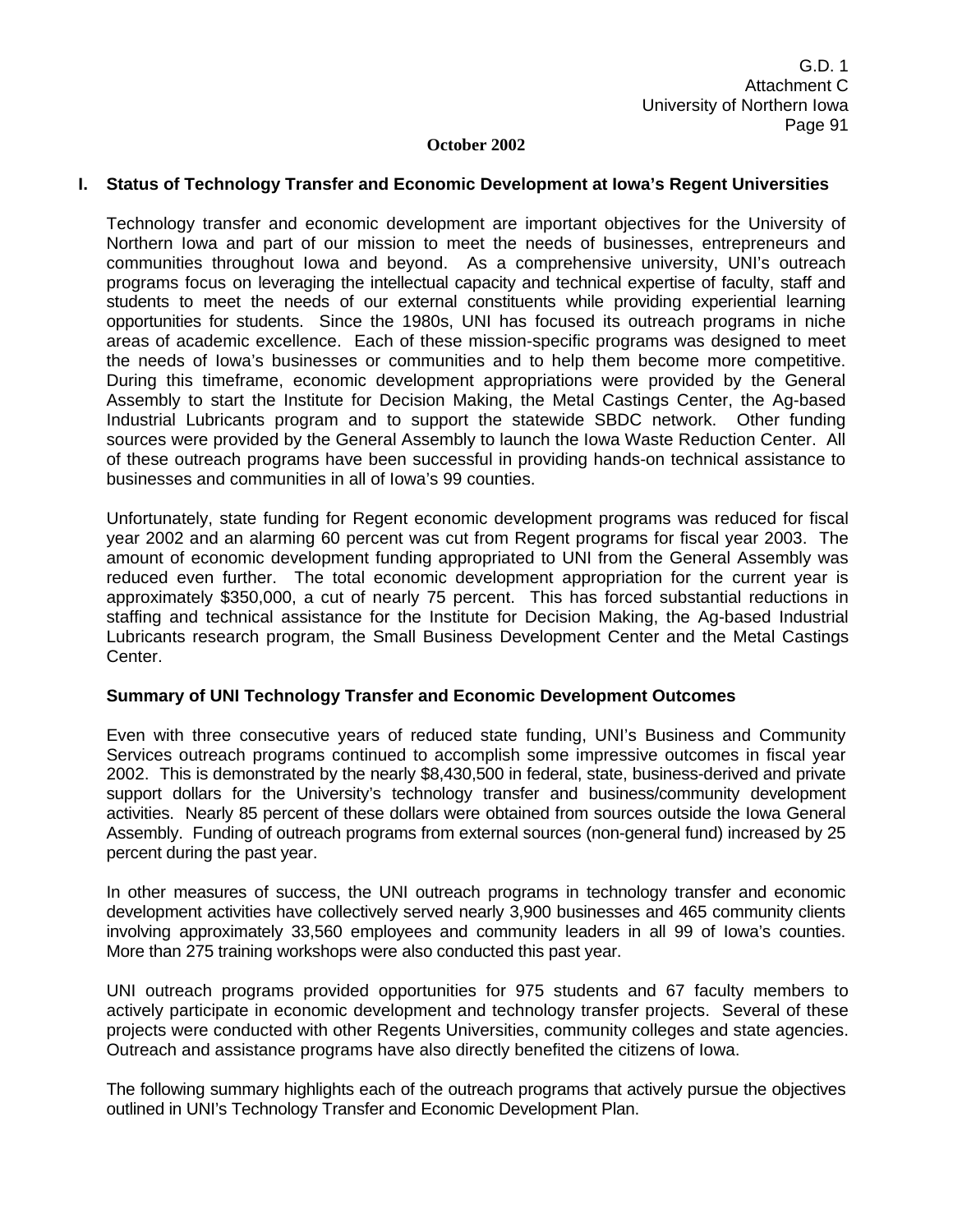#### **October 2002**

#### **I. Status of Technology Transfer and Economic Development at Iowa's Regent Universities**

Technology transfer and economic development are important objectives for the University of Northern Iowa and part of our mission to meet the needs of businesses, entrepreneurs and communities throughout Iowa and beyond. As a comprehensive university, UNI's outreach programs focus on leveraging the intellectual capacity and technical expertise of faculty, staff and students to meet the needs of our external constituents while providing experiential learning opportunities for students. Since the 1980s, UNI has focused its outreach programs in niche areas of academic excellence. Each of these mission-specific programs was designed to meet the needs of Iowa's businesses or communities and to help them become more competitive. During this timeframe, economic development appropriations were provided by the General Assembly to start the Institute for Decision Making, the Metal Castings Center, the Ag-based Industrial Lubricants program and to support the statewide SBDC network. Other funding sources were provided by the General Assembly to launch the Iowa Waste Reduction Center. All of these outreach programs have been successful in providing hands-on technical assistance to businesses and communities in all of Iowa's 99 counties.

Unfortunately, state funding for Regent economic development programs was reduced for fiscal year 2002 and an alarming 60 percent was cut from Regent programs for fiscal year 2003. The amount of economic development funding appropriated to UNI from the General Assembly was reduced even further. The total economic development appropriation for the current year is approximately \$350,000, a cut of nearly 75 percent. This has forced substantial reductions in staffing and technical assistance for the Institute for Decision Making, the Ag-based Industrial Lubricants research program, the Small Business Development Center and the Metal Castings Center.

#### **Summary of UNI Technology Transfer and Economic Development Outcomes**

Even with three consecutive years of reduced state funding, UNI's Business and Community Services outreach programs continued to accomplish some impressive outcomes in fiscal year 2002. This is demonstrated by the nearly \$8,430,500 in federal, state, business-derived and private support dollars for the University's technology transfer and business/community development activities. Nearly 85 percent of these dollars were obtained from sources outside the Iowa General Assembly. Funding of outreach programs from external sources (non-general fund) increased by 25 percent during the past year.

In other measures of success, the UNI outreach programs in technology transfer and economic development activities have collectively served nearly 3,900 businesses and 465 community clients involving approximately 33,560 employees and community leaders in all 99 of Iowa's counties. More than 275 training workshops were also conducted this past year.

UNI outreach programs provided opportunities for 975 students and 67 faculty members to actively participate in economic development and technology transfer projects. Several of these projects were conducted with other Regents Universities, community colleges and state agencies. Outreach and assistance programs have also directly benefited the citizens of Iowa.

The following summary highlights each of the outreach programs that actively pursue the objectives outlined in UNI's Technology Transfer and Economic Development Plan.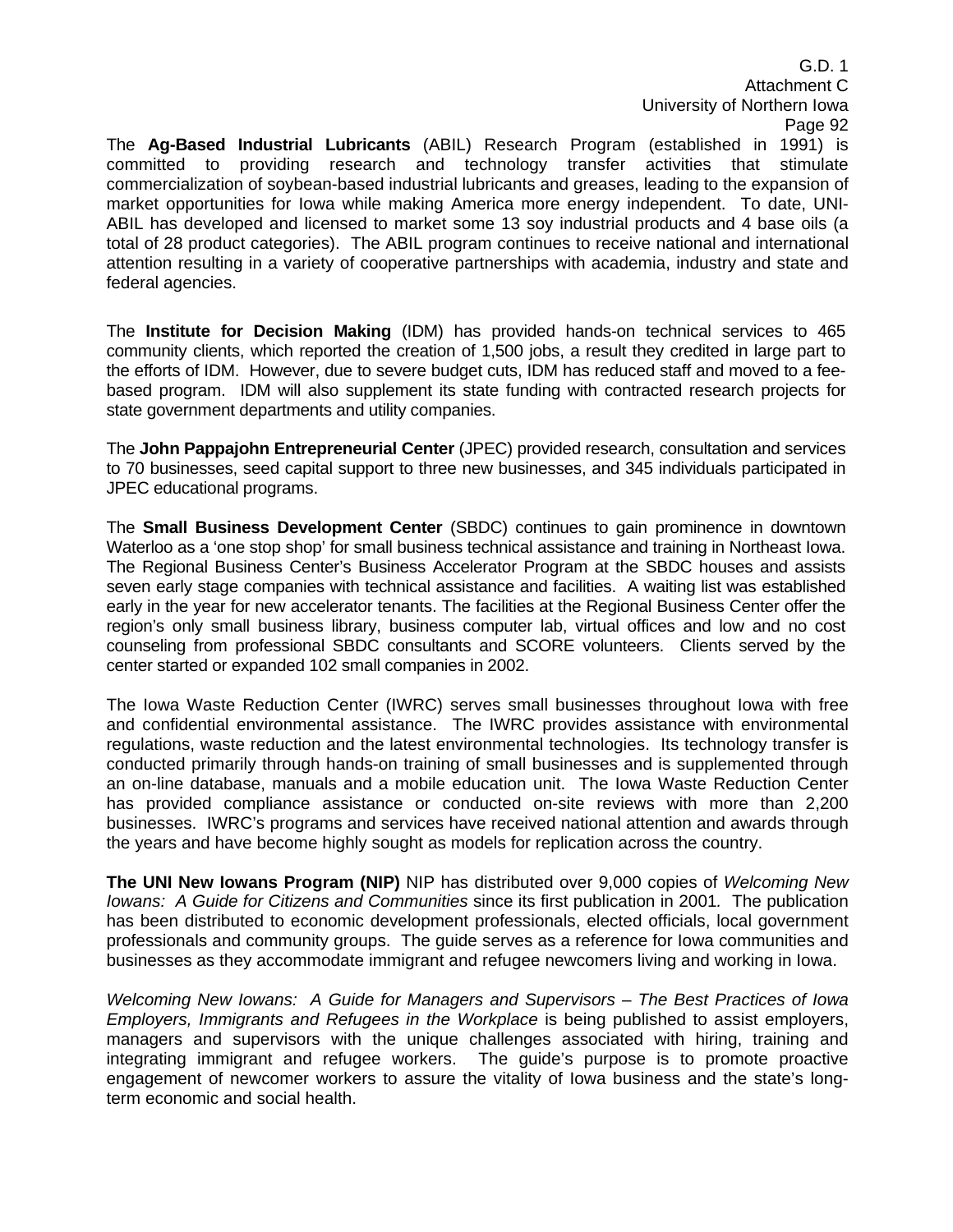The **Ag-Based Industrial Lubricants** (ABIL) Research Program (established in 1991) is committed to providing research and technology transfer activities that stimulate commercialization of soybean-based industrial lubricants and greases, leading to the expansion of market opportunities for Iowa while making America more energy independent. To date, UNI-ABIL has developed and licensed to market some 13 soy industrial products and 4 base oils (a total of 28 product categories). The ABIL program continues to receive national and international attention resulting in a variety of cooperative partnerships with academia, industry and state and federal agencies.

The **Institute for Decision Making** (IDM) has provided hands-on technical services to 465 community clients, which reported the creation of 1,500 jobs, a result they credited in large part to the efforts of IDM. However, due to severe budget cuts, IDM has reduced staff and moved to a feebased program. IDM will also supplement its state funding with contracted research projects for state government departments and utility companies.

The **John Pappajohn Entrepreneurial Center** (JPEC) provided research, consultation and services to 70 businesses, seed capital support to three new businesses, and 345 individuals participated in JPEC educational programs.

The **Small Business Development Center** (SBDC) continues to gain prominence in downtown Waterloo as a 'one stop shop' for small business technical assistance and training in Northeast Iowa. The Regional Business Center's Business Accelerator Program at the SBDC houses and assists seven early stage companies with technical assistance and facilities. A waiting list was established early in the year for new accelerator tenants. The facilities at the Regional Business Center offer the region's only small business library, business computer lab, virtual offices and low and no cost counseling from professional SBDC consultants and SCORE volunteers. Clients served by the center started or expanded 102 small companies in 2002.

The Iowa Waste Reduction Center (IWRC) serves small businesses throughout Iowa with free and confidential environmental assistance. The IWRC provides assistance with environmental regulations, waste reduction and the latest environmental technologies. Its technology transfer is conducted primarily through hands-on training of small businesses and is supplemented through an on-line database, manuals and a mobile education unit. The Iowa Waste Reduction Center has provided compliance assistance or conducted on-site reviews with more than 2,200 businesses. IWRC's programs and services have received national attention and awards through the years and have become highly sought as models for replication across the country.

**The UNI New Iowans Program (NIP)** NIP has distributed over 9,000 copies of *Welcoming New Iowans: A Guide for Citizens and Communities* since its first publication in 2001*.* The publication has been distributed to economic development professionals, elected officials, local government professionals and community groups. The guide serves as a reference for Iowa communities and businesses as they accommodate immigrant and refugee newcomers living and working in Iowa.

*Welcoming New Iowans: A Guide for Managers and Supervisors* – *The Best Practices of Iowa Employers, Immigrants and Refugees in the Workplace* is being published to assist employers, managers and supervisors with the unique challenges associated with hiring, training and integrating immigrant and refugee workers. The guide's purpose is to promote proactive engagement of newcomer workers to assure the vitality of Iowa business and the state's longterm economic and social health.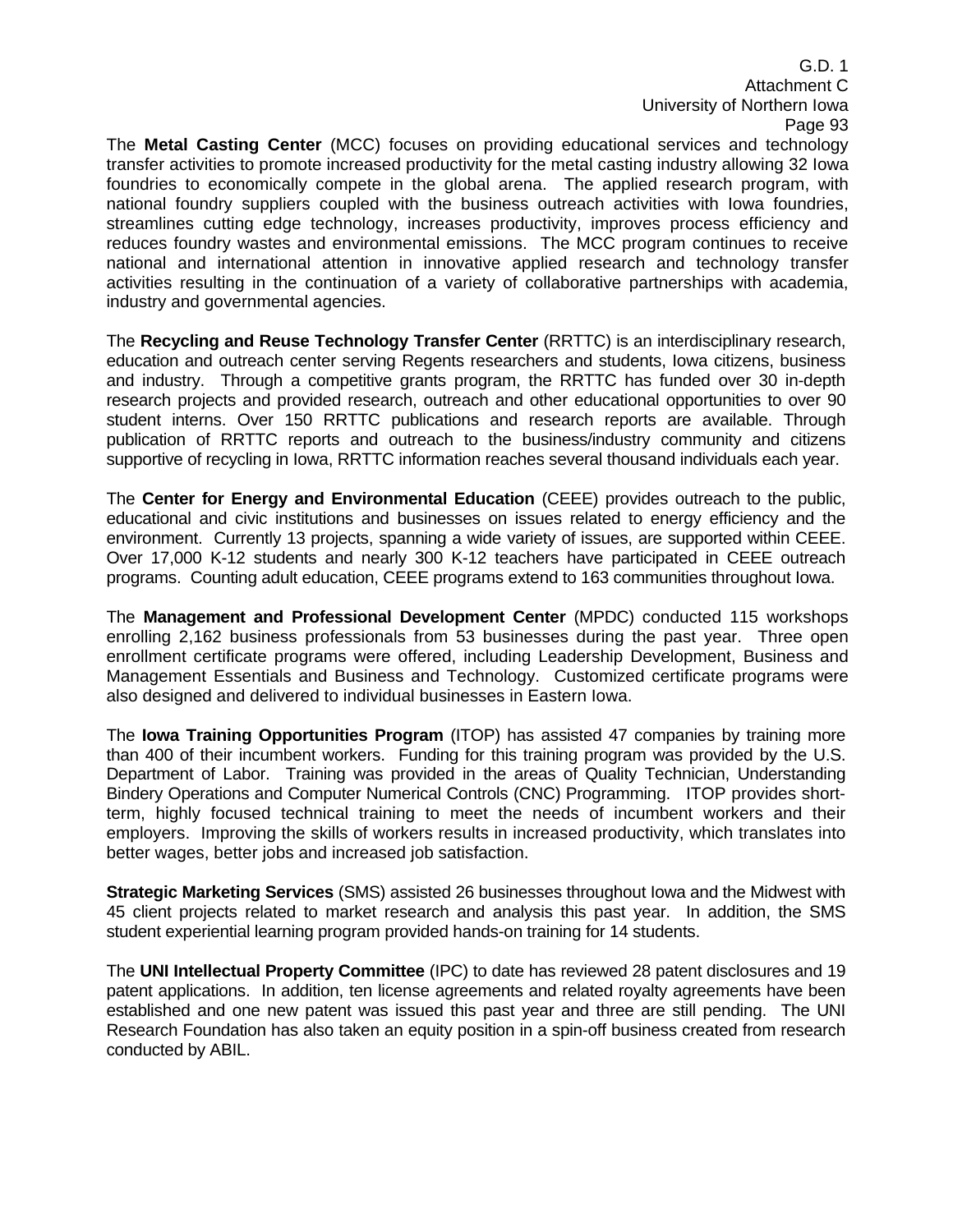The **Metal Casting Center** (MCC) focuses on providing educational services and technology transfer activities to promote increased productivity for the metal casting industry allowing 32 Iowa foundries to economically compete in the global arena. The applied research program, with national foundry suppliers coupled with the business outreach activities with Iowa foundries, streamlines cutting edge technology, increases productivity, improves process efficiency and reduces foundry wastes and environmental emissions. The MCC program continues to receive national and international attention in innovative applied research and technology transfer activities resulting in the continuation of a variety of collaborative partnerships with academia, industry and governmental agencies.

The **Recycling and Reuse Technology Transfer Center** (RRTTC) is an interdisciplinary research, education and outreach center serving Regents researchers and students, Iowa citizens, business and industry. Through a competitive grants program, the RRTTC has funded over 30 in-depth research projects and provided research, outreach and other educational opportunities to over 90 student interns. Over 150 RRTTC publications and research reports are available. Through publication of RRTTC reports and outreach to the business/industry community and citizens supportive of recycling in Iowa, RRTTC information reaches several thousand individuals each year.

The **Center for Energy and Environmental Education** (CEEE) provides outreach to the public, educational and civic institutions and businesses on issues related to energy efficiency and the environment. Currently 13 projects, spanning a wide variety of issues, are supported within CEEE. Over 17,000 K-12 students and nearly 300 K-12 teachers have participated in CEEE outreach programs. Counting adult education, CEEE programs extend to 163 communities throughout Iowa.

The **Management and Professional Development Center** (MPDC) conducted 115 workshops enrolling 2,162 business professionals from 53 businesses during the past year. Three open enrollment certificate programs were offered, including Leadership Development, Business and Management Essentials and Business and Technology. Customized certificate programs were also designed and delivered to individual businesses in Eastern Iowa.

The **Iowa Training Opportunities Program** (ITOP) has assisted 47 companies by training more than 400 of their incumbent workers. Funding for this training program was provided by the U.S. Department of Labor. Training was provided in the areas of Quality Technician, Understanding Bindery Operations and Computer Numerical Controls (CNC) Programming. ITOP provides shortterm, highly focused technical training to meet the needs of incumbent workers and their employers. Improving the skills of workers results in increased productivity, which translates into better wages, better jobs and increased job satisfaction.

**Strategic Marketing Services** (SMS) assisted 26 businesses throughout Iowa and the Midwest with 45 client projects related to market research and analysis this past year. In addition, the SMS student experiential learning program provided hands-on training for 14 students.

The **UNI Intellectual Property Committee** (IPC) to date has reviewed 28 patent disclosures and 19 patent applications. In addition, ten license agreements and related royalty agreements have been established and one new patent was issued this past year and three are still pending. The UNI Research Foundation has also taken an equity position in a spin-off business created from research conducted by ABIL.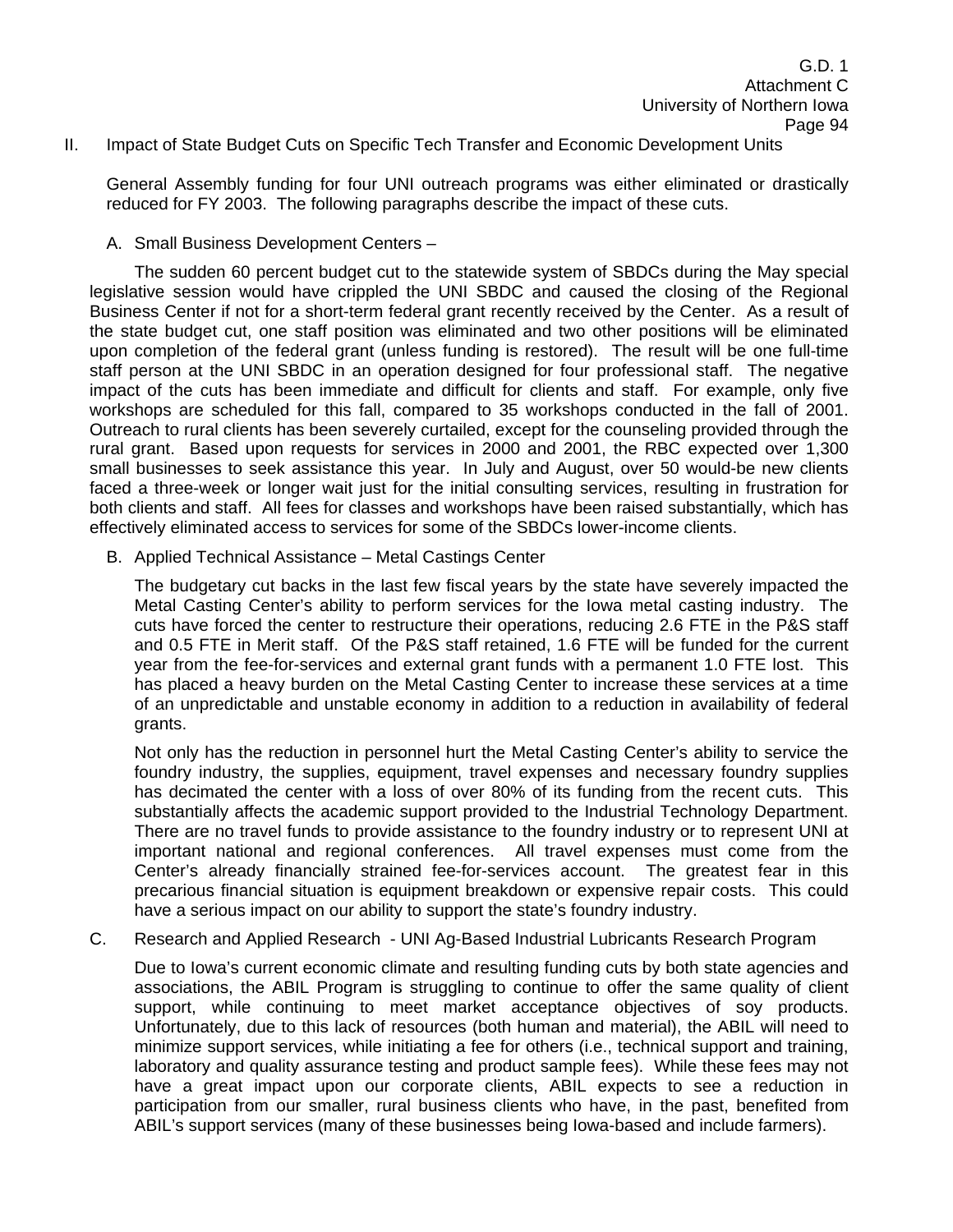#### II. Impact of State Budget Cuts on Specific Tech Transfer and Economic Development Units

General Assembly funding for four UNI outreach programs was either eliminated or drastically reduced for FY 2003. The following paragraphs describe the impact of these cuts.

A. Small Business Development Centers –

 The sudden 60 percent budget cut to the statewide system of SBDCs during the May special legislative session would have crippled the UNI SBDC and caused the closing of the Regional Business Center if not for a short-term federal grant recently received by the Center. As a result of the state budget cut, one staff position was eliminated and two other positions will be eliminated upon completion of the federal grant (unless funding is restored). The result will be one full-time staff person at the UNI SBDC in an operation designed for four professional staff. The negative impact of the cuts has been immediate and difficult for clients and staff. For example, only five workshops are scheduled for this fall, compared to 35 workshops conducted in the fall of 2001. Outreach to rural clients has been severely curtailed, except for the counseling provided through the rural grant. Based upon requests for services in 2000 and 2001, the RBC expected over 1,300 small businesses to seek assistance this year. In July and August, over 50 would-be new clients faced a three-week or longer wait just for the initial consulting services, resulting in frustration for both clients and staff. All fees for classes and workshops have been raised substantially, which has effectively eliminated access to services for some of the SBDCs lower-income clients.

B. Applied Technical Assistance – Metal Castings Center

The budgetary cut backs in the last few fiscal years by the state have severely impacted the Metal Casting Center's ability to perform services for the Iowa metal casting industry. The cuts have forced the center to restructure their operations, reducing 2.6 FTE in the P&S staff and 0.5 FTE in Merit staff. Of the P&S staff retained, 1.6 FTE will be funded for the current year from the fee-for-services and external grant funds with a permanent 1.0 FTE lost. This has placed a heavy burden on the Metal Casting Center to increase these services at a time of an unpredictable and unstable economy in addition to a reduction in availability of federal grants.

Not only has the reduction in personnel hurt the Metal Casting Center's ability to service the foundry industry, the supplies, equipment, travel expenses and necessary foundry supplies has decimated the center with a loss of over 80% of its funding from the recent cuts. This substantially affects the academic support provided to the Industrial Technology Department. There are no travel funds to provide assistance to the foundry industry or to represent UNI at important national and regional conferences. All travel expenses must come from the Center's already financially strained fee-for-services account. The greatest fear in this precarious financial situation is equipment breakdown or expensive repair costs. This could have a serious impact on our ability to support the state's foundry industry.

C. Research and Applied Research - UNI Ag-Based Industrial Lubricants Research Program

 Due to Iowa's current economic climate and resulting funding cuts by both state agencies and associations, the ABIL Program is struggling to continue to offer the same quality of client support, while continuing to meet market acceptance objectives of soy products. Unfortunately, due to this lack of resources (both human and material), the ABIL will need to minimize support services, while initiating a fee for others (i.e., technical support and training, laboratory and quality assurance testing and product sample fees). While these fees may not have a great impact upon our corporate clients, ABIL expects to see a reduction in participation from our smaller, rural business clients who have, in the past, benefited from ABIL's support services (many of these businesses being Iowa-based and include farmers).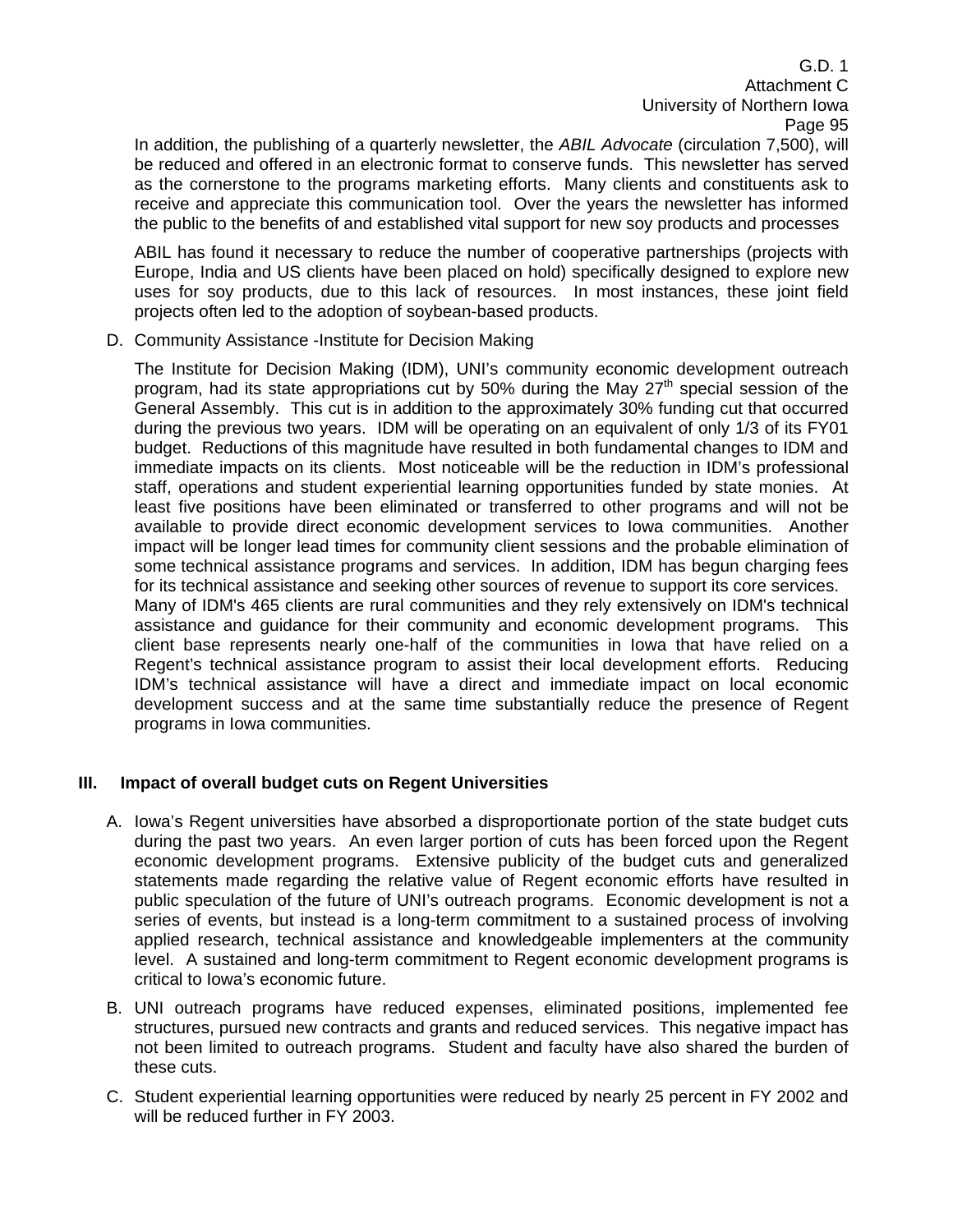In addition, the publishing of a quarterly newsletter, the *ABIL Advocate* (circulation 7,500), will be reduced and offered in an electronic format to conserve funds. This newsletter has served as the cornerstone to the programs marketing efforts. Many clients and constituents ask to receive and appreciate this communication tool. Over the years the newsletter has informed the public to the benefits of and established vital support for new soy products and processes

 ABIL has found it necessary to reduce the number of cooperative partnerships (projects with Europe, India and US clients have been placed on hold) specifically designed to explore new uses for soy products, due to this lack of resources. In most instances, these joint field projects often led to the adoption of soybean-based products.

D. Community Assistance -Institute for Decision Making

The Institute for Decision Making (IDM), UNI's community economic development outreach program, had its state appropriations cut by 50% during the May  $27<sup>th</sup>$  special session of the General Assembly. This cut is in addition to the approximately 30% funding cut that occurred during the previous two years. IDM will be operating on an equivalent of only 1/3 of its FY01 budget. Reductions of this magnitude have resulted in both fundamental changes to IDM and immediate impacts on its clients. Most noticeable will be the reduction in IDM's professional staff, operations and student experiential learning opportunities funded by state monies. At least five positions have been eliminated or transferred to other programs and will not be available to provide direct economic development services to Iowa communities. Another impact will be longer lead times for community client sessions and the probable elimination of some technical assistance programs and services. In addition, IDM has begun charging fees for its technical assistance and seeking other sources of revenue to support its core services. Many of IDM's 465 clients are rural communities and they rely extensively on IDM's technical assistance and guidance for their community and economic development programs. This client base represents nearly one-half of the communities in Iowa that have relied on a Regent's technical assistance program to assist their local development efforts. Reducing IDM's technical assistance will have a direct and immediate impact on local economic development success and at the same time substantially reduce the presence of Regent programs in Iowa communities.

#### **III. Impact of overall budget cuts on Regent Universities**

- A. Iowa's Regent universities have absorbed a disproportionate portion of the state budget cuts during the past two years. An even larger portion of cuts has been forced upon the Regent economic development programs. Extensive publicity of the budget cuts and generalized statements made regarding the relative value of Regent economic efforts have resulted in public speculation of the future of UNI's outreach programs. Economic development is not a series of events, but instead is a long-term commitment to a sustained process of involving applied research, technical assistance and knowledgeable implementers at the community level. A sustained and long-term commitment to Regent economic development programs is critical to Iowa's economic future.
- B. UNI outreach programs have reduced expenses, eliminated positions, implemented fee structures, pursued new contracts and grants and reduced services. This negative impact has not been limited to outreach programs. Student and faculty have also shared the burden of these cuts.
- C. Student experiential learning opportunities were reduced by nearly 25 percent in FY 2002 and will be reduced further in FY 2003.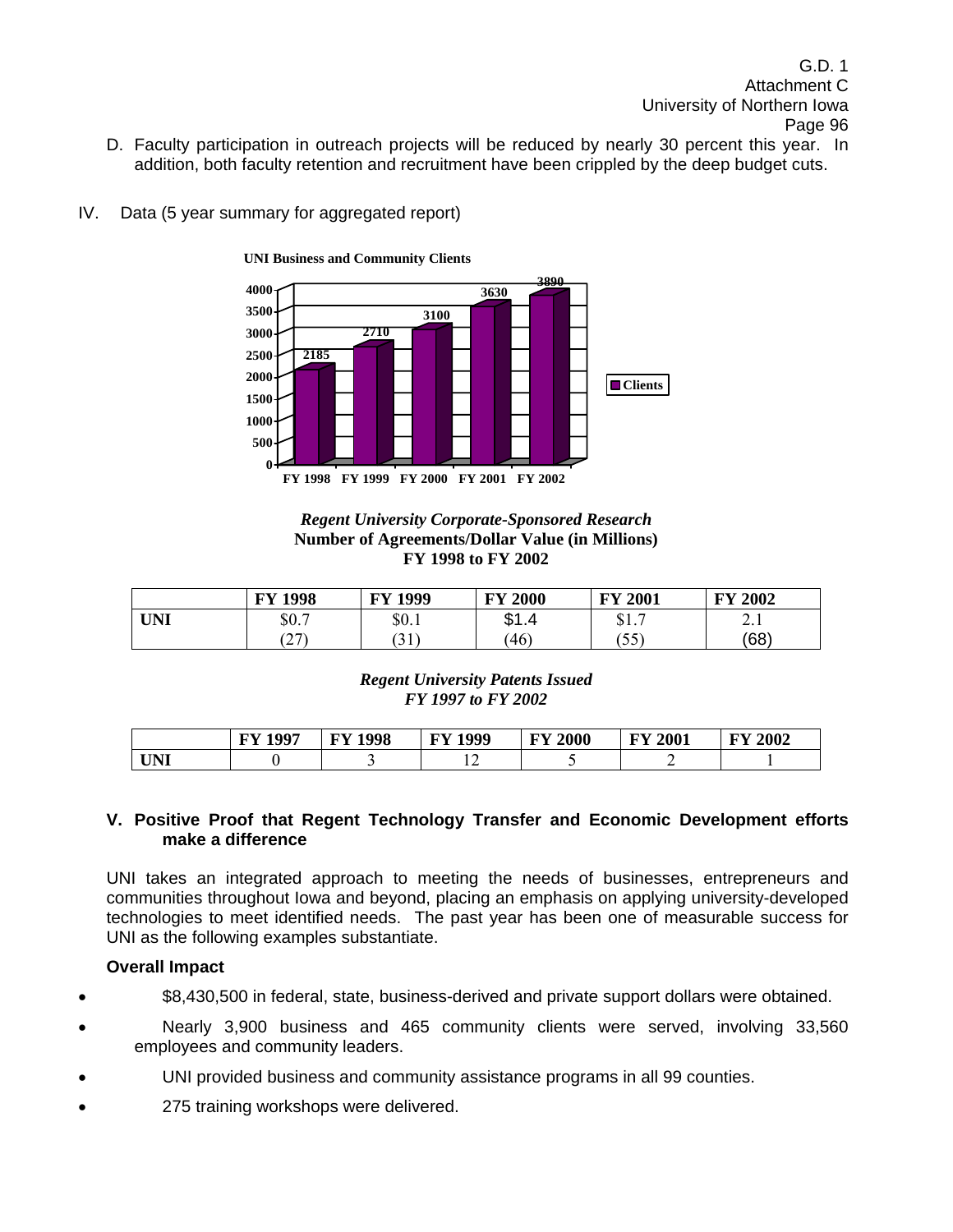- D. Faculty participation in outreach projects will be reduced by nearly 30 percent this year. In addition, both faculty retention and recruitment have been crippled by the deep budget cuts.
- IV. Data (5 year summary for aggregated report)



#### *Regent University Corporate-Sponsored Research*  **Number of Agreements/Dollar Value (in Millions) FY 1998 to FY 2002**

|            | 1998<br>FY                                | 1999<br>$\mathbf{E} \mathbf{V}$ | <b>FY 2000</b>     | <b>FY 2001</b>       | 2002<br>$\mathbf{F}\mathbf{V}$ |
|------------|-------------------------------------------|---------------------------------|--------------------|----------------------|--------------------------------|
| <b>UNI</b> | ድስ 7<br>JU.                               | \$0.1                           | ـ ـ<br>Δ<br>w<br>. | ጠ 1<br>، ۱۰ پ        | $\sim$ .1                      |
|            | $\mathcal{F}$<br>$\overline{\phantom{0}}$ | $^{\prime}$ 1.1<br>JI           | 46                 | $\epsilon$<br>$\sim$ | (68)                           |

*Regent University Patents Issued FY 1997 to FY 2002* 

|                      | 1007 | 1998 | 1000      | 2000       | 2001       | 2002  |
|----------------------|------|------|-----------|------------|------------|-------|
|                      | . FV | ГV   | <b>EV</b> | <b>INV</b> | <b>INV</b> | T T T |
| <b>TINIT</b><br>UINI |      |      | . .       |            |            |       |

#### **V. Positive Proof that Regent Technology Transfer and Economic Development efforts make a difference**

 UNI takes an integrated approach to meeting the needs of businesses, entrepreneurs and communities throughout Iowa and beyond, placing an emphasis on applying university-developed technologies to meet identified needs. The past year has been one of measurable success for UNI as the following examples substantiate.

#### **Overall Impact**

- \$8,430,500 in federal, state, business-derived and private support dollars were obtained.
- Nearly 3,900 business and 465 community clients were served, involving 33,560 employees and community leaders.
- UNI provided business and community assistance programs in all 99 counties.
- 275 training workshops were delivered.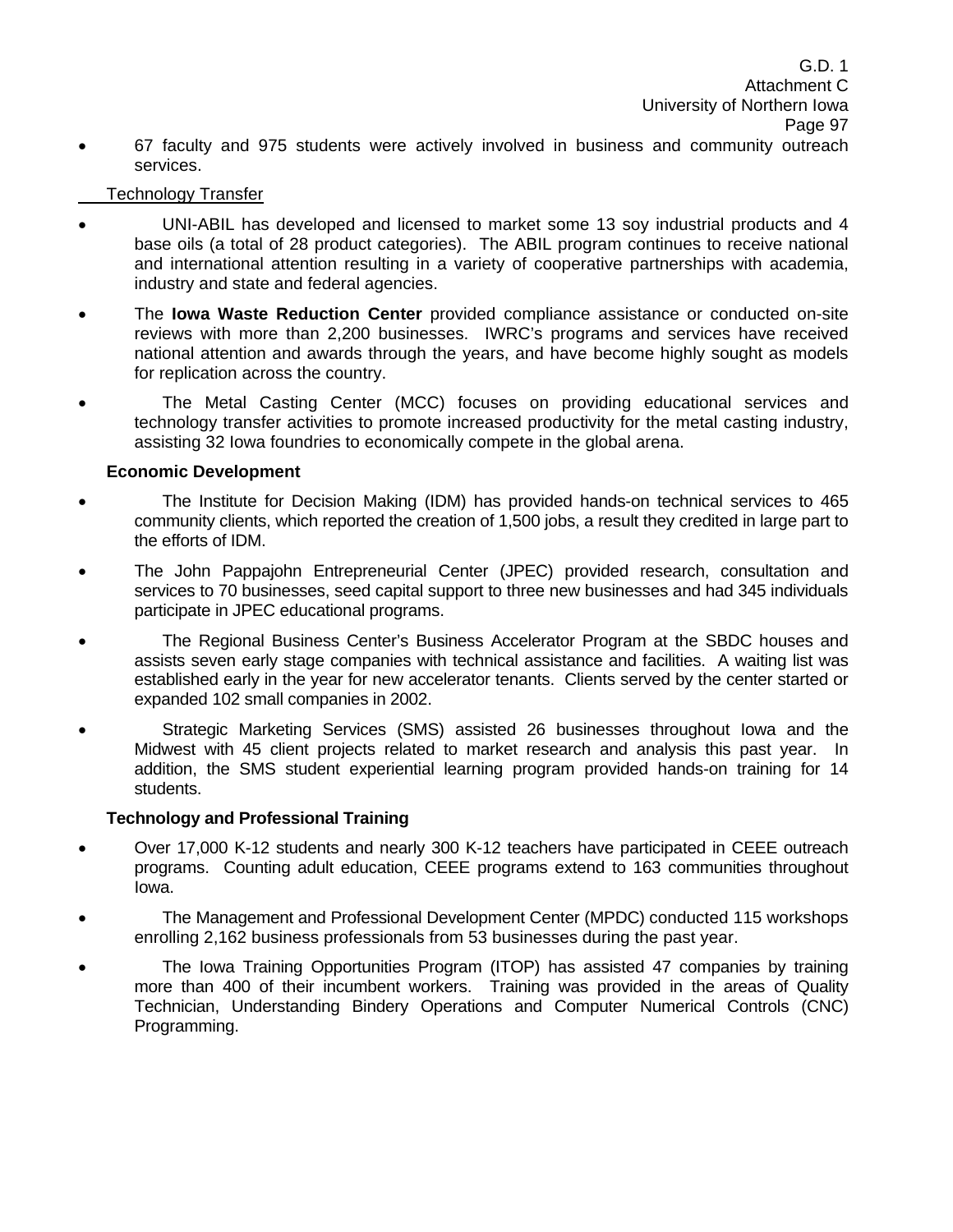• 67 faculty and 975 students were actively involved in business and community outreach services.

#### Technology Transfer

- UNI-ABIL has developed and licensed to market some 13 soy industrial products and 4 base oils (a total of 28 product categories). The ABIL program continues to receive national and international attention resulting in a variety of cooperative partnerships with academia, industry and state and federal agencies.
- The **Iowa Waste Reduction Center** provided compliance assistance or conducted on-site reviews with more than 2,200 businesses. IWRC's programs and services have received national attention and awards through the years, and have become highly sought as models for replication across the country.
- The Metal Casting Center (MCC) focuses on providing educational services and technology transfer activities to promote increased productivity for the metal casting industry, assisting 32 Iowa foundries to economically compete in the global arena.

### **Economic Development**

- The Institute for Decision Making (IDM) has provided hands-on technical services to 465 community clients, which reported the creation of 1,500 jobs, a result they credited in large part to the efforts of IDM.
- The John Pappajohn Entrepreneurial Center (JPEC) provided research, consultation and services to 70 businesses, seed capital support to three new businesses and had 345 individuals participate in JPEC educational programs.
- The Regional Business Center's Business Accelerator Program at the SBDC houses and assists seven early stage companies with technical assistance and facilities. A waiting list was established early in the year for new accelerator tenants. Clients served by the center started or expanded 102 small companies in 2002.
- Strategic Marketing Services (SMS) assisted 26 businesses throughout Iowa and the Midwest with 45 client projects related to market research and analysis this past year. In addition, the SMS student experiential learning program provided hands-on training for 14 students.

#### **Technology and Professional Training**

- Over 17,000 K-12 students and nearly 300 K-12 teachers have participated in CEEE outreach programs. Counting adult education, CEEE programs extend to 163 communities throughout Iowa.
- The Management and Professional Development Center (MPDC) conducted 115 workshops enrolling 2,162 business professionals from 53 businesses during the past year.
- The Iowa Training Opportunities Program (ITOP) has assisted 47 companies by training more than 400 of their incumbent workers. Training was provided in the areas of Quality Technician, Understanding Bindery Operations and Computer Numerical Controls (CNC) Programming.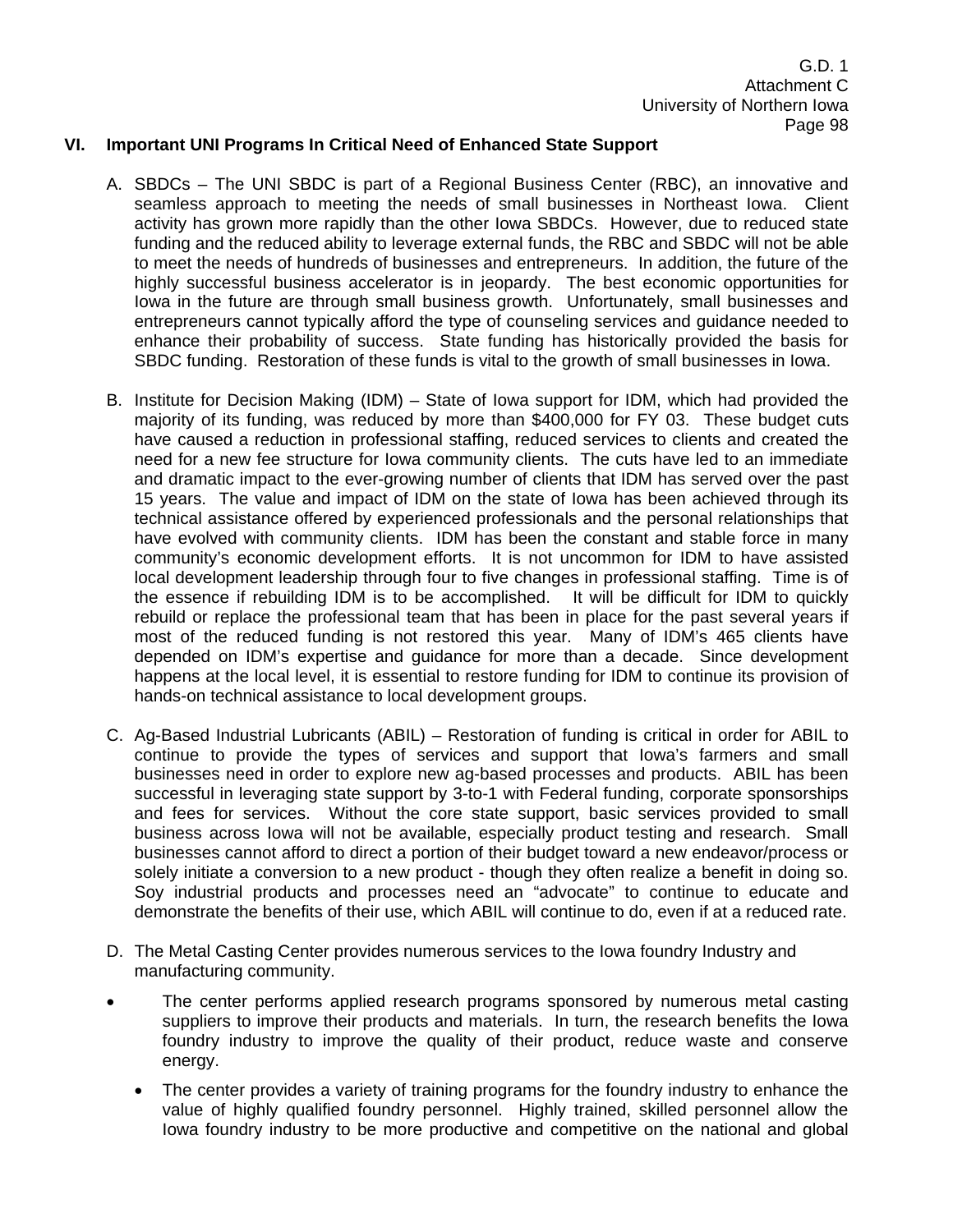#### **VI. Important UNI Programs In Critical Need of Enhanced State Support**

- A. SBDCs The UNI SBDC is part of a Regional Business Center (RBC), an innovative and seamless approach to meeting the needs of small businesses in Northeast Iowa. Client activity has grown more rapidly than the other Iowa SBDCs. However, due to reduced state funding and the reduced ability to leverage external funds, the RBC and SBDC will not be able to meet the needs of hundreds of businesses and entrepreneurs. In addition, the future of the highly successful business accelerator is in jeopardy. The best economic opportunities for Iowa in the future are through small business growth. Unfortunately, small businesses and entrepreneurs cannot typically afford the type of counseling services and guidance needed to enhance their probability of success. State funding has historically provided the basis for SBDC funding. Restoration of these funds is vital to the growth of small businesses in Iowa.
- B. Institute for Decision Making (IDM) State of Iowa support for IDM, which had provided the majority of its funding, was reduced by more than \$400,000 for FY 03. These budget cuts have caused a reduction in professional staffing, reduced services to clients and created the need for a new fee structure for Iowa community clients. The cuts have led to an immediate and dramatic impact to the ever-growing number of clients that IDM has served over the past 15 years. The value and impact of IDM on the state of Iowa has been achieved through its technical assistance offered by experienced professionals and the personal relationships that have evolved with community clients. IDM has been the constant and stable force in many community's economic development efforts. It is not uncommon for IDM to have assisted local development leadership through four to five changes in professional staffing. Time is of the essence if rebuilding IDM is to be accomplished. It will be difficult for IDM to quickly rebuild or replace the professional team that has been in place for the past several years if most of the reduced funding is not restored this year. Many of IDM's 465 clients have depended on IDM's expertise and guidance for more than a decade. Since development happens at the local level, it is essential to restore funding for IDM to continue its provision of hands-on technical assistance to local development groups.
- C. Ag-Based Industrial Lubricants (ABIL) Restoration of funding is critical in order for ABIL to continue to provide the types of services and support that Iowa's farmers and small businesses need in order to explore new ag-based processes and products. ABIL has been successful in leveraging state support by 3-to-1 with Federal funding, corporate sponsorships and fees for services. Without the core state support, basic services provided to small business across Iowa will not be available, especially product testing and research. Small businesses cannot afford to direct a portion of their budget toward a new endeavor/process or solely initiate a conversion to a new product - though they often realize a benefit in doing so. Soy industrial products and processes need an "advocate" to continue to educate and demonstrate the benefits of their use, which ABIL will continue to do, even if at a reduced rate.
- D. The Metal Casting Center provides numerous services to the Iowa foundry Industry and manufacturing community.
- The center performs applied research programs sponsored by numerous metal casting suppliers to improve their products and materials. In turn, the research benefits the Iowa foundry industry to improve the quality of their product, reduce waste and conserve energy.
	- The center provides a variety of training programs for the foundry industry to enhance the value of highly qualified foundry personnel. Highly trained, skilled personnel allow the Iowa foundry industry to be more productive and competitive on the national and global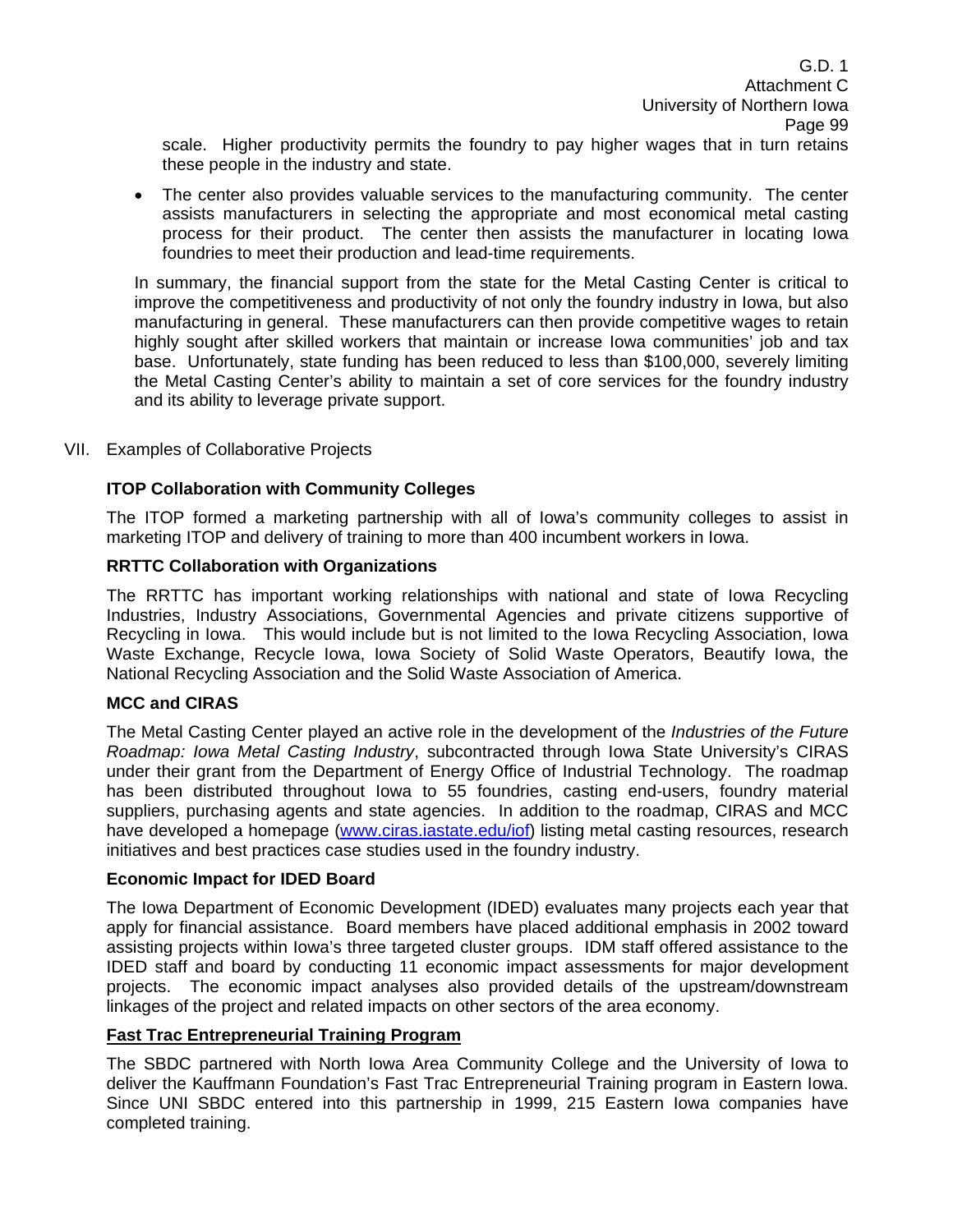scale. Higher productivity permits the foundry to pay higher wages that in turn retains these people in the industry and state.

• The center also provides valuable services to the manufacturing community. The center assists manufacturers in selecting the appropriate and most economical metal casting process for their product. The center then assists the manufacturer in locating Iowa foundries to meet their production and lead-time requirements.

In summary, the financial support from the state for the Metal Casting Center is critical to improve the competitiveness and productivity of not only the foundry industry in Iowa, but also manufacturing in general. These manufacturers can then provide competitive wages to retain highly sought after skilled workers that maintain or increase Iowa communities' job and tax base. Unfortunately, state funding has been reduced to less than \$100,000, severely limiting the Metal Casting Center's ability to maintain a set of core services for the foundry industry and its ability to leverage private support.

VII. Examples of Collaborative Projects

#### **ITOP Collaboration with Community Colleges**

The ITOP formed a marketing partnership with all of Iowa's community colleges to assist in marketing ITOP and delivery of training to more than 400 incumbent workers in Iowa.

#### **RRTTC Collaboration with Organizations**

The RRTTC has important working relationships with national and state of Iowa Recycling Industries, Industry Associations, Governmental Agencies and private citizens supportive of Recycling in Iowa. This would include but is not limited to the Iowa Recycling Association, Iowa Waste Exchange, Recycle Iowa, Iowa Society of Solid Waste Operators, Beautify Iowa, the National Recycling Association and the Solid Waste Association of America.

#### **MCC and CIRAS**

The Metal Casting Center played an active role in the development of the *Industries of the Future Roadmap: Iowa Metal Casting Industry*, subcontracted through Iowa State University's CIRAS under their grant from the Department of Energy Office of Industrial Technology. The roadmap has been distributed throughout Iowa to 55 foundries, casting end-users, foundry material suppliers, purchasing agents and state agencies. In addition to the roadmap, CIRAS and MCC have developed a homepage (www.ciras.iastate.edu/iof) listing metal casting resources, research initiatives and best practices case studies used in the foundry industry.

#### **Economic Impact for IDED Board**

The Iowa Department of Economic Development (IDED) evaluates many projects each year that apply for financial assistance. Board members have placed additional emphasis in 2002 toward assisting projects within Iowa's three targeted cluster groups. IDM staff offered assistance to the IDED staff and board by conducting 11 economic impact assessments for major development projects. The economic impact analyses also provided details of the upstream/downstream linkages of the project and related impacts on other sectors of the area economy.

#### **Fast Trac Entrepreneurial Training Program**

The SBDC partnered with North Iowa Area Community College and the University of Iowa to deliver the Kauffmann Foundation's Fast Trac Entrepreneurial Training program in Eastern Iowa. Since UNI SBDC entered into this partnership in 1999, 215 Eastern Iowa companies have completed training.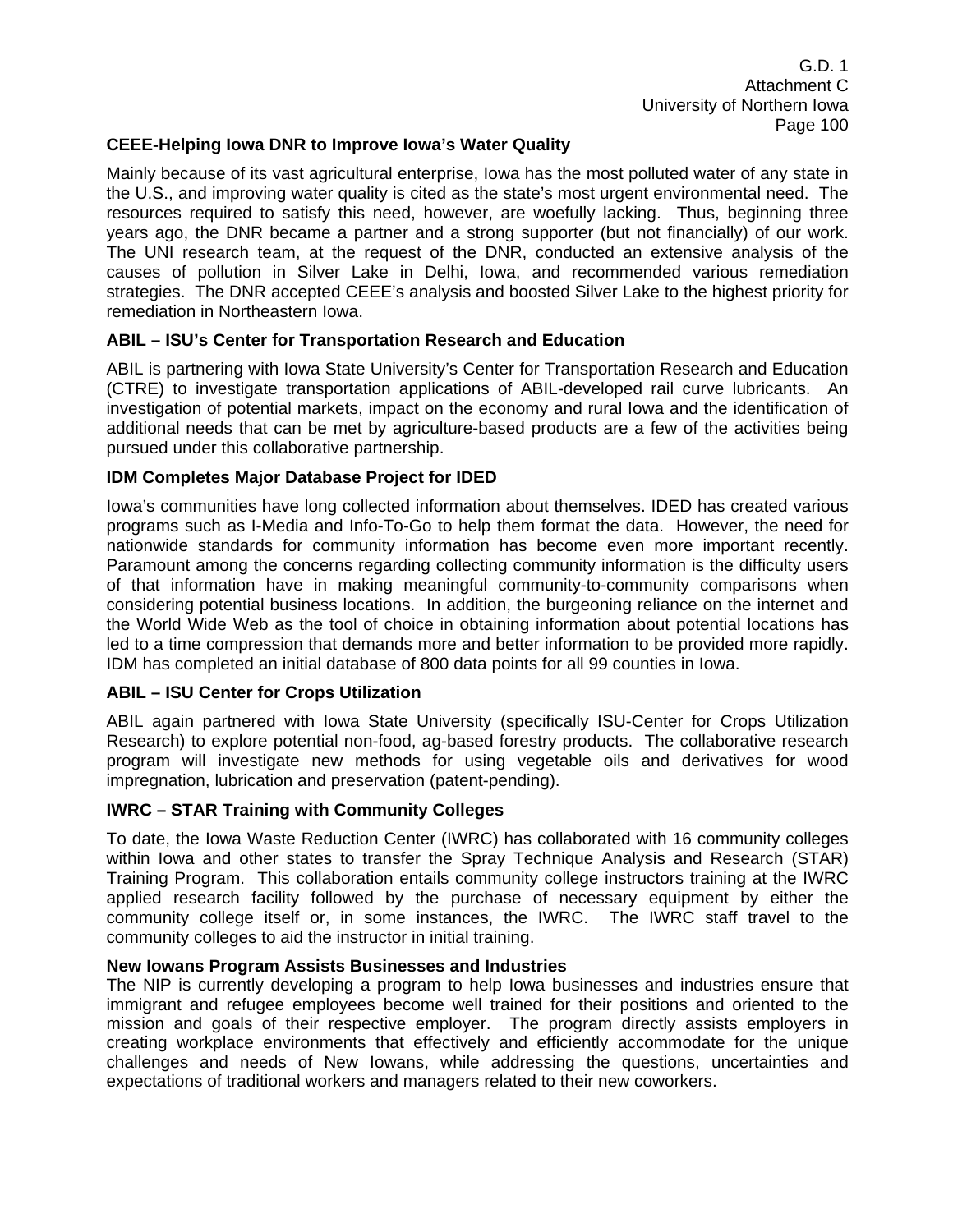#### **CEEE-Helping Iowa DNR to Improve Iowa's Water Quality**

Mainly because of its vast agricultural enterprise, Iowa has the most polluted water of any state in the U.S., and improving water quality is cited as the state's most urgent environmental need. The resources required to satisfy this need, however, are woefully lacking. Thus, beginning three years ago, the DNR became a partner and a strong supporter (but not financially) of our work. The UNI research team, at the request of the DNR, conducted an extensive analysis of the causes of pollution in Silver Lake in Delhi, Iowa, and recommended various remediation strategies. The DNR accepted CEEE's analysis and boosted Silver Lake to the highest priority for remediation in Northeastern Iowa.

#### **ABIL – ISU's Center for Transportation Research and Education**

ABIL is partnering with Iowa State University's Center for Transportation Research and Education (CTRE) to investigate transportation applications of ABIL-developed rail curve lubricants. An investigation of potential markets, impact on the economy and rural Iowa and the identification of additional needs that can be met by agriculture-based products are a few of the activities being pursued under this collaborative partnership.

#### **IDM Completes Major Database Project for IDED**

Iowa's communities have long collected information about themselves. IDED has created various programs such as I-Media and Info-To-Go to help them format the data. However, the need for nationwide standards for community information has become even more important recently. Paramount among the concerns regarding collecting community information is the difficulty users of that information have in making meaningful community-to-community comparisons when considering potential business locations. In addition, the burgeoning reliance on the internet and the World Wide Web as the tool of choice in obtaining information about potential locations has led to a time compression that demands more and better information to be provided more rapidly. IDM has completed an initial database of 800 data points for all 99 counties in Iowa.

#### **ABIL – ISU Center for Crops Utilization**

ABIL again partnered with Iowa State University (specifically ISU-Center for Crops Utilization Research) to explore potential non-food, ag-based forestry products. The collaborative research program will investigate new methods for using vegetable oils and derivatives for wood impregnation, lubrication and preservation (patent-pending).

#### **IWRC – STAR Training with Community Colleges**

To date, the Iowa Waste Reduction Center (IWRC) has collaborated with 16 community colleges within Iowa and other states to transfer the Spray Technique Analysis and Research (STAR) Training Program. This collaboration entails community college instructors training at the IWRC applied research facility followed by the purchase of necessary equipment by either the community college itself or, in some instances, the IWRC. The IWRC staff travel to the community colleges to aid the instructor in initial training.

#### **New Iowans Program Assists Businesses and Industries**

The NIP is currently developing a program to help Iowa businesses and industries ensure that immigrant and refugee employees become well trained for their positions and oriented to the mission and goals of their respective employer. The program directly assists employers in creating workplace environments that effectively and efficiently accommodate for the unique challenges and needs of New Iowans, while addressing the questions, uncertainties and expectations of traditional workers and managers related to their new coworkers.